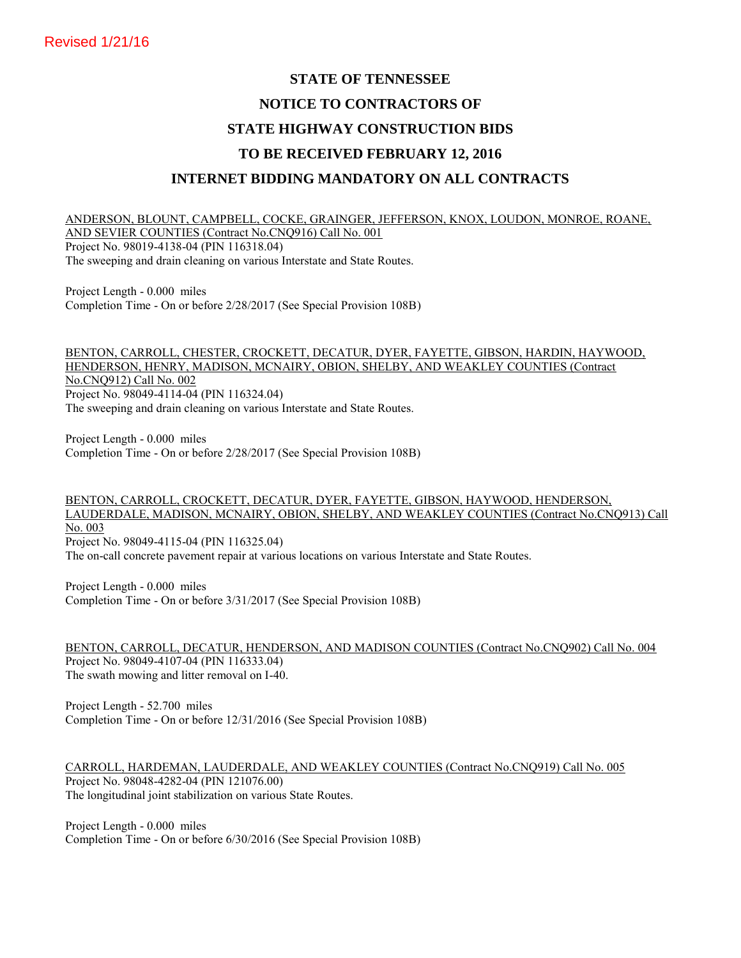# **STATE OF TENNESSEE NOTICE TO CONTRACTORS OF STATE HIGHWAY CONSTRUCTION BIDS TO BE RECEIVED FEBRUARY 12, 2016 INTERNET BIDDING MANDATORY ON ALL CONTRACTS**

ANDERSON, BLOUNT, CAMPBELL, COCKE, GRAINGER, JEFFERSON, KNOX, LOUDON, MONROE, ROANE, AND SEVIER COUNTIES (Contract No.CNQ916) Call No. 001 Project No. 98019-4138-04 (PIN 116318.04) The sweeping and drain cleaning on various Interstate and State Routes.

Project Length - 0.000 miles Completion Time - On or before 2/28/2017 (See Special Provision 108B)

BENTON, CARROLL, CHESTER, CROCKETT, DECATUR, DYER, FAYETTE, GIBSON, HARDIN, HAYWOOD, HENDERSON, HENRY, MADISON, MCNAIRY, OBION, SHELBY, AND WEAKLEY COUNTIES (Contract No.CNQ912) Call No. 002 Project No. 98049-4114-04 (PIN 116324.04) The sweeping and drain cleaning on various Interstate and State Routes.

Project Length - 0.000 miles Completion Time - On or before 2/28/2017 (See Special Provision 108B)

## BENTON, CARROLL, CROCKETT, DECATUR, DYER, FAYETTE, GIBSON, HAYWOOD, HENDERSON, LAUDERDALE, MADISON, MCNAIRY, OBION, SHELBY, AND WEAKLEY COUNTIES (Contract No.CNQ913) Call No. 003 Project No. 98049-4115-04 (PIN 116325.04)

The on-call concrete pavement repair at various locations on various Interstate and State Routes.

Project Length - 0.000 miles Completion Time - On or before 3/31/2017 (See Special Provision 108B)

BENTON, CARROLL, DECATUR, HENDERSON, AND MADISON COUNTIES (Contract No.CNQ902) Call No. 004 Project No. 98049-4107-04 (PIN 116333.04) The swath mowing and litter removal on I-40.

Project Length - 52.700 miles Completion Time - On or before 12/31/2016 (See Special Provision 108B)

CARROLL, HARDEMAN, LAUDERDALE, AND WEAKLEY COUNTIES (Contract No.CNQ919) Call No. 005 Project No. 98048-4282-04 (PIN 121076.00) The longitudinal joint stabilization on various State Routes.

Project Length - 0.000 miles Completion Time - On or before 6/30/2016 (See Special Provision 108B)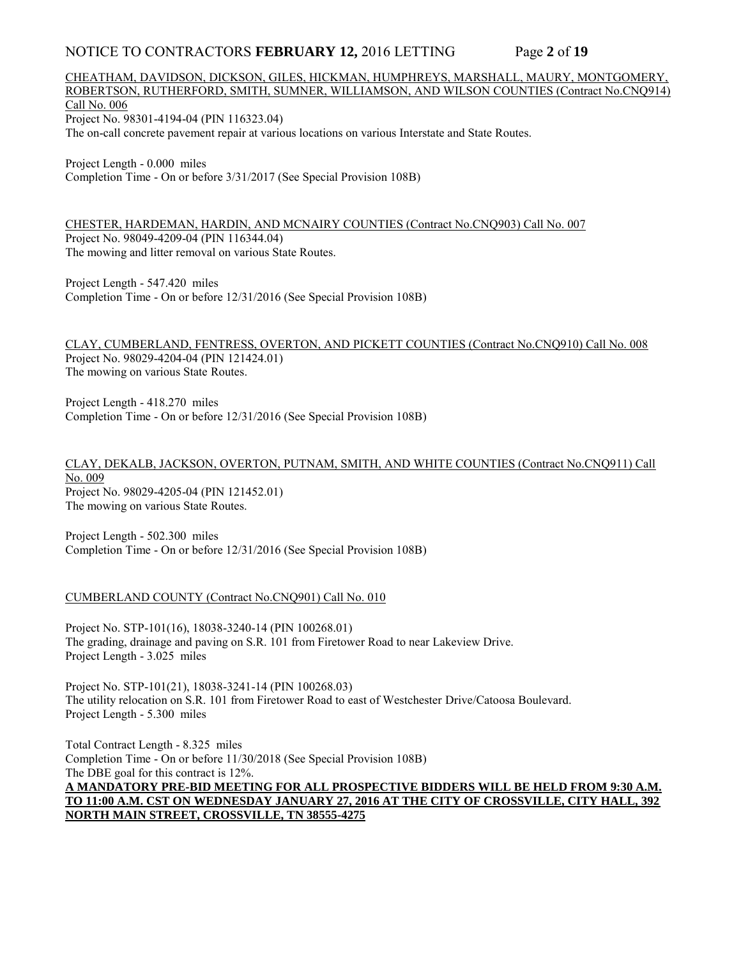## NOTICE TO CONTRACTORS **FEBRUARY 12,** 2016 LETTING Page **2** of **19**

## CHEATHAM, DAVIDSON, DICKSON, GILES, HICKMAN, HUMPHREYS, MARSHALL, MAURY, MONTGOMERY, ROBERTSON, RUTHERFORD, SMITH, SUMNER, WILLIAMSON, AND WILSON COUNTIES (Contract No.CNQ914) Call No. 006 Project No. 98301-4194-04 (PIN 116323.04) The on-call concrete pavement repair at various locations on various Interstate and State Routes.

Project Length - 0.000 miles Completion Time - On or before 3/31/2017 (See Special Provision 108B)

CHESTER, HARDEMAN, HARDIN, AND MCNAIRY COUNTIES (Contract No.CNQ903) Call No. 007 Project No. 98049-4209-04 (PIN 116344.04) The mowing and litter removal on various State Routes.

Project Length - 547.420 miles Completion Time - On or before 12/31/2016 (See Special Provision 108B)

CLAY, CUMBERLAND, FENTRESS, OVERTON, AND PICKETT COUNTIES (Contract No.CNQ910) Call No. 008 Project No. 98029-4204-04 (PIN 121424.01) The mowing on various State Routes.

Project Length - 418.270 miles Completion Time - On or before 12/31/2016 (See Special Provision 108B)

CLAY, DEKALB, JACKSON, OVERTON, PUTNAM, SMITH, AND WHITE COUNTIES (Contract No.CNQ911) Call No. 009 Project No. 98029-4205-04 (PIN 121452.01) The mowing on various State Routes.

Project Length - 502.300 miles Completion Time - On or before 12/31/2016 (See Special Provision 108B)

CUMBERLAND COUNTY (Contract No.CNQ901) Call No. 010

Project No. STP-101(16), 18038-3240-14 (PIN 100268.01) The grading, drainage and paving on S.R. 101 from Firetower Road to near Lakeview Drive. Project Length - 3.025 miles

Project No. STP-101(21), 18038-3241-14 (PIN 100268.03) The utility relocation on S.R. 101 from Firetower Road to east of Westchester Drive/Catoosa Boulevard. Project Length - 5.300 miles

Total Contract Length - 8.325 miles Completion Time - On or before 11/30/2018 (See Special Provision 108B) The DBE goal for this contract is 12%. **A MANDATORY PRE-BID MEETING FOR ALL PROSPECTIVE BIDDERS WILL BE HELD FROM 9:30 A.M. TO 11:00 A.M. CST ON WEDNESDAY JANUARY 27, 2016 AT THE CITY OF CROSSVILLE, CITY HALL, 392 NORTH MAIN STREET, CROSSVILLE, TN 38555-4275**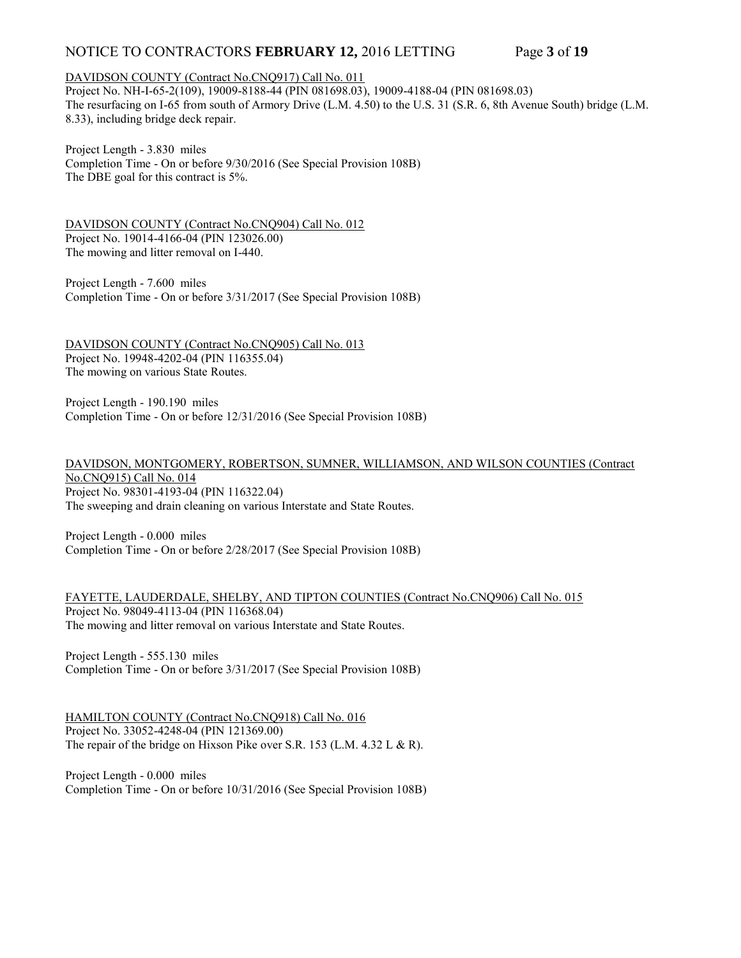# NOTICE TO CONTRACTORS **FEBRUARY 12,** 2016 LETTING Page **3** of **19**

#### DAVIDSON COUNTY (Contract No.CNQ917) Call No. 011

Project No. NH-I-65-2(109), 19009-8188-44 (PIN 081698.03), 19009-4188-04 (PIN 081698.03) The resurfacing on I-65 from south of Armory Drive (L.M. 4.50) to the U.S. 31 (S.R. 6, 8th Avenue South) bridge (L.M. 8.33), including bridge deck repair.

Project Length - 3.830 miles Completion Time - On or before 9/30/2016 (See Special Provision 108B) The DBE goal for this contract is 5%.

DAVIDSON COUNTY (Contract No.CNQ904) Call No. 012 Project No. 19014-4166-04 (PIN 123026.00) The mowing and litter removal on I-440.

Project Length - 7.600 miles Completion Time - On or before 3/31/2017 (See Special Provision 108B)

DAVIDSON COUNTY (Contract No.CNQ905) Call No. 013 Project No. 19948-4202-04 (PIN 116355.04) The mowing on various State Routes.

Project Length - 190.190 miles Completion Time - On or before 12/31/2016 (See Special Provision 108B)

DAVIDSON, MONTGOMERY, ROBERTSON, SUMNER, WILLIAMSON, AND WILSON COUNTIES (Contract No.CNQ915) Call No. 014 Project No. 98301-4193-04 (PIN 116322.04) The sweeping and drain cleaning on various Interstate and State Routes.

Project Length - 0.000 miles Completion Time - On or before 2/28/2017 (See Special Provision 108B)

FAYETTE, LAUDERDALE, SHELBY, AND TIPTON COUNTIES (Contract No.CNQ906) Call No. 015 Project No. 98049-4113-04 (PIN 116368.04) The mowing and litter removal on various Interstate and State Routes.

Project Length - 555.130 miles Completion Time - On or before 3/31/2017 (See Special Provision 108B)

HAMILTON COUNTY (Contract No.CNQ918) Call No. 016 Project No. 33052-4248-04 (PIN 121369.00) The repair of the bridge on Hixson Pike over S.R. 153 (L.M. 4.32 L & R).

Project Length - 0.000 miles Completion Time - On or before 10/31/2016 (See Special Provision 108B)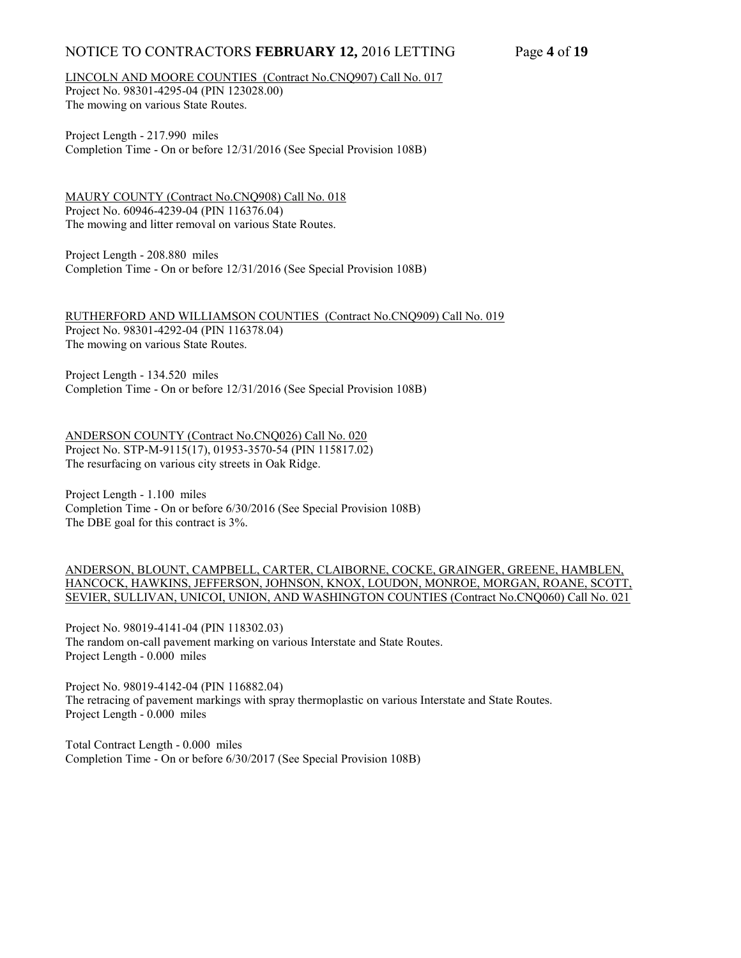# NOTICE TO CONTRACTORS **FEBRUARY 12,** 2016 LETTING Page **4** of **19**

LINCOLN AND MOORE COUNTIES (Contract No.CNQ907) Call No. 017

Project No. 98301-4295-04 (PIN 123028.00) The mowing on various State Routes.

Project Length - 217.990 miles Completion Time - On or before 12/31/2016 (See Special Provision 108B)

MAURY COUNTY (Contract No.CNQ908) Call No. 018 Project No. 60946-4239-04 (PIN 116376.04) The mowing and litter removal on various State Routes.

Project Length - 208.880 miles Completion Time - On or before 12/31/2016 (See Special Provision 108B)

RUTHERFORD AND WILLIAMSON COUNTIES (Contract No.CNQ909) Call No. 019 Project No. 98301-4292-04 (PIN 116378.04) The mowing on various State Routes.

Project Length - 134.520 miles Completion Time - On or before 12/31/2016 (See Special Provision 108B)

ANDERSON COUNTY (Contract No.CNQ026) Call No. 020 Project No. STP-M-9115(17), 01953-3570-54 (PIN 115817.02) The resurfacing on various city streets in Oak Ridge.

Project Length - 1.100 miles Completion Time - On or before 6/30/2016 (See Special Provision 108B) The DBE goal for this contract is 3%.

ANDERSON, BLOUNT, CAMPBELL, CARTER, CLAIBORNE, COCKE, GRAINGER, GREENE, HAMBLEN, HANCOCK, HAWKINS, JEFFERSON, JOHNSON, KNOX, LOUDON, MONROE, MORGAN, ROANE, SCOTT, SEVIER, SULLIVAN, UNICOI, UNION, AND WASHINGTON COUNTIES (Contract No.CNQ060) Call No. 021

Project No. 98019-4141-04 (PIN 118302.03) The random on-call pavement marking on various Interstate and State Routes. Project Length - 0.000 miles

Project No. 98019-4142-04 (PIN 116882.04) The retracing of pavement markings with spray thermoplastic on various Interstate and State Routes. Project Length - 0.000 miles

Total Contract Length - 0.000 miles Completion Time - On or before 6/30/2017 (See Special Provision 108B)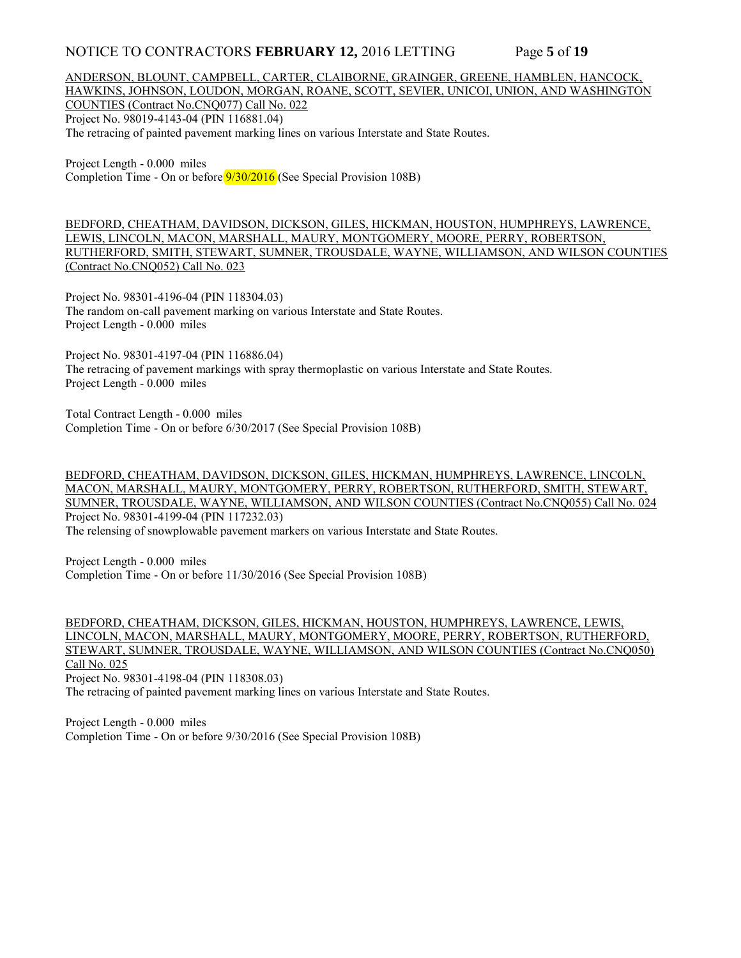## NOTICE TO CONTRACTORS **FEBRUARY 12,** 2016 LETTING Page **5** of **19**

ANDERSON, BLOUNT, CAMPBELL, CARTER, CLAIBORNE, GRAINGER, GREENE, HAMBLEN, HANCOCK, HAWKINS, JOHNSON, LOUDON, MORGAN, ROANE, SCOTT, SEVIER, UNICOI, UNION, AND WASHINGTON COUNTIES (Contract No.CNQ077) Call No. 022 Project No. 98019-4143-04 (PIN 116881.04) The retracing of painted pavement marking lines on various Interstate and State Routes.

Project Length - 0.000 miles Completion Time - On or before 9/30/2016 (See Special Provision 108B)

BEDFORD, CHEATHAM, DAVIDSON, DICKSON, GILES, HICKMAN, HOUSTON, HUMPHREYS, LAWRENCE, LEWIS, LINCOLN, MACON, MARSHALL, MAURY, MONTGOMERY, MOORE, PERRY, ROBERTSON, RUTHERFORD, SMITH, STEWART, SUMNER, TROUSDALE, WAYNE, WILLIAMSON, AND WILSON COUNTIES (Contract No.CNQ052) Call No. 023

Project No. 98301-4196-04 (PIN 118304.03) The random on-call pavement marking on various Interstate and State Routes. Project Length - 0.000 miles

Project No. 98301-4197-04 (PIN 116886.04) The retracing of pavement markings with spray thermoplastic on various Interstate and State Routes. Project Length - 0.000 miles

Total Contract Length - 0.000 miles Completion Time - On or before 6/30/2017 (See Special Provision 108B)

BEDFORD, CHEATHAM, DAVIDSON, DICKSON, GILES, HICKMAN, HUMPHREYS, LAWRENCE, LINCOLN, MACON, MARSHALL, MAURY, MONTGOMERY, PERRY, ROBERTSON, RUTHERFORD, SMITH, STEWART, SUMNER, TROUSDALE, WAYNE, WILLIAMSON, AND WILSON COUNTIES (Contract No.CNQ055) Call No. 024 Project No. 98301-4199-04 (PIN 117232.03) The relensing of snowplowable pavement markers on various Interstate and State Routes.

Project Length - 0.000 miles Completion Time - On or before 11/30/2016 (See Special Provision 108B)

BEDFORD, CHEATHAM, DICKSON, GILES, HICKMAN, HOUSTON, HUMPHREYS, LAWRENCE, LEWIS, LINCOLN, MACON, MARSHALL, MAURY, MONTGOMERY, MOORE, PERRY, ROBERTSON, RUTHERFORD, STEWART, SUMNER, TROUSDALE, WAYNE, WILLIAMSON, AND WILSON COUNTIES (Contract No.CNQ050) Call No. 025 Project No. 98301-4198-04 (PIN 118308.03)

The retracing of painted pavement marking lines on various Interstate and State Routes.

Project Length - 0.000 miles Completion Time - On or before 9/30/2016 (See Special Provision 108B)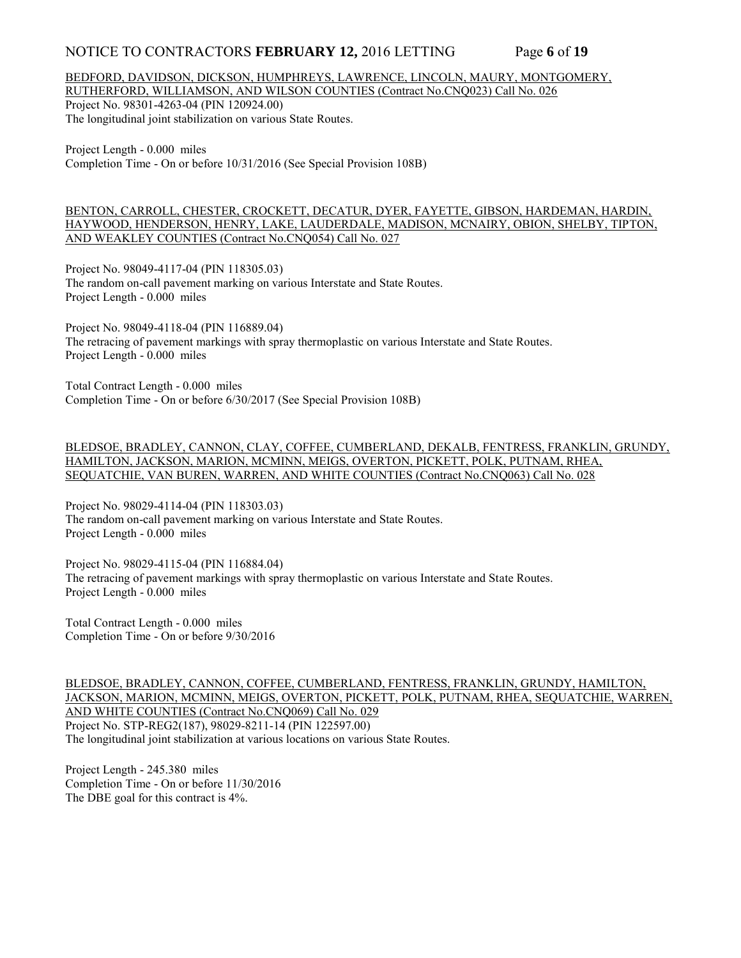## NOTICE TO CONTRACTORS **FEBRUARY 12,** 2016 LETTING Page 6 of 19

#### BEDFORD, DAVIDSON, DICKSON, HUMPHREYS, LAWRENCE, LINCOLN, MAURY, MONTGOMERY, RUTHERFORD, WILLIAMSON, AND WILSON COUNTIES (Contract No.CNQ023) Call No. 026

Project No. 98301-4263-04 (PIN 120924.00) The longitudinal joint stabilization on various State Routes.

Project Length - 0.000 miles Completion Time - On or before 10/31/2016 (See Special Provision 108B)

BENTON, CARROLL, CHESTER, CROCKETT, DECATUR, DYER, FAYETTE, GIBSON, HARDEMAN, HARDIN, HAYWOOD, HENDERSON, HENRY, LAKE, LAUDERDALE, MADISON, MCNAIRY, OBION, SHELBY, TIPTON, AND WEAKLEY COUNTIES (Contract No.CNQ054) Call No. 027

Project No. 98049-4117-04 (PIN 118305.03) The random on-call pavement marking on various Interstate and State Routes. Project Length - 0.000 miles

Project No. 98049-4118-04 (PIN 116889.04) The retracing of pavement markings with spray thermoplastic on various Interstate and State Routes. Project Length - 0.000 miles

Total Contract Length - 0.000 miles Completion Time - On or before 6/30/2017 (See Special Provision 108B)

## BLEDSOE, BRADLEY, CANNON, CLAY, COFFEE, CUMBERLAND, DEKALB, FENTRESS, FRANKLIN, GRUNDY, HAMILTON, JACKSON, MARION, MCMINN, MEIGS, OVERTON, PICKETT, POLK, PUTNAM, RHEA, SEQUATCHIE, VAN BUREN, WARREN, AND WHITE COUNTIES (Contract No.CNQ063) Call No. 028

Project No. 98029-4114-04 (PIN 118303.03) The random on-call pavement marking on various Interstate and State Routes. Project Length - 0.000 miles

Project No. 98029-4115-04 (PIN 116884.04) The retracing of pavement markings with spray thermoplastic on various Interstate and State Routes. Project Length - 0.000 miles

Total Contract Length - 0.000 miles Completion Time - On or before 9/30/2016

BLEDSOE, BRADLEY, CANNON, COFFEE, CUMBERLAND, FENTRESS, FRANKLIN, GRUNDY, HAMILTON, JACKSON, MARION, MCMINN, MEIGS, OVERTON, PICKETT, POLK, PUTNAM, RHEA, SEQUATCHIE, WARREN, AND WHITE COUNTIES (Contract No.CNQ069) Call No. 029 Project No. STP-REG2(187), 98029-8211-14 (PIN 122597.00) The longitudinal joint stabilization at various locations on various State Routes.

Project Length - 245.380 miles Completion Time - On or before 11/30/2016 The DBE goal for this contract is 4%.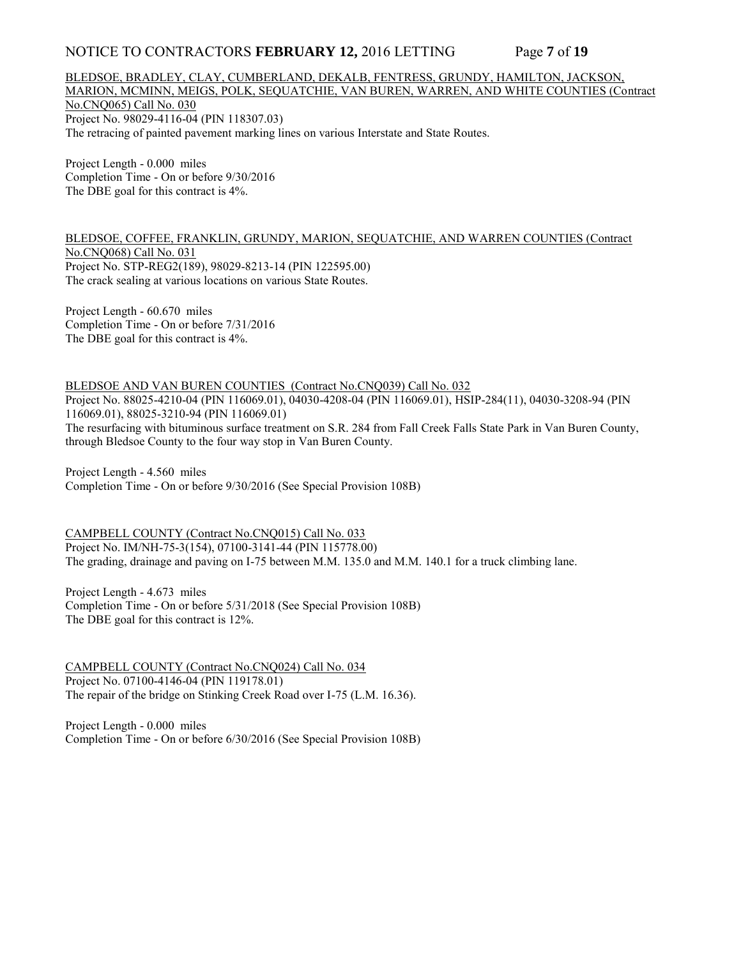## NOTICE TO CONTRACTORS **FEBRUARY 12,** 2016 LETTING Page **7** of **19**

BLEDSOE, BRADLEY, CLAY, CUMBERLAND, DEKALB, FENTRESS, GRUNDY, HAMILTON, JACKSON, MARION, MCMINN, MEIGS, POLK, SEQUATCHIE, VAN BUREN, WARREN, AND WHITE COUNTIES (Contract No.CNQ065) Call No. 030 Project No. 98029-4116-04 (PIN 118307.03) The retracing of painted pavement marking lines on various Interstate and State Routes.

Project Length - 0.000 miles Completion Time - On or before 9/30/2016 The DBE goal for this contract is 4%.

BLEDSOE, COFFEE, FRANKLIN, GRUNDY, MARION, SEQUATCHIE, AND WARREN COUNTIES (Contract No.CNQ068) Call No. 031 Project No. STP-REG2(189), 98029-8213-14 (PIN 122595.00) The crack sealing at various locations on various State Routes.

Project Length - 60.670 miles Completion Time - On or before 7/31/2016 The DBE goal for this contract is 4%.

BLEDSOE AND VAN BUREN COUNTIES (Contract No.CNQ039) Call No. 032 Project No. 88025-4210-04 (PIN 116069.01), 04030-4208-04 (PIN 116069.01), HSIP-284(11), 04030-3208-94 (PIN 116069.01), 88025-3210-94 (PIN 116069.01) The resurfacing with bituminous surface treatment on S.R. 284 from Fall Creek Falls State Park in Van Buren County, through Bledsoe County to the four way stop in Van Buren County.

Project Length - 4.560 miles Completion Time - On or before 9/30/2016 (See Special Provision 108B)

CAMPBELL COUNTY (Contract No.CNQ015) Call No. 033 Project No. IM/NH-75-3(154), 07100-3141-44 (PIN 115778.00) The grading, drainage and paving on I-75 between M.M. 135.0 and M.M. 140.1 for a truck climbing lane.

Project Length - 4.673 miles Completion Time - On or before 5/31/2018 (See Special Provision 108B) The DBE goal for this contract is 12%.

CAMPBELL COUNTY (Contract No.CNQ024) Call No. 034 Project No. 07100-4146-04 (PIN 119178.01) The repair of the bridge on Stinking Creek Road over I-75 (L.M. 16.36).

Project Length - 0.000 miles Completion Time - On or before 6/30/2016 (See Special Provision 108B)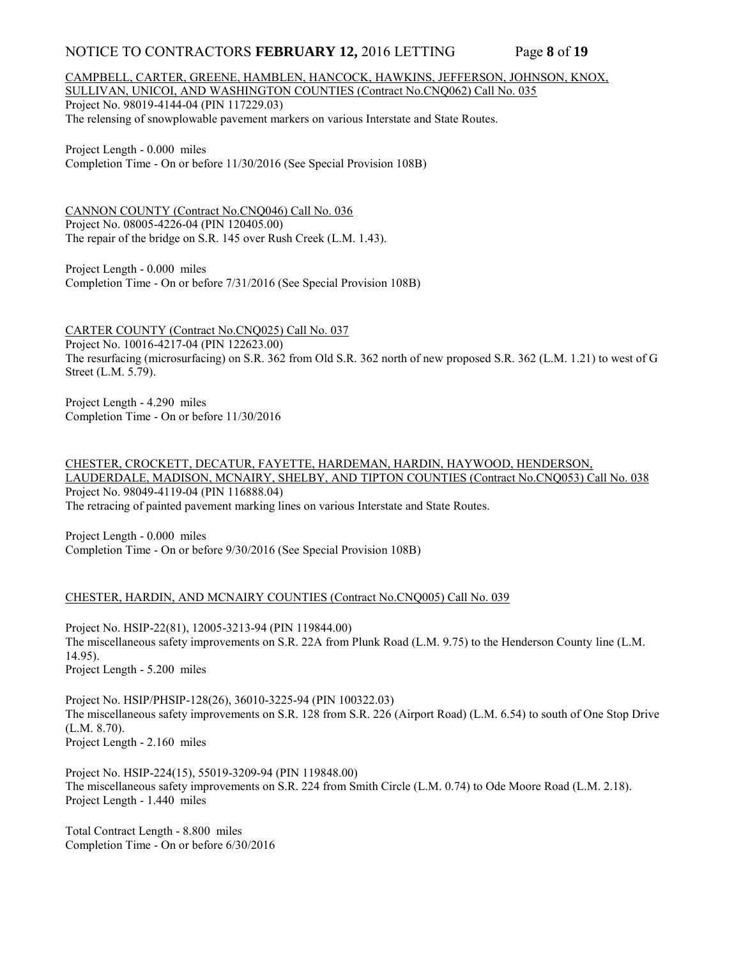## NOTICE TO CONTRACTORS **FEBRUARY 12,** 2016 LETTING Page **8** of **19**

## CAMPBELL, CARTER, GREENE, HAMBLEN, HANCOCK, HAWKINS, JEFFERSON, JOHNSON, KNOX, SULLIVAN, UNICOI, AND WASHINGTON COUNTIES (Contract No.CNQ062) Call No. 035 Project No. 98019-4144-04 (PIN 117229.03)

The relensing of snowplowable pavement markers on various Interstate and State Routes.

Project Length - 0.000 miles Completion Time - On or before 11/30/2016 (See Special Provision 108B)

CANNON COUNTY (Contract No.CNQ046) Call No. 036 Project No. 08005-4226-04 (PIN 120405.00) The repair of the bridge on S.R. 145 over Rush Creek (L.M. 1.43).

Project Length - 0.000 miles Completion Time - On or before 7/31/2016 (See Special Provision 108B)

CARTER COUNTY (Contract No.CNQ025) Call No. 037 Project No. 10016-4217-04 (PIN 122623.00) The resurfacing (microsurfacing) on S.R. 362 from Old S.R. 362 north of new proposed S.R. 362 (L.M. 1.21) to west of G Street (L.M. 5.79).

Project Length - 4.290 miles Completion Time - On or before 11/30/2016

CHESTER, CROCKETT, DECATUR, FAYETTE, HARDEMAN, HARDIN, HAYWOOD, HENDERSON, LAUDERDALE, MADISON, MCNAIRY, SHELBY, AND TIPTON COUNTIES (Contract No.CNQ053) Call No. 038 Project No. 98049-4119-04 (PIN 116888.04) The retracing of painted pavement marking lines on various Interstate and State Routes.

Project Length - 0.000 miles Completion Time - On or before 9/30/2016 (See Special Provision 108B)

## CHESTER, HARDIN, AND MCNAIRY COUNTIES (Contract No.CNQ005) Call No. 039

Project No. HSIP-22(81), 12005-3213-94 (PIN 119844.00) The miscellaneous safety improvements on S.R. 22A from Plunk Road (L.M. 9.75) to the Henderson County line (L.M. 14.95). Project Length - 5.200 miles

Project No. HSIP/PHSIP-128(26), 36010-3225-94 (PIN 100322.03) The miscellaneous safety improvements on S.R. 128 from S.R. 226 (Airport Road) (L.M. 6.54) to south of One Stop Drive (L.M. 8.70). Project Length - 2.160 miles

Project No. HSIP-224(15), 55019-3209-94 (PIN 119848.00) The miscellaneous safety improvements on S.R. 224 from Smith Circle (L.M. 0.74) to Ode Moore Road (L.M. 2.18). Project Length - 1.440 miles

Total Contract Length - 8.800 miles Completion Time - On or before 6/30/2016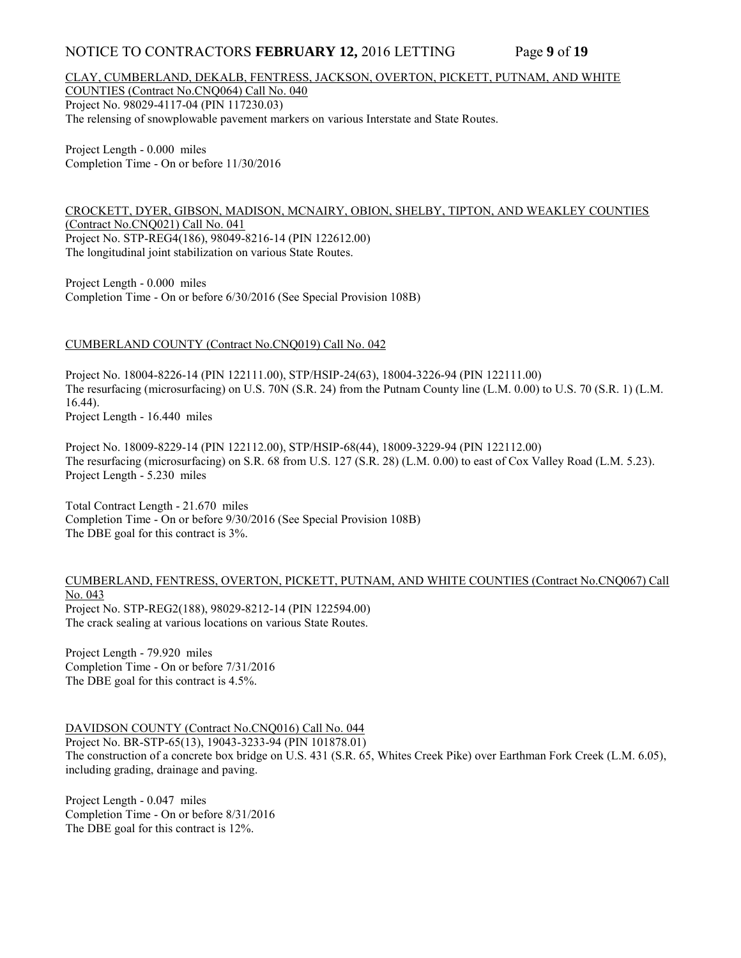## NOTICE TO CONTRACTORS **FEBRUARY 12,** 2016 LETTING Page **9** of **19**

#### CLAY, CUMBERLAND, DEKALB, FENTRESS, JACKSON, OVERTON, PICKETT, PUTNAM, AND WHITE COUNTIES (Contract No.CNQ064) Call No. 040

Project No. 98029-4117-04 (PIN 117230.03) The relensing of snowplowable pavement markers on various Interstate and State Routes.

Project Length - 0.000 miles Completion Time - On or before 11/30/2016

CROCKETT, DYER, GIBSON, MADISON, MCNAIRY, OBION, SHELBY, TIPTON, AND WEAKLEY COUNTIES (Contract No.CNQ021) Call No. 041 Project No. STP-REG4(186), 98049-8216-14 (PIN 122612.00) The longitudinal joint stabilization on various State Routes.

Project Length - 0.000 miles Completion Time - On or before 6/30/2016 (See Special Provision 108B)

## CUMBERLAND COUNTY (Contract No.CNQ019) Call No. 042

Project No. 18004-8226-14 (PIN 122111.00), STP/HSIP-24(63), 18004-3226-94 (PIN 122111.00) The resurfacing (microsurfacing) on U.S. 70N (S.R. 24) from the Putnam County line (L.M. 0.00) to U.S. 70 (S.R. 1) (L.M. 16.44). Project Length - 16.440 miles

Project No. 18009-8229-14 (PIN 122112.00), STP/HSIP-68(44), 18009-3229-94 (PIN 122112.00) The resurfacing (microsurfacing) on S.R. 68 from U.S. 127 (S.R. 28) (L.M. 0.00) to east of Cox Valley Road (L.M. 5.23). Project Length - 5.230 miles

Total Contract Length - 21.670 miles Completion Time - On or before 9/30/2016 (See Special Provision 108B) The DBE goal for this contract is 3%.

#### CUMBERLAND, FENTRESS, OVERTON, PICKETT, PUTNAM, AND WHITE COUNTIES (Contract No.CNQ067) Call No. 043 Project No. STP-REG2(188), 98029-8212-14 (PIN 122594.00) The crack sealing at various locations on various State Routes.

Project Length - 79.920 miles Completion Time - On or before 7/31/2016 The DBE goal for this contract is 4.5%.

DAVIDSON COUNTY (Contract No.CNQ016) Call No. 044 Project No. BR-STP-65(13), 19043-3233-94 (PIN 101878.01) The construction of a concrete box bridge on U.S. 431 (S.R. 65, Whites Creek Pike) over Earthman Fork Creek (L.M. 6.05), including grading, drainage and paving.

Project Length - 0.047 miles Completion Time - On or before 8/31/2016 The DBE goal for this contract is 12%.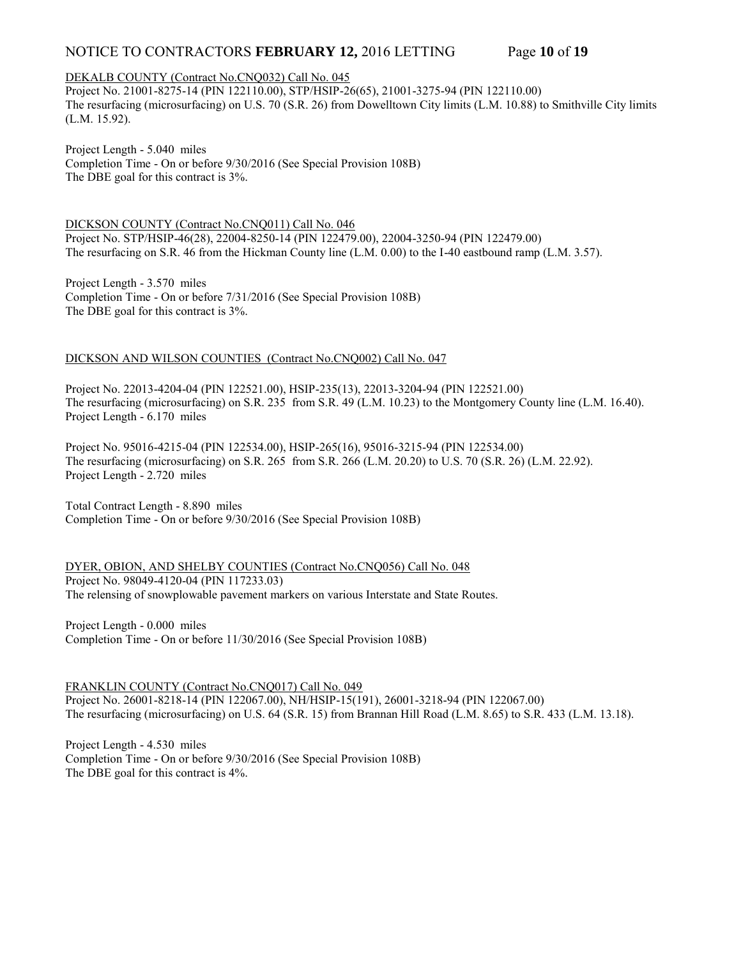# NOTICE TO CONTRACTORS **FEBRUARY 12,** 2016 LETTING Page **10** of **19**

## DEKALB COUNTY (Contract No.CNQ032) Call No. 045

Project No. 21001-8275-14 (PIN 122110.00), STP/HSIP-26(65), 21001-3275-94 (PIN 122110.00) The resurfacing (microsurfacing) on U.S. 70 (S.R. 26) from Dowelltown City limits (L.M. 10.88) to Smithville City limits (L.M. 15.92).

Project Length - 5.040 miles Completion Time - On or before 9/30/2016 (See Special Provision 108B) The DBE goal for this contract is 3%.

DICKSON COUNTY (Contract No.CNQ011) Call No. 046 Project No. STP/HSIP-46(28), 22004-8250-14 (PIN 122479.00), 22004-3250-94 (PIN 122479.00) The resurfacing on S.R. 46 from the Hickman County line (L.M. 0.00) to the I-40 eastbound ramp (L.M. 3.57).

Project Length - 3.570 miles Completion Time - On or before 7/31/2016 (See Special Provision 108B) The DBE goal for this contract is 3%.

## DICKSON AND WILSON COUNTIES (Contract No.CNQ002) Call No. 047

Project No. 22013-4204-04 (PIN 122521.00), HSIP-235(13), 22013-3204-94 (PIN 122521.00) The resurfacing (microsurfacing) on S.R. 235 from S.R. 49 (L.M. 10.23) to the Montgomery County line (L.M. 16.40). Project Length - 6.170 miles

Project No. 95016-4215-04 (PIN 122534.00), HSIP-265(16), 95016-3215-94 (PIN 122534.00) The resurfacing (microsurfacing) on S.R. 265 from S.R. 266 (L.M. 20.20) to U.S. 70 (S.R. 26) (L.M. 22.92). Project Length - 2.720 miles

Total Contract Length - 8.890 miles Completion Time - On or before 9/30/2016 (See Special Provision 108B)

DYER, OBION, AND SHELBY COUNTIES (Contract No.CNQ056) Call No. 048 Project No. 98049-4120-04 (PIN 117233.03) The relensing of snowplowable pavement markers on various Interstate and State Routes.

Project Length - 0.000 miles Completion Time - On or before 11/30/2016 (See Special Provision 108B)

FRANKLIN COUNTY (Contract No.CNQ017) Call No. 049 Project No. 26001-8218-14 (PIN 122067.00), NH/HSIP-15(191), 26001-3218-94 (PIN 122067.00) The resurfacing (microsurfacing) on U.S. 64 (S.R. 15) from Brannan Hill Road (L.M. 8.65) to S.R. 433 (L.M. 13.18).

Project Length - 4.530 miles Completion Time - On or before 9/30/2016 (See Special Provision 108B) The DBE goal for this contract is 4%.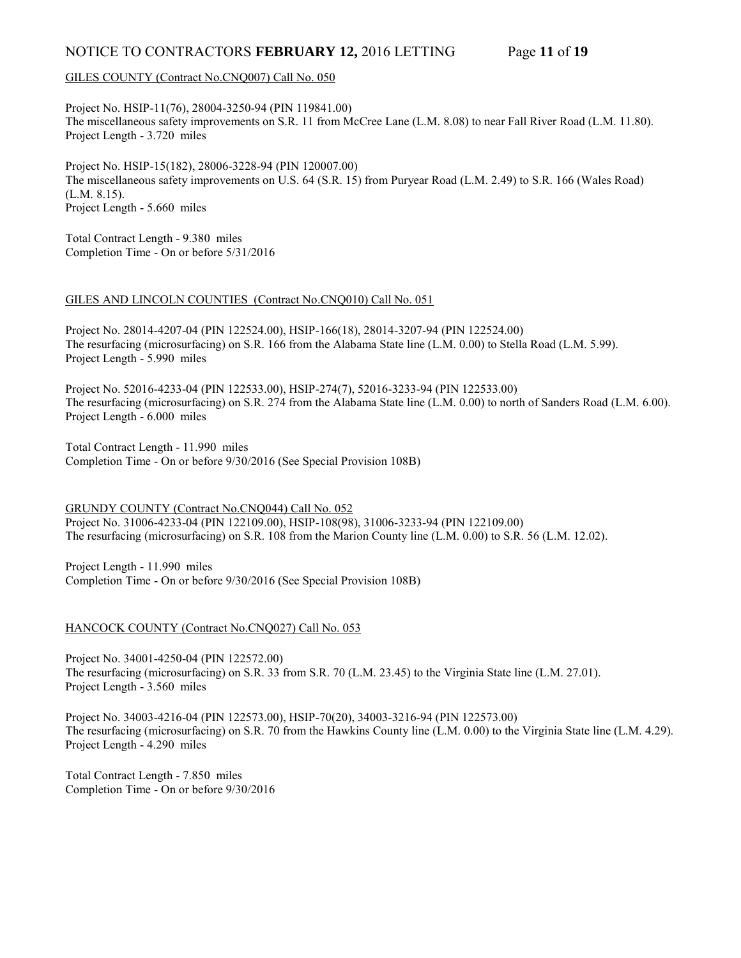# NOTICE TO CONTRACTORS **FEBRUARY 12,** 2016 LETTING Page **11** of **19**

## GILES COUNTY (Contract No.CNQ007) Call No. 050

Project No. HSIP-11(76), 28004-3250-94 (PIN 119841.00) The miscellaneous safety improvements on S.R. 11 from McCree Lane (L.M. 8.08) to near Fall River Road (L.M. 11.80). Project Length - 3.720 miles

Project No. HSIP-15(182), 28006-3228-94 (PIN 120007.00) The miscellaneous safety improvements on U.S. 64 (S.R. 15) from Puryear Road (L.M. 2.49) to S.R. 166 (Wales Road) (L.M. 8.15). Project Length - 5.660 miles

Total Contract Length - 9.380 miles Completion Time - On or before 5/31/2016

#### GILES AND LINCOLN COUNTIES (Contract No.CNQ010) Call No. 051

Project No. 28014-4207-04 (PIN 122524.00), HSIP-166(18), 28014-3207-94 (PIN 122524.00) The resurfacing (microsurfacing) on S.R. 166 from the Alabama State line (L.M. 0.00) to Stella Road (L.M. 5.99). Project Length - 5.990 miles

Project No. 52016-4233-04 (PIN 122533.00), HSIP-274(7), 52016-3233-94 (PIN 122533.00) The resurfacing (microsurfacing) on S.R. 274 from the Alabama State line (L.M. 0.00) to north of Sanders Road (L.M. 6.00). Project Length - 6.000 miles

Total Contract Length - 11.990 miles Completion Time - On or before 9/30/2016 (See Special Provision 108B)

GRUNDY COUNTY (Contract No.CNQ044) Call No. 052 Project No. 31006-4233-04 (PIN 122109.00), HSIP-108(98), 31006-3233-94 (PIN 122109.00) The resurfacing (microsurfacing) on S.R. 108 from the Marion County line (L.M. 0.00) to S.R. 56 (L.M. 12.02).

Project Length - 11.990 miles Completion Time - On or before 9/30/2016 (See Special Provision 108B)

## HANCOCK COUNTY (Contract No.CNQ027) Call No. 053

Project No. 34001-4250-04 (PIN 122572.00) The resurfacing (microsurfacing) on S.R. 33 from S.R. 70 (L.M. 23.45) to the Virginia State line (L.M. 27.01). Project Length - 3.560 miles

Project No. 34003-4216-04 (PIN 122573.00), HSIP-70(20), 34003-3216-94 (PIN 122573.00) The resurfacing (microsurfacing) on S.R. 70 from the Hawkins County line (L.M. 0.00) to the Virginia State line (L.M. 4.29). Project Length - 4.290 miles

Total Contract Length - 7.850 miles Completion Time - On or before 9/30/2016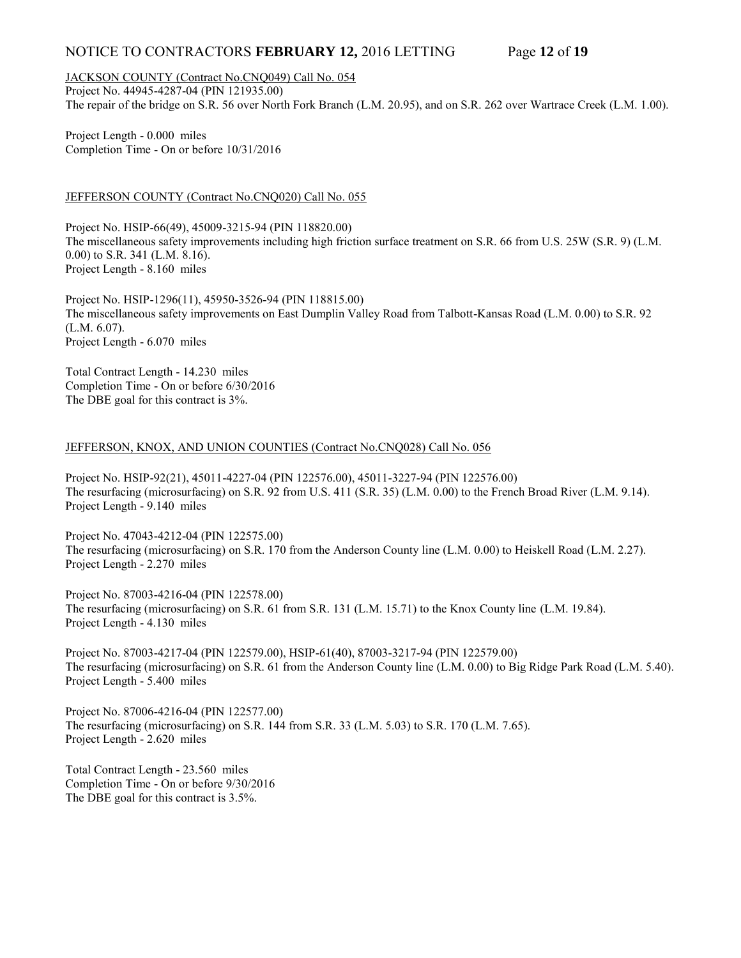## NOTICE TO CONTRACTORS **FEBRUARY 12,** 2016 LETTING Page **12** of **19**

JACKSON COUNTY (Contract No.CNQ049) Call No. 054

Project No. 44945-4287-04 (PIN 121935.00) The repair of the bridge on S.R. 56 over North Fork Branch (L.M. 20.95), and on S.R. 262 over Wartrace Creek (L.M. 1.00).

Project Length - 0.000 miles Completion Time - On or before 10/31/2016

## JEFFERSON COUNTY (Contract No.CNQ020) Call No. 055

Project No. HSIP-66(49), 45009-3215-94 (PIN 118820.00) The miscellaneous safety improvements including high friction surface treatment on S.R. 66 from U.S. 25W (S.R. 9) (L.M. 0.00) to S.R. 341 (L.M. 8.16). Project Length - 8.160 miles

Project No. HSIP-1296(11), 45950-3526-94 (PIN 118815.00) The miscellaneous safety improvements on East Dumplin Valley Road from Talbott-Kansas Road (L.M. 0.00) to S.R. 92 (L.M. 6.07). Project Length - 6.070 miles

Total Contract Length - 14.230 miles Completion Time - On or before 6/30/2016 The DBE goal for this contract is 3%.

## JEFFERSON, KNOX, AND UNION COUNTIES (Contract No.CNQ028) Call No. 056

Project No. HSIP-92(21), 45011-4227-04 (PIN 122576.00), 45011-3227-94 (PIN 122576.00) The resurfacing (microsurfacing) on S.R. 92 from U.S. 411 (S.R. 35) (L.M. 0.00) to the French Broad River (L.M. 9.14). Project Length - 9.140 miles

Project No. 47043-4212-04 (PIN 122575.00) The resurfacing (microsurfacing) on S.R. 170 from the Anderson County line (L.M. 0.00) to Heiskell Road (L.M. 2.27). Project Length - 2.270 miles

Project No. 87003-4216-04 (PIN 122578.00) The resurfacing (microsurfacing) on S.R. 61 from S.R. 131 (L.M. 15.71) to the Knox County line (L.M. 19.84). Project Length - 4.130 miles

Project No. 87003-4217-04 (PIN 122579.00), HSIP-61(40), 87003-3217-94 (PIN 122579.00) The resurfacing (microsurfacing) on S.R. 61 from the Anderson County line (L.M. 0.00) to Big Ridge Park Road (L.M. 5.40). Project Length - 5.400 miles

Project No. 87006-4216-04 (PIN 122577.00) The resurfacing (microsurfacing) on S.R. 144 from S.R. 33 (L.M. 5.03) to S.R. 170 (L.M. 7.65). Project Length - 2.620 miles

Total Contract Length - 23.560 miles Completion Time - On or before 9/30/2016 The DBE goal for this contract is 3.5%.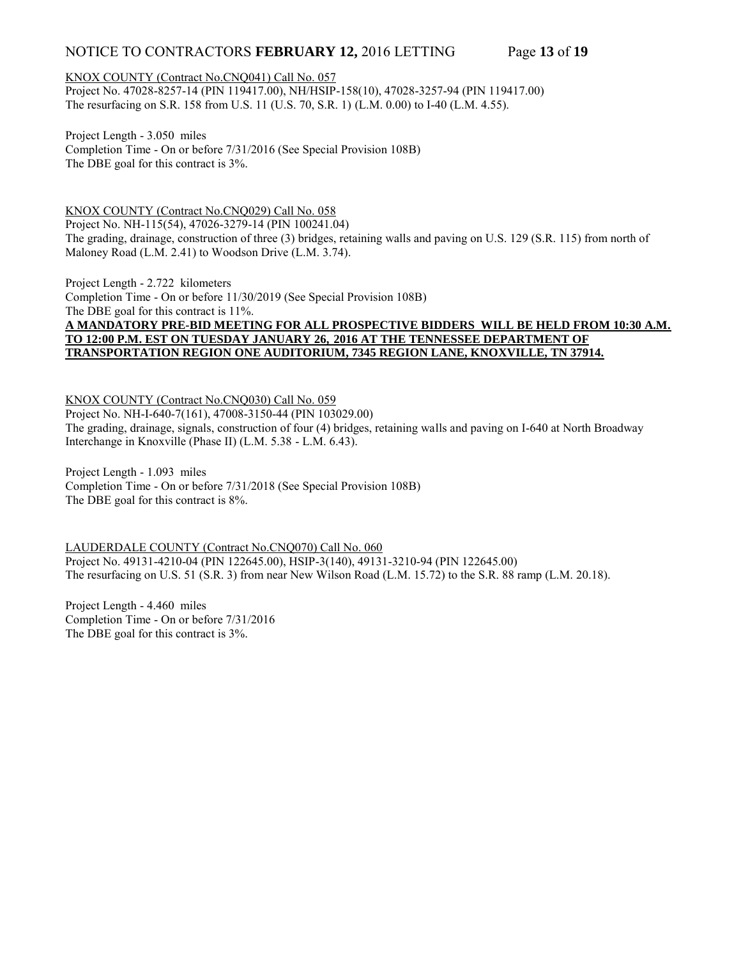# NOTICE TO CONTRACTORS **FEBRUARY 12,** 2016 LETTING Page **13** of **19**

## KNOX COUNTY (Contract No.CNQ041) Call No. 057

Project No. 47028-8257-14 (PIN 119417.00), NH/HSIP-158(10), 47028-3257-94 (PIN 119417.00) The resurfacing on S.R. 158 from U.S. 11 (U.S. 70, S.R. 1) (L.M. 0.00) to I-40 (L.M. 4.55).

Project Length - 3.050 miles Completion Time - On or before 7/31/2016 (See Special Provision 108B) The DBE goal for this contract is 3%.

KNOX COUNTY (Contract No.CNQ029) Call No. 058 Project No. NH-115(54), 47026-3279-14 (PIN 100241.04) The grading, drainage, construction of three (3) bridges, retaining walls and paving on U.S. 129 (S.R. 115) from north of Maloney Road (L.M. 2.41) to Woodson Drive (L.M. 3.74).

Project Length - 2.722 kilometers Completion Time - On or before 11/30/2019 (See Special Provision 108B) The DBE goal for this contract is 11%. **A MANDATORY PRE-BID MEETING FOR ALL PROSPECTIVE BIDDERS WILL BE HELD FROM 10:30 A.M. TO 12:00 P.M. EST ON TUESDAY JANUARY 26, 2016 AT THE TENNESSEE DEPARTMENT OF TRANSPORTATION REGION ONE AUDITORIUM, 7345 REGION LANE, KNOXVILLE, TN 37914.**

KNOX COUNTY (Contract No.CNQ030) Call No. 059 Project No. NH-I-640-7(161), 47008-3150-44 (PIN 103029.00) The grading, drainage, signals, construction of four (4) bridges, retaining walls and paving on I-640 at North Broadway Interchange in Knoxville (Phase II) (L.M. 5.38 - L.M. 6.43).

Project Length - 1.093 miles Completion Time - On or before 7/31/2018 (See Special Provision 108B) The DBE goal for this contract is 8%.

LAUDERDALE COUNTY (Contract No.CNQ070) Call No. 060 Project No. 49131-4210-04 (PIN 122645.00), HSIP-3(140), 49131-3210-94 (PIN 122645.00) The resurfacing on U.S. 51 (S.R. 3) from near New Wilson Road (L.M. 15.72) to the S.R. 88 ramp (L.M. 20.18).

Project Length - 4.460 miles Completion Time - On or before 7/31/2016 The DBE goal for this contract is 3%.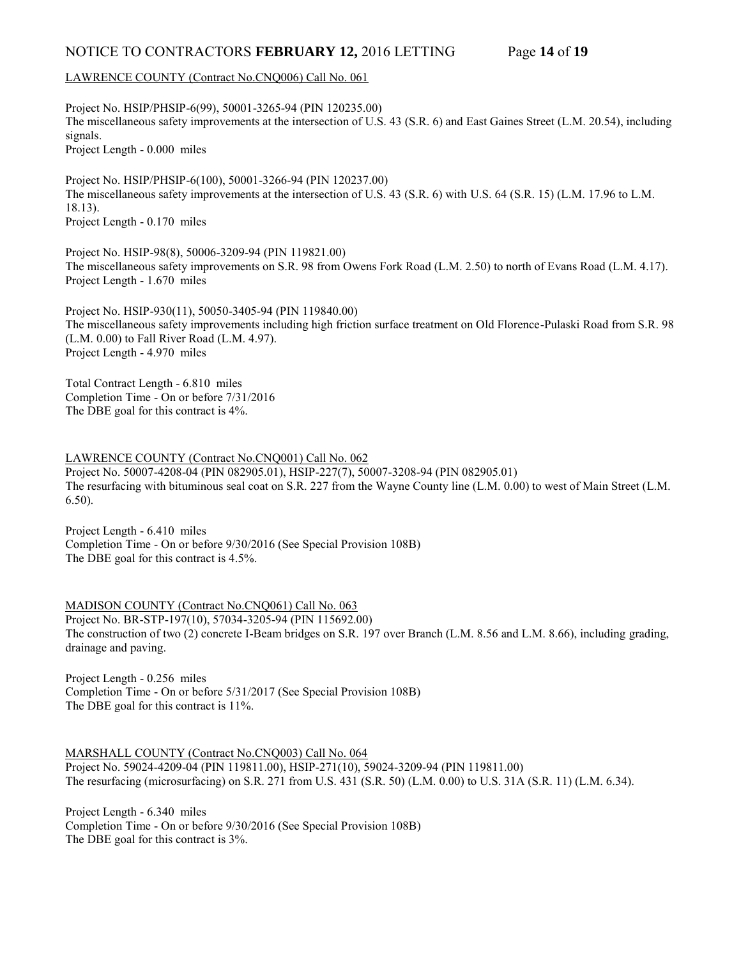# NOTICE TO CONTRACTORS **FEBRUARY 12,** 2016 LETTING Page **14** of **19**

## LAWRENCE COUNTY (Contract No.CNQ006) Call No. 061

Project No. HSIP/PHSIP-6(99), 50001-3265-94 (PIN 120235.00) The miscellaneous safety improvements at the intersection of U.S. 43 (S.R. 6) and East Gaines Street (L.M. 20.54), including signals. Project Length - 0.000 miles

Project No. HSIP/PHSIP-6(100), 50001-3266-94 (PIN 120237.00) The miscellaneous safety improvements at the intersection of U.S. 43 (S.R. 6) with U.S. 64 (S.R. 15) (L.M. 17.96 to L.M. 18.13). Project Length - 0.170 miles

Project No. HSIP-98(8), 50006-3209-94 (PIN 119821.00) The miscellaneous safety improvements on S.R. 98 from Owens Fork Road (L.M. 2.50) to north of Evans Road (L.M. 4.17). Project Length - 1.670 miles

Project No. HSIP-930(11), 50050-3405-94 (PIN 119840.00) The miscellaneous safety improvements including high friction surface treatment on Old Florence-Pulaski Road from S.R. 98 (L.M. 0.00) to Fall River Road (L.M. 4.97). Project Length - 4.970 miles

Total Contract Length - 6.810 miles Completion Time - On or before 7/31/2016 The DBE goal for this contract is 4%.

LAWRENCE COUNTY (Contract No.CNQ001) Call No. 062 Project No. 50007-4208-04 (PIN 082905.01), HSIP-227(7), 50007-3208-94 (PIN 082905.01) The resurfacing with bituminous seal coat on S.R. 227 from the Wayne County line (L.M. 0.00) to west of Main Street (L.M. 6.50).

Project Length - 6.410 miles Completion Time - On or before 9/30/2016 (See Special Provision 108B) The DBE goal for this contract is 4.5%.

MADISON COUNTY (Contract No.CNQ061) Call No. 063 Project No. BR-STP-197(10), 57034-3205-94 (PIN 115692.00) The construction of two (2) concrete I-Beam bridges on S.R. 197 over Branch (L.M. 8.56 and L.M. 8.66), including grading, drainage and paving.

Project Length - 0.256 miles Completion Time - On or before 5/31/2017 (See Special Provision 108B) The DBE goal for this contract is 11%.

MARSHALL COUNTY (Contract No.CNQ003) Call No. 064 Project No. 59024-4209-04 (PIN 119811.00), HSIP-271(10), 59024-3209-94 (PIN 119811.00) The resurfacing (microsurfacing) on S.R. 271 from U.S. 431 (S.R. 50) (L.M. 0.00) to U.S. 31A (S.R. 11) (L.M. 6.34).

Project Length - 6.340 miles Completion Time - On or before 9/30/2016 (See Special Provision 108B) The DBE goal for this contract is 3%.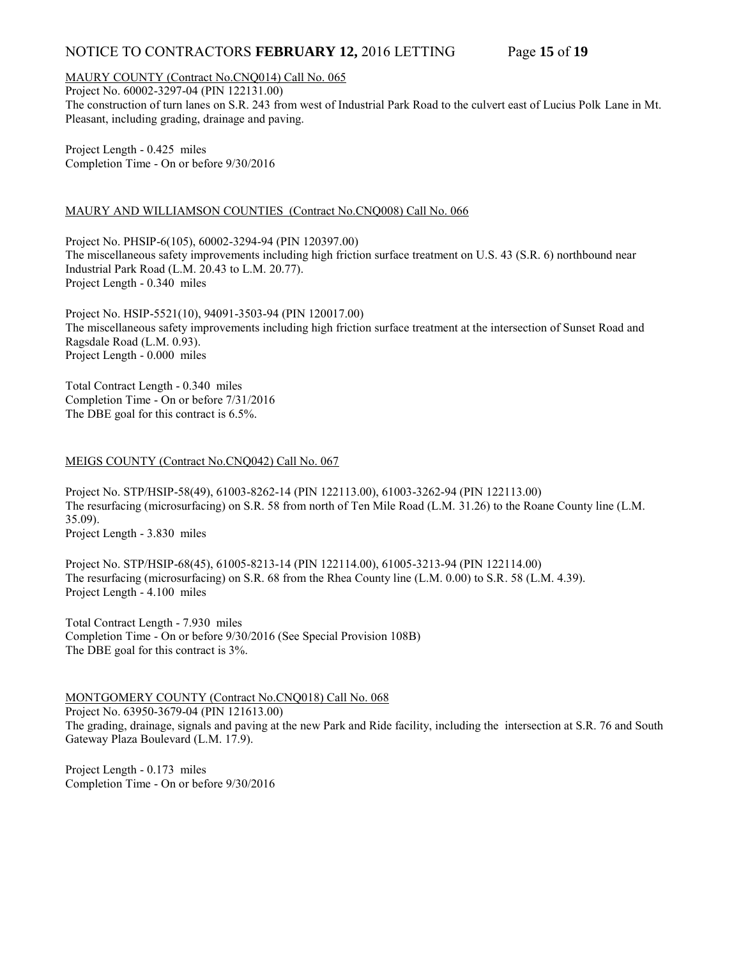# NOTICE TO CONTRACTORS **FEBRUARY 12,** 2016 LETTING Page **15** of **19**

## MAURY COUNTY (Contract No.CNQ014) Call No. 065

Project No. 60002-3297-04 (PIN 122131.00) The construction of turn lanes on S.R. 243 from west of Industrial Park Road to the culvert east of Lucius Polk Lane in Mt. Pleasant, including grading, drainage and paving.

Project Length - 0.425 miles Completion Time - On or before 9/30/2016

## MAURY AND WILLIAMSON COUNTIES (Contract No.CNQ008) Call No. 066

Project No. PHSIP-6(105), 60002-3294-94 (PIN 120397.00) The miscellaneous safety improvements including high friction surface treatment on U.S. 43 (S.R. 6) northbound near Industrial Park Road (L.M. 20.43 to L.M. 20.77). Project Length - 0.340 miles

Project No. HSIP-5521(10), 94091-3503-94 (PIN 120017.00) The miscellaneous safety improvements including high friction surface treatment at the intersection of Sunset Road and Ragsdale Road (L.M. 0.93). Project Length - 0.000 miles

Total Contract Length - 0.340 miles Completion Time - On or before 7/31/2016 The DBE goal for this contract is 6.5%.

## MEIGS COUNTY (Contract No.CNQ042) Call No. 067

Project No. STP/HSIP-58(49), 61003-8262-14 (PIN 122113.00), 61003-3262-94 (PIN 122113.00) The resurfacing (microsurfacing) on S.R. 58 from north of Ten Mile Road (L.M. 31.26) to the Roane County line (L.M. 35.09). Project Length - 3.830 miles

Project No. STP/HSIP-68(45), 61005-8213-14 (PIN 122114.00), 61005-3213-94 (PIN 122114.00) The resurfacing (microsurfacing) on S.R. 68 from the Rhea County line (L.M. 0.00) to S.R. 58 (L.M. 4.39). Project Length - 4.100 miles

Total Contract Length - 7.930 miles Completion Time - On or before 9/30/2016 (See Special Provision 108B) The DBE goal for this contract is 3%.

## MONTGOMERY COUNTY (Contract No.CNQ018) Call No. 068

Project No. 63950-3679-04 (PIN 121613.00) The grading, drainage, signals and paving at the new Park and Ride facility, including the intersection at S.R. 76 and South Gateway Plaza Boulevard (L.M. 17.9).

Project Length - 0.173 miles Completion Time - On or before 9/30/2016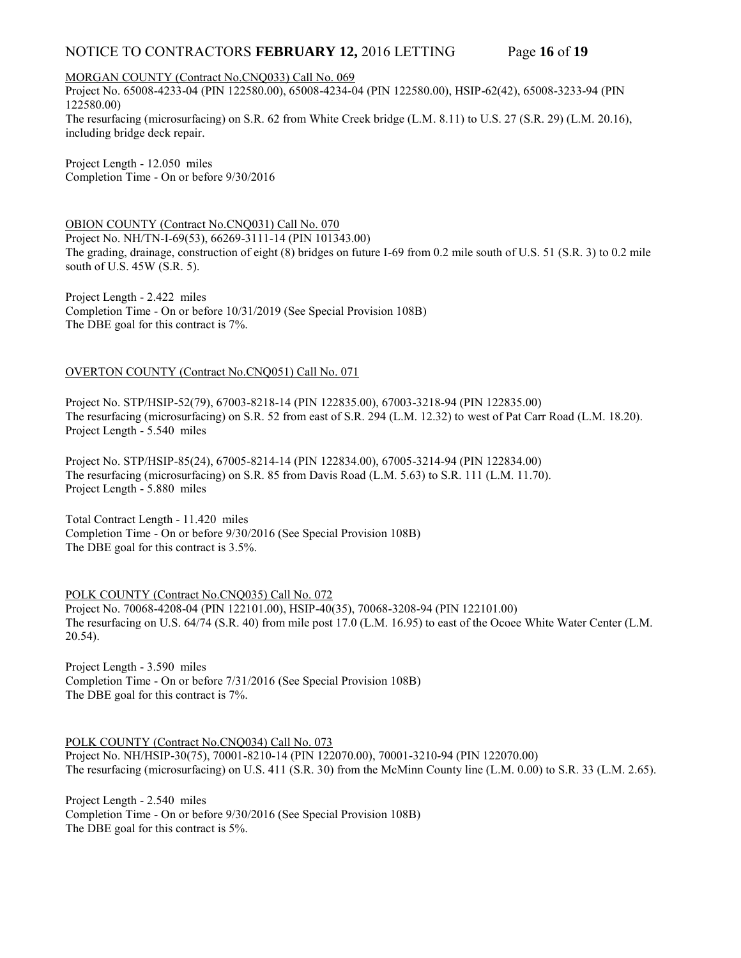# NOTICE TO CONTRACTORS **FEBRUARY 12,** 2016 LETTING Page **16** of **19**

MORGAN COUNTY (Contract No.CNQ033) Call No. 069

Project No. 65008-4233-04 (PIN 122580.00), 65008-4234-04 (PIN 122580.00), HSIP-62(42), 65008-3233-94 (PIN 122580.00)

The resurfacing (microsurfacing) on S.R. 62 from White Creek bridge (L.M. 8.11) to U.S. 27 (S.R. 29) (L.M. 20.16), including bridge deck repair.

Project Length - 12.050 miles Completion Time - On or before 9/30/2016

OBION COUNTY (Contract No.CNQ031) Call No. 070 Project No. NH/TN-I-69(53), 66269-3111-14 (PIN 101343.00) The grading, drainage, construction of eight (8) bridges on future I-69 from 0.2 mile south of U.S. 51 (S.R. 3) to 0.2 mile south of U.S. 45W (S.R. 5).

Project Length - 2.422 miles Completion Time - On or before 10/31/2019 (See Special Provision 108B) The DBE goal for this contract is 7%.

## OVERTON COUNTY (Contract No.CNQ051) Call No. 071

Project No. STP/HSIP-52(79), 67003-8218-14 (PIN 122835.00), 67003-3218-94 (PIN 122835.00) The resurfacing (microsurfacing) on S.R. 52 from east of S.R. 294 (L.M. 12.32) to west of Pat Carr Road (L.M. 18.20). Project Length - 5.540 miles

Project No. STP/HSIP-85(24), 67005-8214-14 (PIN 122834.00), 67005-3214-94 (PIN 122834.00) The resurfacing (microsurfacing) on S.R. 85 from Davis Road (L.M. 5.63) to S.R. 111 (L.M. 11.70). Project Length - 5.880 miles

Total Contract Length - 11.420 miles Completion Time - On or before 9/30/2016 (See Special Provision 108B) The DBE goal for this contract is 3.5%.

POLK COUNTY (Contract No.CNQ035) Call No. 072 Project No. 70068-4208-04 (PIN 122101.00), HSIP-40(35), 70068-3208-94 (PIN 122101.00) The resurfacing on U.S. 64/74 (S.R. 40) from mile post 17.0 (L.M. 16.95) to east of the Ocoee White Water Center (L.M. 20.54).

Project Length - 3.590 miles Completion Time - On or before 7/31/2016 (See Special Provision 108B) The DBE goal for this contract is 7%.

POLK COUNTY (Contract No.CNQ034) Call No. 073 Project No. NH/HSIP-30(75), 70001-8210-14 (PIN 122070.00), 70001-3210-94 (PIN 122070.00) The resurfacing (microsurfacing) on U.S. 411 (S.R. 30) from the McMinn County line (L.M. 0.00) to S.R. 33 (L.M. 2.65).

Project Length - 2.540 miles Completion Time - On or before 9/30/2016 (See Special Provision 108B) The DBE goal for this contract is 5%.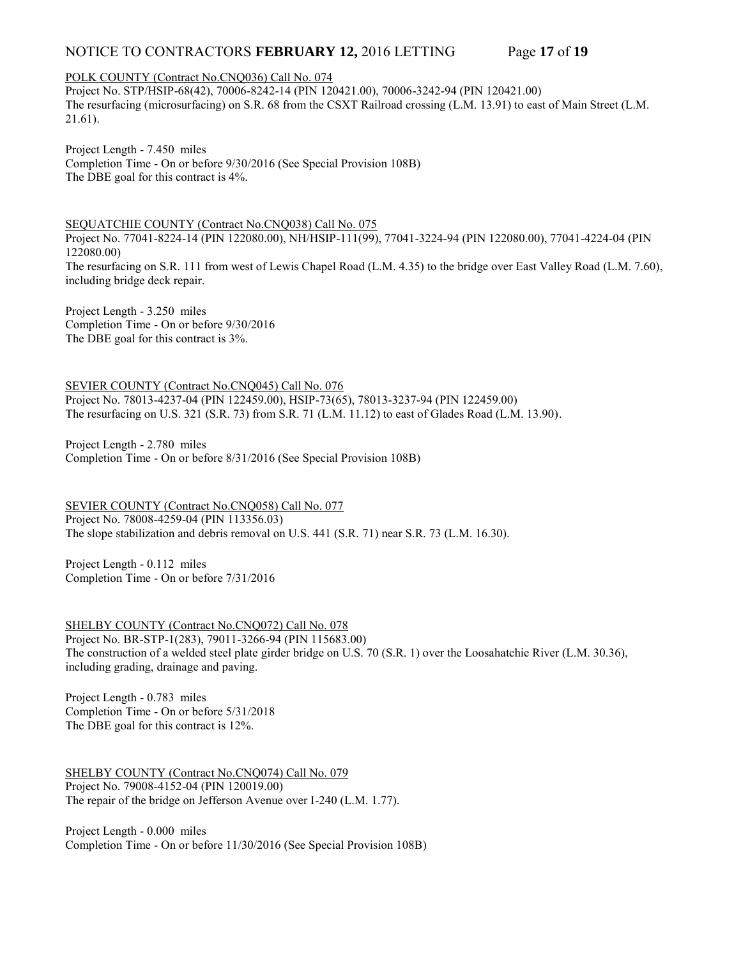# NOTICE TO CONTRACTORS **FEBRUARY 12,** 2016 LETTING Page **17** of **19**

# POLK COUNTY (Contract No.CNQ036) Call No. 074

Project No. STP/HSIP-68(42), 70006-8242-14 (PIN 120421.00), 70006-3242-94 (PIN 120421.00) The resurfacing (microsurfacing) on S.R. 68 from the CSXT Railroad crossing (L.M. 13.91) to east of Main Street (L.M. 21.61).

Project Length - 7.450 miles Completion Time - On or before 9/30/2016 (See Special Provision 108B) The DBE goal for this contract is 4%.

SEQUATCHIE COUNTY (Contract No.CNQ038) Call No. 075

Project No. 77041-8224-14 (PIN 122080.00), NH/HSIP-111(99), 77041-3224-94 (PIN 122080.00), 77041-4224-04 (PIN 122080.00) The resurfacing on S.R. 111 from west of Lewis Chapel Road (L.M. 4.35) to the bridge over East Valley Road (L.M. 7.60), including bridge deck repair.

Project Length - 3.250 miles Completion Time - On or before 9/30/2016 The DBE goal for this contract is 3%.

SEVIER COUNTY (Contract No.CNQ045) Call No. 076 Project No. 78013-4237-04 (PIN 122459.00), HSIP-73(65), 78013-3237-94 (PIN 122459.00) The resurfacing on U.S. 321 (S.R. 73) from S.R. 71 (L.M. 11.12) to east of Glades Road (L.M. 13.90).

Project Length - 2.780 miles Completion Time - On or before 8/31/2016 (See Special Provision 108B)

SEVIER COUNTY (Contract No.CNQ058) Call No. 077 Project No. 78008-4259-04 (PIN 113356.03) The slope stabilization and debris removal on U.S. 441 (S.R. 71) near S.R. 73 (L.M. 16.30).

Project Length - 0.112 miles Completion Time - On or before 7/31/2016

SHELBY COUNTY (Contract No.CNQ072) Call No. 078 Project No. BR-STP-1(283), 79011-3266-94 (PIN 115683.00) The construction of a welded steel plate girder bridge on U.S. 70 (S.R. 1) over the Loosahatchie River (L.M. 30.36), including grading, drainage and paving.

Project Length - 0.783 miles Completion Time - On or before 5/31/2018 The DBE goal for this contract is 12%.

SHELBY COUNTY (Contract No.CNQ074) Call No. 079 Project No. 79008-4152-04 (PIN 120019.00) The repair of the bridge on Jefferson Avenue over I-240 (L.M. 1.77).

Project Length - 0.000 miles Completion Time - On or before 11/30/2016 (See Special Provision 108B)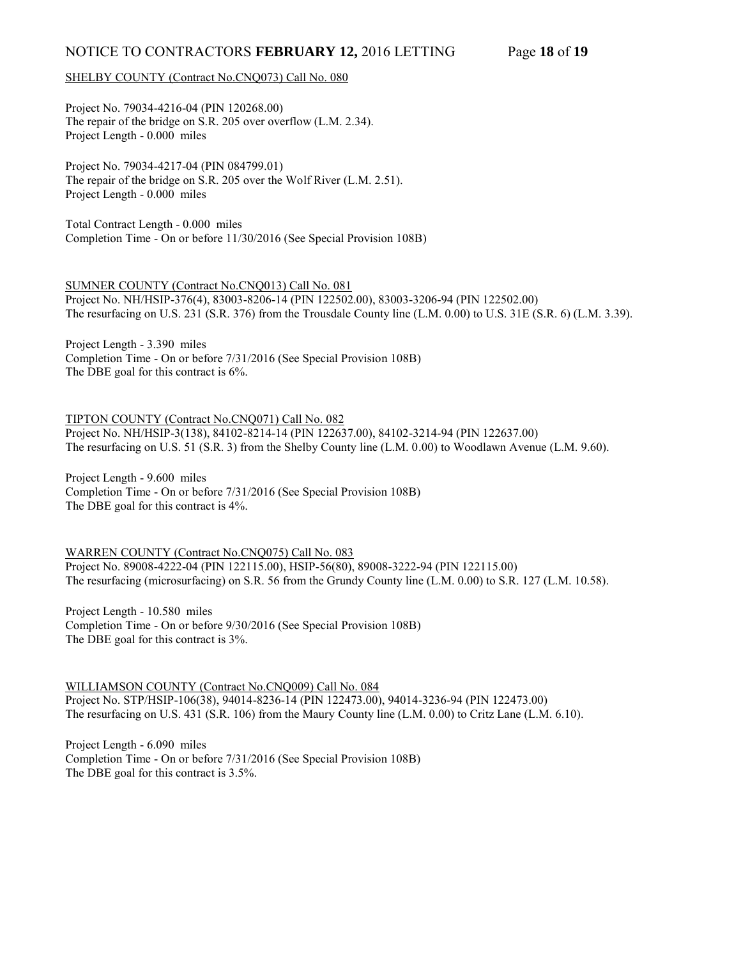## SHELBY COUNTY (Contract No.CNQ073) Call No. 080

Project No. 79034-4216-04 (PIN 120268.00) The repair of the bridge on S.R. 205 over overflow (L.M. 2.34). Project Length - 0.000 miles

Project No. 79034-4217-04 (PIN 084799.01) The repair of the bridge on S.R. 205 over the Wolf River (L.M. 2.51). Project Length - 0.000 miles

Total Contract Length - 0.000 miles Completion Time - On or before 11/30/2016 (See Special Provision 108B)

SUMNER COUNTY (Contract No.CNQ013) Call No. 081

Project No. NH/HSIP-376(4), 83003-8206-14 (PIN 122502.00), 83003-3206-94 (PIN 122502.00) The resurfacing on U.S. 231 (S.R. 376) from the Trousdale County line (L.M. 0.00) to U.S. 31E (S.R. 6) (L.M. 3.39).

Project Length - 3.390 miles Completion Time - On or before 7/31/2016 (See Special Provision 108B) The DBE goal for this contract is 6%.

TIPTON COUNTY (Contract No.CNQ071) Call No. 082 Project No. NH/HSIP-3(138), 84102-8214-14 (PIN 122637.00), 84102-3214-94 (PIN 122637.00) The resurfacing on U.S. 51 (S.R. 3) from the Shelby County line (L.M. 0.00) to Woodlawn Avenue (L.M. 9.60).

Project Length - 9.600 miles Completion Time - On or before 7/31/2016 (See Special Provision 108B) The DBE goal for this contract is 4%.

WARREN COUNTY (Contract No.CNQ075) Call No. 083 Project No. 89008-4222-04 (PIN 122115.00), HSIP-56(80), 89008-3222-94 (PIN 122115.00) The resurfacing (microsurfacing) on S.R. 56 from the Grundy County line (L.M. 0.00) to S.R. 127 (L.M. 10.58).

Project Length - 10.580 miles Completion Time - On or before 9/30/2016 (See Special Provision 108B) The DBE goal for this contract is 3%.

WILLIAMSON COUNTY (Contract No.CNQ009) Call No. 084 Project No. STP/HSIP-106(38), 94014-8236-14 (PIN 122473.00), 94014-3236-94 (PIN 122473.00) The resurfacing on U.S. 431 (S.R. 106) from the Maury County line (L.M. 0.00) to Critz Lane (L.M. 6.10).

Project Length - 6.090 miles Completion Time - On or before 7/31/2016 (See Special Provision 108B) The DBE goal for this contract is 3.5%.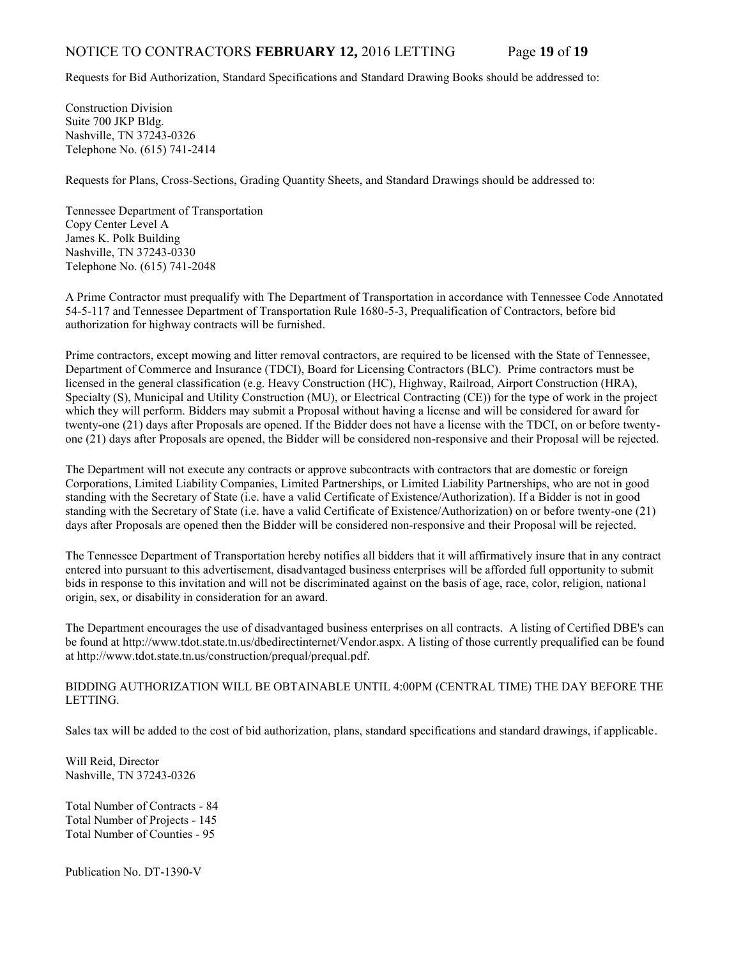## NOTICE TO CONTRACTORS **FEBRUARY 12,** 2016 LETTING Page **19** of **19**

Requests for Bid Authorization, Standard Specifications and Standard Drawing Books should be addressed to:

Construction Division Suite 700 JKP Bldg. Nashville, TN 37243-0326 Telephone No. (615) 741-2414

Requests for Plans, Cross-Sections, Grading Quantity Sheets, and Standard Drawings should be addressed to:

Tennessee Department of Transportation Copy Center Level A James K. Polk Building Nashville, TN 37243-0330 Telephone No. (615) 741-2048

A Prime Contractor must prequalify with The Department of Transportation in accordance with Tennessee Code Annotated 54-5-117 and Tennessee Department of Transportation Rule 1680-5-3, Prequalification of Contractors, before bid authorization for highway contracts will be furnished.

Prime contractors, except mowing and litter removal contractors, are required to be licensed with the State of Tennessee, Department of Commerce and Insurance (TDCI), Board for Licensing Contractors (BLC). Prime contractors must be licensed in the general classification (e.g. Heavy Construction (HC), Highway, Railroad, Airport Construction (HRA), Specialty (S), Municipal and Utility Construction (MU), or Electrical Contracting (CE)) for the type of work in the project which they will perform. Bidders may submit a Proposal without having a license and will be considered for award for twenty-one (21) days after Proposals are opened. If the Bidder does not have a license with the TDCI, on or before twentyone (21) days after Proposals are opened, the Bidder will be considered non-responsive and their Proposal will be rejected.

The Department will not execute any contracts or approve subcontracts with contractors that are domestic or foreign Corporations, Limited Liability Companies, Limited Partnerships, or Limited Liability Partnerships, who are not in good standing with the Secretary of State (i.e. have a valid Certificate of Existence/Authorization). If a Bidder is not in good standing with the Secretary of State (i.e. have a valid Certificate of Existence/Authorization) on or before twenty-one (21) days after Proposals are opened then the Bidder will be considered non-responsive and their Proposal will be rejected.

The Tennessee Department of Transportation hereby notifies all bidders that it will affirmatively insure that in any contract entered into pursuant to this advertisement, disadvantaged business enterprises will be afforded full opportunity to submit bids in response to this invitation and will not be discriminated against on the basis of age, race, color, religion, national origin, sex, or disability in consideration for an award.

The Department encourages the use of disadvantaged business enterprises on all contracts. A listing of Certified DBE's can be found at [http://www.tdot.state.tn.us/dbedirectinternet/Vendor.aspx.](http://www.tdot.state.tn.us/dbedirectinternet/Vendor.aspx) A listing of those currently prequalified can be found a[t http://www.tdot.state.tn.us/construction/prequal/prequal.pdf.](http://www.tdot.state.tn.us/construction/prequal/prequal.pdf) 

#### BIDDING AUTHORIZATION WILL BE OBTAINABLE UNTIL 4:00PM (CENTRAL TIME) THE DAY BEFORE THE LETTING.

Sales tax will be added to the cost of bid authorization, plans, standard specifications and standard drawings, if applicable.

Will Reid, Director Nashville, TN 37243-0326

Total Number of Contracts - 84 Total Number of Projects - 145 Total Number of Counties - 95

Publication No. DT-1390-V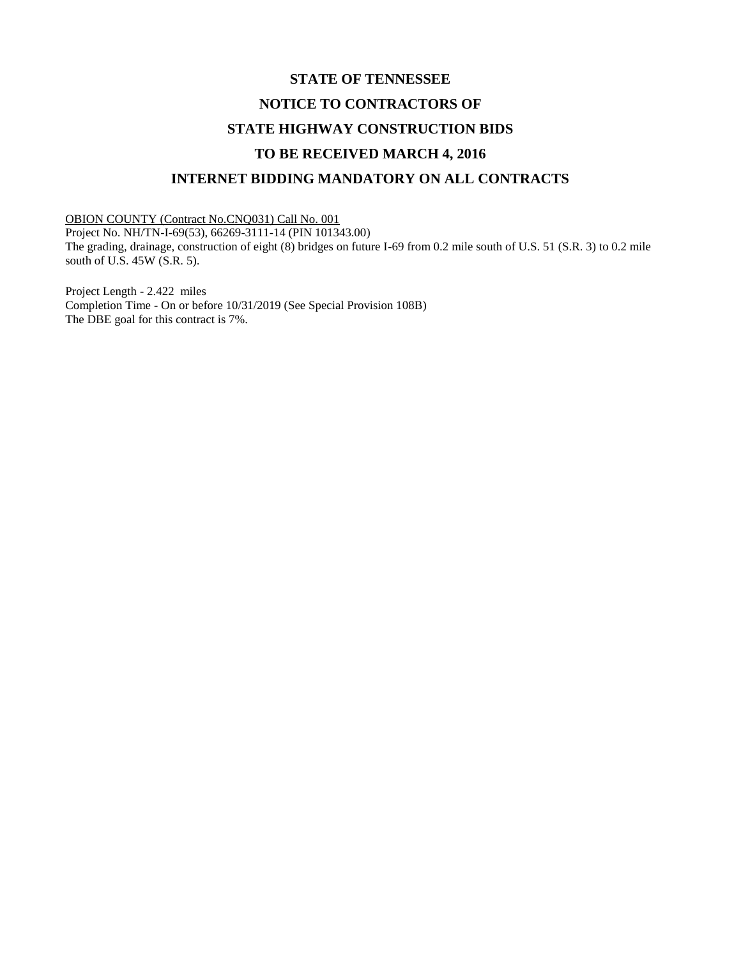# **STATE OF TENNESSEE NOTICE TO CONTRACTORS OF STATE HIGHWAY CONSTRUCTION BIDS TO BE RECEIVED MARCH 4, 2016 INTERNET BIDDING MANDATORY ON ALL CONTRACTS**

OBION COUNTY (Contract No.CNQ031) Call No. 001 Project No. NH/TN-I-69(53), 66269-3111-14 (PIN 101343.00) The grading, drainage, construction of eight (8) bridges on future I-69 from 0.2 mile south of U.S. 51 (S.R. 3) to 0.2 mile south of U.S. 45W (S.R. 5).

Project Length - 2.422 miles Completion Time - On or before 10/31/2019 (See Special Provision 108B) The DBE goal for this contract is 7%.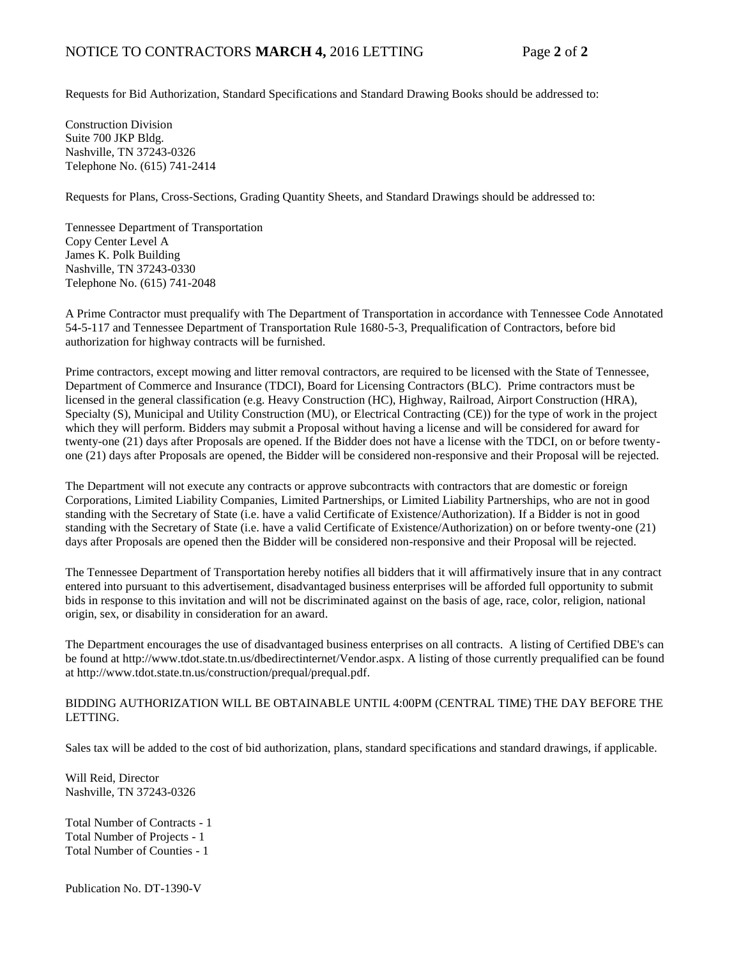Requests for Bid Authorization, Standard Specifications and Standard Drawing Books should be addressed to:

Construction Division Suite 700 JKP Bldg. Nashville, TN 37243-0326 Telephone No. (615) 741-2414

Requests for Plans, Cross-Sections, Grading Quantity Sheets, and Standard Drawings should be addressed to:

Tennessee Department of Transportation Copy Center Level A James K. Polk Building Nashville, TN 37243-0330 Telephone No. (615) 741-2048

A Prime Contractor must prequalify with The Department of Transportation in accordance with Tennessee Code Annotated 54-5-117 and Tennessee Department of Transportation Rule 1680-5-3, Prequalification of Contractors, before bid authorization for highway contracts will be furnished.

Prime contractors, except mowing and litter removal contractors, are required to be licensed with the State of Tennessee, Department of Commerce and Insurance (TDCI), Board for Licensing Contractors (BLC). Prime contractors must be licensed in the general classification (e.g. Heavy Construction (HC), Highway, Railroad, Airport Construction (HRA), Specialty (S), Municipal and Utility Construction (MU), or Electrical Contracting (CE)) for the type of work in the project which they will perform. Bidders may submit a Proposal without having a license and will be considered for award for twenty-one (21) days after Proposals are opened. If the Bidder does not have a license with the TDCI, on or before twentyone (21) days after Proposals are opened, the Bidder will be considered non-responsive and their Proposal will be rejected.

The Department will not execute any contracts or approve subcontracts with contractors that are domestic or foreign Corporations, Limited Liability Companies, Limited Partnerships, or Limited Liability Partnerships, who are not in good standing with the Secretary of State (i.e. have a valid Certificate of Existence/Authorization). If a Bidder is not in good standing with the Secretary of State (i.e. have a valid Certificate of Existence/Authorization) on or before twenty-one (21) days after Proposals are opened then the Bidder will be considered non-responsive and their Proposal will be rejected.

The Tennessee Department of Transportation hereby notifies all bidders that it will affirmatively insure that in any contract entered into pursuant to this advertisement, disadvantaged business enterprises will be afforded full opportunity to submit bids in response to this invitation and will not be discriminated against on the basis of age, race, color, religion, national origin, sex, or disability in consideration for an award.

The Department encourages the use of disadvantaged business enterprises on all contracts. A listing of Certified DBE's can be found at [http://www.tdot.state.tn.us/dbedirectinternet/Vendor.aspx.](http://www.tdot.state.tn.us/dbedirectinternet/Vendor.aspx) A listing of those currently prequalified can be found a[t http://www.tdot.state.tn.us/construction/prequal/prequal.pdf.](http://www.tdot.state.tn.us/construction/prequal/prequal.pdf) 

## BIDDING AUTHORIZATION WILL BE OBTAINABLE UNTIL 4:00PM (CENTRAL TIME) THE DAY BEFORE THE LETTING.

Sales tax will be added to the cost of bid authorization, plans, standard specifications and standard drawings, if applicable.

Will Reid, Director Nashville, TN 37243-0326

Total Number of Contracts - 1 Total Number of Projects - 1 Total Number of Counties - 1

Publication No. DT-1390-V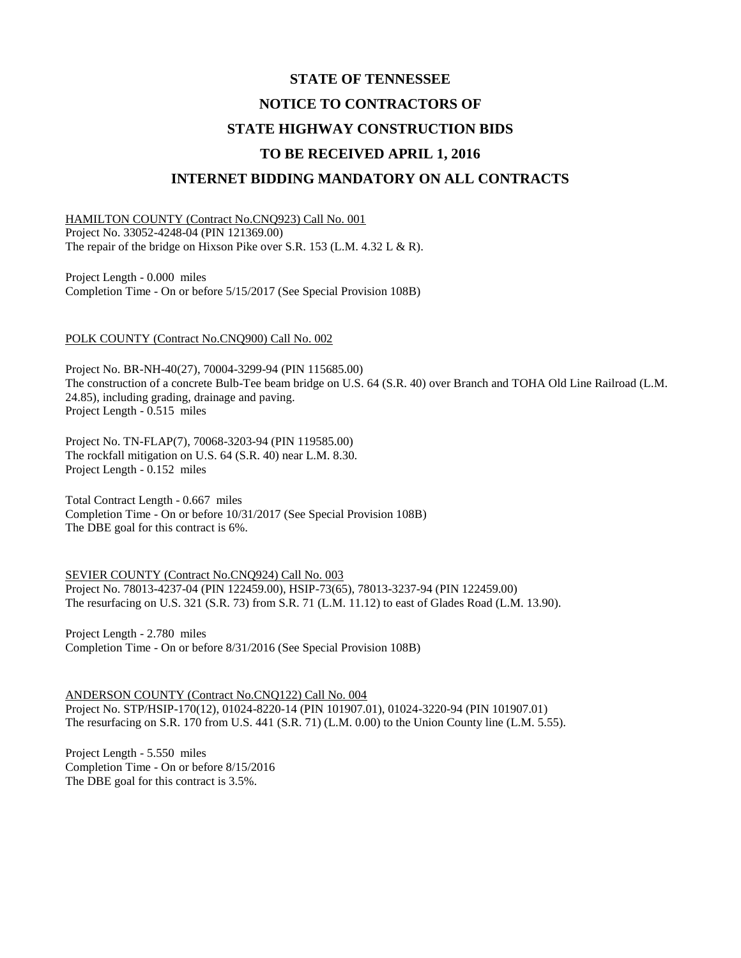# **STATE OF TENNESSEE NOTICE TO CONTRACTORS OF STATE HIGHWAY CONSTRUCTION BIDS TO BE RECEIVED APRIL 1, 2016 INTERNET BIDDING MANDATORY ON ALL CONTRACTS**

HAMILTON COUNTY (Contract No.CNQ923) Call No. 001 Project No. 33052-4248-04 (PIN 121369.00) The repair of the bridge on Hixson Pike over S.R. 153 (L.M. 4.32 L & R).

Project Length - 0.000 miles Completion Time - On or before 5/15/2017 (See Special Provision 108B)

#### POLK COUNTY (Contract No.CNQ900) Call No. 002

Project No. BR-NH-40(27), 70004-3299-94 (PIN 115685.00) The construction of a concrete Bulb-Tee beam bridge on U.S. 64 (S.R. 40) over Branch and TOHA Old Line Railroad (L.M. 24.85), including grading, drainage and paving. Project Length - 0.515 miles

Project No. TN-FLAP(7), 70068-3203-94 (PIN 119585.00) The rockfall mitigation on U.S. 64 (S.R. 40) near L.M. 8.30. Project Length - 0.152 miles

Total Contract Length - 0.667 miles Completion Time - On or before 10/31/2017 (See Special Provision 108B) The DBE goal for this contract is 6%.

SEVIER COUNTY (Contract No.CNQ924) Call No. 003 Project No. 78013-4237-04 (PIN 122459.00), HSIP-73(65), 78013-3237-94 (PIN 122459.00) The resurfacing on U.S. 321 (S.R. 73) from S.R. 71 (L.M. 11.12) to east of Glades Road (L.M. 13.90).

Project Length - 2.780 miles Completion Time - On or before 8/31/2016 (See Special Provision 108B)

ANDERSON COUNTY (Contract No.CNQ122) Call No. 004 Project No. STP/HSIP-170(12), 01024-8220-14 (PIN 101907.01), 01024-3220-94 (PIN 101907.01) The resurfacing on S.R. 170 from U.S. 441 (S.R. 71) (L.M. 0.00) to the Union County line (L.M. 5.55).

Project Length - 5.550 miles Completion Time - On or before 8/15/2016 The DBE goal for this contract is 3.5%.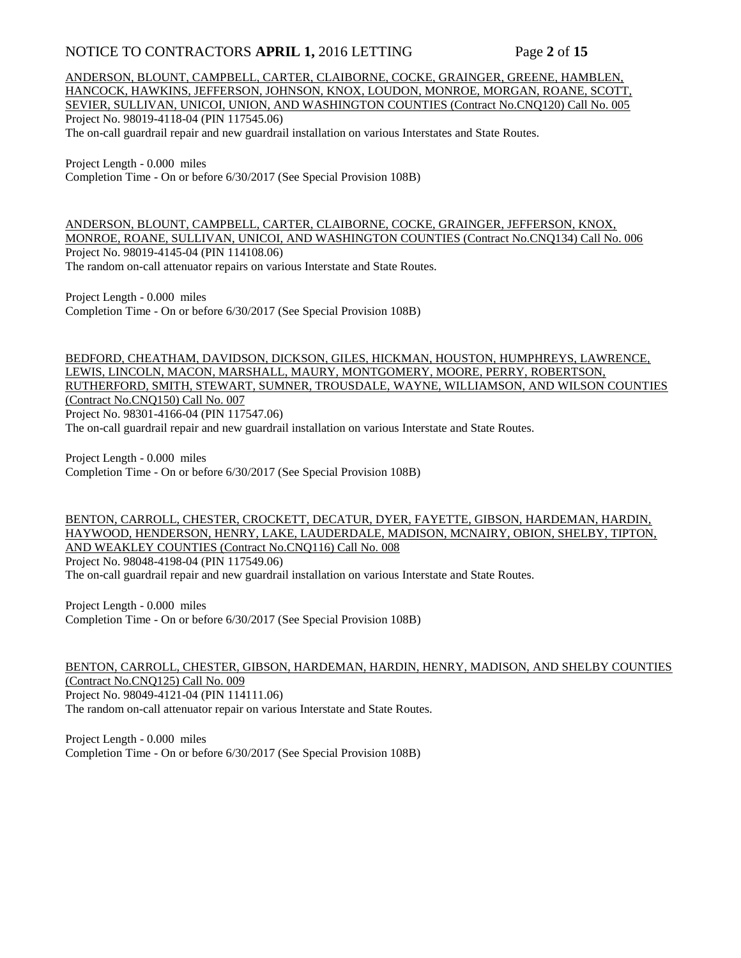# NOTICE TO CONTRACTORS **APRIL 1,** 2016 LETTING Page 2 of 15

ANDERSON, BLOUNT, CAMPBELL, CARTER, CLAIBORNE, COCKE, GRAINGER, GREENE, HAMBLEN, HANCOCK, HAWKINS, JEFFERSON, JOHNSON, KNOX, LOUDON, MONROE, MORGAN, ROANE, SCOTT, SEVIER, SULLIVAN, UNICOI, UNION, AND WASHINGTON COUNTIES (Contract No.CNQ120) Call No. 005 Project No. 98019-4118-04 (PIN 117545.06) The on-call guardrail repair and new guardrail installation on various Interstates and State Routes.

Project Length - 0.000 miles Completion Time - On or before 6/30/2017 (See Special Provision 108B)

ANDERSON, BLOUNT, CAMPBELL, CARTER, CLAIBORNE, COCKE, GRAINGER, JEFFERSON, KNOX, MONROE, ROANE, SULLIVAN, UNICOI, AND WASHINGTON COUNTIES (Contract No.CNQ134) Call No. 006 Project No. 98019-4145-04 (PIN 114108.06) The random on-call attenuator repairs on various Interstate and State Routes.

Project Length - 0.000 miles Completion Time - On or before 6/30/2017 (See Special Provision 108B)

BEDFORD, CHEATHAM, DAVIDSON, DICKSON, GILES, HICKMAN, HOUSTON, HUMPHREYS, LAWRENCE, LEWIS, LINCOLN, MACON, MARSHALL, MAURY, MONTGOMERY, MOORE, PERRY, ROBERTSON, RUTHERFORD, SMITH, STEWART, SUMNER, TROUSDALE, WAYNE, WILLIAMSON, AND WILSON COUNTIES (Contract No.CNQ150) Call No. 007 Project No. 98301-4166-04 (PIN 117547.06)

The on-call guardrail repair and new guardrail installation on various Interstate and State Routes.

Project Length - 0.000 miles Completion Time - On or before 6/30/2017 (See Special Provision 108B)

BENTON, CARROLL, CHESTER, CROCKETT, DECATUR, DYER, FAYETTE, GIBSON, HARDEMAN, HARDIN, HAYWOOD, HENDERSON, HENRY, LAKE, LAUDERDALE, MADISON, MCNAIRY, OBION, SHELBY, TIPTON, AND WEAKLEY COUNTIES (Contract No.CNQ116) Call No. 008 Project No. 98048-4198-04 (PIN 117549.06)

The on-call guardrail repair and new guardrail installation on various Interstate and State Routes.

Project Length - 0.000 miles Completion Time - On or before 6/30/2017 (See Special Provision 108B)

BENTON, CARROLL, CHESTER, GIBSON, HARDEMAN, HARDIN, HENRY, MADISON, AND SHELBY COUNTIES (Contract No.CNQ125) Call No. 009 Project No. 98049-4121-04 (PIN 114111.06) The random on-call attenuator repair on various Interstate and State Routes.

Project Length - 0.000 miles Completion Time - On or before 6/30/2017 (See Special Provision 108B)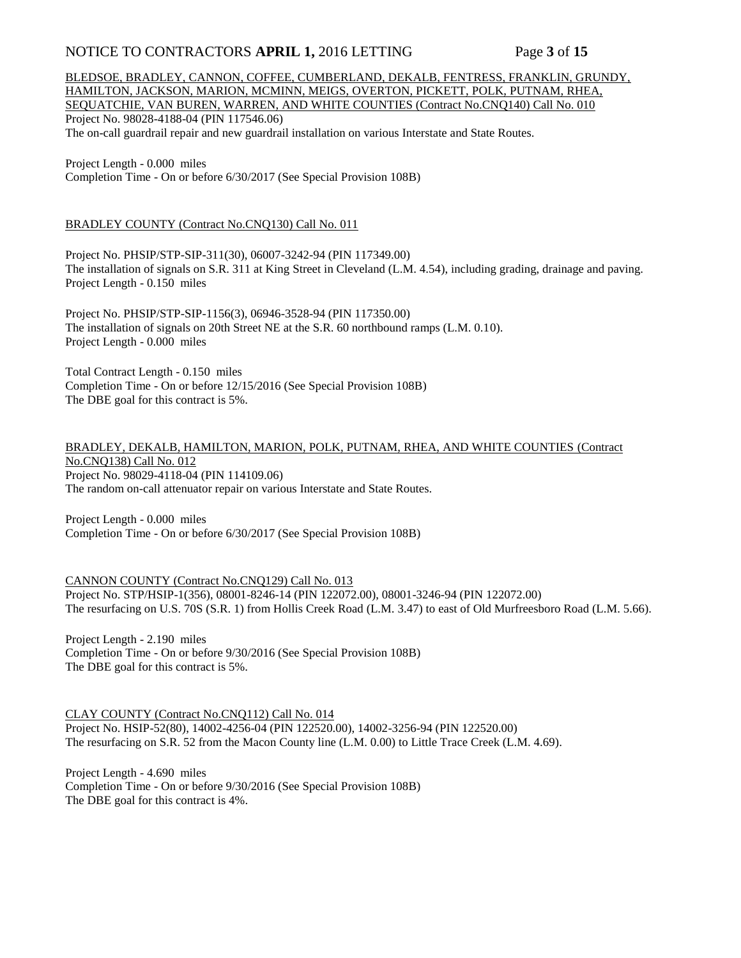# NOTICE TO CONTRACTORS **APRIL 1,** 2016 LETTING Page 3 of 15

BLEDSOE, BRADLEY, CANNON, COFFEE, CUMBERLAND, DEKALB, FENTRESS, FRANKLIN, GRUNDY, HAMILTON, JACKSON, MARION, MCMINN, MEIGS, OVERTON, PICKETT, POLK, PUTNAM, RHEA, SEQUATCHIE, VAN BUREN, WARREN, AND WHITE COUNTIES (Contract No.CNQ140) Call No. 010 Project No. 98028-4188-04 (PIN 117546.06) The on-call guardrail repair and new guardrail installation on various Interstate and State Routes.

Project Length - 0.000 miles Completion Time - On or before 6/30/2017 (See Special Provision 108B)

## BRADLEY COUNTY (Contract No.CNQ130) Call No. 011

Project No. PHSIP/STP-SIP-311(30), 06007-3242-94 (PIN 117349.00) The installation of signals on S.R. 311 at King Street in Cleveland (L.M. 4.54), including grading, drainage and paving. Project Length - 0.150 miles

Project No. PHSIP/STP-SIP-1156(3), 06946-3528-94 (PIN 117350.00) The installation of signals on 20th Street NE at the S.R. 60 northbound ramps (L.M. 0.10). Project Length - 0.000 miles

Total Contract Length - 0.150 miles Completion Time - On or before 12/15/2016 (See Special Provision 108B) The DBE goal for this contract is 5%.

#### BRADLEY, DEKALB, HAMILTON, MARION, POLK, PUTNAM, RHEA, AND WHITE COUNTIES (Contract No.CNQ138) Call No. 012 Project No. 98029-4118-04 (PIN 114109.06) The random on-call attenuator repair on various Interstate and State Routes.

Project Length - 0.000 miles Completion Time - On or before 6/30/2017 (See Special Provision 108B)

CANNON COUNTY (Contract No.CNQ129) Call No. 013 Project No. STP/HSIP-1(356), 08001-8246-14 (PIN 122072.00), 08001-3246-94 (PIN 122072.00) The resurfacing on U.S. 70S (S.R. 1) from Hollis Creek Road (L.M. 3.47) to east of Old Murfreesboro Road (L.M. 5.66).

Project Length - 2.190 miles Completion Time - On or before 9/30/2016 (See Special Provision 108B) The DBE goal for this contract is 5%.

CLAY COUNTY (Contract No.CNQ112) Call No. 014 Project No. HSIP-52(80), 14002-4256-04 (PIN 122520.00), 14002-3256-94 (PIN 122520.00) The resurfacing on S.R. 52 from the Macon County line (L.M. 0.00) to Little Trace Creek (L.M. 4.69).

Project Length - 4.690 miles Completion Time - On or before 9/30/2016 (See Special Provision 108B) The DBE goal for this contract is 4%.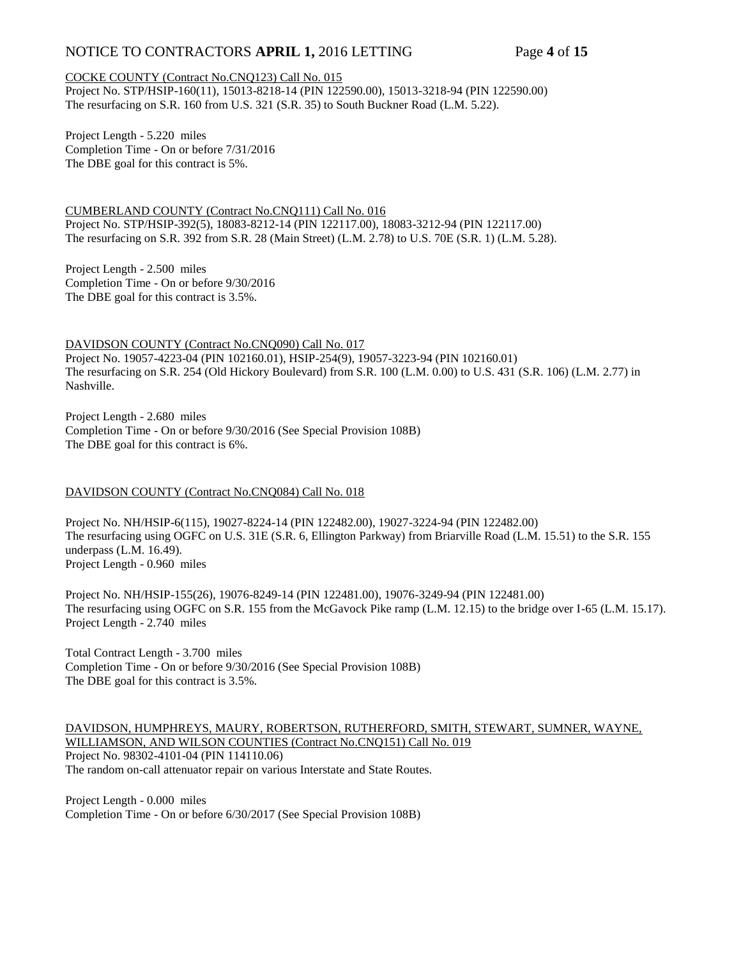# NOTICE TO CONTRACTORS **APRIL 1,** 2016 LETTING Page 4 of 15

## COCKE COUNTY (Contract No.CNQ123) Call No. 015

Project No. STP/HSIP-160(11), 15013-8218-14 (PIN 122590.00), 15013-3218-94 (PIN 122590.00) The resurfacing on S.R. 160 from U.S. 321 (S.R. 35) to South Buckner Road (L.M. 5.22).

Project Length - 5.220 miles Completion Time - On or before 7/31/2016 The DBE goal for this contract is 5%.

CUMBERLAND COUNTY (Contract No.CNQ111) Call No. 016 Project No. STP/HSIP-392(5), 18083-8212-14 (PIN 122117.00), 18083-3212-94 (PIN 122117.00) The resurfacing on S.R. 392 from S.R. 28 (Main Street) (L.M. 2.78) to U.S. 70E (S.R. 1) (L.M. 5.28).

Project Length - 2.500 miles Completion Time - On or before 9/30/2016 The DBE goal for this contract is 3.5%.

DAVIDSON COUNTY (Contract No.CNQ090) Call No. 017 Project No. 19057-4223-04 (PIN 102160.01), HSIP-254(9), 19057-3223-94 (PIN 102160.01) The resurfacing on S.R. 254 (Old Hickory Boulevard) from S.R. 100 (L.M. 0.00) to U.S. 431 (S.R. 106) (L.M. 2.77) in Nashville.

Project Length - 2.680 miles Completion Time - On or before 9/30/2016 (See Special Provision 108B) The DBE goal for this contract is 6%.

## DAVIDSON COUNTY (Contract No.CNQ084) Call No. 018

Project No. NH/HSIP-6(115), 19027-8224-14 (PIN 122482.00), 19027-3224-94 (PIN 122482.00) The resurfacing using OGFC on U.S. 31E (S.R. 6, Ellington Parkway) from Briarville Road (L.M. 15.51) to the S.R. 155 underpass (L.M. 16.49). Project Length - 0.960 miles

Project No. NH/HSIP-155(26), 19076-8249-14 (PIN 122481.00), 19076-3249-94 (PIN 122481.00) The resurfacing using OGFC on S.R. 155 from the McGavock Pike ramp (L.M. 12.15) to the bridge over I-65 (L.M. 15.17). Project Length - 2.740 miles

Total Contract Length - 3.700 miles Completion Time - On or before 9/30/2016 (See Special Provision 108B) The DBE goal for this contract is 3.5%.

DAVIDSON, HUMPHREYS, MAURY, ROBERTSON, RUTHERFORD, SMITH, STEWART, SUMNER, WAYNE, WILLIAMSON, AND WILSON COUNTIES (Contract No.CNQ151) Call No. 019 Project No. 98302-4101-04 (PIN 114110.06) The random on-call attenuator repair on various Interstate and State Routes.

Project Length - 0.000 miles Completion Time - On or before 6/30/2017 (See Special Provision 108B)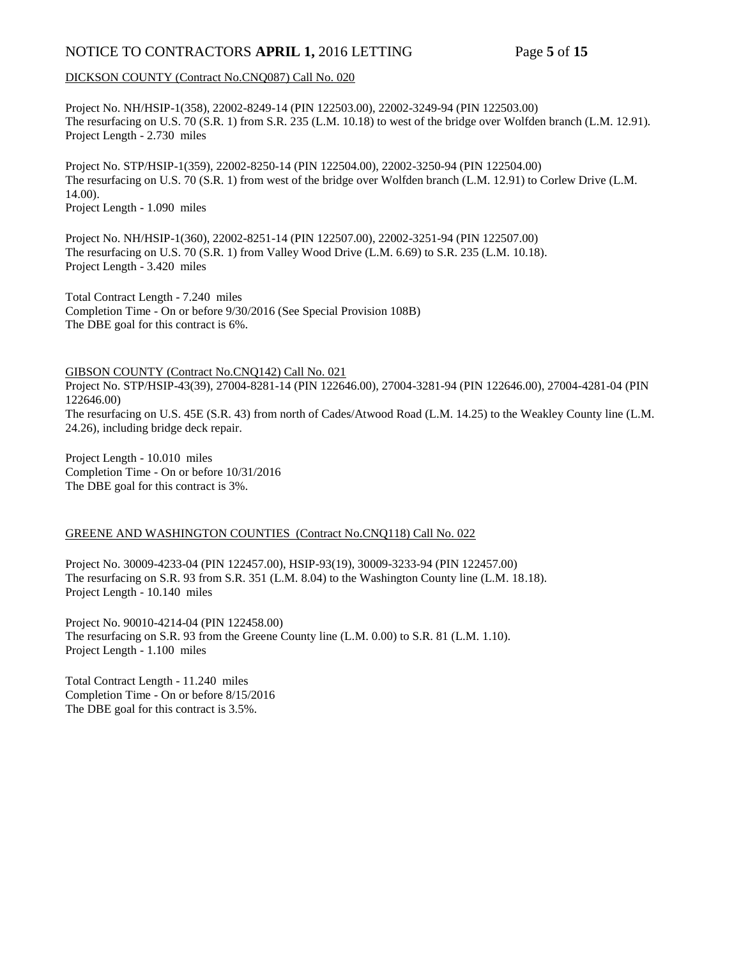# NOTICE TO CONTRACTORS APRIL 1, 2016 LETTING Page 5 of 15

## DICKSON COUNTY (Contract No.CNQ087) Call No. 020

Project No. NH/HSIP-1(358), 22002-8249-14 (PIN 122503.00), 22002-3249-94 (PIN 122503.00) The resurfacing on U.S. 70 (S.R. 1) from S.R. 235 (L.M. 10.18) to west of the bridge over Wolfden branch (L.M. 12.91). Project Length - 2.730 miles

Project No. STP/HSIP-1(359), 22002-8250-14 (PIN 122504.00), 22002-3250-94 (PIN 122504.00) The resurfacing on U.S. 70 (S.R. 1) from west of the bridge over Wolfden branch (L.M. 12.91) to Corlew Drive (L.M. 14.00).

Project Length - 1.090 miles

Project No. NH/HSIP-1(360), 22002-8251-14 (PIN 122507.00), 22002-3251-94 (PIN 122507.00) The resurfacing on U.S. 70 (S.R. 1) from Valley Wood Drive (L.M. 6.69) to S.R. 235 (L.M. 10.18). Project Length - 3.420 miles

Total Contract Length - 7.240 miles Completion Time - On or before 9/30/2016 (See Special Provision 108B) The DBE goal for this contract is 6%.

#### GIBSON COUNTY (Contract No.CNQ142) Call No. 021

Project No. STP/HSIP-43(39), 27004-8281-14 (PIN 122646.00), 27004-3281-94 (PIN 122646.00), 27004-4281-04 (PIN 122646.00) The resurfacing on U.S. 45E (S.R. 43) from north of Cades/Atwood Road (L.M. 14.25) to the Weakley County line (L.M.

24.26), including bridge deck repair.

Project Length - 10.010 miles Completion Time - On or before 10/31/2016 The DBE goal for this contract is 3%.

## GREENE AND WASHINGTON COUNTIES (Contract No.CNQ118) Call No. 022

Project No. 30009-4233-04 (PIN 122457.00), HSIP-93(19), 30009-3233-94 (PIN 122457.00) The resurfacing on S.R. 93 from S.R. 351 (L.M. 8.04) to the Washington County line (L.M. 18.18). Project Length - 10.140 miles

Project No. 90010-4214-04 (PIN 122458.00) The resurfacing on S.R. 93 from the Greene County line (L.M. 0.00) to S.R. 81 (L.M. 1.10). Project Length - 1.100 miles

Total Contract Length - 11.240 miles Completion Time - On or before 8/15/2016 The DBE goal for this contract is 3.5%.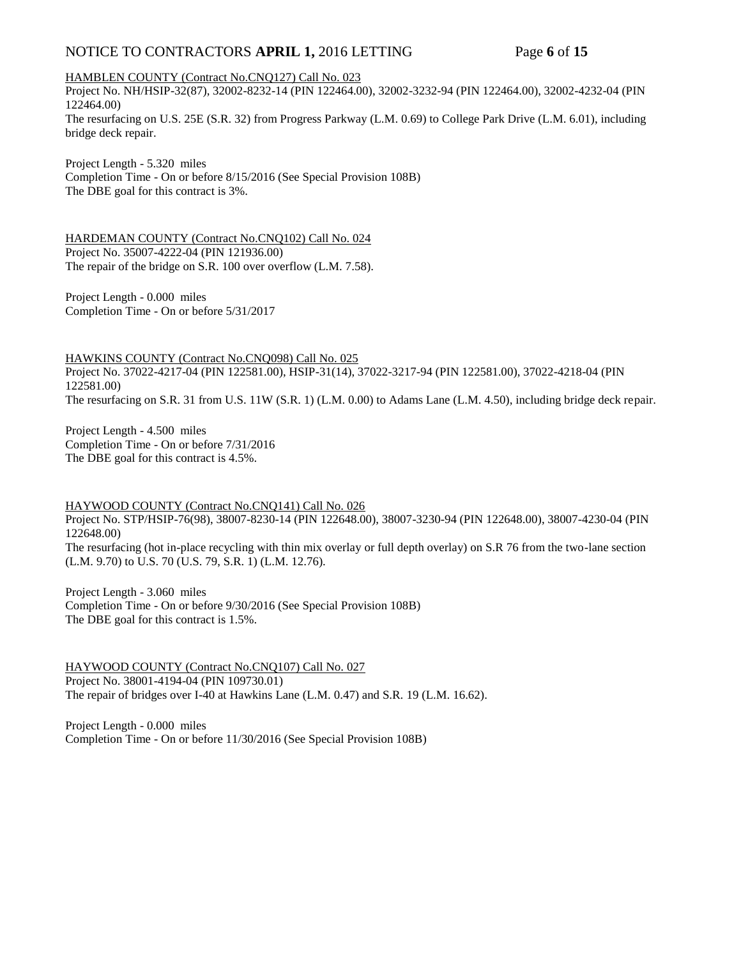# NOTICE TO CONTRACTORS **APRIL 1,** 2016 LETTING Page 6 of 15

#### HAMBLEN COUNTY (Contract No.CNQ127) Call No. 023

Project No. NH/HSIP-32(87), 32002-8232-14 (PIN 122464.00), 32002-3232-94 (PIN 122464.00), 32002-4232-04 (PIN 122464.00) The resurfacing on U.S. 25E (S.R. 32) from Progress Parkway (L.M. 0.69) to College Park Drive (L.M. 6.01), including bridge deck repair.

Project Length - 5.320 miles Completion Time - On or before 8/15/2016 (See Special Provision 108B) The DBE goal for this contract is 3%.

HARDEMAN COUNTY (Contract No.CNQ102) Call No. 024 Project No. 35007-4222-04 (PIN 121936.00) The repair of the bridge on S.R. 100 over overflow (L.M. 7.58).

Project Length - 0.000 miles Completion Time - On or before 5/31/2017

HAWKINS COUNTY (Contract No.CNQ098) Call No. 025 Project No. 37022-4217-04 (PIN 122581.00), HSIP-31(14), 37022-3217-94 (PIN 122581.00), 37022-4218-04 (PIN 122581.00) The resurfacing on S.R. 31 from U.S. 11W (S.R. 1) (L.M. 0.00) to Adams Lane (L.M. 4.50), including bridge deck repair.

Project Length - 4.500 miles Completion Time - On or before 7/31/2016 The DBE goal for this contract is 4.5%.

HAYWOOD COUNTY (Contract No.CNQ141) Call No. 026

Project No. STP/HSIP-76(98), 38007-8230-14 (PIN 122648.00), 38007-3230-94 (PIN 122648.00), 38007-4230-04 (PIN 122648.00)

The resurfacing (hot in-place recycling with thin mix overlay or full depth overlay) on S.R 76 from the two-lane section (L.M. 9.70) to U.S. 70 (U.S. 79, S.R. 1) (L.M. 12.76).

Project Length - 3.060 miles Completion Time - On or before 9/30/2016 (See Special Provision 108B) The DBE goal for this contract is 1.5%.

HAYWOOD COUNTY (Contract No.CNQ107) Call No. 027 Project No. 38001-4194-04 (PIN 109730.01) The repair of bridges over I-40 at Hawkins Lane (L.M. 0.47) and S.R. 19 (L.M. 16.62).

Project Length - 0.000 miles Completion Time - On or before 11/30/2016 (See Special Provision 108B)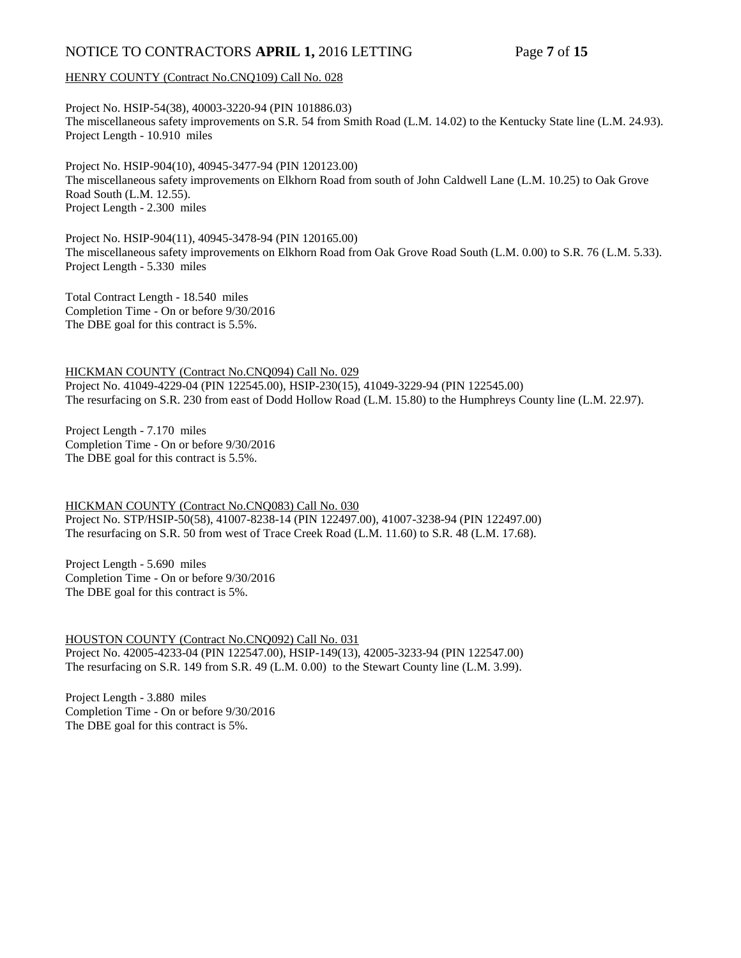# NOTICE TO CONTRACTORS **APRIL 1,** 2016 LETTING Page 7 of 15

## HENRY COUNTY (Contract No.CNQ109) Call No. 028

Project No. HSIP-54(38), 40003-3220-94 (PIN 101886.03) The miscellaneous safety improvements on S.R. 54 from Smith Road (L.M. 14.02) to the Kentucky State line (L.M. 24.93). Project Length - 10.910 miles

Project No. HSIP-904(10), 40945-3477-94 (PIN 120123.00) The miscellaneous safety improvements on Elkhorn Road from south of John Caldwell Lane (L.M. 10.25) to Oak Grove Road South (L.M. 12.55). Project Length - 2.300 miles

Project No. HSIP-904(11), 40945-3478-94 (PIN 120165.00) The miscellaneous safety improvements on Elkhorn Road from Oak Grove Road South (L.M. 0.00) to S.R. 76 (L.M. 5.33). Project Length - 5.330 miles

Total Contract Length - 18.540 miles Completion Time - On or before 9/30/2016 The DBE goal for this contract is 5.5%.

HICKMAN COUNTY (Contract No.CNQ094) Call No. 029 Project No. 41049-4229-04 (PIN 122545.00), HSIP-230(15), 41049-3229-94 (PIN 122545.00) The resurfacing on S.R. 230 from east of Dodd Hollow Road (L.M. 15.80) to the Humphreys County line (L.M. 22.97).

Project Length - 7.170 miles Completion Time - On or before 9/30/2016 The DBE goal for this contract is 5.5%.

HICKMAN COUNTY (Contract No.CNQ083) Call No. 030 Project No. STP/HSIP-50(58), 41007-8238-14 (PIN 122497.00), 41007-3238-94 (PIN 122497.00) The resurfacing on S.R. 50 from west of Trace Creek Road (L.M. 11.60) to S.R. 48 (L.M. 17.68).

Project Length - 5.690 miles Completion Time - On or before 9/30/2016 The DBE goal for this contract is 5%.

HOUSTON COUNTY (Contract No.CNQ092) Call No. 031 Project No. 42005-4233-04 (PIN 122547.00), HSIP-149(13), 42005-3233-94 (PIN 122547.00) The resurfacing on S.R. 149 from S.R. 49 (L.M. 0.00) to the Stewart County line (L.M. 3.99).

Project Length - 3.880 miles Completion Time - On or before 9/30/2016 The DBE goal for this contract is 5%.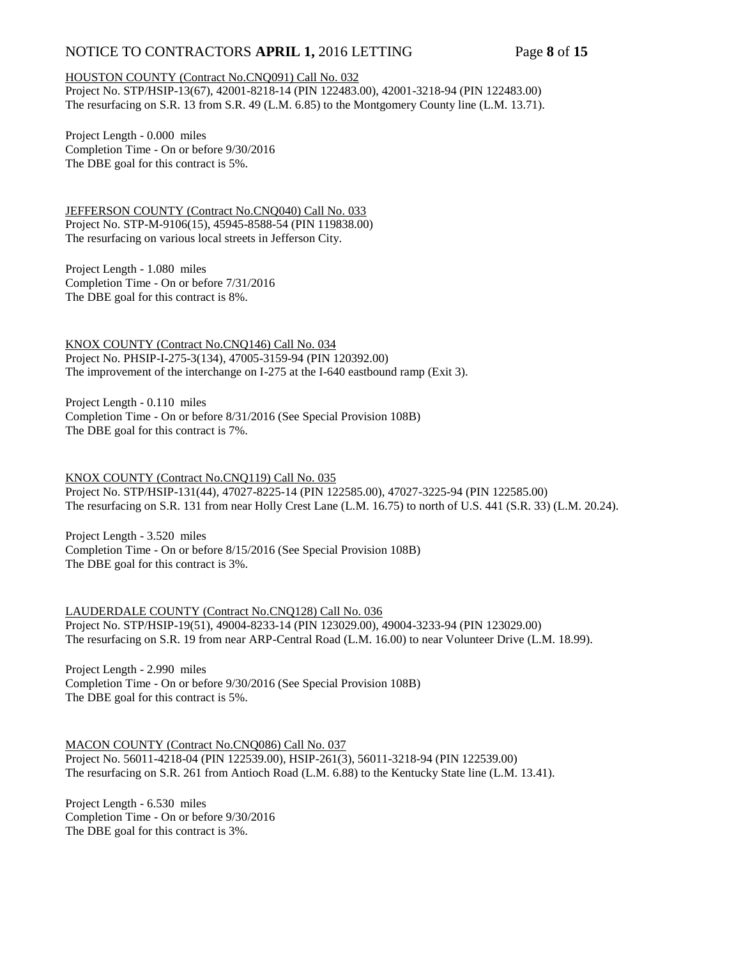# NOTICE TO CONTRACTORS **APRIL 1,** 2016 LETTING Page 8 of 15

#### HOUSTON COUNTY (Contract No.CNQ091) Call No. 032

Project No. STP/HSIP-13(67), 42001-8218-14 (PIN 122483.00), 42001-3218-94 (PIN 122483.00) The resurfacing on S.R. 13 from S.R. 49 (L.M. 6.85) to the Montgomery County line (L.M. 13.71).

Project Length - 0.000 miles Completion Time - On or before 9/30/2016 The DBE goal for this contract is 5%.

JEFFERSON COUNTY (Contract No.CNQ040) Call No. 033 Project No. STP-M-9106(15), 45945-8588-54 (PIN 119838.00) The resurfacing on various local streets in Jefferson City.

Project Length - 1.080 miles Completion Time - On or before 7/31/2016 The DBE goal for this contract is 8%.

KNOX COUNTY (Contract No.CNQ146) Call No. 034 Project No. PHSIP-I-275-3(134), 47005-3159-94 (PIN 120392.00) The improvement of the interchange on I-275 at the I-640 eastbound ramp (Exit 3).

Project Length - 0.110 miles Completion Time - On or before 8/31/2016 (See Special Provision 108B) The DBE goal for this contract is 7%.

KNOX COUNTY (Contract No.CNQ119) Call No. 035 Project No. STP/HSIP-131(44), 47027-8225-14 (PIN 122585.00), 47027-3225-94 (PIN 122585.00) The resurfacing on S.R. 131 from near Holly Crest Lane (L.M. 16.75) to north of U.S. 441 (S.R. 33) (L.M. 20.24).

Project Length - 3.520 miles Completion Time - On or before 8/15/2016 (See Special Provision 108B) The DBE goal for this contract is 3%.

LAUDERDALE COUNTY (Contract No.CNQ128) Call No. 036 Project No. STP/HSIP-19(51), 49004-8233-14 (PIN 123029.00), 49004-3233-94 (PIN 123029.00) The resurfacing on S.R. 19 from near ARP-Central Road (L.M. 16.00) to near Volunteer Drive (L.M. 18.99).

Project Length - 2.990 miles Completion Time - On or before 9/30/2016 (See Special Provision 108B) The DBE goal for this contract is 5%.

MACON COUNTY (Contract No.CNQ086) Call No. 037 Project No. 56011-4218-04 (PIN 122539.00), HSIP-261(3), 56011-3218-94 (PIN 122539.00) The resurfacing on S.R. 261 from Antioch Road (L.M. 6.88) to the Kentucky State line (L.M. 13.41).

Project Length - 6.530 miles Completion Time - On or before 9/30/2016 The DBE goal for this contract is 3%.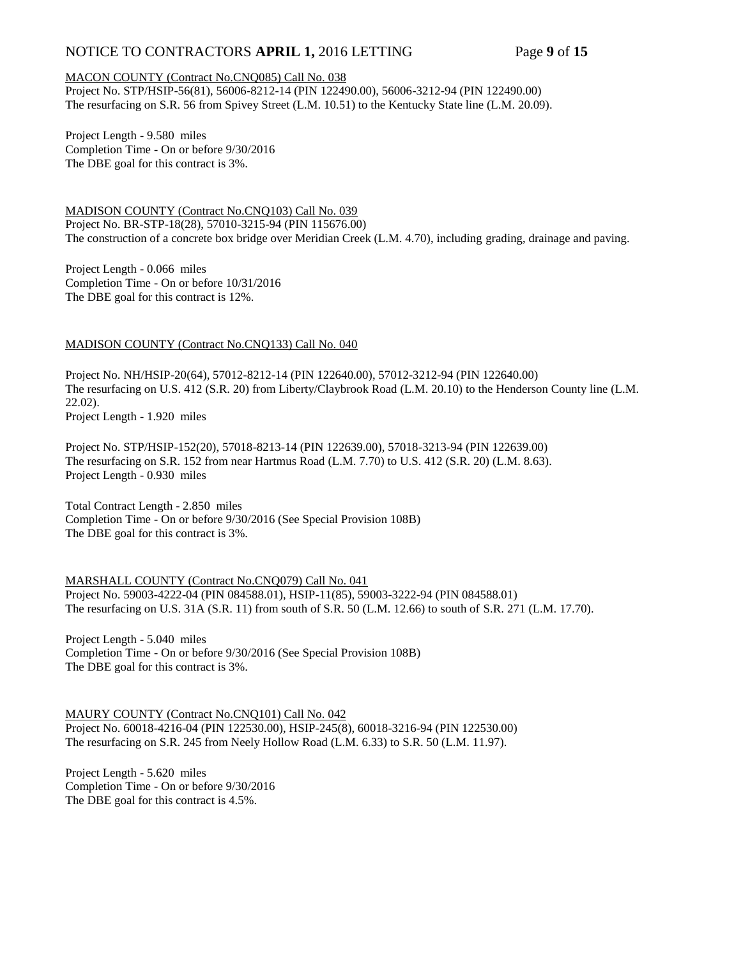# NOTICE TO CONTRACTORS **APRIL 1,** 2016 LETTING Page 9 of 15

#### MACON COUNTY (Contract No.CNQ085) Call No. 038

Project No. STP/HSIP-56(81), 56006-8212-14 (PIN 122490.00), 56006-3212-94 (PIN 122490.00) The resurfacing on S.R. 56 from Spivey Street (L.M. 10.51) to the Kentucky State line (L.M. 20.09).

Project Length - 9.580 miles Completion Time - On or before 9/30/2016 The DBE goal for this contract is 3%.

MADISON COUNTY (Contract No.CNQ103) Call No. 039 Project No. BR-STP-18(28), 57010-3215-94 (PIN 115676.00) The construction of a concrete box bridge over Meridian Creek (L.M. 4.70), including grading, drainage and paving.

Project Length - 0.066 miles Completion Time - On or before 10/31/2016 The DBE goal for this contract is 12%.

## MADISON COUNTY (Contract No.CNQ133) Call No. 040

Project No. NH/HSIP-20(64), 57012-8212-14 (PIN 122640.00), 57012-3212-94 (PIN 122640.00) The resurfacing on U.S. 412 (S.R. 20) from Liberty/Claybrook Road (L.M. 20.10) to the Henderson County line (L.M. 22.02).

Project Length - 1.920 miles

Project No. STP/HSIP-152(20), 57018-8213-14 (PIN 122639.00), 57018-3213-94 (PIN 122639.00) The resurfacing on S.R. 152 from near Hartmus Road (L.M. 7.70) to U.S. 412 (S.R. 20) (L.M. 8.63). Project Length - 0.930 miles

Total Contract Length - 2.850 miles Completion Time - On or before 9/30/2016 (See Special Provision 108B) The DBE goal for this contract is 3%.

MARSHALL COUNTY (Contract No.CNQ079) Call No. 041 Project No. 59003-4222-04 (PIN 084588.01), HSIP-11(85), 59003-3222-94 (PIN 084588.01) The resurfacing on U.S. 31A (S.R. 11) from south of S.R. 50 (L.M. 12.66) to south of S.R. 271 (L.M. 17.70).

Project Length - 5.040 miles Completion Time - On or before 9/30/2016 (See Special Provision 108B) The DBE goal for this contract is 3%.

MAURY COUNTY (Contract No.CNQ101) Call No. 042 Project No. 60018-4216-04 (PIN 122530.00), HSIP-245(8), 60018-3216-94 (PIN 122530.00) The resurfacing on S.R. 245 from Neely Hollow Road (L.M. 6.33) to S.R. 50 (L.M. 11.97).

Project Length - 5.620 miles Completion Time - On or before 9/30/2016 The DBE goal for this contract is 4.5%.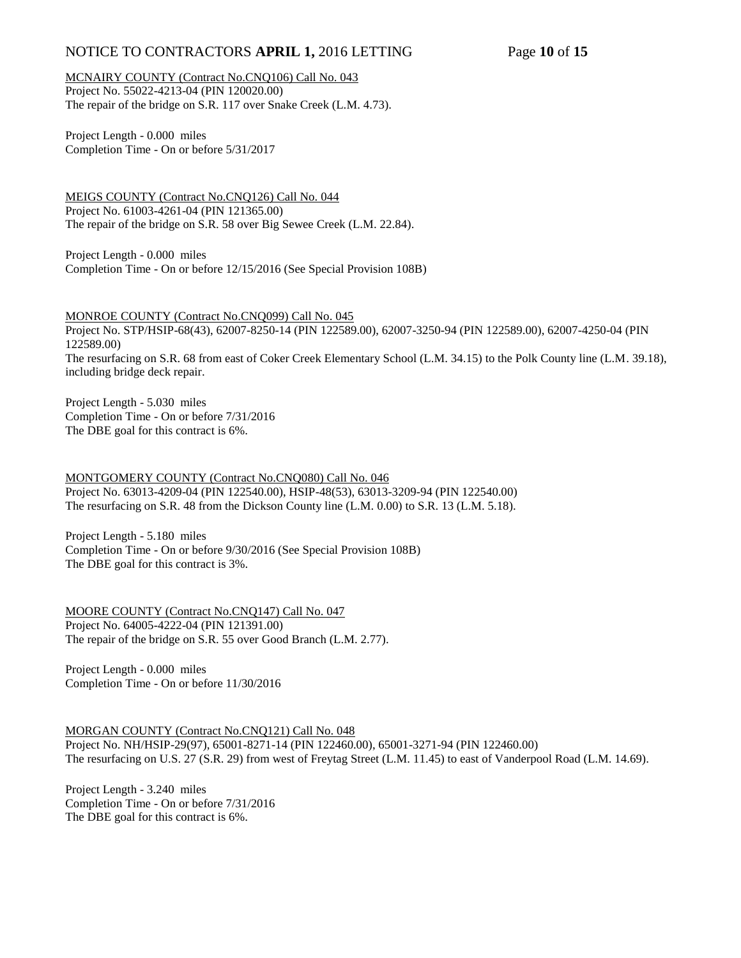# NOTICE TO CONTRACTORS **APRIL 1,** 2016 LETTING Page **10** of **15**

MCNAIRY COUNTY (Contract No.CNQ106) Call No. 043 Project No. 55022-4213-04 (PIN 120020.00) The repair of the bridge on S.R. 117 over Snake Creek (L.M. 4.73).

Project Length - 0.000 miles Completion Time - On or before 5/31/2017

MEIGS COUNTY (Contract No.CNQ126) Call No. 044 Project No. 61003-4261-04 (PIN 121365.00) The repair of the bridge on S.R. 58 over Big Sewee Creek (L.M. 22.84).

Project Length - 0.000 miles Completion Time - On or before 12/15/2016 (See Special Provision 108B)

MONROE COUNTY (Contract No.CNQ099) Call No. 045 Project No. STP/HSIP-68(43), 62007-8250-14 (PIN 122589.00), 62007-3250-94 (PIN 122589.00), 62007-4250-04 (PIN 122589.00) The resurfacing on S.R. 68 from east of Coker Creek Elementary School (L.M. 34.15) to the Polk County line (L.M. 39.18), including bridge deck repair.

Project Length - 5.030 miles Completion Time - On or before 7/31/2016 The DBE goal for this contract is 6%.

MONTGOMERY COUNTY (Contract No.CNQ080) Call No. 046 Project No. 63013-4209-04 (PIN 122540.00), HSIP-48(53), 63013-3209-94 (PIN 122540.00) The resurfacing on S.R. 48 from the Dickson County line (L.M. 0.00) to S.R. 13 (L.M. 5.18).

Project Length - 5.180 miles Completion Time - On or before 9/30/2016 (See Special Provision 108B) The DBE goal for this contract is 3%.

MOORE COUNTY (Contract No.CNQ147) Call No. 047 Project No. 64005-4222-04 (PIN 121391.00) The repair of the bridge on S.R. 55 over Good Branch (L.M. 2.77).

Project Length - 0.000 miles Completion Time - On or before 11/30/2016

MORGAN COUNTY (Contract No.CNQ121) Call No. 048 Project No. NH/HSIP-29(97), 65001-8271-14 (PIN 122460.00), 65001-3271-94 (PIN 122460.00) The resurfacing on U.S. 27 (S.R. 29) from west of Freytag Street (L.M. 11.45) to east of Vanderpool Road (L.M. 14.69).

Project Length - 3.240 miles Completion Time - On or before 7/31/2016 The DBE goal for this contract is 6%.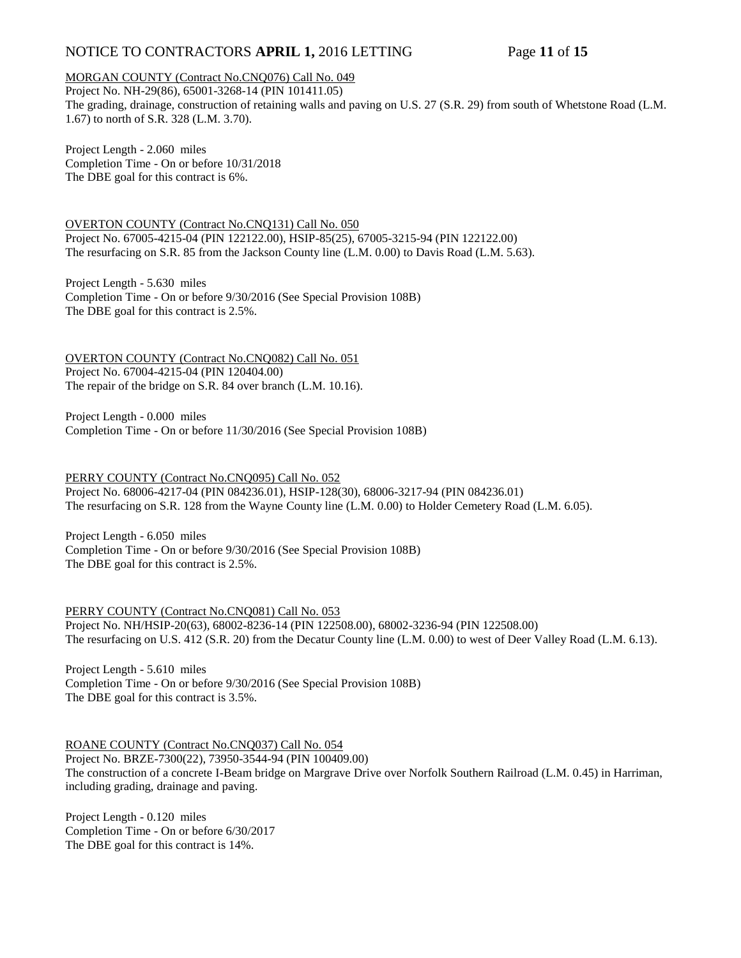# NOTICE TO CONTRACTORS **APRIL 1,** 2016 LETTING Page **11** of **15**

## MORGAN COUNTY (Contract No.CNQ076) Call No. 049

Project No. NH-29(86), 65001-3268-14 (PIN 101411.05) The grading, drainage, construction of retaining walls and paving on U.S. 27 (S.R. 29) from south of Whetstone Road (L.M. 1.67) to north of S.R. 328 (L.M. 3.70).

Project Length - 2.060 miles Completion Time - On or before 10/31/2018 The DBE goal for this contract is 6%.

OVERTON COUNTY (Contract No.CNQ131) Call No. 050 Project No. 67005-4215-04 (PIN 122122.00), HSIP-85(25), 67005-3215-94 (PIN 122122.00) The resurfacing on S.R. 85 from the Jackson County line (L.M. 0.00) to Davis Road (L.M. 5.63).

Project Length - 5.630 miles Completion Time - On or before 9/30/2016 (See Special Provision 108B) The DBE goal for this contract is 2.5%.

OVERTON COUNTY (Contract No.CNQ082) Call No. 051 Project No. 67004-4215-04 (PIN 120404.00) The repair of the bridge on S.R. 84 over branch (L.M. 10.16).

Project Length - 0.000 miles Completion Time - On or before 11/30/2016 (See Special Provision 108B)

PERRY COUNTY (Contract No.CNQ095) Call No. 052 Project No. 68006-4217-04 (PIN 084236.01), HSIP-128(30), 68006-3217-94 (PIN 084236.01) The resurfacing on S.R. 128 from the Wayne County line (L.M. 0.00) to Holder Cemetery Road (L.M. 6.05).

Project Length - 6.050 miles Completion Time - On or before 9/30/2016 (See Special Provision 108B) The DBE goal for this contract is 2.5%.

PERRY COUNTY (Contract No.CNQ081) Call No. 053 Project No. NH/HSIP-20(63), 68002-8236-14 (PIN 122508.00), 68002-3236-94 (PIN 122508.00) The resurfacing on U.S. 412 (S.R. 20) from the Decatur County line (L.M. 0.00) to west of Deer Valley Road (L.M. 6.13).

Project Length - 5.610 miles Completion Time - On or before 9/30/2016 (See Special Provision 108B) The DBE goal for this contract is 3.5%.

ROANE COUNTY (Contract No.CNQ037) Call No. 054

Project No. BRZE-7300(22), 73950-3544-94 (PIN 100409.00) The construction of a concrete I-Beam bridge on Margrave Drive over Norfolk Southern Railroad (L.M. 0.45) in Harriman, including grading, drainage and paving.

Project Length - 0.120 miles Completion Time - On or before 6/30/2017 The DBE goal for this contract is 14%.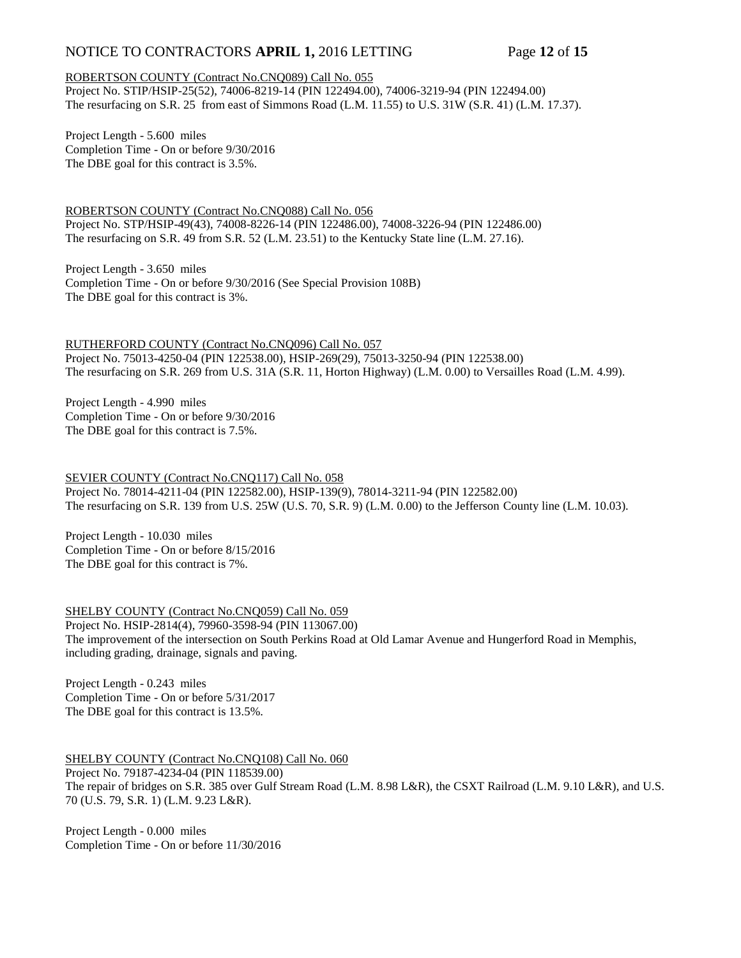# NOTICE TO CONTRACTORS **APRIL 1,** 2016 LETTING Page **12** of **15**

## ROBERTSON COUNTY (Contract No.CNQ089) Call No. 055

Project No. STIP/HSIP-25(52), 74006-8219-14 (PIN 122494.00), 74006-3219-94 (PIN 122494.00) The resurfacing on S.R. 25 from east of Simmons Road (L.M. 11.55) to U.S. 31W (S.R. 41) (L.M. 17.37).

Project Length - 5.600 miles Completion Time - On or before 9/30/2016 The DBE goal for this contract is 3.5%.

ROBERTSON COUNTY (Contract No.CNQ088) Call No. 056 Project No. STP/HSIP-49(43), 74008-8226-14 (PIN 122486.00), 74008-3226-94 (PIN 122486.00) The resurfacing on S.R. 49 from S.R. 52 (L.M. 23.51) to the Kentucky State line (L.M. 27.16).

Project Length - 3.650 miles Completion Time - On or before 9/30/2016 (See Special Provision 108B) The DBE goal for this contract is 3%.

RUTHERFORD COUNTY (Contract No.CNQ096) Call No. 057 Project No. 75013-4250-04 (PIN 122538.00), HSIP-269(29), 75013-3250-94 (PIN 122538.00) The resurfacing on S.R. 269 from U.S. 31A (S.R. 11, Horton Highway) (L.M. 0.00) to Versailles Road (L.M. 4.99).

Project Length - 4.990 miles Completion Time - On or before 9/30/2016 The DBE goal for this contract is 7.5%.

SEVIER COUNTY (Contract No.CNQ117) Call No. 058 Project No. 78014-4211-04 (PIN 122582.00), HSIP-139(9), 78014-3211-94 (PIN 122582.00) The resurfacing on S.R. 139 from U.S. 25W (U.S. 70, S.R. 9) (L.M. 0.00) to the Jefferson County line (L.M. 10.03).

Project Length - 10.030 miles Completion Time - On or before 8/15/2016 The DBE goal for this contract is 7%.

SHELBY COUNTY (Contract No.CNQ059) Call No. 059

Project No. HSIP-2814(4), 79960-3598-94 (PIN 113067.00) The improvement of the intersection on South Perkins Road at Old Lamar Avenue and Hungerford Road in Memphis, including grading, drainage, signals and paving.

Project Length - 0.243 miles Completion Time - On or before 5/31/2017 The DBE goal for this contract is 13.5%.

SHELBY COUNTY (Contract No.CNQ108) Call No. 060

Project No. 79187-4234-04 (PIN 118539.00) The repair of bridges on S.R. 385 over Gulf Stream Road (L.M. 8.98 L&R), the CSXT Railroad (L.M. 9.10 L&R), and U.S. 70 (U.S. 79, S.R. 1) (L.M. 9.23 L&R).

Project Length - 0.000 miles Completion Time - On or before 11/30/2016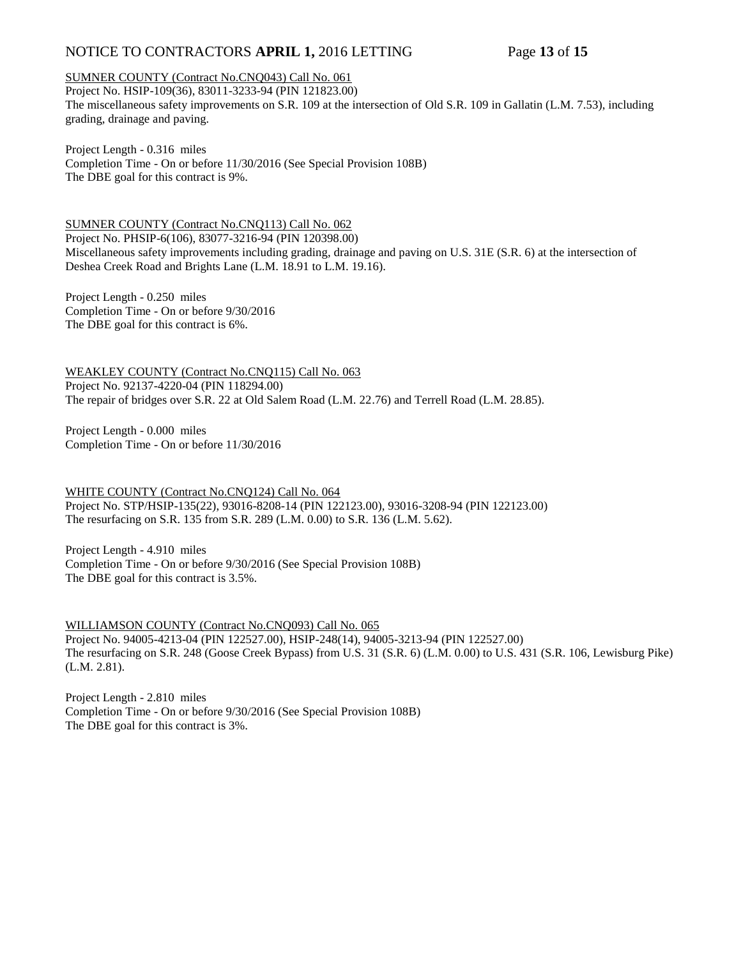# NOTICE TO CONTRACTORS **APRIL 1,** 2016 LETTING Page **13** of **15**

SUMNER COUNTY (Contract No.CNQ043) Call No. 061

Project No. HSIP-109(36), 83011-3233-94 (PIN 121823.00) The miscellaneous safety improvements on S.R. 109 at the intersection of Old S.R. 109 in Gallatin (L.M. 7.53), including grading, drainage and paving.

Project Length - 0.316 miles Completion Time - On or before 11/30/2016 (See Special Provision 108B) The DBE goal for this contract is 9%.

SUMNER COUNTY (Contract No.CNQ113) Call No. 062 Project No. PHSIP-6(106), 83077-3216-94 (PIN 120398.00) Miscellaneous safety improvements including grading, drainage and paving on U.S. 31E (S.R. 6) at the intersection of Deshea Creek Road and Brights Lane (L.M. 18.91 to L.M. 19.16).

Project Length - 0.250 miles Completion Time - On or before 9/30/2016 The DBE goal for this contract is 6%.

WEAKLEY COUNTY (Contract No.CNQ115) Call No. 063 Project No. 92137-4220-04 (PIN 118294.00) The repair of bridges over S.R. 22 at Old Salem Road (L.M. 22.76) and Terrell Road (L.M. 28.85).

Project Length - 0.000 miles Completion Time - On or before 11/30/2016

WHITE COUNTY (Contract No.CNQ124) Call No. 064 Project No. STP/HSIP-135(22), 93016-8208-14 (PIN 122123.00), 93016-3208-94 (PIN 122123.00) The resurfacing on S.R. 135 from S.R. 289 (L.M. 0.00) to S.R. 136 (L.M. 5.62).

Project Length - 4.910 miles Completion Time - On or before 9/30/2016 (See Special Provision 108B) The DBE goal for this contract is 3.5%.

WILLIAMSON COUNTY (Contract No.CNQ093) Call No. 065 Project No. 94005-4213-04 (PIN 122527.00), HSIP-248(14), 94005-3213-94 (PIN 122527.00) The resurfacing on S.R. 248 (Goose Creek Bypass) from U.S. 31 (S.R. 6) (L.M. 0.00) to U.S. 431 (S.R. 106, Lewisburg Pike) (L.M. 2.81).

Project Length - 2.810 miles Completion Time - On or before 9/30/2016 (See Special Provision 108B) The DBE goal for this contract is 3%.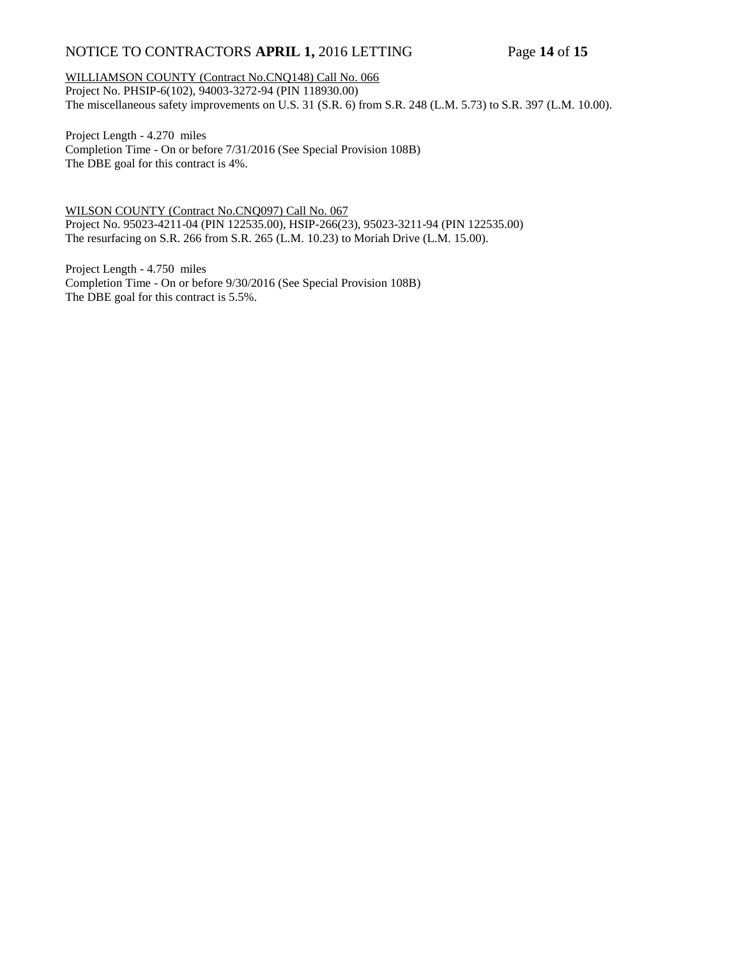# NOTICE TO CONTRACTORS **APRIL 1,** 2016 LETTING Page **14** of **15**

## WILLIAMSON COUNTY (Contract No.CNQ148) Call No. 066 Project No. PHSIP-6(102), 94003-3272-94 (PIN 118930.00) The miscellaneous safety improvements on U.S. 31 (S.R. 6) from S.R. 248 (L.M. 5.73) to S.R. 397 (L.M. 10.00).

Project Length - 4.270 miles Completion Time - On or before 7/31/2016 (See Special Provision 108B) The DBE goal for this contract is 4%.

WILSON COUNTY (Contract No.CNQ097) Call No. 067 Project No. 95023-4211-04 (PIN 122535.00), HSIP-266(23), 95023-3211-94 (PIN 122535.00) The resurfacing on S.R. 266 from S.R. 265 (L.M. 10.23) to Moriah Drive (L.M. 15.00).

Project Length - 4.750 miles Completion Time - On or before 9/30/2016 (See Special Provision 108B) The DBE goal for this contract is 5.5%.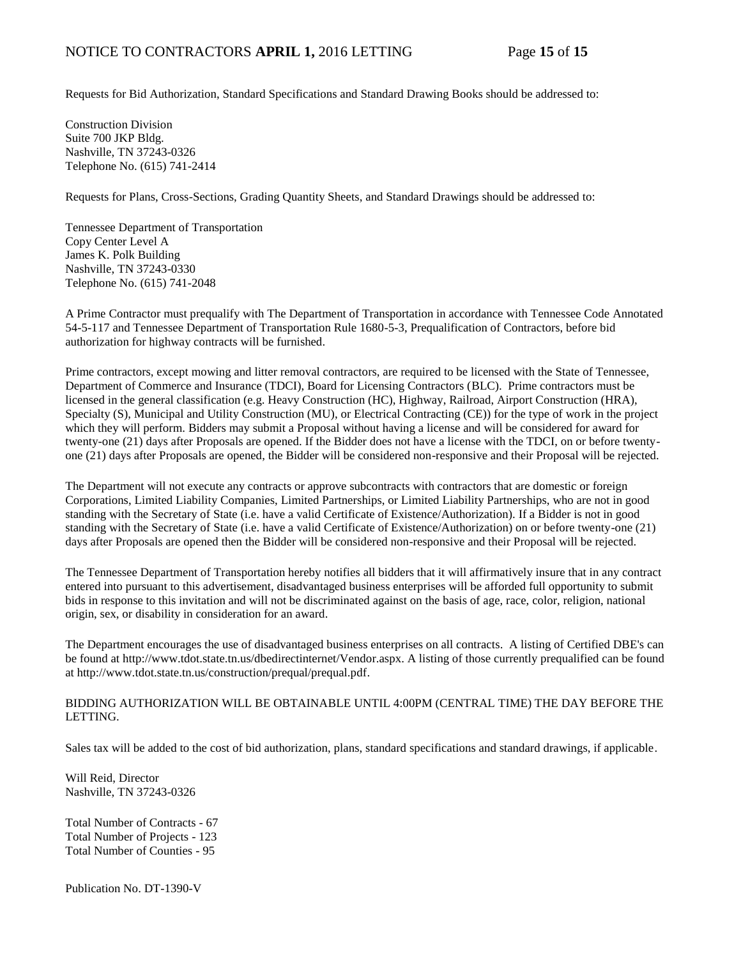Requests for Bid Authorization, Standard Specifications and Standard Drawing Books should be addressed to:

Construction Division Suite 700 JKP Bldg. Nashville, TN 37243-0326 Telephone No. (615) 741-2414

Requests for Plans, Cross-Sections, Grading Quantity Sheets, and Standard Drawings should be addressed to:

Tennessee Department of Transportation Copy Center Level A James K. Polk Building Nashville, TN 37243-0330 Telephone No. (615) 741-2048

A Prime Contractor must prequalify with The Department of Transportation in accordance with Tennessee Code Annotated 54-5-117 and Tennessee Department of Transportation Rule 1680-5-3, Prequalification of Contractors, before bid authorization for highway contracts will be furnished.

Prime contractors, except mowing and litter removal contractors, are required to be licensed with the State of Tennessee, Department of Commerce and Insurance (TDCI), Board for Licensing Contractors (BLC). Prime contractors must be licensed in the general classification (e.g. Heavy Construction (HC), Highway, Railroad, Airport Construction (HRA), Specialty (S), Municipal and Utility Construction (MU), or Electrical Contracting (CE)) for the type of work in the project which they will perform. Bidders may submit a Proposal without having a license and will be considered for award for twenty-one (21) days after Proposals are opened. If the Bidder does not have a license with the TDCI, on or before twentyone (21) days after Proposals are opened, the Bidder will be considered non-responsive and their Proposal will be rejected.

The Department will not execute any contracts or approve subcontracts with contractors that are domestic or foreign Corporations, Limited Liability Companies, Limited Partnerships, or Limited Liability Partnerships, who are not in good standing with the Secretary of State (i.e. have a valid Certificate of Existence/Authorization). If a Bidder is not in good standing with the Secretary of State (i.e. have a valid Certificate of Existence/Authorization) on or before twenty-one (21) days after Proposals are opened then the Bidder will be considered non-responsive and their Proposal will be rejected.

The Tennessee Department of Transportation hereby notifies all bidders that it will affirmatively insure that in any contract entered into pursuant to this advertisement, disadvantaged business enterprises will be afforded full opportunity to submit bids in response to this invitation and will not be discriminated against on the basis of age, race, color, religion, national origin, sex, or disability in consideration for an award.

The Department encourages the use of disadvantaged business enterprises on all contracts. A listing of Certified DBE's can be found at [http://www.tdot.state.tn.us/dbedirectinternet/Vendor.aspx.](http://www.tdot.state.tn.us/dbedirectinternet/Vendor.aspx) A listing of those currently prequalified can be found a[t http://www.tdot.state.tn.us/construction/prequal/prequal.pdf.](http://www.tdot.state.tn.us/construction/prequal/prequal.pdf) 

## BIDDING AUTHORIZATION WILL BE OBTAINABLE UNTIL 4:00PM (CENTRAL TIME) THE DAY BEFORE THE LETTING.

Sales tax will be added to the cost of bid authorization, plans, standard specifications and standard drawings, if applicable.

Will Reid, Director Nashville, TN 37243-0326

Total Number of Contracts - 67 Total Number of Projects - 123 Total Number of Counties - 95

Publication No. DT-1390-V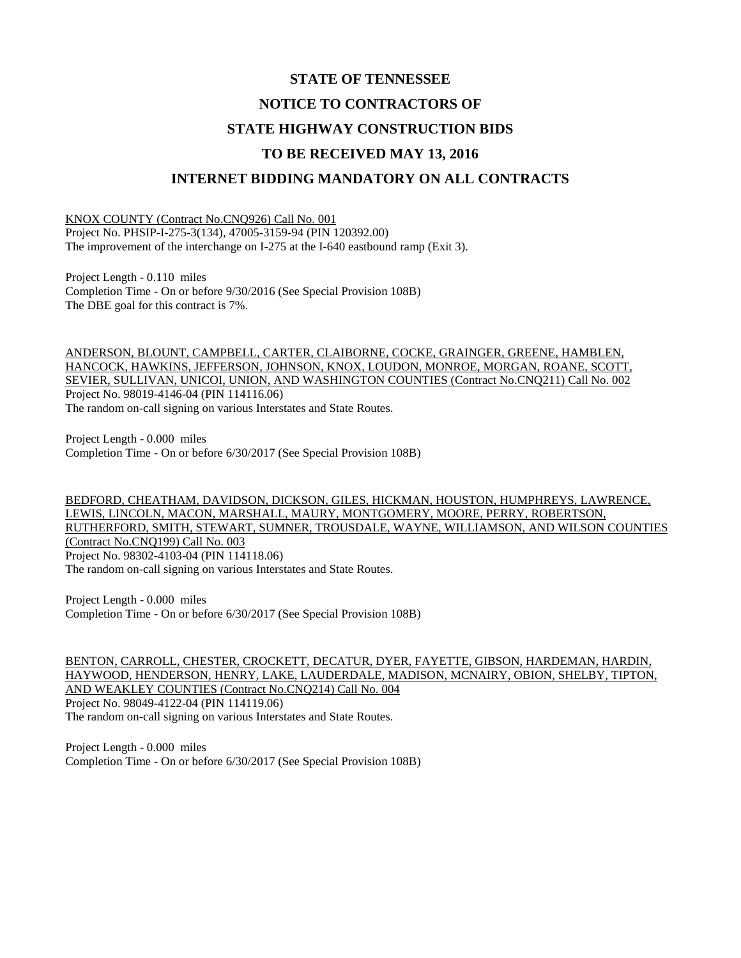# **STATE OF TENNESSEE NOTICE TO CONTRACTORS OF STATE HIGHWAY CONSTRUCTION BIDS TO BE RECEIVED MAY 13, 2016 INTERNET BIDDING MANDATORY ON ALL CONTRACTS**

KNOX COUNTY (Contract No.CNQ926) Call No. 001 Project No. PHSIP-I-275-3(134), 47005-3159-94 (PIN 120392.00) The improvement of the interchange on I-275 at the I-640 eastbound ramp (Exit 3).

Project Length - 0.110 miles Completion Time - On or before 9/30/2016 (See Special Provision 108B) The DBE goal for this contract is 7%.

ANDERSON, BLOUNT, CAMPBELL, CARTER, CLAIBORNE, COCKE, GRAINGER, GREENE, HAMBLEN, HANCOCK, HAWKINS, JEFFERSON, JOHNSON, KNOX, LOUDON, MONROE, MORGAN, ROANE, SCOTT, SEVIER, SULLIVAN, UNICOI, UNION, AND WASHINGTON COUNTIES (Contract No.CNQ211) Call No. 002 Project No. 98019-4146-04 (PIN 114116.06) The random on-call signing on various Interstates and State Routes.

Project Length - 0.000 miles Completion Time - On or before 6/30/2017 (See Special Provision 108B)

BEDFORD, CHEATHAM, DAVIDSON, DICKSON, GILES, HICKMAN, HOUSTON, HUMPHREYS, LAWRENCE, LEWIS, LINCOLN, MACON, MARSHALL, MAURY, MONTGOMERY, MOORE, PERRY, ROBERTSON, RUTHERFORD, SMITH, STEWART, SUMNER, TROUSDALE, WAYNE, WILLIAMSON, AND WILSON COUNTIES (Contract No.CNQ199) Call No. 003 Project No. 98302-4103-04 (PIN 114118.06) The random on-call signing on various Interstates and State Routes.

Project Length - 0.000 miles Completion Time - On or before 6/30/2017 (See Special Provision 108B)

BENTON, CARROLL, CHESTER, CROCKETT, DECATUR, DYER, FAYETTE, GIBSON, HARDEMAN, HARDIN, HAYWOOD, HENDERSON, HENRY, LAKE, LAUDERDALE, MADISON, MCNAIRY, OBION, SHELBY, TIPTON, AND WEAKLEY COUNTIES (Contract No.CNQ214) Call No. 004 Project No. 98049-4122-04 (PIN 114119.06) The random on-call signing on various Interstates and State Routes.

Project Length - 0.000 miles Completion Time - On or before 6/30/2017 (See Special Provision 108B)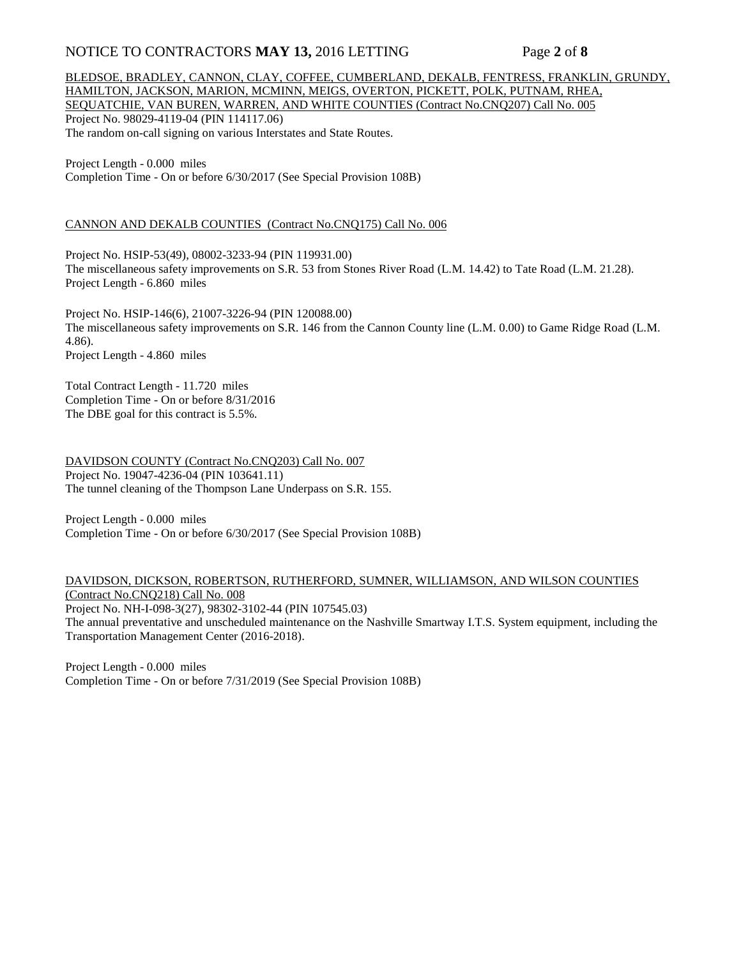## NOTICE TO CONTRACTORS **MAY 13,** 2016 LETTING Page **2** of **8**

#### BLEDSOE, BRADLEY, CANNON, CLAY, COFFEE, CUMBERLAND, DEKALB, FENTRESS, FRANKLIN, GRUNDY, HAMILTON, JACKSON, MARION, MCMINN, MEIGS, OVERTON, PICKETT, POLK, PUTNAM, RHEA, SEQUATCHIE, VAN BUREN, WARREN, AND WHITE COUNTIES (Contract No.CNQ207) Call No. 005 Project No. 98029-4119-04 (PIN 114117.06) The random on-call signing on various Interstates and State Routes.

Project Length - 0.000 miles Completion Time - On or before 6/30/2017 (See Special Provision 108B)

#### CANNON AND DEKALB COUNTIES (Contract No.CNQ175) Call No. 006

Project No. HSIP-53(49), 08002-3233-94 (PIN 119931.00) The miscellaneous safety improvements on S.R. 53 from Stones River Road (L.M. 14.42) to Tate Road (L.M. 21.28). Project Length - 6.860 miles

Project No. HSIP-146(6), 21007-3226-94 (PIN 120088.00) The miscellaneous safety improvements on S.R. 146 from the Cannon County line (L.M. 0.00) to Game Ridge Road (L.M. 4.86). Project Length - 4.860 miles

Total Contract Length - 11.720 miles Completion Time - On or before 8/31/2016 The DBE goal for this contract is 5.5%.

DAVIDSON COUNTY (Contract No.CNQ203) Call No. 007 Project No. 19047-4236-04 (PIN 103641.11) The tunnel cleaning of the Thompson Lane Underpass on S.R. 155.

Project Length - 0.000 miles Completion Time - On or before 6/30/2017 (See Special Provision 108B)

DAVIDSON, DICKSON, ROBERTSON, RUTHERFORD, SUMNER, WILLIAMSON, AND WILSON COUNTIES (Contract No.CNQ218) Call No. 008 Project No. NH-I-098-3(27), 98302-3102-44 (PIN 107545.03) The annual preventative and unscheduled maintenance on the Nashville Smartway I.T.S. System equipment, including the Transportation Management Center (2016-2018).

Project Length - 0.000 miles Completion Time - On or before 7/31/2019 (See Special Provision 108B)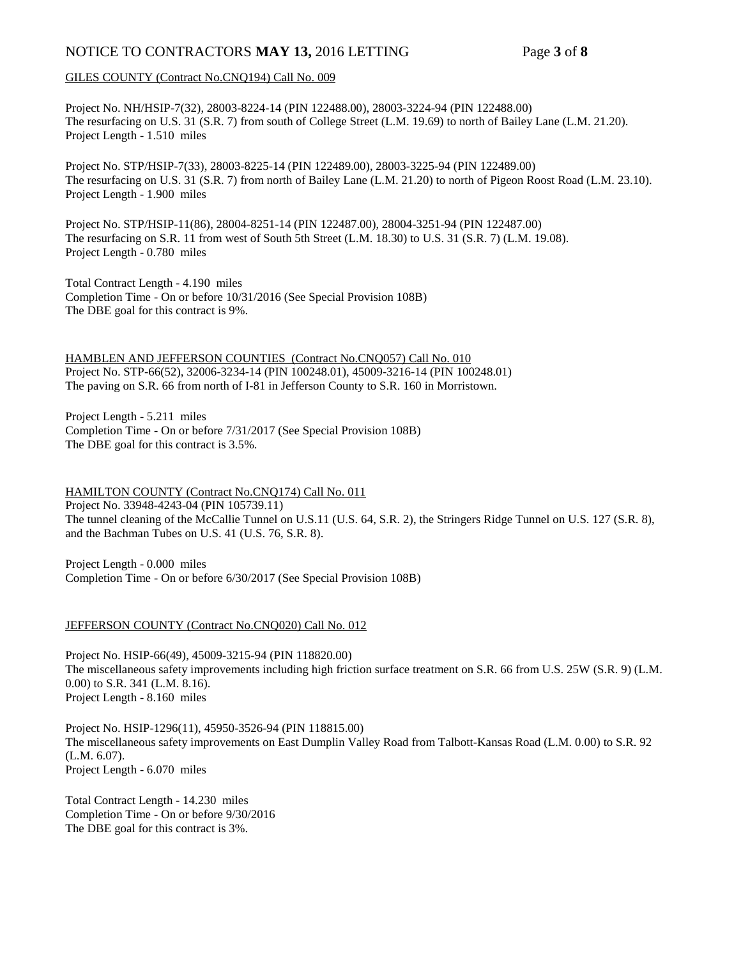## NOTICE TO CONTRACTORS **MAY 13,** 2016 LETTING Page **3** of **8**

#### GILES COUNTY (Contract No.CNQ194) Call No. 009

Project No. NH/HSIP-7(32), 28003-8224-14 (PIN 122488.00), 28003-3224-94 (PIN 122488.00) The resurfacing on U.S. 31 (S.R. 7) from south of College Street (L.M. 19.69) to north of Bailey Lane (L.M. 21.20). Project Length - 1.510 miles

Project No. STP/HSIP-7(33), 28003-8225-14 (PIN 122489.00), 28003-3225-94 (PIN 122489.00) The resurfacing on U.S. 31 (S.R. 7) from north of Bailey Lane (L.M. 21.20) to north of Pigeon Roost Road (L.M. 23.10). Project Length - 1.900 miles

Project No. STP/HSIP-11(86), 28004-8251-14 (PIN 122487.00), 28004-3251-94 (PIN 122487.00) The resurfacing on S.R. 11 from west of South 5th Street (L.M. 18.30) to U.S. 31 (S.R. 7) (L.M. 19.08). Project Length - 0.780 miles

Total Contract Length - 4.190 miles Completion Time - On or before 10/31/2016 (See Special Provision 108B) The DBE goal for this contract is 9%.

HAMBLEN AND JEFFERSON COUNTIES (Contract No.CNQ057) Call No. 010 Project No. STP-66(52), 32006-3234-14 (PIN 100248.01), 45009-3216-14 (PIN 100248.01) The paving on S.R. 66 from north of I-81 in Jefferson County to S.R. 160 in Morristown.

Project Length - 5.211 miles Completion Time - On or before 7/31/2017 (See Special Provision 108B) The DBE goal for this contract is 3.5%.

HAMILTON COUNTY (Contract No.CNQ174) Call No. 011 Project No. 33948-4243-04 (PIN 105739.11) The tunnel cleaning of the McCallie Tunnel on U.S.11 (U.S. 64, S.R. 2), the Stringers Ridge Tunnel on U.S. 127 (S.R. 8), and the Bachman Tubes on U.S. 41 (U.S. 76, S.R. 8).

Project Length - 0.000 miles Completion Time - On or before 6/30/2017 (See Special Provision 108B)

#### JEFFERSON COUNTY (Contract No.CNQ020) Call No. 012

Project No. HSIP-66(49), 45009-3215-94 (PIN 118820.00) The miscellaneous safety improvements including high friction surface treatment on S.R. 66 from U.S. 25W (S.R. 9) (L.M. 0.00) to S.R. 341 (L.M. 8.16). Project Length - 8.160 miles

Project No. HSIP-1296(11), 45950-3526-94 (PIN 118815.00) The miscellaneous safety improvements on East Dumplin Valley Road from Talbott-Kansas Road (L.M. 0.00) to S.R. 92 (L.M. 6.07). Project Length - 6.070 miles

Total Contract Length - 14.230 miles Completion Time - On or before 9/30/2016 The DBE goal for this contract is 3%.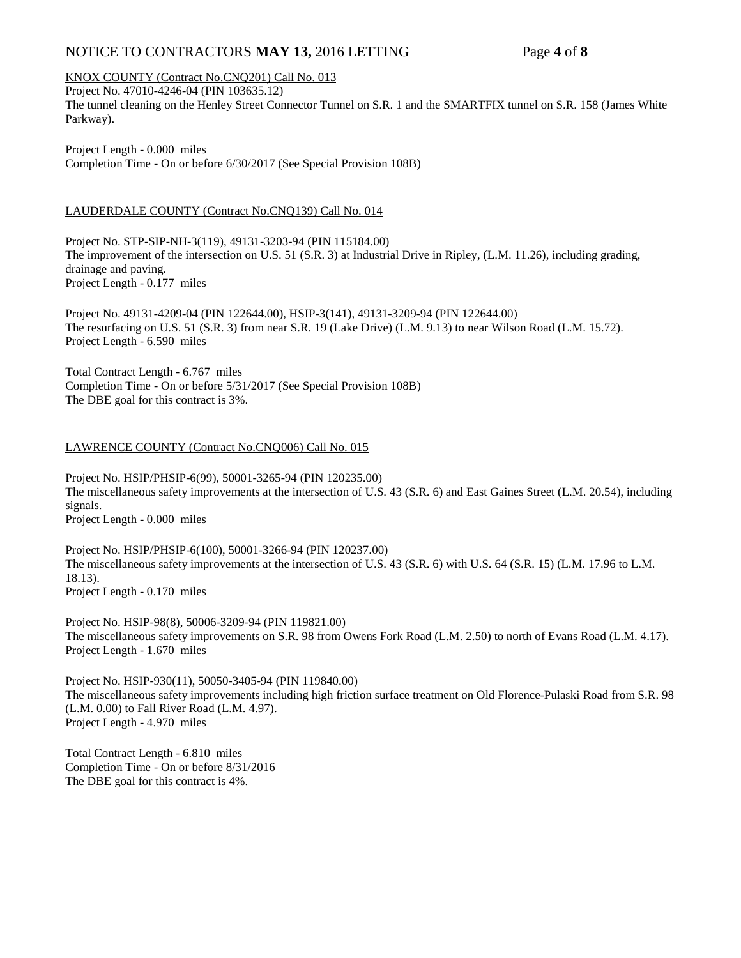## NOTICE TO CONTRACTORS **MAY 13,** 2016 LETTING Page **4** of **8**

## KNOX COUNTY (Contract No.CNQ201) Call No. 013

Project No. 47010-4246-04 (PIN 103635.12) The tunnel cleaning on the Henley Street Connector Tunnel on S.R. 1 and the SMARTFIX tunnel on S.R. 158 (James White Parkway).

Project Length - 0.000 miles Completion Time - On or before 6/30/2017 (See Special Provision 108B)

#### LAUDERDALE COUNTY (Contract No.CNQ139) Call No. 014

Project No. STP-SIP-NH-3(119), 49131-3203-94 (PIN 115184.00) The improvement of the intersection on U.S. 51 (S.R. 3) at Industrial Drive in Ripley, (L.M. 11.26), including grading, drainage and paving. Project Length - 0.177 miles

Project No. 49131-4209-04 (PIN 122644.00), HSIP-3(141), 49131-3209-94 (PIN 122644.00) The resurfacing on U.S. 51 (S.R. 3) from near S.R. 19 (Lake Drive) (L.M. 9.13) to near Wilson Road (L.M. 15.72). Project Length - 6.590 miles

Total Contract Length - 6.767 miles Completion Time - On or before 5/31/2017 (See Special Provision 108B) The DBE goal for this contract is 3%.

#### LAWRENCE COUNTY (Contract No.CNQ006) Call No. 015

Project No. HSIP/PHSIP-6(99), 50001-3265-94 (PIN 120235.00) The miscellaneous safety improvements at the intersection of U.S. 43 (S.R. 6) and East Gaines Street (L.M. 20.54), including signals. Project Length - 0.000 miles

Project No. HSIP/PHSIP-6(100), 50001-3266-94 (PIN 120237.00) The miscellaneous safety improvements at the intersection of U.S. 43 (S.R. 6) with U.S. 64 (S.R. 15) (L.M. 17.96 to L.M. 18.13). Project Length - 0.170 miles

Project No. HSIP-98(8), 50006-3209-94 (PIN 119821.00) The miscellaneous safety improvements on S.R. 98 from Owens Fork Road (L.M. 2.50) to north of Evans Road (L.M. 4.17). Project Length - 1.670 miles

Project No. HSIP-930(11), 50050-3405-94 (PIN 119840.00) The miscellaneous safety improvements including high friction surface treatment on Old Florence-Pulaski Road from S.R. 98 (L.M. 0.00) to Fall River Road (L.M. 4.97). Project Length - 4.970 miles

Total Contract Length - 6.810 miles Completion Time - On or before 8/31/2016 The DBE goal for this contract is 4%.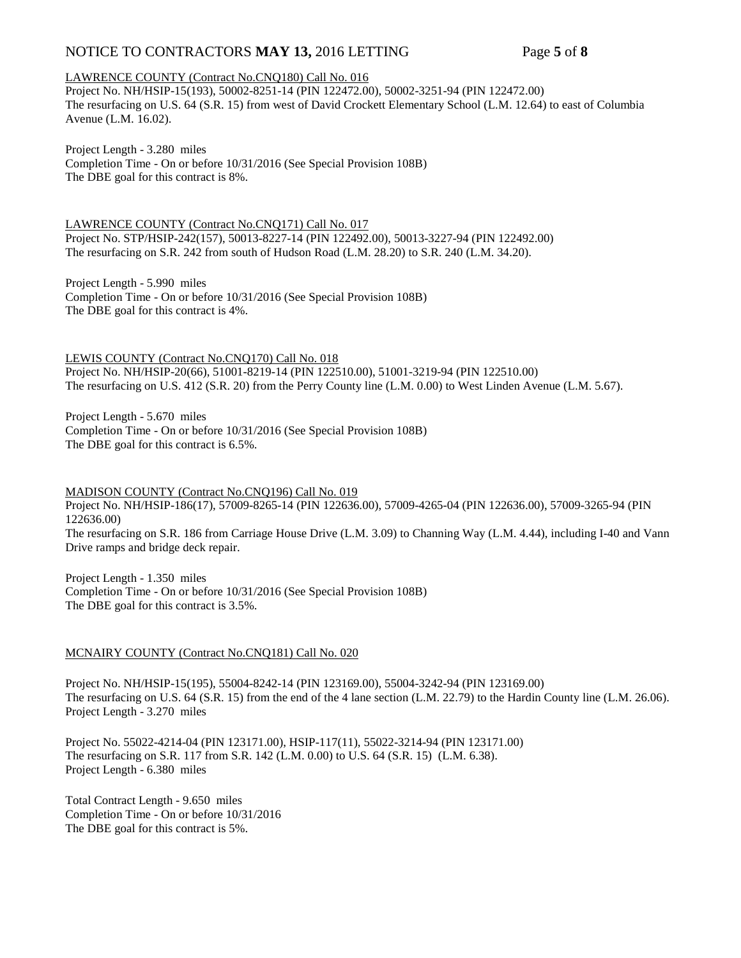## NOTICE TO CONTRACTORS **MAY 13,** 2016 LETTING Page **5** of **8**

#### LAWRENCE COUNTY (Contract No.CNQ180) Call No. 016

Project No. NH/HSIP-15(193), 50002-8251-14 (PIN 122472.00), 50002-3251-94 (PIN 122472.00) The resurfacing on U.S. 64 (S.R. 15) from west of David Crockett Elementary School (L.M. 12.64) to east of Columbia Avenue (L.M. 16.02).

Project Length - 3.280 miles

Completion Time - On or before 10/31/2016 (See Special Provision 108B) The DBE goal for this contract is 8%.

LAWRENCE COUNTY (Contract No.CNQ171) Call No. 017 Project No. STP/HSIP-242(157), 50013-8227-14 (PIN 122492.00), 50013-3227-94 (PIN 122492.00) The resurfacing on S.R. 242 from south of Hudson Road (L.M. 28.20) to S.R. 240 (L.M. 34.20).

Project Length - 5.990 miles Completion Time - On or before 10/31/2016 (See Special Provision 108B) The DBE goal for this contract is 4%.

LEWIS COUNTY (Contract No.CNQ170) Call No. 018 Project No. NH/HSIP-20(66), 51001-8219-14 (PIN 122510.00), 51001-3219-94 (PIN 122510.00) The resurfacing on U.S. 412 (S.R. 20) from the Perry County line (L.M. 0.00) to West Linden Avenue (L.M. 5.67).

Project Length - 5.670 miles Completion Time - On or before 10/31/2016 (See Special Provision 108B) The DBE goal for this contract is 6.5%.

MADISON COUNTY (Contract No.CNQ196) Call No. 019

Project No. NH/HSIP-186(17), 57009-8265-14 (PIN 122636.00), 57009-4265-04 (PIN 122636.00), 57009-3265-94 (PIN 122636.00) The resurfacing on S.R. 186 from Carriage House Drive (L.M. 3.09) to Channing Way (L.M. 4.44), including I-40 and Vann Drive ramps and bridge deck repair.

Project Length - 1.350 miles Completion Time - On or before 10/31/2016 (See Special Provision 108B) The DBE goal for this contract is 3.5%.

#### MCNAIRY COUNTY (Contract No.CNQ181) Call No. 020

Project No. NH/HSIP-15(195), 55004-8242-14 (PIN 123169.00), 55004-3242-94 (PIN 123169.00) The resurfacing on U.S. 64 (S.R. 15) from the end of the 4 lane section (L.M. 22.79) to the Hardin County line (L.M. 26.06). Project Length - 3.270 miles

Project No. 55022-4214-04 (PIN 123171.00), HSIP-117(11), 55022-3214-94 (PIN 123171.00) The resurfacing on S.R. 117 from S.R. 142 (L.M. 0.00) to U.S. 64 (S.R. 15) (L.M. 6.38). Project Length - 6.380 miles

Total Contract Length - 9.650 miles Completion Time - On or before 10/31/2016 The DBE goal for this contract is 5%.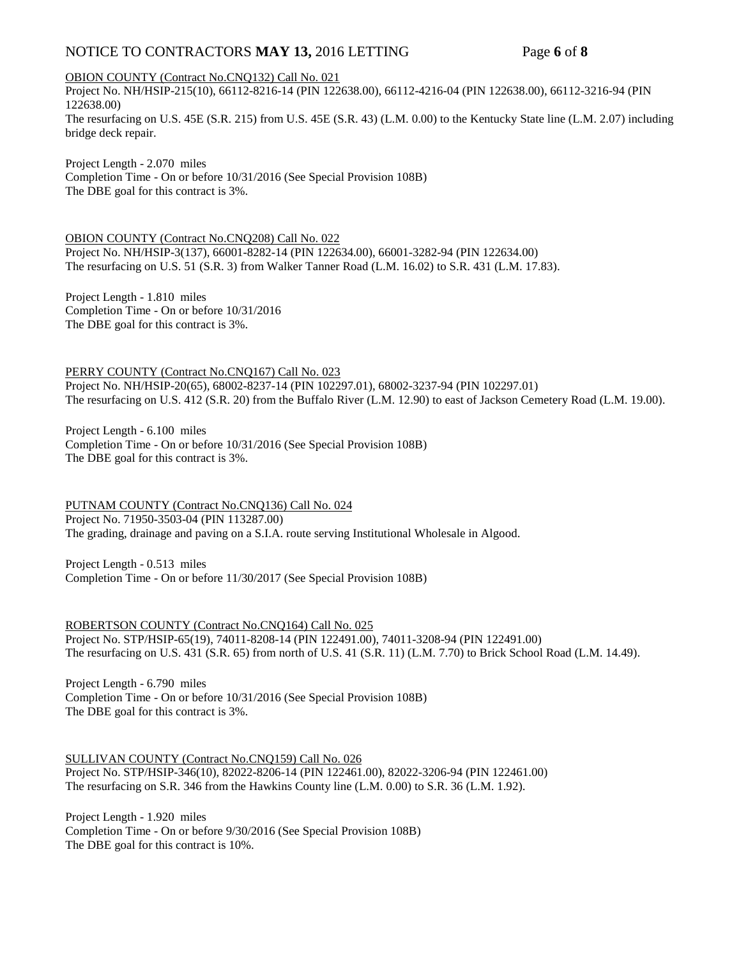## NOTICE TO CONTRACTORS **MAY 13,** 2016 LETTING Page **6** of **8**

#### OBION COUNTY (Contract No.CNQ132) Call No. 021

Project No. NH/HSIP-215(10), 66112-8216-14 (PIN 122638.00), 66112-4216-04 (PIN 122638.00), 66112-3216-94 (PIN 122638.00) The resurfacing on U.S. 45E (S.R. 215) from U.S. 45E (S.R. 43) (L.M. 0.00) to the Kentucky State line (L.M. 2.07) including bridge deck repair.

Project Length - 2.070 miles Completion Time - On or before 10/31/2016 (See Special Provision 108B) The DBE goal for this contract is 3%.

OBION COUNTY (Contract No.CNQ208) Call No. 022 Project No. NH/HSIP-3(137), 66001-8282-14 (PIN 122634.00), 66001-3282-94 (PIN 122634.00) The resurfacing on U.S. 51 (S.R. 3) from Walker Tanner Road (L.M. 16.02) to S.R. 431 (L.M. 17.83).

Project Length - 1.810 miles Completion Time - On or before 10/31/2016 The DBE goal for this contract is 3%.

PERRY COUNTY (Contract No.CNQ167) Call No. 023 Project No. NH/HSIP-20(65), 68002-8237-14 (PIN 102297.01), 68002-3237-94 (PIN 102297.01) The resurfacing on U.S. 412 (S.R. 20) from the Buffalo River (L.M. 12.90) to east of Jackson Cemetery Road (L.M. 19.00).

Project Length - 6.100 miles Completion Time - On or before 10/31/2016 (See Special Provision 108B) The DBE goal for this contract is 3%.

PUTNAM COUNTY (Contract No.CNQ136) Call No. 024 Project No. 71950-3503-04 (PIN 113287.00) The grading, drainage and paving on a S.I.A. route serving Institutional Wholesale in Algood.

Project Length - 0.513 miles Completion Time - On or before 11/30/2017 (See Special Provision 108B)

ROBERTSON COUNTY (Contract No.CNQ164) Call No. 025 Project No. STP/HSIP-65(19), 74011-8208-14 (PIN 122491.00), 74011-3208-94 (PIN 122491.00) The resurfacing on U.S. 431 (S.R. 65) from north of U.S. 41 (S.R. 11) (L.M. 7.70) to Brick School Road (L.M. 14.49).

Project Length - 6.790 miles Completion Time - On or before 10/31/2016 (See Special Provision 108B) The DBE goal for this contract is 3%.

SULLIVAN COUNTY (Contract No.CNQ159) Call No. 026

Project No. STP/HSIP-346(10), 82022-8206-14 (PIN 122461.00), 82022-3206-94 (PIN 122461.00) The resurfacing on S.R. 346 from the Hawkins County line (L.M. 0.00) to S.R. 36 (L.M. 1.92).

Project Length - 1.920 miles Completion Time - On or before 9/30/2016 (See Special Provision 108B) The DBE goal for this contract is 10%.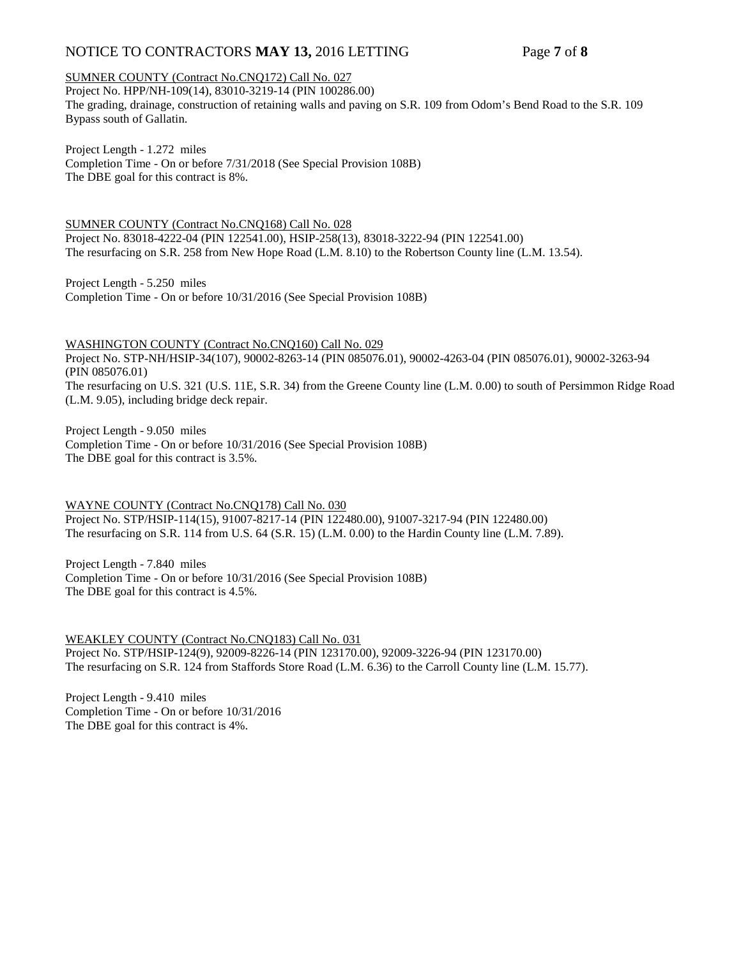## NOTICE TO CONTRACTORS **MAY 13,** 2016 LETTING Page **7** of **8**

#### SUMNER COUNTY (Contract No.CNQ172) Call No. 027

Project No. HPP/NH-109(14), 83010-3219-14 (PIN 100286.00) The grading, drainage, construction of retaining walls and paving on S.R. 109 from Odom's Bend Road to the S.R. 109 Bypass south of Gallatin.

Project Length - 1.272 miles Completion Time - On or before 7/31/2018 (See Special Provision 108B) The DBE goal for this contract is 8%.

SUMNER COUNTY (Contract No.CNQ168) Call No. 028 Project No. 83018-4222-04 (PIN 122541.00), HSIP-258(13), 83018-3222-94 (PIN 122541.00) The resurfacing on S.R. 258 from New Hope Road (L.M. 8.10) to the Robertson County line (L.M. 13.54).

Project Length - 5.250 miles Completion Time - On or before 10/31/2016 (See Special Provision 108B)

WASHINGTON COUNTY (Contract No.CNQ160) Call No. 029 Project No. STP-NH/HSIP-34(107), 90002-8263-14 (PIN 085076.01), 90002-4263-04 (PIN 085076.01), 90002-3263-94 (PIN 085076.01) The resurfacing on U.S. 321 (U.S. 11E, S.R. 34) from the Greene County line (L.M. 0.00) to south of Persimmon Ridge Road (L.M. 9.05), including bridge deck repair.

Project Length - 9.050 miles Completion Time - On or before 10/31/2016 (See Special Provision 108B) The DBE goal for this contract is 3.5%.

WAYNE COUNTY (Contract No.CNQ178) Call No. 030 Project No. STP/HSIP-114(15), 91007-8217-14 (PIN 122480.00), 91007-3217-94 (PIN 122480.00) The resurfacing on S.R. 114 from U.S. 64 (S.R. 15) (L.M. 0.00) to the Hardin County line (L.M. 7.89).

Project Length - 7.840 miles Completion Time - On or before 10/31/2016 (See Special Provision 108B) The DBE goal for this contract is 4.5%.

WEAKLEY COUNTY (Contract No.CNQ183) Call No. 031 Project No. STP/HSIP-124(9), 92009-8226-14 (PIN 123170.00), 92009-3226-94 (PIN 123170.00) The resurfacing on S.R. 124 from Staffords Store Road (L.M. 6.36) to the Carroll County line (L.M. 15.77).

Project Length - 9.410 miles Completion Time - On or before 10/31/2016 The DBE goal for this contract is 4%.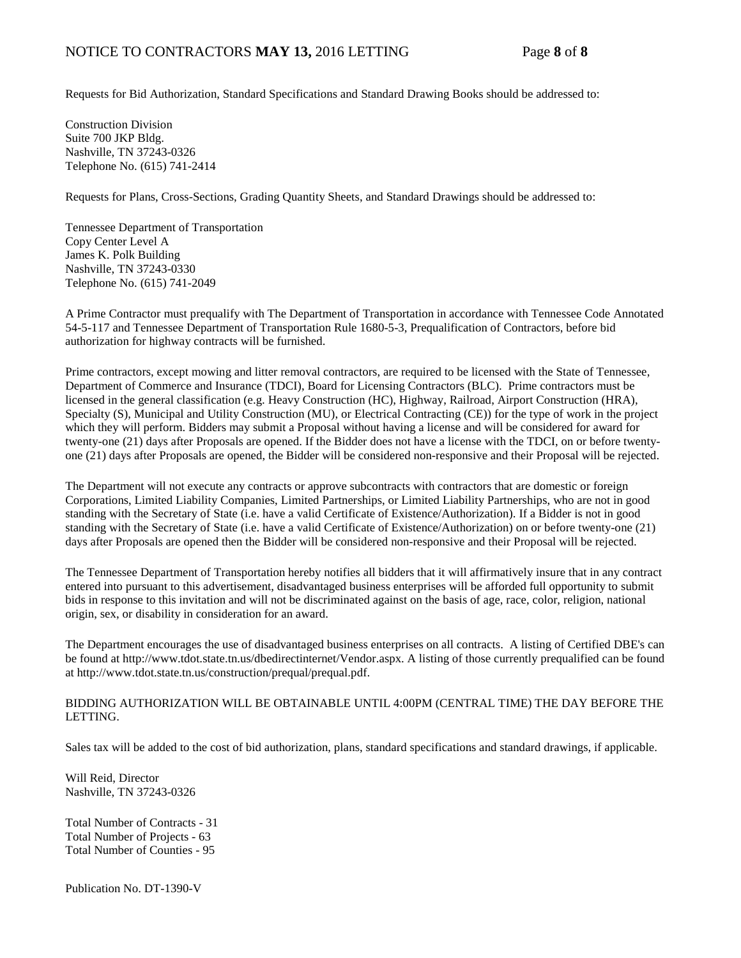Requests for Bid Authorization, Standard Specifications and Standard Drawing Books should be addressed to:

Construction Division Suite 700 JKP Bldg. Nashville, TN 37243-0326 Telephone No. (615) 741-2414

Requests for Plans, Cross-Sections, Grading Quantity Sheets, and Standard Drawings should be addressed to:

Tennessee Department of Transportation Copy Center Level A James K. Polk Building Nashville, TN 37243-0330 Telephone No. (615) 741-2049

A Prime Contractor must prequalify with The Department of Transportation in accordance with Tennessee Code Annotated 54-5-117 and Tennessee Department of Transportation Rule 1680-5-3, Prequalification of Contractors, before bid authorization for highway contracts will be furnished.

Prime contractors, except mowing and litter removal contractors, are required to be licensed with the State of Tennessee, Department of Commerce and Insurance (TDCI), Board for Licensing Contractors (BLC). Prime contractors must be licensed in the general classification (e.g. Heavy Construction (HC), Highway, Railroad, Airport Construction (HRA), Specialty (S), Municipal and Utility Construction (MU), or Electrical Contracting (CE)) for the type of work in the project which they will perform. Bidders may submit a Proposal without having a license and will be considered for award for twenty-one (21) days after Proposals are opened. If the Bidder does not have a license with the TDCI, on or before twentyone (21) days after Proposals are opened, the Bidder will be considered non-responsive and their Proposal will be rejected.

The Department will not execute any contracts or approve subcontracts with contractors that are domestic or foreign Corporations, Limited Liability Companies, Limited Partnerships, or Limited Liability Partnerships, who are not in good standing with the Secretary of State (i.e. have a valid Certificate of Existence/Authorization). If a Bidder is not in good standing with the Secretary of State (i.e. have a valid Certificate of Existence/Authorization) on or before twenty-one (21) days after Proposals are opened then the Bidder will be considered non-responsive and their Proposal will be rejected.

The Tennessee Department of Transportation hereby notifies all bidders that it will affirmatively insure that in any contract entered into pursuant to this advertisement, disadvantaged business enterprises will be afforded full opportunity to submit bids in response to this invitation and will not be discriminated against on the basis of age, race, color, religion, national origin, sex, or disability in consideration for an award.

The Department encourages the use of disadvantaged business enterprises on all contracts. A listing of Certified DBE's can be found at [http://www.tdot.state.tn.us/dbedirectinternet/Vendor.aspx.](http://www.tdot.state.tn.us/dbedirectinternet/Vendor.aspx) A listing of those currently prequalified can be found a[t http://www.tdot.state.tn.us/construction/prequal/prequal.pdf.](http://www.tdot.state.tn.us/construction/prequal/prequal.pdf) 

#### BIDDING AUTHORIZATION WILL BE OBTAINABLE UNTIL 4:00PM (CENTRAL TIME) THE DAY BEFORE THE LETTING.

Sales tax will be added to the cost of bid authorization, plans, standard specifications and standard drawings, if applicable.

Will Reid, Director Nashville, TN 37243-0326

Total Number of Contracts - 31 Total Number of Projects - 63 Total Number of Counties - 95

Publication No. DT-1390-V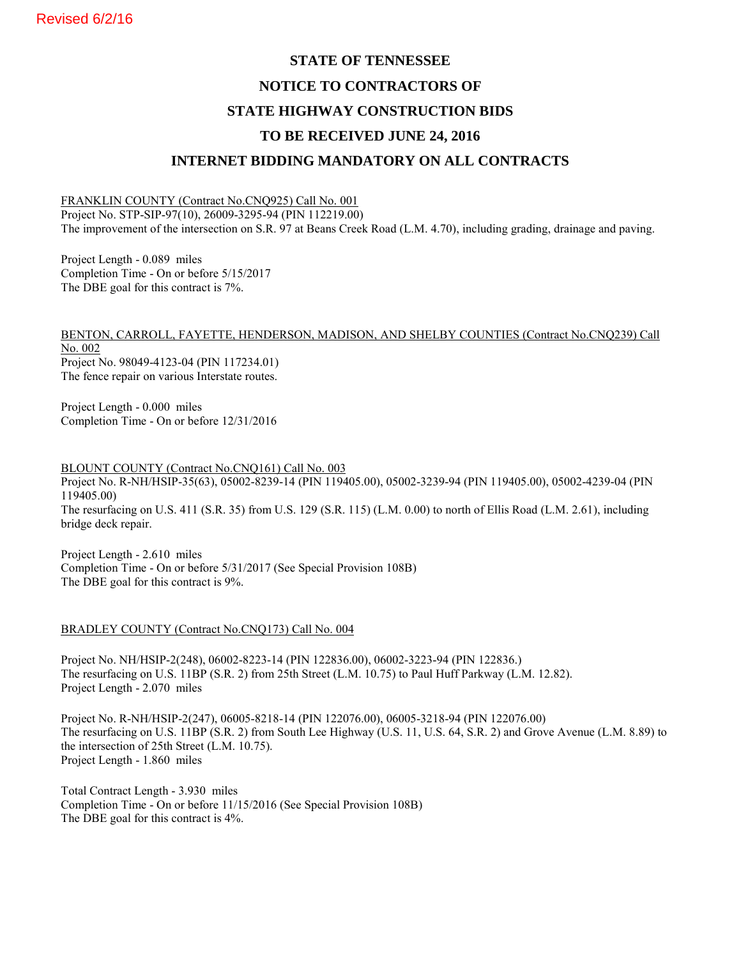# **STATE OF TENNESSEE NOTICE TO CONTRACTORS OF STATE HIGHWAY CONSTRUCTION BIDS TO BE RECEIVED JUNE 24, 2016 INTERNET BIDDING MANDATORY ON ALL CONTRACTS**

### FRANKLIN COUNTY (Contract No.CNQ925) Call No. 001

Project No. STP-SIP-97(10), 26009-3295-94 (PIN 112219.00) The improvement of the intersection on S.R. 97 at Beans Creek Road (L.M. 4.70), including grading, drainage and paving.

Project Length - 0.089 miles Completion Time - On or before 5/15/2017 The DBE goal for this contract is 7%.

BENTON, CARROLL, FAYETTE, HENDERSON, MADISON, AND SHELBY COUNTIES (Contract No.CNQ239) Call No. 002 Project No. 98049-4123-04 (PIN 117234.01) The fence repair on various Interstate routes.

Project Length - 0.000 miles Completion Time - On or before 12/31/2016

BLOUNT COUNTY (Contract No.CNQ161) Call No. 003 Project No. R-NH/HSIP-35(63), 05002-8239-14 (PIN 119405.00), 05002-3239-94 (PIN 119405.00), 05002-4239-04 (PIN 119405.00) The resurfacing on U.S. 411 (S.R. 35) from U.S. 129 (S.R. 115) (L.M. 0.00) to north of Ellis Road (L.M. 2.61), including bridge deck repair.

Project Length - 2.610 miles Completion Time - On or before 5/31/2017 (See Special Provision 108B) The DBE goal for this contract is 9%.

#### BRADLEY COUNTY (Contract No.CNQ173) Call No. 004

Project No. NH/HSIP-2(248), 06002-8223-14 (PIN 122836.00), 06002-3223-94 (PIN 122836.) The resurfacing on U.S. 11BP (S.R. 2) from 25th Street (L.M. 10.75) to Paul Huff Parkway (L.M. 12.82). Project Length - 2.070 miles

Project No. R-NH/HSIP-2(247), 06005-8218-14 (PIN 122076.00), 06005-3218-94 (PIN 122076.00) The resurfacing on U.S. 11BP (S.R. 2) from South Lee Highway (U.S. 11, U.S. 64, S.R. 2) and Grove Avenue (L.M. 8.89) to the intersection of 25th Street (L.M. 10.75). Project Length - 1.860 miles

Total Contract Length - 3.930 miles Completion Time - On or before 11/15/2016 (See Special Provision 108B) The DBE goal for this contract is 4%.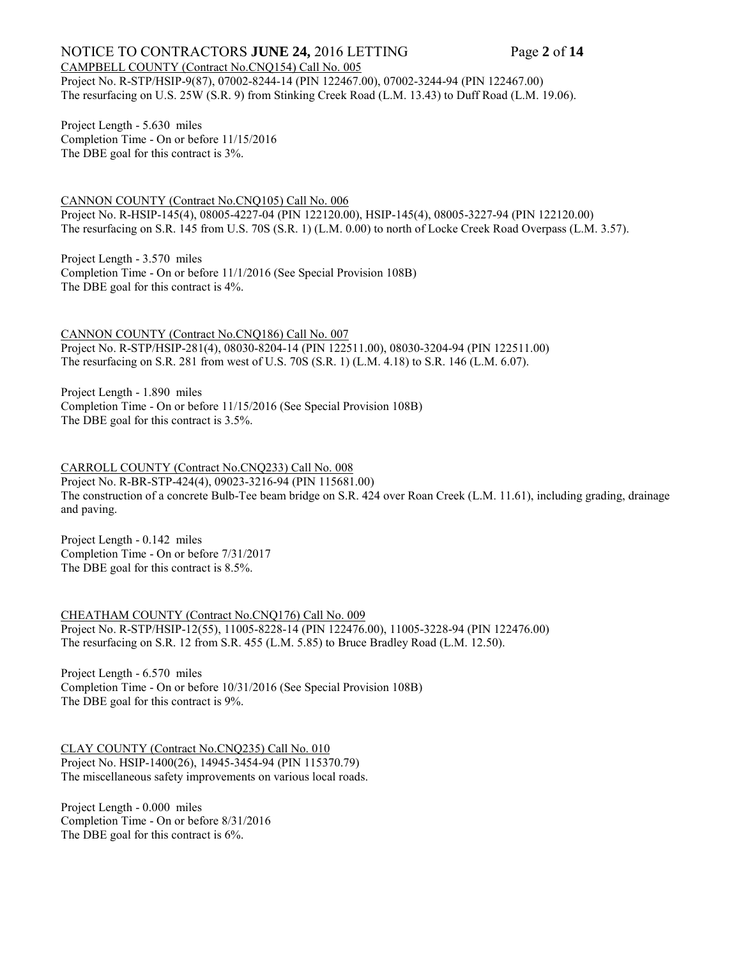#### NOTICE TO CONTRACTORS **JUNE 24,** 2016 LETTING Page 2 of 14 CAMPBELL COUNTY (Contract No.CNQ154) Call No. 005

Project No. R-STP/HSIP-9(87), 07002-8244-14 (PIN 122467.00), 07002-3244-94 (PIN 122467.00) The resurfacing on U.S. 25W (S.R. 9) from Stinking Creek Road (L.M. 13.43) to Duff Road (L.M. 19.06).

Project Length - 5.630 miles Completion Time - On or before 11/15/2016 The DBE goal for this contract is 3%.

CANNON COUNTY (Contract No.CNQ105) Call No. 006 Project No. R-HSIP-145(4), 08005-4227-04 (PIN 122120.00), HSIP-145(4), 08005-3227-94 (PIN 122120.00) The resurfacing on S.R. 145 from U.S. 70S (S.R. 1) (L.M. 0.00) to north of Locke Creek Road Overpass (L.M. 3.57).

Project Length - 3.570 miles Completion Time - On or before 11/1/2016 (See Special Provision 108B) The DBE goal for this contract is 4%.

CANNON COUNTY (Contract No.CNQ186) Call No. 007 Project No. R-STP/HSIP-281(4), 08030-8204-14 (PIN 122511.00), 08030-3204-94 (PIN 122511.00) The resurfacing on S.R. 281 from west of U.S. 70S (S.R. 1) (L.M. 4.18) to S.R. 146 (L.M. 6.07).

Project Length - 1.890 miles Completion Time - On or before 11/15/2016 (See Special Provision 108B) The DBE goal for this contract is 3.5%.

CARROLL COUNTY (Contract No.CNQ233) Call No. 008 Project No. R-BR-STP-424(4), 09023-3216-94 (PIN 115681.00) The construction of a concrete Bulb-Tee beam bridge on S.R. 424 over Roan Creek (L.M. 11.61), including grading, drainage and paving.

Project Length - 0.142 miles Completion Time - On or before 7/31/2017 The DBE goal for this contract is 8.5%.

CHEATHAM COUNTY (Contract No.CNQ176) Call No. 009 Project No. R-STP/HSIP-12(55), 11005-8228-14 (PIN 122476.00), 11005-3228-94 (PIN 122476.00) The resurfacing on S.R. 12 from S.R. 455 (L.M. 5.85) to Bruce Bradley Road (L.M. 12.50).

Project Length - 6.570 miles Completion Time - On or before 10/31/2016 (See Special Provision 108B) The DBE goal for this contract is 9%.

CLAY COUNTY (Contract No.CNQ235) Call No. 010 Project No. HSIP-1400(26), 14945-3454-94 (PIN 115370.79) The miscellaneous safety improvements on various local roads.

Project Length - 0.000 miles Completion Time - On or before 8/31/2016 The DBE goal for this contract is 6%.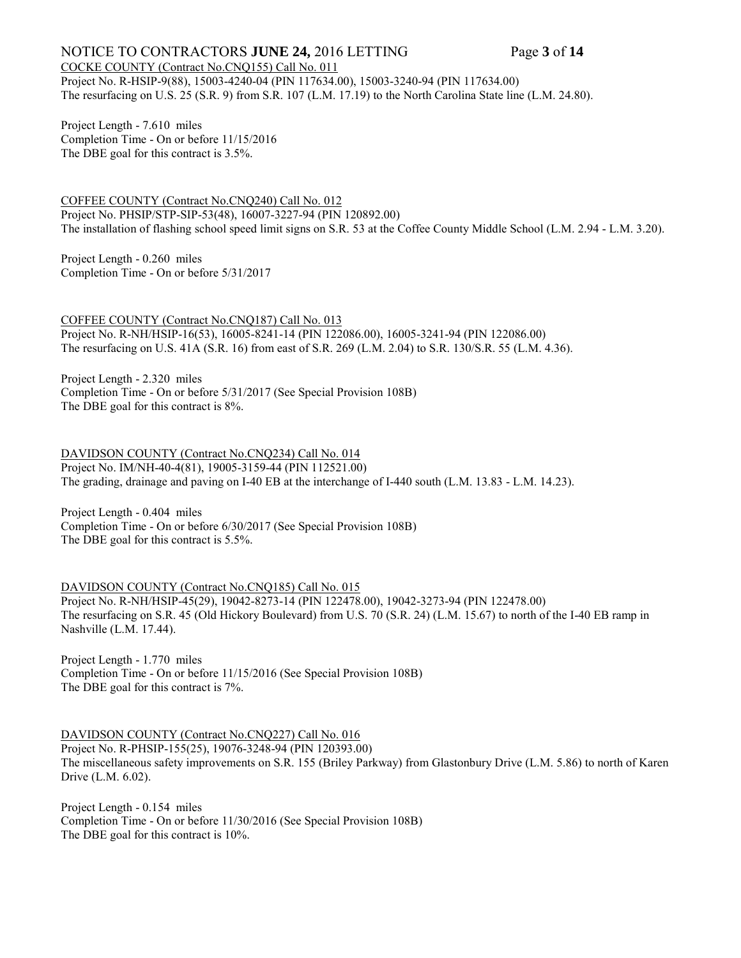## NOTICE TO CONTRACTORS **JUNE 24,** 2016 LETTING Page **3** of **14**

COCKE COUNTY (Contract No.CNQ155) Call No. 011 Project No. R-HSIP-9(88), 15003-4240-04 (PIN 117634.00), 15003-3240-94 (PIN 117634.00) The resurfacing on U.S. 25 (S.R. 9) from S.R. 107 (L.M. 17.19) to the North Carolina State line (L.M. 24.80).

Project Length - 7.610 miles Completion Time - On or before 11/15/2016 The DBE goal for this contract is 3.5%.

COFFEE COUNTY (Contract No.CNQ240) Call No. 012 Project No. PHSIP/STP-SIP-53(48), 16007-3227-94 (PIN 120892.00) The installation of flashing school speed limit signs on S.R. 53 at the Coffee County Middle School (L.M. 2.94 - L.M. 3.20).

Project Length - 0.260 miles Completion Time - On or before 5/31/2017

COFFEE COUNTY (Contract No.CNQ187) Call No. 013 Project No. R-NH/HSIP-16(53), 16005-8241-14 (PIN 122086.00), 16005-3241-94 (PIN 122086.00) The resurfacing on U.S. 41A (S.R. 16) from east of S.R. 269 (L.M. 2.04) to S.R. 130/S.R. 55 (L.M. 4.36).

Project Length - 2.320 miles Completion Time - On or before 5/31/2017 (See Special Provision 108B) The DBE goal for this contract is 8%.

DAVIDSON COUNTY (Contract No.CNQ234) Call No. 014 Project No. IM/NH-40-4(81), 19005-3159-44 (PIN 112521.00) The grading, drainage and paving on I-40 EB at the interchange of I-440 south (L.M. 13.83 - L.M. 14.23).

Project Length - 0.404 miles Completion Time - On or before 6/30/2017 (See Special Provision 108B) The DBE goal for this contract is 5.5%.

DAVIDSON COUNTY (Contract No.CNO185) Call No. 015 Project No. R-NH/HSIP-45(29), 19042-8273-14 (PIN 122478.00), 19042-3273-94 (PIN 122478.00) The resurfacing on S.R. 45 (Old Hickory Boulevard) from U.S. 70 (S.R. 24) (L.M. 15.67) to north of the I-40 EB ramp in Nashville (L.M. 17.44).

Project Length - 1.770 miles Completion Time - On or before 11/15/2016 (See Special Provision 108B) The DBE goal for this contract is 7%.

DAVIDSON COUNTY (Contract No.CNQ227) Call No. 016 Project No. R-PHSIP-155(25), 19076-3248-94 (PIN 120393.00) The miscellaneous safety improvements on S.R. 155 (Briley Parkway) from Glastonbury Drive (L.M. 5.86) to north of Karen Drive (L.M. 6.02).

Project Length - 0.154 miles Completion Time - On or before 11/30/2016 (See Special Provision 108B) The DBE goal for this contract is 10%.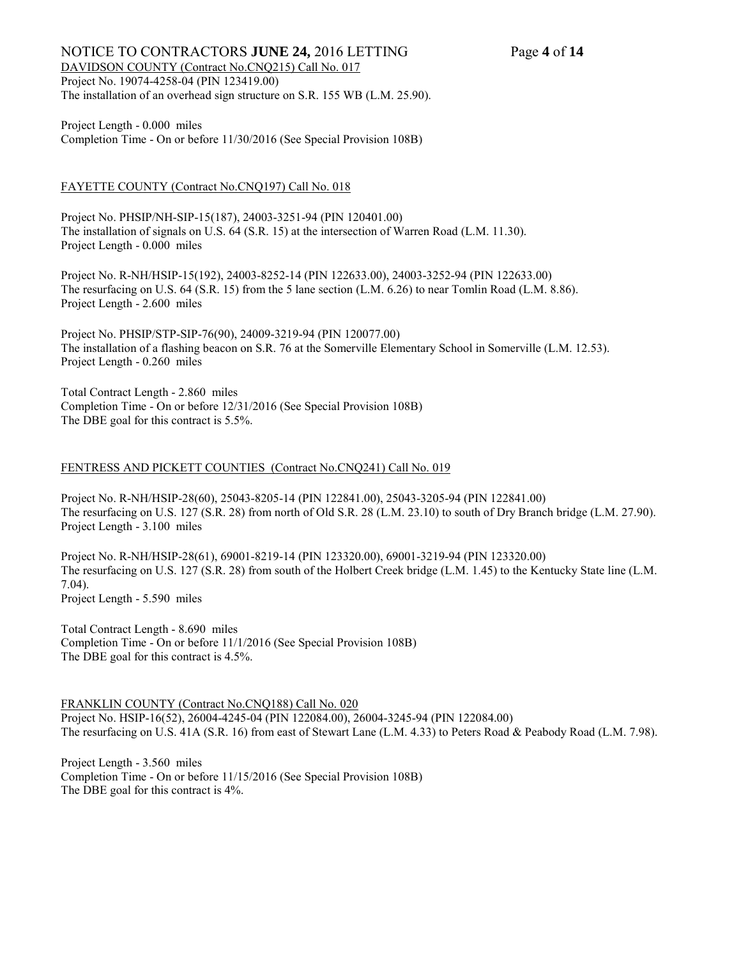### NOTICE TO CONTRACTORS **JUNE 24,** 2016 LETTING Page 4 of 14 DAVIDSON COUNTY (Contract No.CNQ215) Call No. 017 Project No. 19074-4258-04 (PIN 123419.00) The installation of an overhead sign structure on S.R. 155 WB (L.M. 25.90).

#### Project Length - 0.000 miles Completion Time - On or before 11/30/2016 (See Special Provision 108B)

### FAYETTE COUNTY (Contract No.CNQ197) Call No. 018

Project No. PHSIP/NH-SIP-15(187), 24003-3251-94 (PIN 120401.00) The installation of signals on U.S. 64 (S.R. 15) at the intersection of Warren Road (L.M. 11.30). Project Length - 0.000 miles

Project No. R-NH/HSIP-15(192), 24003-8252-14 (PIN 122633.00), 24003-3252-94 (PIN 122633.00) The resurfacing on U.S. 64 (S.R. 15) from the 5 lane section (L.M. 6.26) to near Tomlin Road (L.M. 8.86). Project Length - 2.600 miles

Project No. PHSIP/STP-SIP-76(90), 24009-3219-94 (PIN 120077.00) The installation of a flashing beacon on S.R. 76 at the Somerville Elementary School in Somerville (L.M. 12.53). Project Length - 0.260 miles

Total Contract Length - 2.860 miles Completion Time - On or before 12/31/2016 (See Special Provision 108B) The DBE goal for this contract is 5.5%.

#### FENTRESS AND PICKETT COUNTIES (Contract No.CNQ241) Call No. 019

Project No. R-NH/HSIP-28(60), 25043-8205-14 (PIN 122841.00), 25043-3205-94 (PIN 122841.00) The resurfacing on U.S. 127 (S.R. 28) from north of Old S.R. 28 (L.M. 23.10) to south of Dry Branch bridge (L.M. 27.90). Project Length - 3.100 miles

Project No. R-NH/HSIP-28(61), 69001-8219-14 (PIN 123320.00), 69001-3219-94 (PIN 123320.00) The resurfacing on U.S. 127 (S.R. 28) from south of the Holbert Creek bridge (L.M. 1.45) to the Kentucky State line (L.M. 7.04). Project Length - 5.590 miles

Total Contract Length - 8.690 miles Completion Time - On or before 11/1/2016 (See Special Provision 108B) The DBE goal for this contract is 4.5%.

FRANKLIN COUNTY (Contract No.CNQ188) Call No. 020 Project No. HSIP-16(52), 26004-4245-04 (PIN 122084.00), 26004-3245-94 (PIN 122084.00) The resurfacing on U.S. 41A (S.R. 16) from east of Stewart Lane (L.M. 4.33) to Peters Road & Peabody Road (L.M. 7.98).

Project Length - 3.560 miles Completion Time - On or before 11/15/2016 (See Special Provision 108B) The DBE goal for this contract is 4%.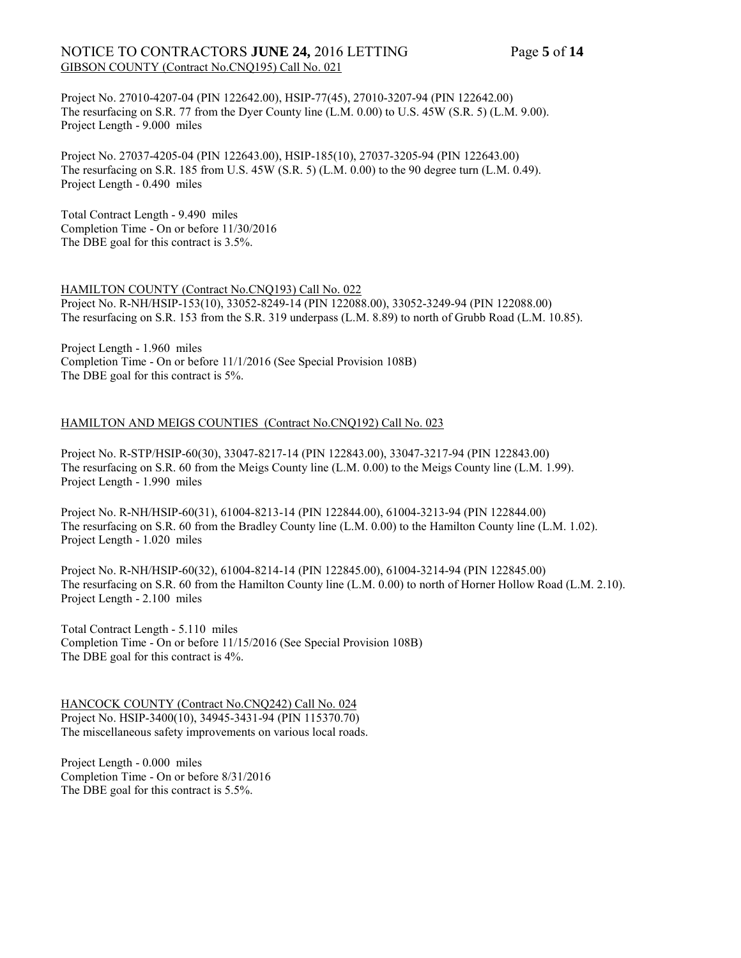## NOTICE TO CONTRACTORS **JUNE 24,** 2016 LETTING Page 5 of 14 GIBSON COUNTY (Contract No.CNQ195) Call No. 021

Project No. 27010-4207-04 (PIN 122642.00), HSIP-77(45), 27010-3207-94 (PIN 122642.00) The resurfacing on S.R. 77 from the Dyer County line (L.M. 0.00) to U.S. 45W (S.R. 5) (L.M. 9.00). Project Length - 9.000 miles

Project No. 27037-4205-04 (PIN 122643.00), HSIP-185(10), 27037-3205-94 (PIN 122643.00) The resurfacing on S.R. 185 from U.S. 45W (S.R. 5) (L.M. 0.00) to the 90 degree turn (L.M. 0.49). Project Length - 0.490 miles

Total Contract Length - 9.490 miles Completion Time - On or before 11/30/2016 The DBE goal for this contract is 3.5%.

#### HAMILTON COUNTY (Contract No.CNQ193) Call No. 022

Project No. R-NH/HSIP-153(10), 33052-8249-14 (PIN 122088.00), 33052-3249-94 (PIN 122088.00) The resurfacing on S.R. 153 from the S.R. 319 underpass (L.M. 8.89) to north of Grubb Road (L.M. 10.85).

Project Length - 1.960 miles Completion Time - On or before 11/1/2016 (See Special Provision 108B) The DBE goal for this contract is 5%.

#### HAMILTON AND MEIGS COUNTIES (Contract No.CNQ192) Call No. 023

Project No. R-STP/HSIP-60(30), 33047-8217-14 (PIN 122843.00), 33047-3217-94 (PIN 122843.00) The resurfacing on S.R. 60 from the Meigs County line (L.M. 0.00) to the Meigs County line (L.M. 1.99). Project Length - 1.990 miles

Project No. R-NH/HSIP-60(31), 61004-8213-14 (PIN 122844.00), 61004-3213-94 (PIN 122844.00) The resurfacing on S.R. 60 from the Bradley County line (L.M. 0.00) to the Hamilton County line (L.M. 1.02). Project Length - 1.020 miles

Project No. R-NH/HSIP-60(32), 61004-8214-14 (PIN 122845.00), 61004-3214-94 (PIN 122845.00) The resurfacing on S.R. 60 from the Hamilton County line (L.M. 0.00) to north of Horner Hollow Road (L.M. 2.10). Project Length - 2.100 miles

Total Contract Length - 5.110 miles Completion Time - On or before 11/15/2016 (See Special Provision 108B) The DBE goal for this contract is 4%.

HANCOCK COUNTY (Contract No.CNQ242) Call No. 024 Project No. HSIP-3400(10), 34945-3431-94 (PIN 115370.70) The miscellaneous safety improvements on various local roads.

Project Length - 0.000 miles Completion Time - On or before 8/31/2016 The DBE goal for this contract is 5.5%.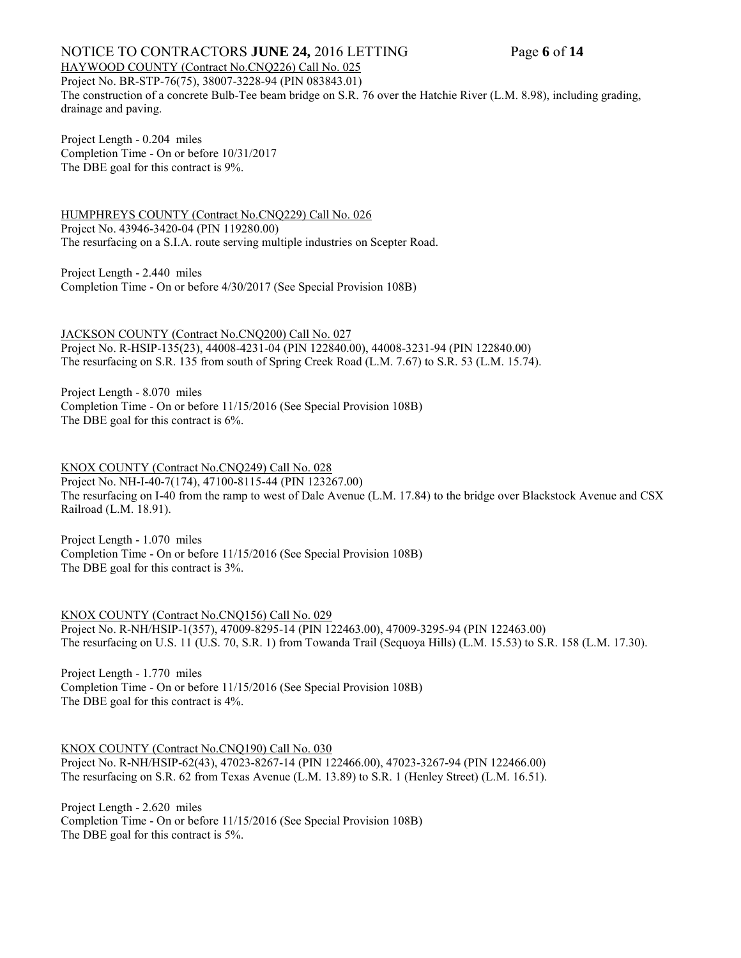## NOTICE TO CONTRACTORS **JUNE 24,** 2016 LETTING Page 6 of 14

HAYWOOD COUNTY (Contract No.CNQ226) Call No. 025

Project No. BR-STP-76(75), 38007-3228-94 (PIN 083843.01) The construction of a concrete Bulb-Tee beam bridge on S.R. 76 over the Hatchie River (L.M. 8.98), including grading, drainage and paving.

Project Length - 0.204 miles Completion Time - On or before 10/31/2017 The DBE goal for this contract is 9%.

HUMPHREYS COUNTY (Contract No.CNQ229) Call No. 026 Project No. 43946-3420-04 (PIN 119280.00) The resurfacing on a S.I.A. route serving multiple industries on Scepter Road.

Project Length - 2.440 miles Completion Time - On or before 4/30/2017 (See Special Provision 108B)

JACKSON COUNTY (Contract No.CNQ200) Call No. 027 Project No. R-HSIP-135(23), 44008-4231-04 (PIN 122840.00), 44008-3231-94 (PIN 122840.00) The resurfacing on S.R. 135 from south of Spring Creek Road (L.M. 7.67) to S.R. 53 (L.M. 15.74).

Project Length - 8.070 miles Completion Time - On or before 11/15/2016 (See Special Provision 108B) The DBE goal for this contract is 6%.

KNOX COUNTY (Contract No.CNQ249) Call No. 028 Project No. NH-I-40-7(174), 47100-8115-44 (PIN 123267.00) The resurfacing on I-40 from the ramp to west of Dale Avenue (L.M. 17.84) to the bridge over Blackstock Avenue and CSX Railroad (L.M. 18.91).

Project Length - 1.070 miles Completion Time - On or before 11/15/2016 (See Special Provision 108B) The DBE goal for this contract is 3%.

KNOX COUNTY (Contract No.CNQ156) Call No. 029 Project No. R-NH/HSIP-1(357), 47009-8295-14 (PIN 122463.00), 47009-3295-94 (PIN 122463.00) The resurfacing on U.S. 11 (U.S. 70, S.R. 1) from Towanda Trail (Sequoya Hills) (L.M. 15.53) to S.R. 158 (L.M. 17.30).

Project Length - 1.770 miles Completion Time - On or before 11/15/2016 (See Special Provision 108B) The DBE goal for this contract is 4%.

KNOX COUNTY (Contract No.CNQ190) Call No. 030 Project No. R-NH/HSIP-62(43), 47023-8267-14 (PIN 122466.00), 47023-3267-94 (PIN 122466.00) The resurfacing on S.R. 62 from Texas Avenue (L.M. 13.89) to S.R. 1 (Henley Street) (L.M. 16.51).

Project Length - 2.620 miles Completion Time - On or before 11/15/2016 (See Special Provision 108B) The DBE goal for this contract is 5%.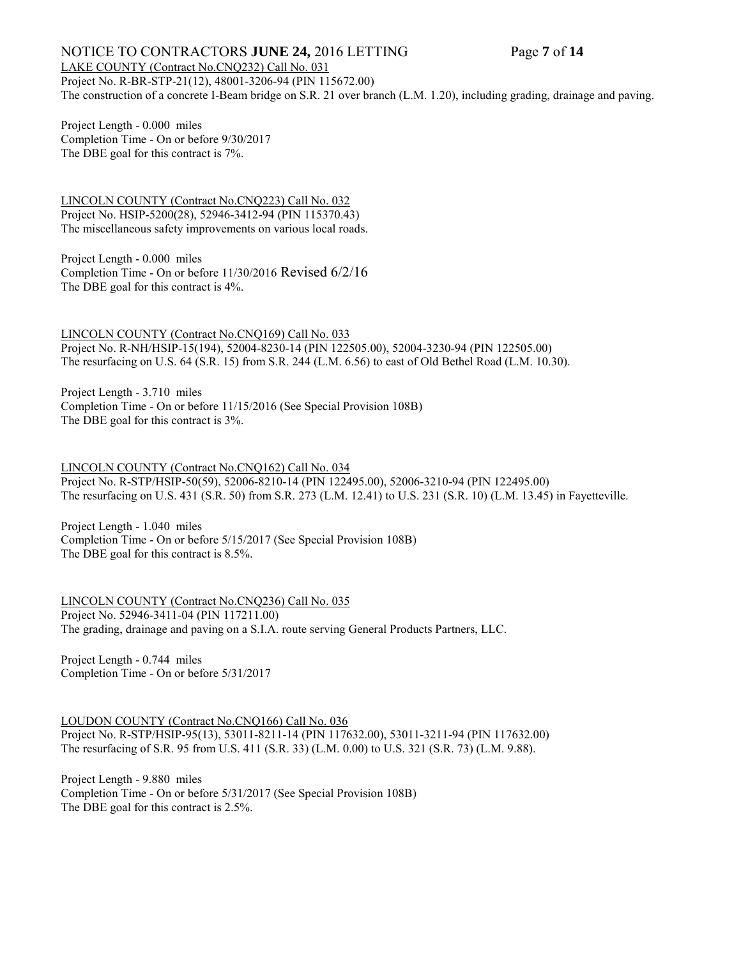## NOTICE TO CONTRACTORS **JUNE 24,** 2016 LETTING Page **7** of **14**

#### LAKE COUNTY (Contract No.CNQ232) Call No. 031

Project No. R-BR-STP-21(12), 48001-3206-94 (PIN 115672.00) The construction of a concrete I-Beam bridge on S.R. 21 over branch (L.M. 1.20), including grading, drainage and paving.

Project Length - 0.000 miles Completion Time - On or before 9/30/2017 The DBE goal for this contract is 7%.

LINCOLN COUNTY (Contract No.CNQ223) Call No. 032 Project No. HSIP-5200(28), 52946-3412-94 (PIN 115370.43) The miscellaneous safety improvements on various local roads.

Project Length - 0.000 miles Completion Time - On or before 11/30/2016 Revised 6/2/16 The DBE goal for this contract is 4%.

LINCOLN COUNTY (Contract No.CNQ169) Call No. 033 Project No. R-NH/HSIP-15(194), 52004-8230-14 (PIN 122505.00), 52004-3230-94 (PIN 122505.00) The resurfacing on U.S. 64 (S.R. 15) from S.R. 244 (L.M. 6.56) to east of Old Bethel Road (L.M. 10.30).

Project Length - 3.710 miles Completion Time - On or before 11/15/2016 (See Special Provision 108B) The DBE goal for this contract is 3%.

LINCOLN COUNTY (Contract No.CNQ162) Call No. 034 Project No. R-STP/HSIP-50(59), 52006-8210-14 (PIN 122495.00), 52006-3210-94 (PIN 122495.00) The resurfacing on U.S. 431 (S.R. 50) from S.R. 273 (L.M. 12.41) to U.S. 231 (S.R. 10) (L.M. 13.45) in Fayetteville.

Project Length - 1.040 miles Completion Time - On or before 5/15/2017 (See Special Provision 108B) The DBE goal for this contract is 8.5%.

LINCOLN COUNTY (Contract No.CNQ236) Call No. 035 Project No. 52946-3411-04 (PIN 117211.00) The grading, drainage and paving on a S.I.A. route serving General Products Partners, LLC.

Project Length - 0.744 miles Completion Time - On or before 5/31/2017

LOUDON COUNTY (Contract No.CNQ166) Call No. 036

Project No. R-STP/HSIP-95(13), 53011-8211-14 (PIN 117632.00), 53011-3211-94 (PIN 117632.00) The resurfacing of S.R. 95 from U.S. 411 (S.R. 33) (L.M. 0.00) to U.S. 321 (S.R. 73) (L.M. 9.88).

Project Length - 9.880 miles Completion Time - On or before 5/31/2017 (See Special Provision 108B) The DBE goal for this contract is 2.5%.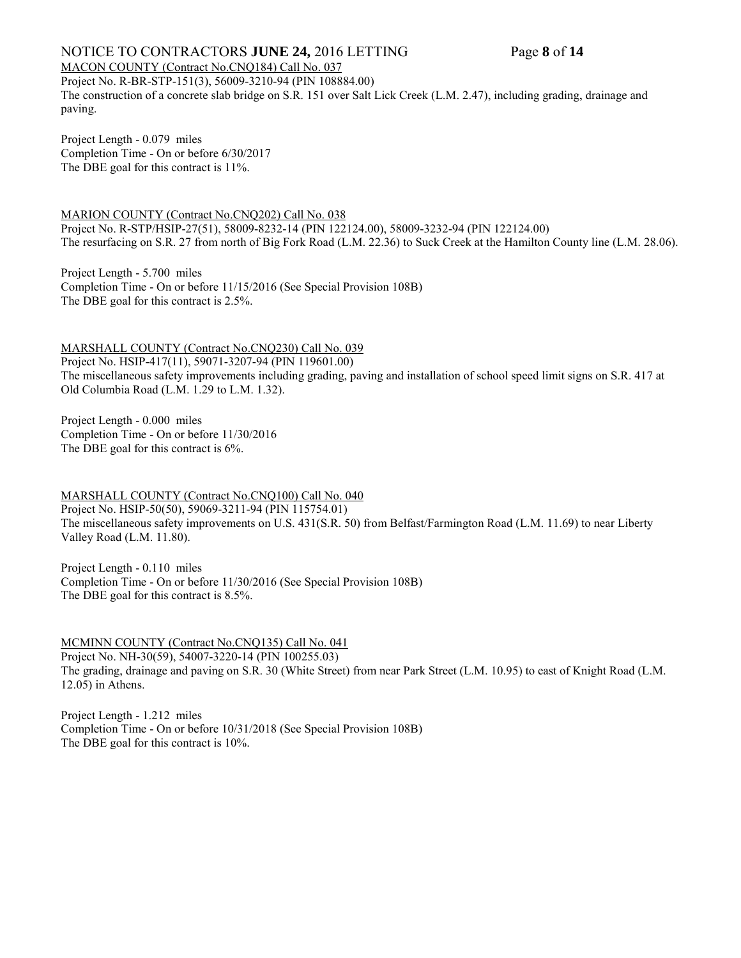## NOTICE TO CONTRACTORS **JUNE 24,** 2016 LETTING Page 8 of 14

#### MACON COUNTY (Contract No.CNQ184) Call No. 037

Project No. R-BR-STP-151(3), 56009-3210-94 (PIN 108884.00) The construction of a concrete slab bridge on S.R. 151 over Salt Lick Creek (L.M. 2.47), including grading, drainage and paving.

Project Length - 0.079 miles Completion Time - On or before 6/30/2017 The DBE goal for this contract is 11%.

MARION COUNTY (Contract No.CNQ202) Call No. 038 Project No. R-STP/HSIP-27(51), 58009-8232-14 (PIN 122124.00), 58009-3232-94 (PIN 122124.00) The resurfacing on S.R. 27 from north of Big Fork Road (L.M. 22.36) to Suck Creek at the Hamilton County line (L.M. 28.06).

Project Length - 5.700 miles Completion Time - On or before 11/15/2016 (See Special Provision 108B) The DBE goal for this contract is 2.5%.

MARSHALL COUNTY (Contract No.CNQ230) Call No. 039 Project No. HSIP-417(11), 59071-3207-94 (PIN 119601.00) The miscellaneous safety improvements including grading, paving and installation of school speed limit signs on S.R. 417 at Old Columbia Road (L.M. 1.29 to L.M. 1.32).

Project Length - 0.000 miles Completion Time - On or before 11/30/2016 The DBE goal for this contract is 6%.

MARSHALL COUNTY (Contract No.CNQ100) Call No. 040 Project No. HSIP-50(50), 59069-3211-94 (PIN 115754.01) The miscellaneous safety improvements on U.S. 431(S.R. 50) from Belfast/Farmington Road (L.M. 11.69) to near Liberty Valley Road (L.M. 11.80).

Project Length - 0.110 miles Completion Time - On or before 11/30/2016 (See Special Provision 108B) The DBE goal for this contract is 8.5%.

MCMINN COUNTY (Contract No.CNQ135) Call No. 041 Project No. NH-30(59), 54007-3220-14 (PIN 100255.03) The grading, drainage and paving on S.R. 30 (White Street) from near Park Street (L.M. 10.95) to east of Knight Road (L.M. 12.05) in Athens.

Project Length - 1.212 miles Completion Time - On or before 10/31/2018 (See Special Provision 108B) The DBE goal for this contract is 10%.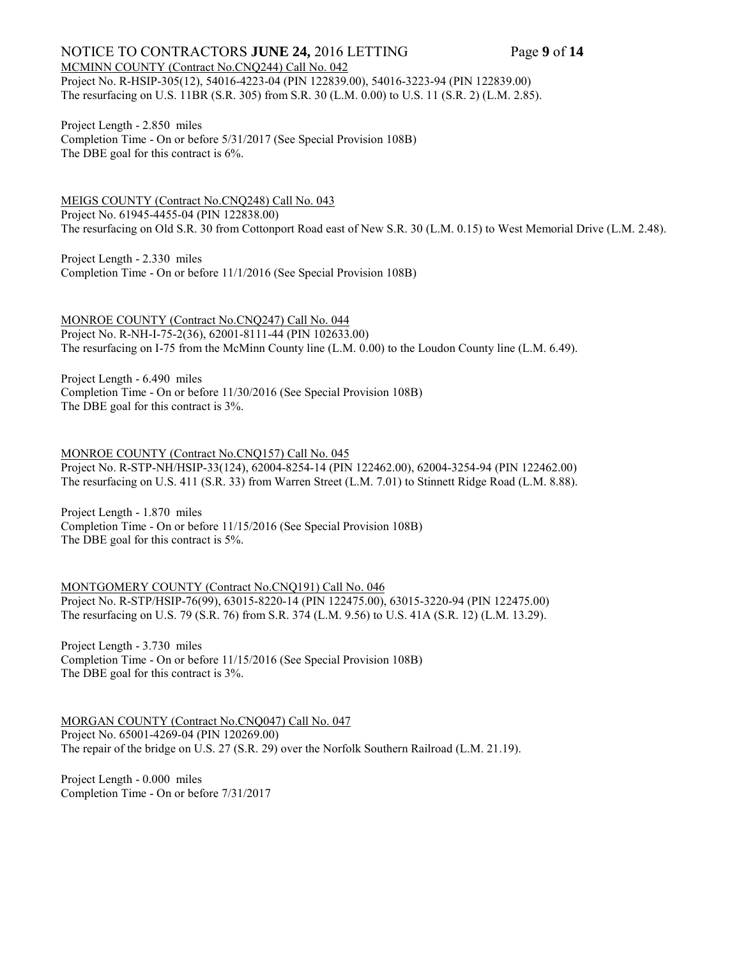#### NOTICE TO CONTRACTORS **JUNE 24,** 2016 LETTING Page 9 of 14 MCMINN COUNTY (Contract No.CNQ244) Call No. 042

Project No. R-HSIP-305(12), 54016-4223-04 (PIN 122839.00), 54016-3223-94 (PIN 122839.00) The resurfacing on U.S. 11BR (S.R. 305) from S.R. 30 (L.M. 0.00) to U.S. 11 (S.R. 2) (L.M. 2.85).

Project Length - 2.850 miles Completion Time - On or before 5/31/2017 (See Special Provision 108B) The DBE goal for this contract is 6%.

MEIGS COUNTY (Contract No.CNQ248) Call No. 043 Project No. 61945-4455-04 (PIN 122838.00) The resurfacing on Old S.R. 30 from Cottonport Road east of New S.R. 30 (L.M. 0.15) to West Memorial Drive (L.M. 2.48).

Project Length - 2.330 miles Completion Time - On or before 11/1/2016 (See Special Provision 108B)

MONROE COUNTY (Contract No.CNQ247) Call No. 044 Project No. R-NH-I-75-2(36), 62001-8111-44 (PIN 102633.00) The resurfacing on I-75 from the McMinn County line (L.M. 0.00) to the Loudon County line (L.M. 6.49).

Project Length - 6.490 miles Completion Time - On or before 11/30/2016 (See Special Provision 108B) The DBE goal for this contract is 3%.

MONROE COUNTY (Contract No.CNQ157) Call No. 045

Project No. R-STP-NH/HSIP-33(124), 62004-8254-14 (PIN 122462.00), 62004-3254-94 (PIN 122462.00) The resurfacing on U.S. 411 (S.R. 33) from Warren Street (L.M. 7.01) to Stinnett Ridge Road (L.M. 8.88).

Project Length - 1.870 miles Completion Time - On or before 11/15/2016 (See Special Provision 108B) The DBE goal for this contract is 5%.

MONTGOMERY COUNTY (Contract No.CNQ191) Call No. 046 Project No. R-STP/HSIP-76(99), 63015-8220-14 (PIN 122475.00), 63015-3220-94 (PIN 122475.00) The resurfacing on U.S. 79 (S.R. 76) from S.R. 374 (L.M. 9.56) to U.S. 41A (S.R. 12) (L.M. 13.29).

Project Length - 3.730 miles Completion Time - On or before 11/15/2016 (See Special Provision 108B) The DBE goal for this contract is 3%.

MORGAN COUNTY (Contract No.CNQ047) Call No. 047 Project No. 65001-4269-04 (PIN 120269.00) The repair of the bridge on U.S. 27 (S.R. 29) over the Norfolk Southern Railroad (L.M. 21.19).

Project Length - 0.000 miles Completion Time - On or before 7/31/2017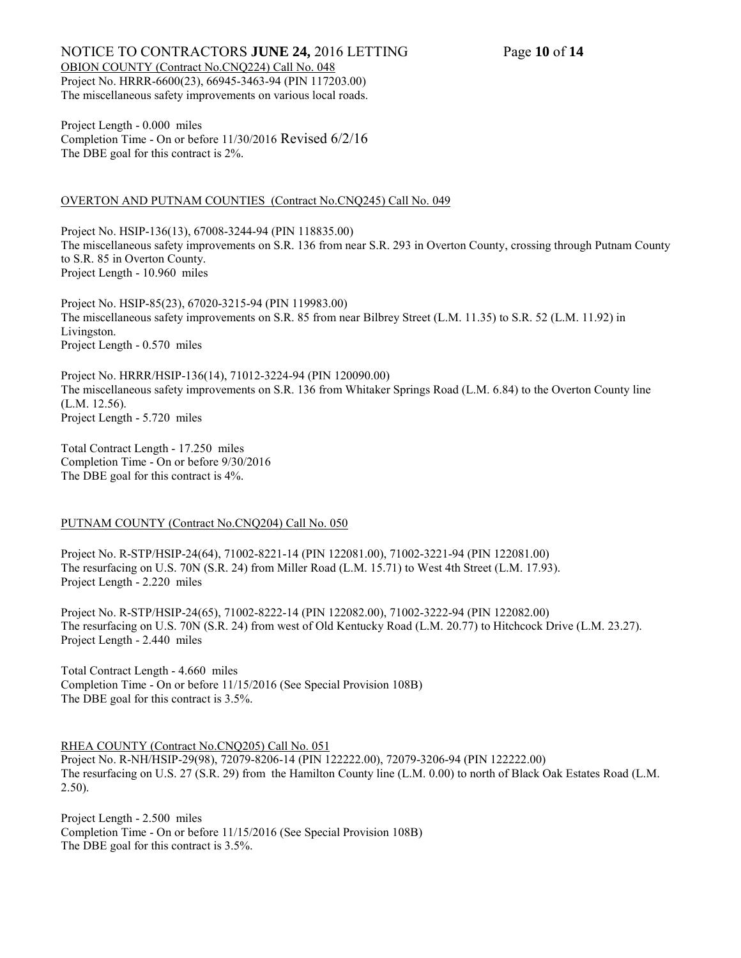#### NOTICE TO CONTRACTORS **JUNE 24,** 2016 LETTING Page **10** of **14** OBION COUNTY (Contract No.CNQ224) Call No. 048 Project No. HRRR-6600(23), 66945-3463-94 (PIN 117203.00) The miscellaneous safety improvements on various local roads.

Project Length - 0.000 miles Completion Time - On or before 11/30/2016 Revised 6/2/16 The DBE goal for this contract is 2%.

#### OVERTON AND PUTNAM COUNTIES (Contract No.CNQ245) Call No. 049

Project No. HSIP-136(13), 67008-3244-94 (PIN 118835.00) The miscellaneous safety improvements on S.R. 136 from near S.R. 293 in Overton County, crossing through Putnam County to S.R. 85 in Overton County. Project Length - 10.960 miles

Project No. HSIP-85(23), 67020-3215-94 (PIN 119983.00) The miscellaneous safety improvements on S.R. 85 from near Bilbrey Street (L.M. 11.35) to S.R. 52 (L.M. 11.92) in Livingston. Project Length - 0.570 miles

Project No. HRRR/HSIP-136(14), 71012-3224-94 (PIN 120090.00) The miscellaneous safety improvements on S.R. 136 from Whitaker Springs Road (L.M. 6.84) to the Overton County line (L.M. 12.56). Project Length - 5.720 miles

Total Contract Length - 17.250 miles Completion Time - On or before 9/30/2016 The DBE goal for this contract is 4%.

## PUTNAM COUNTY (Contract No.CNQ204) Call No. 050

Project No. R-STP/HSIP-24(64), 71002-8221-14 (PIN 122081.00), 71002-3221-94 (PIN 122081.00) The resurfacing on U.S. 70N (S.R. 24) from Miller Road (L.M. 15.71) to West 4th Street (L.M. 17.93). Project Length - 2.220 miles

Project No. R-STP/HSIP-24(65), 71002-8222-14 (PIN 122082.00), 71002-3222-94 (PIN 122082.00) The resurfacing on U.S. 70N (S.R. 24) from west of Old Kentucky Road (L.M. 20.77) to Hitchcock Drive (L.M. 23.27). Project Length - 2.440 miles

Total Contract Length - 4.660 miles Completion Time - On or before 11/15/2016 (See Special Provision 108B) The DBE goal for this contract is 3.5%.

RHEA COUNTY (Contract No.CNQ205) Call No. 051

Project No. R-NH/HSIP-29(98), 72079-8206-14 (PIN 122222.00), 72079-3206-94 (PIN 122222.00) The resurfacing on U.S. 27 (S.R. 29) from the Hamilton County line (L.M. 0.00) to north of Black Oak Estates Road (L.M. 2.50).

Project Length - 2.500 miles Completion Time - On or before 11/15/2016 (See Special Provision 108B) The DBE goal for this contract is 3.5%.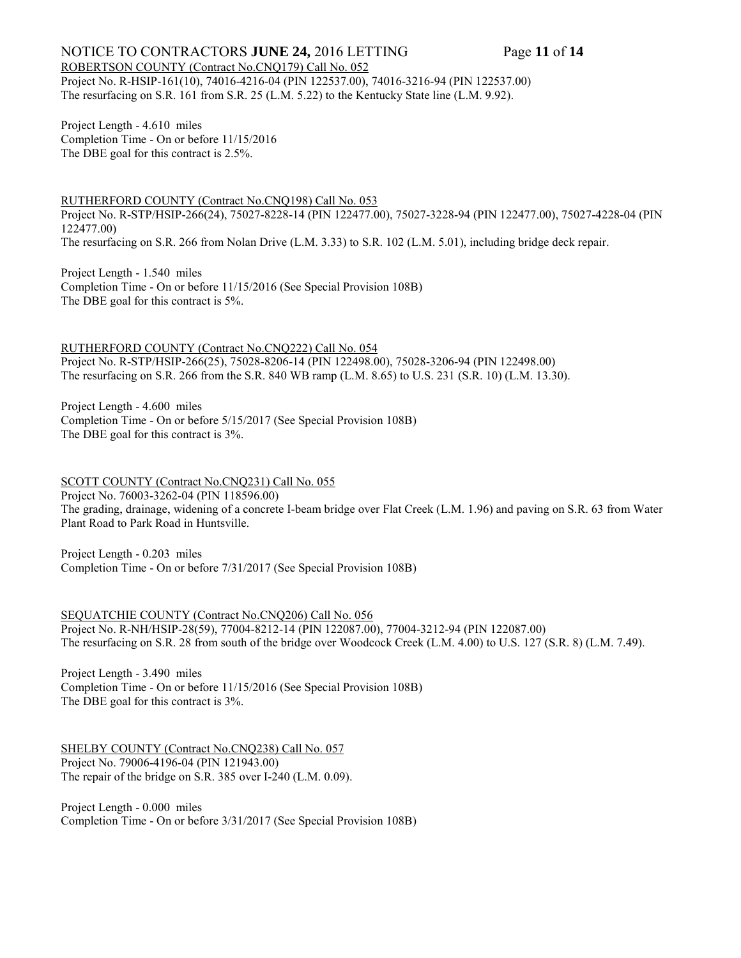## NOTICE TO CONTRACTORS **JUNE 24,** 2016 LETTING Page **11** of **14**

ROBERTSON COUNTY (Contract No.CNQ179) Call No. 052 Project No. R-HSIP-161(10), 74016-4216-04 (PIN 122537.00), 74016-3216-94 (PIN 122537.00) The resurfacing on S.R. 161 from S.R. 25 (L.M. 5.22) to the Kentucky State line (L.M. 9.92).

Project Length - 4.610 miles Completion Time - On or before 11/15/2016 The DBE goal for this contract is 2.5%.

RUTHERFORD COUNTY (Contract No.CNQ198) Call No. 053

Project No. R-STP/HSIP-266(24), 75027-8228-14 (PIN 122477.00), 75027-3228-94 (PIN 122477.00), 75027-4228-04 (PIN 122477.00) The resurfacing on S.R. 266 from Nolan Drive (L.M. 3.33) to S.R. 102 (L.M. 5.01), including bridge deck repair.

Project Length - 1.540 miles Completion Time - On or before 11/15/2016 (See Special Provision 108B) The DBE goal for this contract is 5%.

RUTHERFORD COUNTY (Contract No.CNQ222) Call No. 054 Project No. R-STP/HSIP-266(25), 75028-8206-14 (PIN 122498.00), 75028-3206-94 (PIN 122498.00) The resurfacing on S.R. 266 from the S.R. 840 WB ramp (L.M. 8.65) to U.S. 231 (S.R. 10) (L.M. 13.30).

Project Length - 4.600 miles Completion Time - On or before 5/15/2017 (See Special Provision 108B) The DBE goal for this contract is 3%.

SCOTT COUNTY (Contract No.CNQ231) Call No. 055 Project No. 76003-3262-04 (PIN 118596.00) The grading, drainage, widening of a concrete I-beam bridge over Flat Creek (L.M. 1.96) and paving on S.R. 63 from Water Plant Road to Park Road in Huntsville.

Project Length - 0.203 miles Completion Time - On or before 7/31/2017 (See Special Provision 108B)

SEQUATCHIE COUNTY (Contract No.CNQ206) Call No. 056 Project No. R-NH/HSIP-28(59), 77004-8212-14 (PIN 122087.00), 77004-3212-94 (PIN 122087.00) The resurfacing on S.R. 28 from south of the bridge over Woodcock Creek (L.M. 4.00) to U.S. 127 (S.R. 8) (L.M. 7.49).

Project Length - 3.490 miles Completion Time - On or before 11/15/2016 (See Special Provision 108B) The DBE goal for this contract is 3%.

SHELBY COUNTY (Contract No.CNQ238) Call No. 057 Project No. 79006-4196-04 (PIN 121943.00) The repair of the bridge on S.R. 385 over I-240 (L.M. 0.09).

Project Length - 0.000 miles Completion Time - On or before 3/31/2017 (See Special Provision 108B)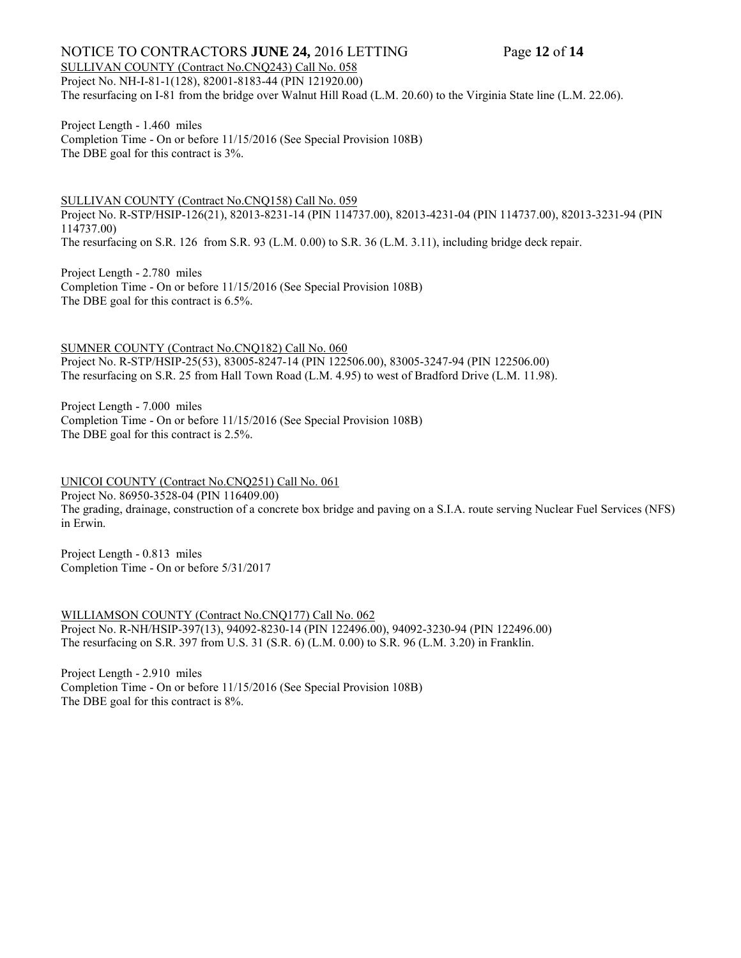## NOTICE TO CONTRACTORS **JUNE 24,** 2016 LETTING Page **12** of **14**

SULLIVAN COUNTY (Contract No.CNQ243) Call No. 058 Project No. NH-I-81-1(128), 82001-8183-44 (PIN 121920.00) The resurfacing on I-81 from the bridge over Walnut Hill Road (L.M. 20.60) to the Virginia State line (L.M. 22.06).

Project Length - 1.460 miles Completion Time - On or before 11/15/2016 (See Special Provision 108B) The DBE goal for this contract is 3%.

SULLIVAN COUNTY (Contract No.CNQ158) Call No. 059 Project No. R-STP/HSIP-126(21), 82013-8231-14 (PIN 114737.00), 82013-4231-04 (PIN 114737.00), 82013-3231-94 (PIN 114737.00) The resurfacing on S.R. 126 from S.R. 93 (L.M. 0.00) to S.R. 36 (L.M. 3.11), including bridge deck repair.

Project Length - 2.780 miles Completion Time - On or before 11/15/2016 (See Special Provision 108B) The DBE goal for this contract is 6.5%.

SUMNER COUNTY (Contract No.CNQ182) Call No. 060 Project No. R-STP/HSIP-25(53), 83005-8247-14 (PIN 122506.00), 83005-3247-94 (PIN 122506.00) The resurfacing on S.R. 25 from Hall Town Road (L.M. 4.95) to west of Bradford Drive (L.M. 11.98).

Project Length - 7.000 miles Completion Time - On or before 11/15/2016 (See Special Provision 108B) The DBE goal for this contract is 2.5%.

UNICOI COUNTY (Contract No.CNQ251) Call No. 061 Project No. 86950-3528-04 (PIN 116409.00) The grading, drainage, construction of a concrete box bridge and paving on a S.I.A. route serving Nuclear Fuel Services (NFS) in Erwin.

Project Length - 0.813 miles Completion Time - On or before 5/31/2017

WILLIAMSON COUNTY (Contract No.CNQ177) Call No. 062 Project No. R-NH/HSIP-397(13), 94092-8230-14 (PIN 122496.00), 94092-3230-94 (PIN 122496.00) The resurfacing on S.R. 397 from U.S. 31 (S.R. 6) (L.M. 0.00) to S.R. 96 (L.M. 3.20) in Franklin.

Project Length - 2.910 miles Completion Time - On or before 11/15/2016 (See Special Provision 108B) The DBE goal for this contract is 8%.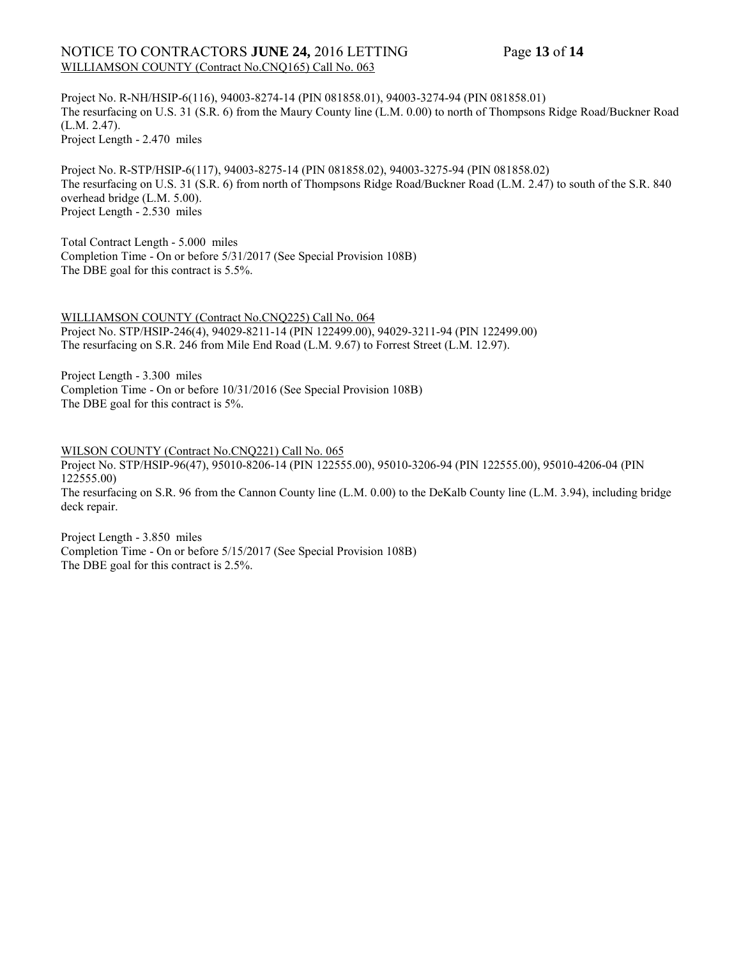## NOTICE TO CONTRACTORS **JUNE 24,** 2016 LETTING Page **13** of **14** WILLIAMSON COUNTY (Contract No.CNQ165) Call No. 063

Project No. R-NH/HSIP-6(116), 94003-8274-14 (PIN 081858.01), 94003-3274-94 (PIN 081858.01) The resurfacing on U.S. 31 (S.R. 6) from the Maury County line (L.M. 0.00) to north of Thompsons Ridge Road/Buckner Road (L.M. 2.47). Project Length - 2.470 miles

Project No. R-STP/HSIP-6(117), 94003-8275-14 (PIN 081858.02), 94003-3275-94 (PIN 081858.02) The resurfacing on U.S. 31 (S.R. 6) from north of Thompsons Ridge Road/Buckner Road (L.M. 2.47) to south of the S.R. 840 overhead bridge (L.M. 5.00). Project Length - 2.530 miles

Total Contract Length - 5.000 miles Completion Time - On or before 5/31/2017 (See Special Provision 108B) The DBE goal for this contract is 5.5%.

WILLIAMSON COUNTY (Contract No.CNQ225) Call No. 064 Project No. STP/HSIP-246(4), 94029-8211-14 (PIN 122499.00), 94029-3211-94 (PIN 122499.00) The resurfacing on S.R. 246 from Mile End Road (L.M. 9.67) to Forrest Street (L.M. 12.97).

Project Length - 3.300 miles Completion Time - On or before 10/31/2016 (See Special Provision 108B) The DBE goal for this contract is 5%.

WILSON COUNTY (Contract No.CNQ221) Call No. 065 Project No. STP/HSIP-96(47), 95010-8206-14 (PIN 122555.00), 95010-3206-94 (PIN 122555.00), 95010-4206-04 (PIN 122555.00) The resurfacing on S.R. 96 from the Cannon County line (L.M. 0.00) to the DeKalb County line (L.M. 3.94), including bridge deck repair.

Project Length - 3.850 miles Completion Time - On or before 5/15/2017 (See Special Provision 108B) The DBE goal for this contract is 2.5%.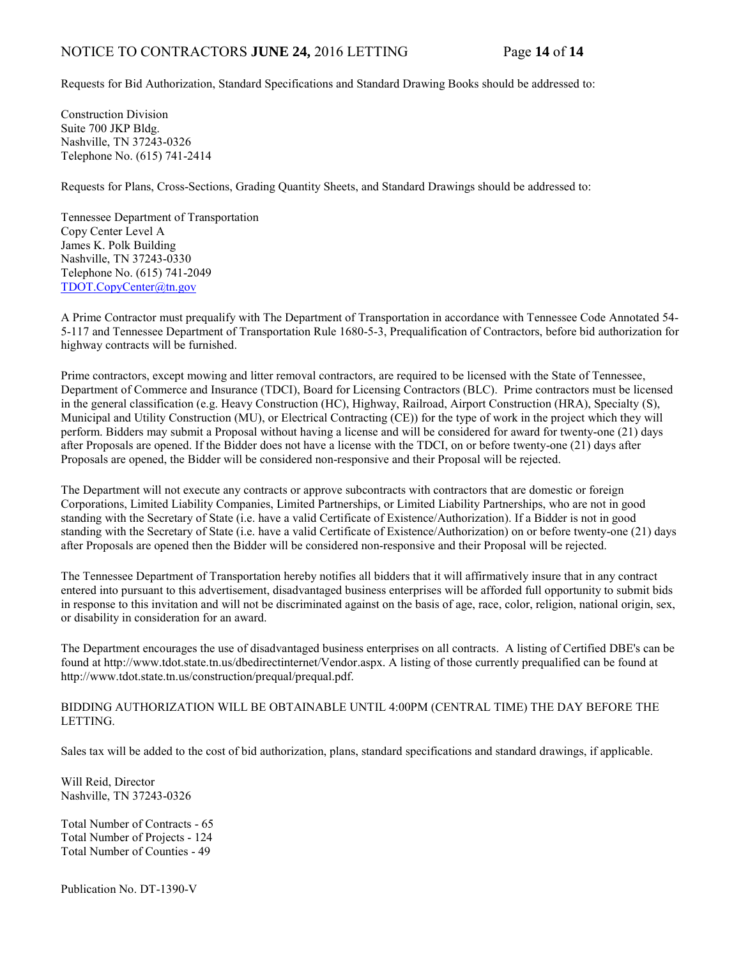## NOTICE TO CONTRACTORS **JUNE 24,** 2016 LETTING Page **14** of **14**

Requests for Bid Authorization, Standard Specifications and Standard Drawing Books should be addressed to:

Construction Division Suite 700 JKP Bldg. Nashville, TN 37243-0326 Telephone No. (615) 741-2414

Requests for Plans, Cross-Sections, Grading Quantity Sheets, and Standard Drawings should be addressed to:

Tennessee Department of Transportation Copy Center Level A James K. Polk Building Nashville, TN 37243-0330 Telephone No. (615) 741-2049 [TDOT.CopyCenter@tn.gov](mailto:TDOT.CopyCenter@tn.gov)

A Prime Contractor must prequalify with The Department of Transportation in accordance with Tennessee Code Annotated 54- 5-117 and Tennessee Department of Transportation Rule 1680-5-3, Prequalification of Contractors, before bid authorization for highway contracts will be furnished.

Prime contractors, except mowing and litter removal contractors, are required to be licensed with the State of Tennessee, Department of Commerce and Insurance (TDCI), Board for Licensing Contractors (BLC). Prime contractors must be licensed in the general classification (e.g. Heavy Construction (HC), Highway, Railroad, Airport Construction (HRA), Specialty (S), Municipal and Utility Construction (MU), or Electrical Contracting (CE)) for the type of work in the project which they will perform. Bidders may submit a Proposal without having a license and will be considered for award for twenty-one (21) days after Proposals are opened. If the Bidder does not have a license with the TDCI, on or before twenty-one (21) days after Proposals are opened, the Bidder will be considered non-responsive and their Proposal will be rejected.

The Department will not execute any contracts or approve subcontracts with contractors that are domestic or foreign Corporations, Limited Liability Companies, Limited Partnerships, or Limited Liability Partnerships, who are not in good standing with the Secretary of State (i.e. have a valid Certificate of Existence/Authorization). If a Bidder is not in good standing with the Secretary of State (i.e. have a valid Certificate of Existence/Authorization) on or before twenty-one (21) days after Proposals are opened then the Bidder will be considered non-responsive and their Proposal will be rejected.

The Tennessee Department of Transportation hereby notifies all bidders that it will affirmatively insure that in any contract entered into pursuant to this advertisement, disadvantaged business enterprises will be afforded full opportunity to submit bids in response to this invitation and will not be discriminated against on the basis of age, race, color, religion, national origin, sex, or disability in consideration for an award.

The Department encourages the use of disadvantaged business enterprises on all contracts. A listing of Certified DBE's can be found at [http://www.tdot.state.tn.us/dbedirectinternet/Vendor.aspx.](http://www.tdot.state.tn.us/dbedirectinternet/Vendor.aspx) A listing of those currently prequalified can be found at [http://www.tdot.state.tn.us/construction/prequal/prequal.pdf.](http://www.tdot.state.tn.us/construction/prequal/prequal.pdf)

BIDDING AUTHORIZATION WILL BE OBTAINABLE UNTIL 4:00PM (CENTRAL TIME) THE DAY BEFORE THE LETTING.

Sales tax will be added to the cost of bid authorization, plans, standard specifications and standard drawings, if applicable.

Will Reid, Director Nashville, TN 37243-0326

Total Number of Contracts - 65 Total Number of Projects - 124 Total Number of Counties - 49

Publication No. DT-1390-V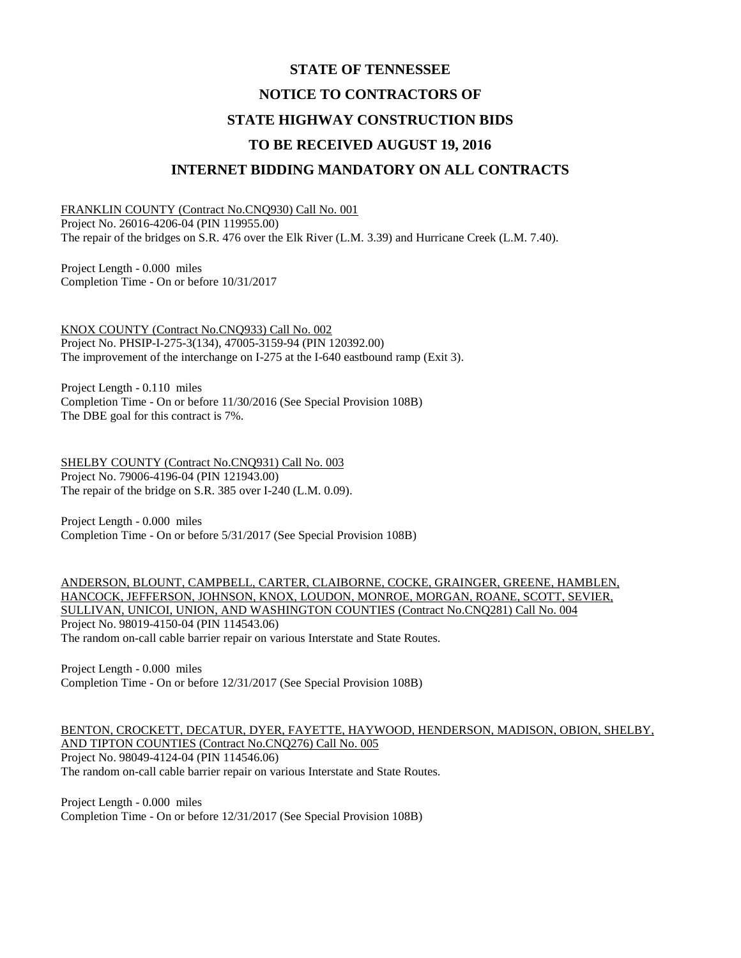# **STATE OF TENNESSEE NOTICE TO CONTRACTORS OF STATE HIGHWAY CONSTRUCTION BIDS TO BE RECEIVED AUGUST 19, 2016 INTERNET BIDDING MANDATORY ON ALL CONTRACTS**

FRANKLIN COUNTY (Contract No.CNQ930) Call No. 001 Project No. 26016-4206-04 (PIN 119955.00) The repair of the bridges on S.R. 476 over the Elk River (L.M. 3.39) and Hurricane Creek (L.M. 7.40).

Project Length - 0.000 miles Completion Time - On or before 10/31/2017

KNOX COUNTY (Contract No.CNQ933) Call No. 002 Project No. PHSIP-I-275-3(134), 47005-3159-94 (PIN 120392.00) The improvement of the interchange on I-275 at the I-640 eastbound ramp (Exit 3).

Project Length - 0.110 miles Completion Time - On or before 11/30/2016 (See Special Provision 108B) The DBE goal for this contract is 7%.

SHELBY COUNTY (Contract No.CNQ931) Call No. 003 Project No. 79006-4196-04 (PIN 121943.00) The repair of the bridge on S.R. 385 over I-240 (L.M. 0.09).

Project Length - 0.000 miles Completion Time - On or before 5/31/2017 (See Special Provision 108B)

ANDERSON, BLOUNT, CAMPBELL, CARTER, CLAIBORNE, COCKE, GRAINGER, GREENE, HAMBLEN, HANCOCK, JEFFERSON, JOHNSON, KNOX, LOUDON, MONROE, MORGAN, ROANE, SCOTT, SEVIER, SULLIVAN, UNICOI, UNION, AND WASHINGTON COUNTIES (Contract No.CNQ281) Call No. 004 Project No. 98019-4150-04 (PIN 114543.06) The random on-call cable barrier repair on various Interstate and State Routes.

Project Length - 0.000 miles Completion Time - On or before 12/31/2017 (See Special Provision 108B)

BENTON, CROCKETT, DECATUR, DYER, FAYETTE, HAYWOOD, HENDERSON, MADISON, OBION, SHELBY, AND TIPTON COUNTIES (Contract No.CNQ276) Call No. 005 Project No. 98049-4124-04 (PIN 114546.06) The random on-call cable barrier repair on various Interstate and State Routes.

Project Length - 0.000 miles Completion Time - On or before 12/31/2017 (See Special Provision 108B)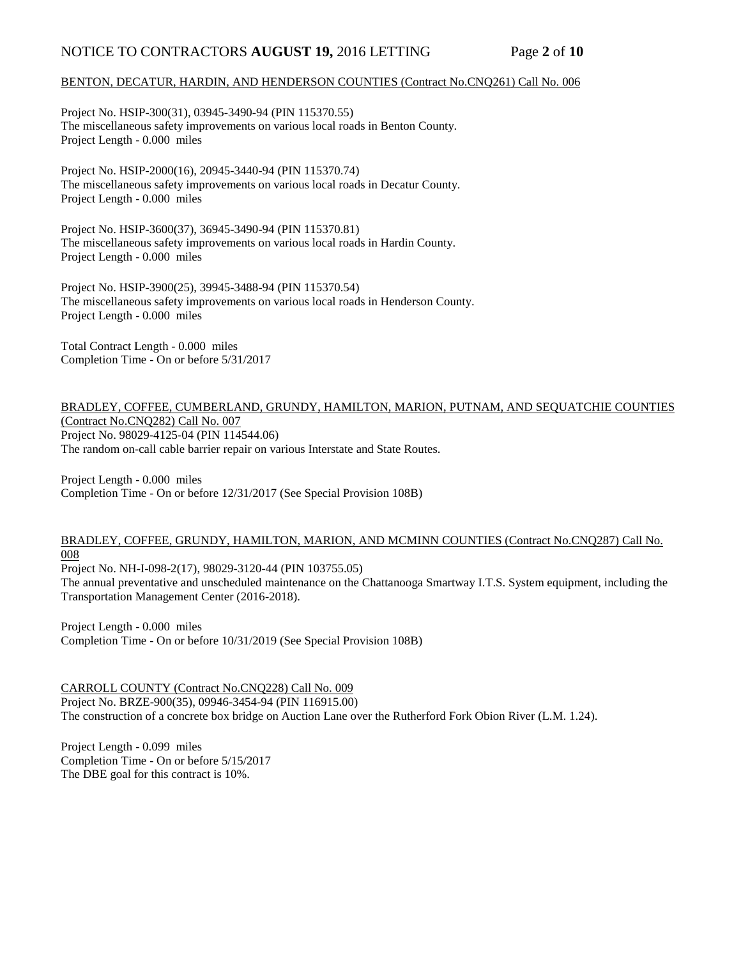## NOTICE TO CONTRACTORS **AUGUST 19,** 2016 LETTING Page **2** of **10**

#### BENTON, DECATUR, HARDIN, AND HENDERSON COUNTIES (Contract No.CNQ261) Call No. 006

Project No. HSIP-300(31), 03945-3490-94 (PIN 115370.55) The miscellaneous safety improvements on various local roads in Benton County. Project Length - 0.000 miles

Project No. HSIP-2000(16), 20945-3440-94 (PIN 115370.74) The miscellaneous safety improvements on various local roads in Decatur County. Project Length - 0.000 miles

Project No. HSIP-3600(37), 36945-3490-94 (PIN 115370.81) The miscellaneous safety improvements on various local roads in Hardin County. Project Length - 0.000 miles

Project No. HSIP-3900(25), 39945-3488-94 (PIN 115370.54) The miscellaneous safety improvements on various local roads in Henderson County. Project Length - 0.000 miles

Total Contract Length - 0.000 miles Completion Time - On or before 5/31/2017

#### BRADLEY, COFFEE, CUMBERLAND, GRUNDY, HAMILTON, MARION, PUTNAM, AND SEQUATCHIE COUNTIES (Contract No.CNQ282) Call No. 007 Project No. 98029-4125-04 (PIN 114544.06) The random on-call cable barrier repair on various Interstate and State Routes.

Project Length - 0.000 miles Completion Time - On or before 12/31/2017 (See Special Provision 108B)

#### BRADLEY, COFFEE, GRUNDY, HAMILTON, MARION, AND MCMINN COUNTIES (Contract No.CNQ287) Call No. 008

Project No. NH-I-098-2(17), 98029-3120-44 (PIN 103755.05)

The annual preventative and unscheduled maintenance on the Chattanooga Smartway I.T.S. System equipment, including the Transportation Management Center (2016-2018).

Project Length - 0.000 miles Completion Time - On or before 10/31/2019 (See Special Provision 108B)

CARROLL COUNTY (Contract No.CNQ228) Call No. 009 Project No. BRZE-900(35), 09946-3454-94 (PIN 116915.00) The construction of a concrete box bridge on Auction Lane over the Rutherford Fork Obion River (L.M. 1.24).

Project Length - 0.099 miles Completion Time - On or before 5/15/2017 The DBE goal for this contract is 10%.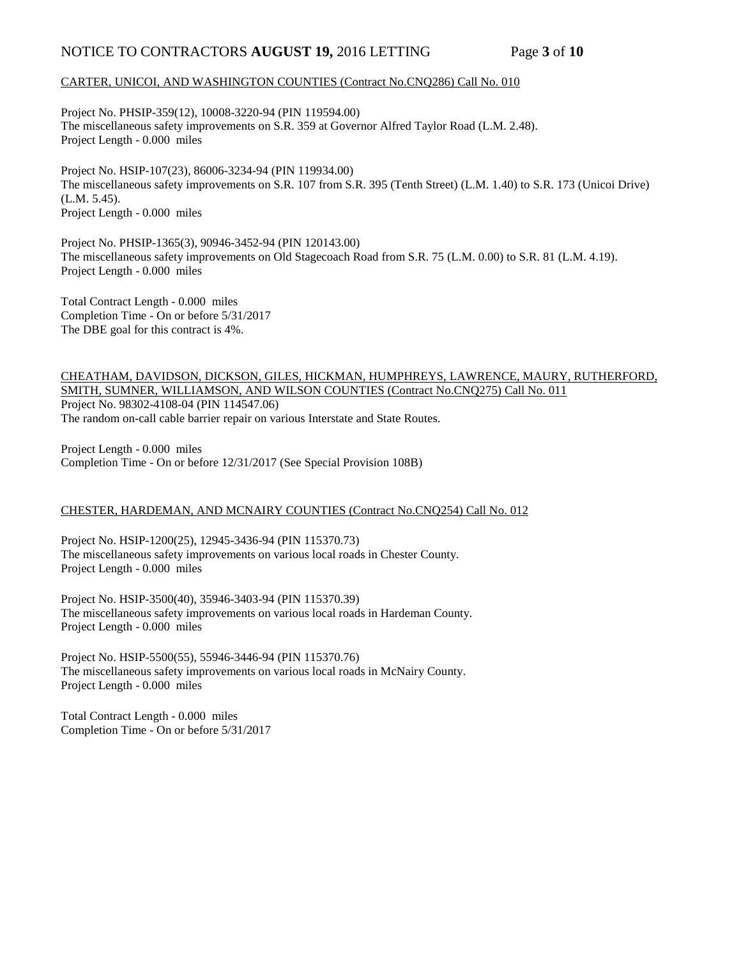## NOTICE TO CONTRACTORS **AUGUST 19,** 2016 LETTING Page **3** of **10**

#### CARTER, UNICOI, AND WASHINGTON COUNTIES (Contract No.CNQ286) Call No. 010

Project No. PHSIP-359(12), 10008-3220-94 (PIN 119594.00) The miscellaneous safety improvements on S.R. 359 at Governor Alfred Taylor Road (L.M. 2.48). Project Length - 0.000 miles

Project No. HSIP-107(23), 86006-3234-94 (PIN 119934.00) The miscellaneous safety improvements on S.R. 107 from S.R. 395 (Tenth Street) (L.M. 1.40) to S.R. 173 (Unicoi Drive) (L.M. 5.45). Project Length - 0.000 miles

Project No. PHSIP-1365(3), 90946-3452-94 (PIN 120143.00) The miscellaneous safety improvements on Old Stagecoach Road from S.R. 75 (L.M. 0.00) to S.R. 81 (L.M. 4.19). Project Length - 0.000 miles

Total Contract Length - 0.000 miles Completion Time - On or before 5/31/2017 The DBE goal for this contract is 4%.

#### CHEATHAM, DAVIDSON, DICKSON, GILES, HICKMAN, HUMPHREYS, LAWRENCE, MAURY, RUTHERFORD, SMITH, SUMNER, WILLIAMSON, AND WILSON COUNTIES (Contract No.CNQ275) Call No. 011 Project No. 98302-4108-04 (PIN 114547.06) The random on-call cable barrier repair on various Interstate and State Routes.

Project Length - 0.000 miles Completion Time - On or before 12/31/2017 (See Special Provision 108B)

#### CHESTER, HARDEMAN, AND MCNAIRY COUNTIES (Contract No.CNQ254) Call No. 012

Project No. HSIP-1200(25), 12945-3436-94 (PIN 115370.73) The miscellaneous safety improvements on various local roads in Chester County. Project Length - 0.000 miles

Project No. HSIP-3500(40), 35946-3403-94 (PIN 115370.39) The miscellaneous safety improvements on various local roads in Hardeman County. Project Length - 0.000 miles

Project No. HSIP-5500(55), 55946-3446-94 (PIN 115370.76) The miscellaneous safety improvements on various local roads in McNairy County. Project Length - 0.000 miles

Total Contract Length - 0.000 miles Completion Time - On or before 5/31/2017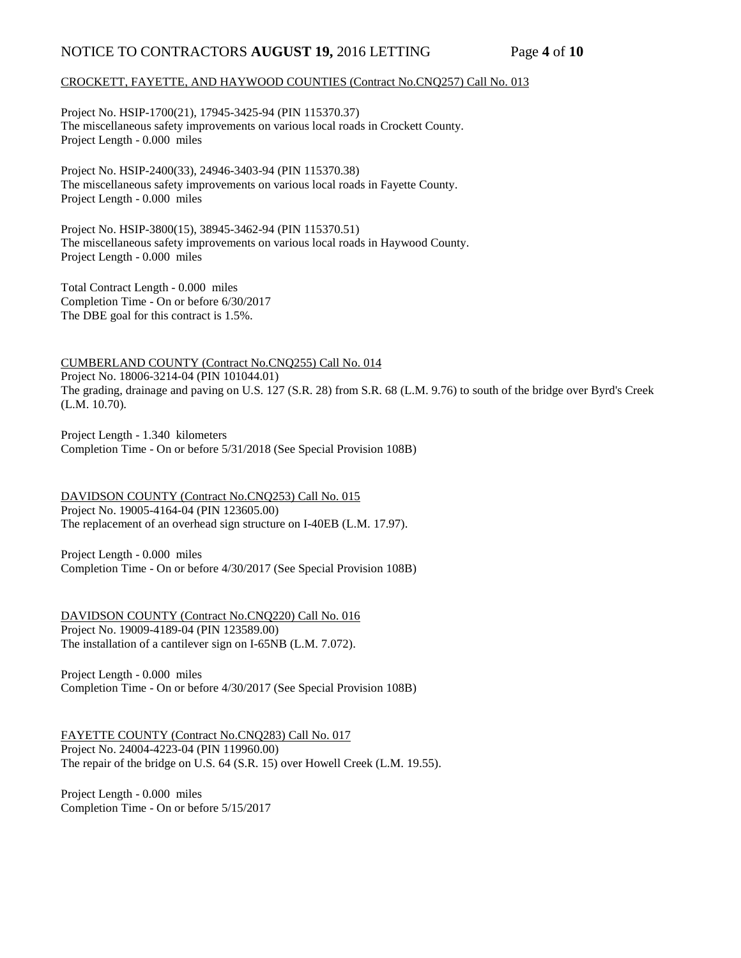## NOTICE TO CONTRACTORS **AUGUST 19,** 2016 LETTING Page **4** of **10**

### CROCKETT, FAYETTE, AND HAYWOOD COUNTIES (Contract No.CNQ257) Call No. 013

Project No. HSIP-1700(21), 17945-3425-94 (PIN 115370.37) The miscellaneous safety improvements on various local roads in Crockett County. Project Length - 0.000 miles

Project No. HSIP-2400(33), 24946-3403-94 (PIN 115370.38) The miscellaneous safety improvements on various local roads in Fayette County. Project Length - 0.000 miles

Project No. HSIP-3800(15), 38945-3462-94 (PIN 115370.51) The miscellaneous safety improvements on various local roads in Haywood County. Project Length - 0.000 miles

Total Contract Length - 0.000 miles Completion Time - On or before 6/30/2017 The DBE goal for this contract is 1.5%.

CUMBERLAND COUNTY (Contract No.CNQ255) Call No. 014 Project No. 18006-3214-04 (PIN 101044.01) The grading, drainage and paving on U.S. 127 (S.R. 28) from S.R. 68 (L.M. 9.76) to south of the bridge over Byrd's Creek (L.M. 10.70).

Project Length - 1.340 kilometers Completion Time - On or before 5/31/2018 (See Special Provision 108B)

DAVIDSON COUNTY (Contract No.CNQ253) Call No. 015 Project No. 19005-4164-04 (PIN 123605.00) The replacement of an overhead sign structure on I-40EB (L.M. 17.97).

Project Length - 0.000 miles Completion Time - On or before 4/30/2017 (See Special Provision 108B)

DAVIDSON COUNTY (Contract No.CNQ220) Call No. 016 Project No. 19009-4189-04 (PIN 123589.00) The installation of a cantilever sign on I-65NB (L.M. 7.072).

Project Length - 0.000 miles Completion Time - On or before 4/30/2017 (See Special Provision 108B)

FAYETTE COUNTY (Contract No.CNQ283) Call No. 017 Project No. 24004-4223-04 (PIN 119960.00) The repair of the bridge on U.S. 64 (S.R. 15) over Howell Creek (L.M. 19.55).

Project Length - 0.000 miles Completion Time - On or before 5/15/2017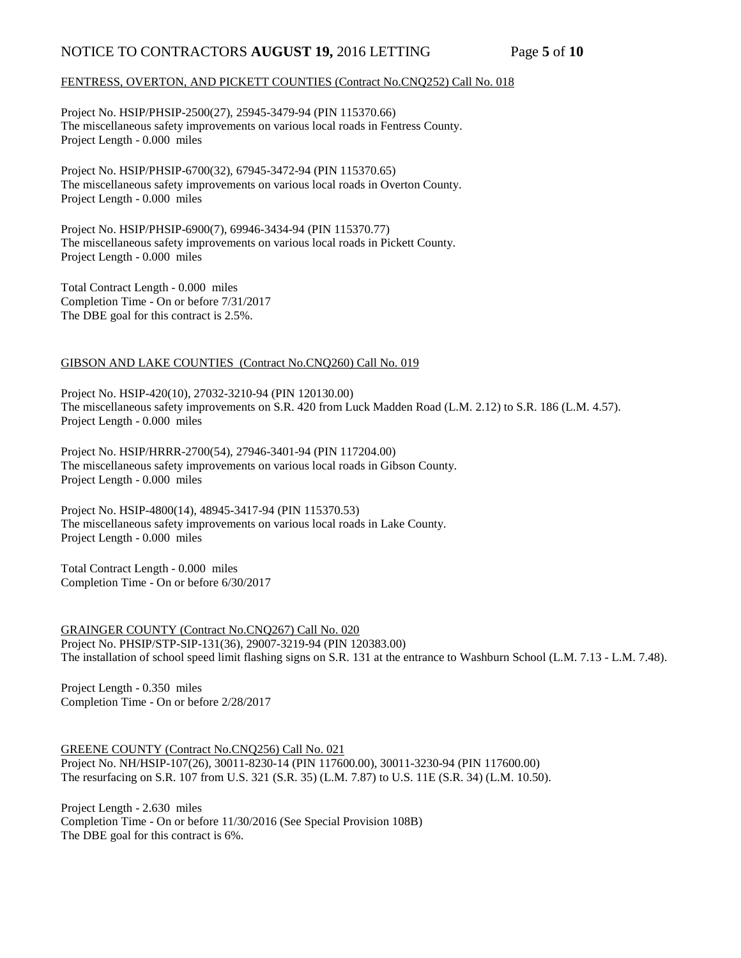## NOTICE TO CONTRACTORS **AUGUST 19,** 2016 LETTING Page 5 of 10

#### FENTRESS, OVERTON, AND PICKETT COUNTIES (Contract No.CNQ252) Call No. 018

Project No. HSIP/PHSIP-2500(27), 25945-3479-94 (PIN 115370.66) The miscellaneous safety improvements on various local roads in Fentress County. Project Length - 0.000 miles

Project No. HSIP/PHSIP-6700(32), 67945-3472-94 (PIN 115370.65) The miscellaneous safety improvements on various local roads in Overton County. Project Length - 0.000 miles

Project No. HSIP/PHSIP-6900(7), 69946-3434-94 (PIN 115370.77) The miscellaneous safety improvements on various local roads in Pickett County. Project Length - 0.000 miles

Total Contract Length - 0.000 miles Completion Time - On or before 7/31/2017 The DBE goal for this contract is 2.5%.

#### GIBSON AND LAKE COUNTIES (Contract No.CNQ260) Call No. 019

Project No. HSIP-420(10), 27032-3210-94 (PIN 120130.00) The miscellaneous safety improvements on S.R. 420 from Luck Madden Road (L.M. 2.12) to S.R. 186 (L.M. 4.57). Project Length - 0.000 miles

Project No. HSIP/HRRR-2700(54), 27946-3401-94 (PIN 117204.00) The miscellaneous safety improvements on various local roads in Gibson County. Project Length - 0.000 miles

Project No. HSIP-4800(14), 48945-3417-94 (PIN 115370.53) The miscellaneous safety improvements on various local roads in Lake County. Project Length - 0.000 miles

Total Contract Length - 0.000 miles Completion Time - On or before 6/30/2017

GRAINGER COUNTY (Contract No.CNQ267) Call No. 020 Project No. PHSIP/STP-SIP-131(36), 29007-3219-94 (PIN 120383.00) The installation of school speed limit flashing signs on S.R. 131 at the entrance to Washburn School (L.M. 7.13 - L.M. 7.48).

Project Length - 0.350 miles Completion Time - On or before 2/28/2017

GREENE COUNTY (Contract No.CNQ256) Call No. 021 Project No. NH/HSIP-107(26), 30011-8230-14 (PIN 117600.00), 30011-3230-94 (PIN 117600.00) The resurfacing on S.R. 107 from U.S. 321 (S.R. 35) (L.M. 7.87) to U.S. 11E (S.R. 34) (L.M. 10.50).

Project Length - 2.630 miles Completion Time - On or before 11/30/2016 (See Special Provision 108B) The DBE goal for this contract is 6%.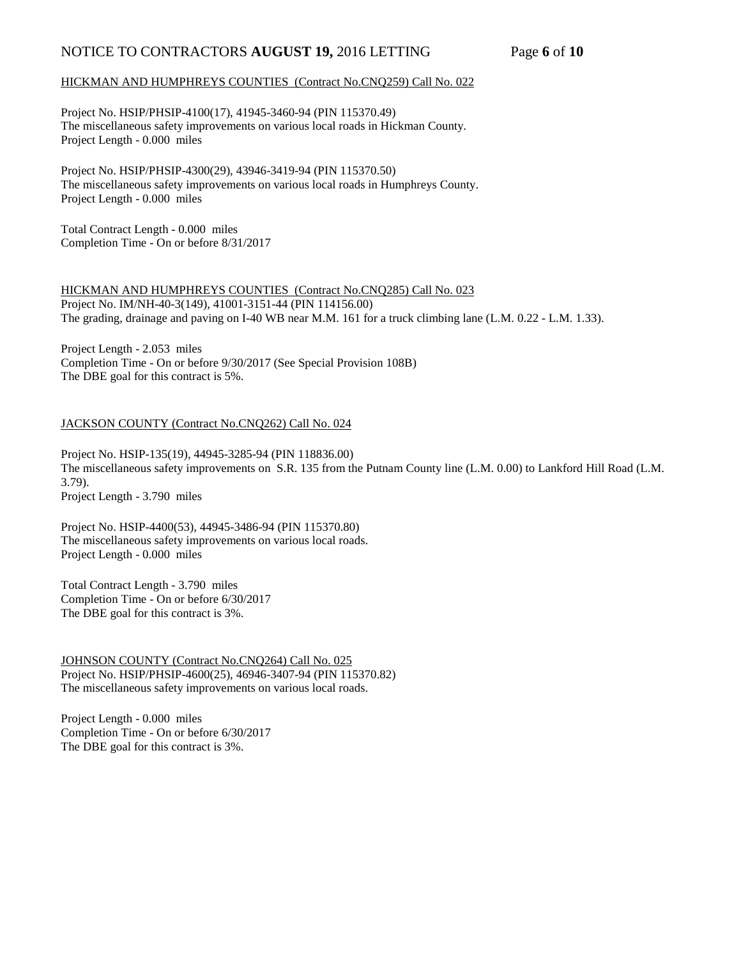## NOTICE TO CONTRACTORS **AUGUST 19,** 2016 LETTING Page **6** of **10**

#### HICKMAN AND HUMPHREYS COUNTIES (Contract No.CNQ259) Call No. 022

Project No. HSIP/PHSIP-4100(17), 41945-3460-94 (PIN 115370.49) The miscellaneous safety improvements on various local roads in Hickman County. Project Length - 0.000 miles

Project No. HSIP/PHSIP-4300(29), 43946-3419-94 (PIN 115370.50) The miscellaneous safety improvements on various local roads in Humphreys County. Project Length - 0.000 miles

Total Contract Length - 0.000 miles Completion Time - On or before 8/31/2017

HICKMAN AND HUMPHREYS COUNTIES (Contract No.CNQ285) Call No. 023 Project No. IM/NH-40-3(149), 41001-3151-44 (PIN 114156.00) The grading, drainage and paving on I-40 WB near M.M. 161 for a truck climbing lane (L.M. 0.22 - L.M. 1.33).

Project Length - 2.053 miles Completion Time - On or before 9/30/2017 (See Special Provision 108B) The DBE goal for this contract is 5%.

#### JACKSON COUNTY (Contract No.CNQ262) Call No. 024

Project No. HSIP-135(19), 44945-3285-94 (PIN 118836.00) The miscellaneous safety improvements on S.R. 135 from the Putnam County line (L.M. 0.00) to Lankford Hill Road (L.M. 3.79). Project Length - 3.790 miles

Project No. HSIP-4400(53), 44945-3486-94 (PIN 115370.80) The miscellaneous safety improvements on various local roads. Project Length - 0.000 miles

Total Contract Length - 3.790 miles Completion Time - On or before 6/30/2017 The DBE goal for this contract is 3%.

JOHNSON COUNTY (Contract No.CNQ264) Call No. 025 Project No. HSIP/PHSIP-4600(25), 46946-3407-94 (PIN 115370.82) The miscellaneous safety improvements on various local roads.

Project Length - 0.000 miles Completion Time - On or before 6/30/2017 The DBE goal for this contract is 3%.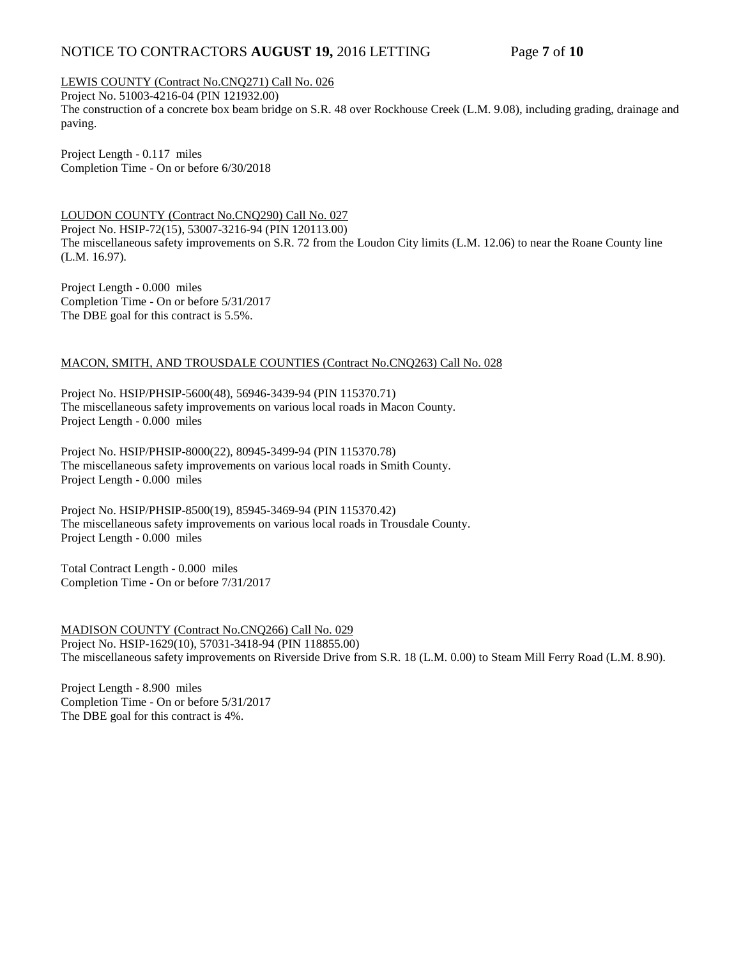## NOTICE TO CONTRACTORS **AUGUST 19,** 2016 LETTING Page **7** of **10**

LEWIS COUNTY (Contract No.CNQ271) Call No. 026

Project No. 51003-4216-04 (PIN 121932.00) The construction of a concrete box beam bridge on S.R. 48 over Rockhouse Creek (L.M. 9.08), including grading, drainage and paving.

Project Length - 0.117 miles Completion Time - On or before 6/30/2018

LOUDON COUNTY (Contract No.CNQ290) Call No. 027 Project No. HSIP-72(15), 53007-3216-94 (PIN 120113.00) The miscellaneous safety improvements on S.R. 72 from the Loudon City limits (L.M. 12.06) to near the Roane County line (L.M. 16.97).

Project Length - 0.000 miles Completion Time - On or before 5/31/2017 The DBE goal for this contract is 5.5%.

#### MACON, SMITH, AND TROUSDALE COUNTIES (Contract No.CNQ263) Call No. 028

Project No. HSIP/PHSIP-5600(48), 56946-3439-94 (PIN 115370.71) The miscellaneous safety improvements on various local roads in Macon County. Project Length - 0.000 miles

Project No. HSIP/PHSIP-8000(22), 80945-3499-94 (PIN 115370.78) The miscellaneous safety improvements on various local roads in Smith County. Project Length - 0.000 miles

Project No. HSIP/PHSIP-8500(19), 85945-3469-94 (PIN 115370.42) The miscellaneous safety improvements on various local roads in Trousdale County. Project Length - 0.000 miles

Total Contract Length - 0.000 miles Completion Time - On or before 7/31/2017

MADISON COUNTY (Contract No.CNQ266) Call No. 029 Project No. HSIP-1629(10), 57031-3418-94 (PIN 118855.00) The miscellaneous safety improvements on Riverside Drive from S.R. 18 (L.M. 0.00) to Steam Mill Ferry Road (L.M. 8.90).

Project Length - 8.900 miles Completion Time - On or before 5/31/2017 The DBE goal for this contract is 4%.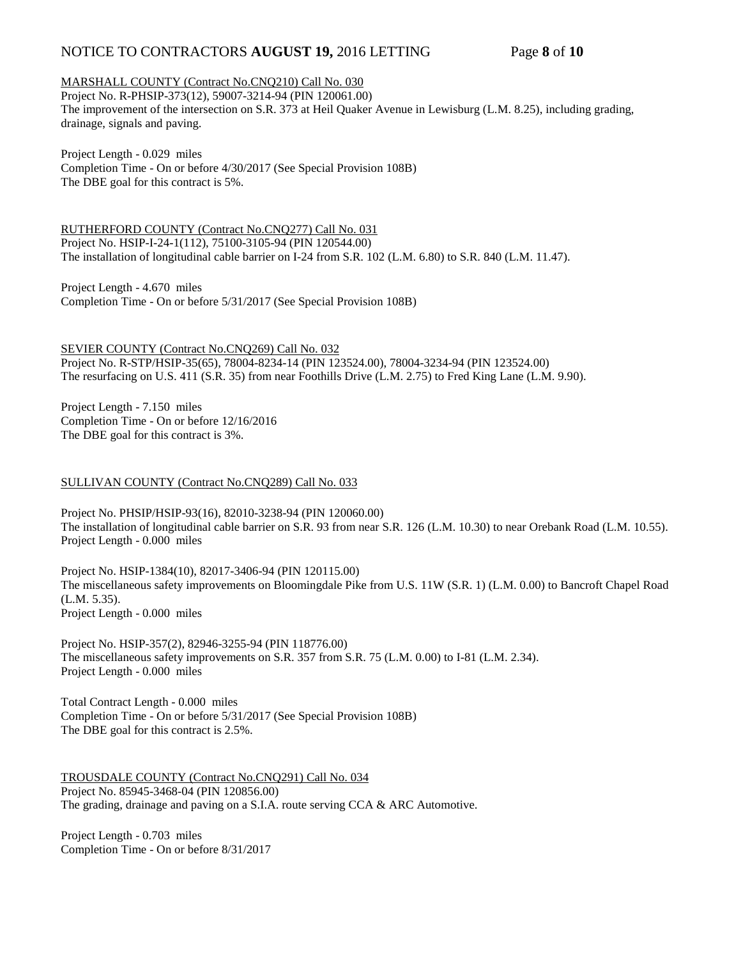## NOTICE TO CONTRACTORS **AUGUST 19,** 2016 LETTING Page 8 of 10

## MARSHALL COUNTY (Contract No.CNQ210) Call No. 030

Project No. R-PHSIP-373(12), 59007-3214-94 (PIN 120061.00) The improvement of the intersection on S.R. 373 at Heil Quaker Avenue in Lewisburg (L.M. 8.25), including grading, drainage, signals and paving.

Project Length - 0.029 miles Completion Time - On or before 4/30/2017 (See Special Provision 108B) The DBE goal for this contract is 5%.

RUTHERFORD COUNTY (Contract No.CNQ277) Call No. 031 Project No. HSIP-I-24-1(112), 75100-3105-94 (PIN 120544.00) The installation of longitudinal cable barrier on I-24 from S.R. 102 (L.M. 6.80) to S.R. 840 (L.M. 11.47).

Project Length - 4.670 miles Completion Time - On or before 5/31/2017 (See Special Provision 108B)

SEVIER COUNTY (Contract No.CNQ269) Call No. 032 Project No. R-STP/HSIP-35(65), 78004-8234-14 (PIN 123524.00), 78004-3234-94 (PIN 123524.00) The resurfacing on U.S. 411 (S.R. 35) from near Foothills Drive (L.M. 2.75) to Fred King Lane (L.M. 9.90).

Project Length - 7.150 miles Completion Time - On or before 12/16/2016 The DBE goal for this contract is 3%.

#### SULLIVAN COUNTY (Contract No.CNQ289) Call No. 033

Project No. PHSIP/HSIP-93(16), 82010-3238-94 (PIN 120060.00) The installation of longitudinal cable barrier on S.R. 93 from near S.R. 126 (L.M. 10.30) to near Orebank Road (L.M. 10.55). Project Length - 0.000 miles

Project No. HSIP-1384(10), 82017-3406-94 (PIN 120115.00) The miscellaneous safety improvements on Bloomingdale Pike from U.S. 11W (S.R. 1) (L.M. 0.00) to Bancroft Chapel Road (L.M. 5.35). Project Length - 0.000 miles

Project No. HSIP-357(2), 82946-3255-94 (PIN 118776.00) The miscellaneous safety improvements on S.R. 357 from S.R. 75 (L.M. 0.00) to I-81 (L.M. 2.34). Project Length - 0.000 miles

Total Contract Length - 0.000 miles Completion Time - On or before 5/31/2017 (See Special Provision 108B) The DBE goal for this contract is 2.5%.

TROUSDALE COUNTY (Contract No.CNQ291) Call No. 034 Project No. 85945-3468-04 (PIN 120856.00) The grading, drainage and paving on a S.I.A. route serving CCA & ARC Automotive.

Project Length - 0.703 miles Completion Time - On or before 8/31/2017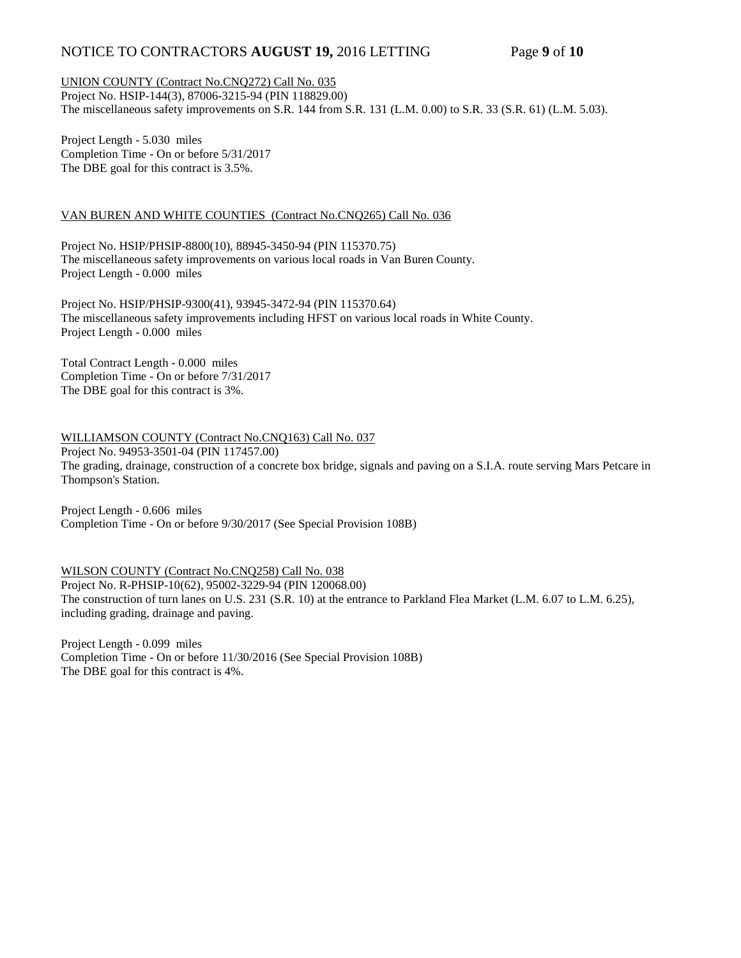## NOTICE TO CONTRACTORS **AUGUST 19,** 2016 LETTING Page 9 of 10

UNION COUNTY (Contract No.CNQ272) Call No. 035 Project No. HSIP-144(3), 87006-3215-94 (PIN 118829.00) The miscellaneous safety improvements on S.R. 144 from S.R. 131 (L.M. 0.00) to S.R. 33 (S.R. 61) (L.M. 5.03).

Project Length - 5.030 miles Completion Time - On or before 5/31/2017 The DBE goal for this contract is 3.5%.

#### VAN BUREN AND WHITE COUNTIES (Contract No.CNQ265) Call No. 036

Project No. HSIP/PHSIP-8800(10), 88945-3450-94 (PIN 115370.75) The miscellaneous safety improvements on various local roads in Van Buren County. Project Length - 0.000 miles

Project No. HSIP/PHSIP-9300(41), 93945-3472-94 (PIN 115370.64) The miscellaneous safety improvements including HFST on various local roads in White County. Project Length - 0.000 miles

Total Contract Length - 0.000 miles Completion Time - On or before 7/31/2017 The DBE goal for this contract is 3%.

WILLIAMSON COUNTY (Contract No.CNQ163) Call No. 037 Project No. 94953-3501-04 (PIN 117457.00) The grading, drainage, construction of a concrete box bridge, signals and paving on a S.I.A. route serving Mars Petcare in Thompson's Station.

Project Length - 0.606 miles Completion Time - On or before 9/30/2017 (See Special Provision 108B)

WILSON COUNTY (Contract No.CNQ258) Call No. 038 Project No. R-PHSIP-10(62), 95002-3229-94 (PIN 120068.00) The construction of turn lanes on U.S. 231 (S.R. 10) at the entrance to Parkland Flea Market (L.M. 6.07 to L.M. 6.25), including grading, drainage and paving.

Project Length - 0.099 miles Completion Time - On or before 11/30/2016 (See Special Provision 108B) The DBE goal for this contract is 4%.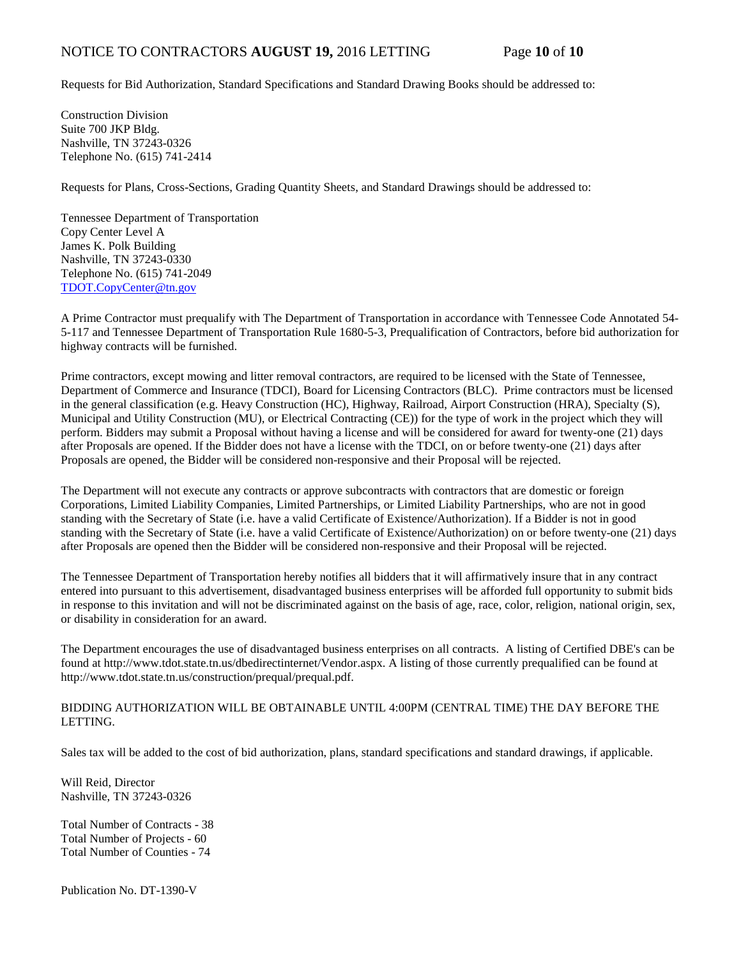Requests for Bid Authorization, Standard Specifications and Standard Drawing Books should be addressed to:

Construction Division Suite 700 JKP Bldg. Nashville, TN 37243-0326 Telephone No. (615) 741-2414

Requests for Plans, Cross-Sections, Grading Quantity Sheets, and Standard Drawings should be addressed to:

Tennessee Department of Transportation Copy Center Level A James K. Polk Building Nashville, TN 37243-0330 Telephone No. (615) 741-2049 [TDOT.CopyCenter@tn.gov](mailto:TDOT.CopyCenter@tn.gov)

A Prime Contractor must prequalify with The Department of Transportation in accordance with Tennessee Code Annotated 54- 5-117 and Tennessee Department of Transportation Rule 1680-5-3, Prequalification of Contractors, before bid authorization for highway contracts will be furnished.

Prime contractors, except mowing and litter removal contractors, are required to be licensed with the State of Tennessee, Department of Commerce and Insurance (TDCI), Board for Licensing Contractors (BLC). Prime contractors must be licensed in the general classification (e.g. Heavy Construction (HC), Highway, Railroad, Airport Construction (HRA), Specialty (S), Municipal and Utility Construction (MU), or Electrical Contracting (CE)) for the type of work in the project which they will perform. Bidders may submit a Proposal without having a license and will be considered for award for twenty-one (21) days after Proposals are opened. If the Bidder does not have a license with the TDCI, on or before twenty-one (21) days after Proposals are opened, the Bidder will be considered non-responsive and their Proposal will be rejected.

The Department will not execute any contracts or approve subcontracts with contractors that are domestic or foreign Corporations, Limited Liability Companies, Limited Partnerships, or Limited Liability Partnerships, who are not in good standing with the Secretary of State (i.e. have a valid Certificate of Existence/Authorization). If a Bidder is not in good standing with the Secretary of State (i.e. have a valid Certificate of Existence/Authorization) on or before twenty-one (21) days after Proposals are opened then the Bidder will be considered non-responsive and their Proposal will be rejected.

The Tennessee Department of Transportation hereby notifies all bidders that it will affirmatively insure that in any contract entered into pursuant to this advertisement, disadvantaged business enterprises will be afforded full opportunity to submit bids in response to this invitation and will not be discriminated against on the basis of age, race, color, religion, national origin, sex, or disability in consideration for an award.

The Department encourages the use of disadvantaged business enterprises on all contracts. A listing of Certified DBE's can be found at [http://www.tdot.state.tn.us/dbedirectinternet/Vendor.aspx.](http://www.tdot.state.tn.us/dbedirectinternet/Vendor.aspx) A listing of those currently prequalified can be found at [http://www.tdot.state.tn.us/construction/prequal/prequal.pdf.](http://www.tdot.state.tn.us/construction/prequal/prequal.pdf)

#### BIDDING AUTHORIZATION WILL BE OBTAINABLE UNTIL 4:00PM (CENTRAL TIME) THE DAY BEFORE THE LETTING.

Sales tax will be added to the cost of bid authorization, plans, standard specifications and standard drawings, if applicable.

Will Reid, Director Nashville, TN 37243-0326

Total Number of Contracts - 38 Total Number of Projects - 60 Total Number of Counties - 74

Publication No. DT-1390-V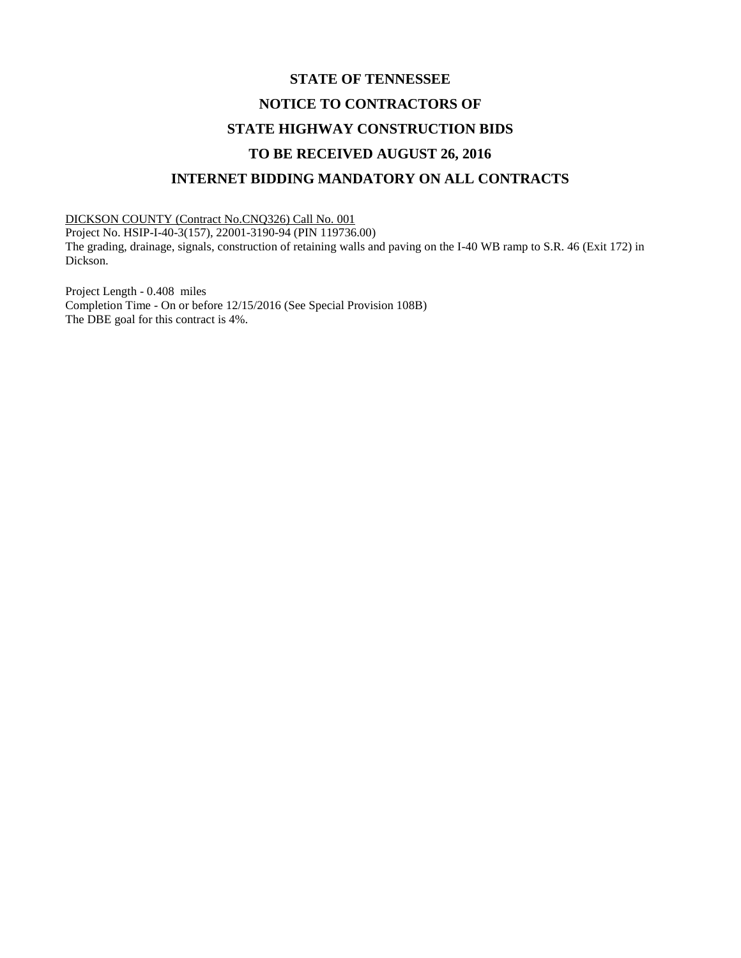# **STATE OF TENNESSEE NOTICE TO CONTRACTORS OF STATE HIGHWAY CONSTRUCTION BIDS TO BE RECEIVED AUGUST 26, 2016 INTERNET BIDDING MANDATORY ON ALL CONTRACTS**

DICKSON COUNTY (Contract No.CNQ326) Call No. 001

Dickson.

Project No. HSIP-I-40-3(157), 22001-3190-94 (PIN 119736.00) The grading, drainage, signals, construction of retaining walls and paving on the I-40 WB ramp to S.R. 46 (Exit 172) in

Project Length - 0.408 miles Completion Time - On or before 12/15/2016 (See Special Provision 108B) The DBE goal for this contract is 4%.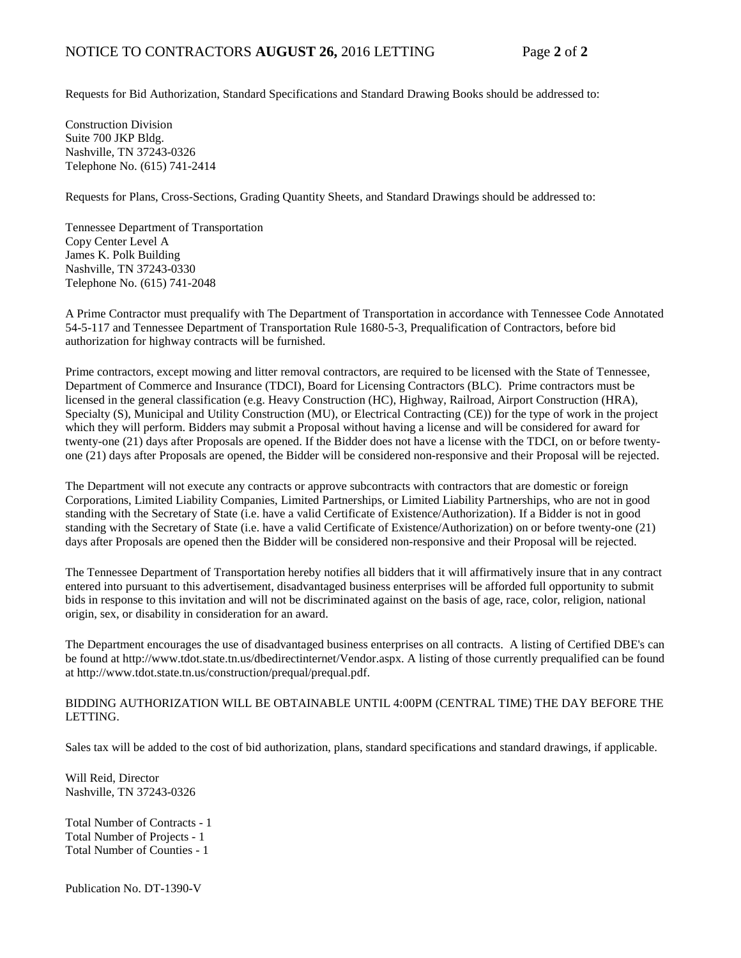Requests for Bid Authorization, Standard Specifications and Standard Drawing Books should be addressed to:

Construction Division Suite 700 JKP Bldg. Nashville, TN 37243-0326 Telephone No. (615) 741-2414

Requests for Plans, Cross-Sections, Grading Quantity Sheets, and Standard Drawings should be addressed to:

Tennessee Department of Transportation Copy Center Level A James K. Polk Building Nashville, TN 37243-0330 Telephone No. (615) 741-2048

A Prime Contractor must prequalify with The Department of Transportation in accordance with Tennessee Code Annotated 54-5-117 and Tennessee Department of Transportation Rule 1680-5-3, Prequalification of Contractors, before bid authorization for highway contracts will be furnished.

Prime contractors, except mowing and litter removal contractors, are required to be licensed with the State of Tennessee, Department of Commerce and Insurance (TDCI), Board for Licensing Contractors (BLC). Prime contractors must be licensed in the general classification (e.g. Heavy Construction (HC), Highway, Railroad, Airport Construction (HRA), Specialty (S), Municipal and Utility Construction (MU), or Electrical Contracting (CE)) for the type of work in the project which they will perform. Bidders may submit a Proposal without having a license and will be considered for award for twenty-one (21) days after Proposals are opened. If the Bidder does not have a license with the TDCI, on or before twentyone (21) days after Proposals are opened, the Bidder will be considered non-responsive and their Proposal will be rejected.

The Department will not execute any contracts or approve subcontracts with contractors that are domestic or foreign Corporations, Limited Liability Companies, Limited Partnerships, or Limited Liability Partnerships, who are not in good standing with the Secretary of State (i.e. have a valid Certificate of Existence/Authorization). If a Bidder is not in good standing with the Secretary of State (i.e. have a valid Certificate of Existence/Authorization) on or before twenty-one (21) days after Proposals are opened then the Bidder will be considered non-responsive and their Proposal will be rejected.

The Tennessee Department of Transportation hereby notifies all bidders that it will affirmatively insure that in any contract entered into pursuant to this advertisement, disadvantaged business enterprises will be afforded full opportunity to submit bids in response to this invitation and will not be discriminated against on the basis of age, race, color, religion, national origin, sex, or disability in consideration for an award.

The Department encourages the use of disadvantaged business enterprises on all contracts. A listing of Certified DBE's can be found at [http://www.tdot.state.tn.us/dbedirectinternet/Vendor.aspx.](http://www.tdot.state.tn.us/dbedirectinternet/Vendor.aspx) A listing of those currently prequalified can be found a[t http://www.tdot.state.tn.us/construction/prequal/prequal.pdf.](http://www.tdot.state.tn.us/construction/prequal/prequal.pdf) 

#### BIDDING AUTHORIZATION WILL BE OBTAINABLE UNTIL 4:00PM (CENTRAL TIME) THE DAY BEFORE THE LETTING.

Sales tax will be added to the cost of bid authorization, plans, standard specifications and standard drawings, if applicable.

Will Reid, Director Nashville, TN 37243-0326

Total Number of Contracts - 1 Total Number of Projects - 1 Total Number of Counties - 1

Publication No. DT-1390-V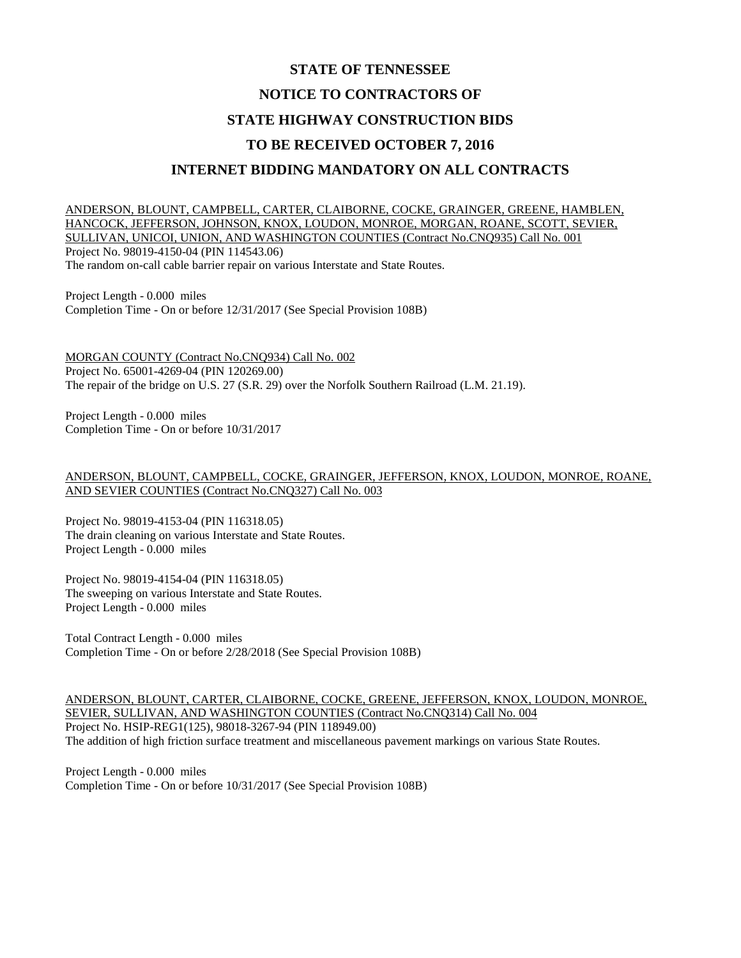# **STATE OF TENNESSEE NOTICE TO CONTRACTORS OF STATE HIGHWAY CONSTRUCTION BIDS TO BE RECEIVED OCTOBER 7, 2016 INTERNET BIDDING MANDATORY ON ALL CONTRACTS**

ANDERSON, BLOUNT, CAMPBELL, CARTER, CLAIBORNE, COCKE, GRAINGER, GREENE, HAMBLEN, HANCOCK, JEFFERSON, JOHNSON, KNOX, LOUDON, MONROE, MORGAN, ROANE, SCOTT, SEVIER, SULLIVAN, UNICOI, UNION, AND WASHINGTON COUNTIES (Contract No.CNQ935) Call No. 001 Project No. 98019-4150-04 (PIN 114543.06) The random on-call cable barrier repair on various Interstate and State Routes.

Project Length - 0.000 miles Completion Time - On or before 12/31/2017 (See Special Provision 108B)

MORGAN COUNTY (Contract No.CNQ934) Call No. 002 Project No. 65001-4269-04 (PIN 120269.00) The repair of the bridge on U.S. 27 (S.R. 29) over the Norfolk Southern Railroad (L.M. 21.19).

Project Length - 0.000 miles Completion Time - On or before 10/31/2017

#### ANDERSON, BLOUNT, CAMPBELL, COCKE, GRAINGER, JEFFERSON, KNOX, LOUDON, MONROE, ROANE, AND SEVIER COUNTIES (Contract No.CNQ327) Call No. 003

Project No. 98019-4153-04 (PIN 116318.05) The drain cleaning on various Interstate and State Routes. Project Length - 0.000 miles

Project No. 98019-4154-04 (PIN 116318.05) The sweeping on various Interstate and State Routes. Project Length - 0.000 miles

Total Contract Length - 0.000 miles Completion Time - On or before 2/28/2018 (See Special Provision 108B)

ANDERSON, BLOUNT, CARTER, CLAIBORNE, COCKE, GREENE, JEFFERSON, KNOX, LOUDON, MONROE, SEVIER, SULLIVAN, AND WASHINGTON COUNTIES (Contract No.CNQ314) Call No. 004 Project No. HSIP-REG1(125), 98018-3267-94 (PIN 118949.00) The addition of high friction surface treatment and miscellaneous pavement markings on various State Routes.

Project Length - 0.000 miles Completion Time - On or before 10/31/2017 (See Special Provision 108B)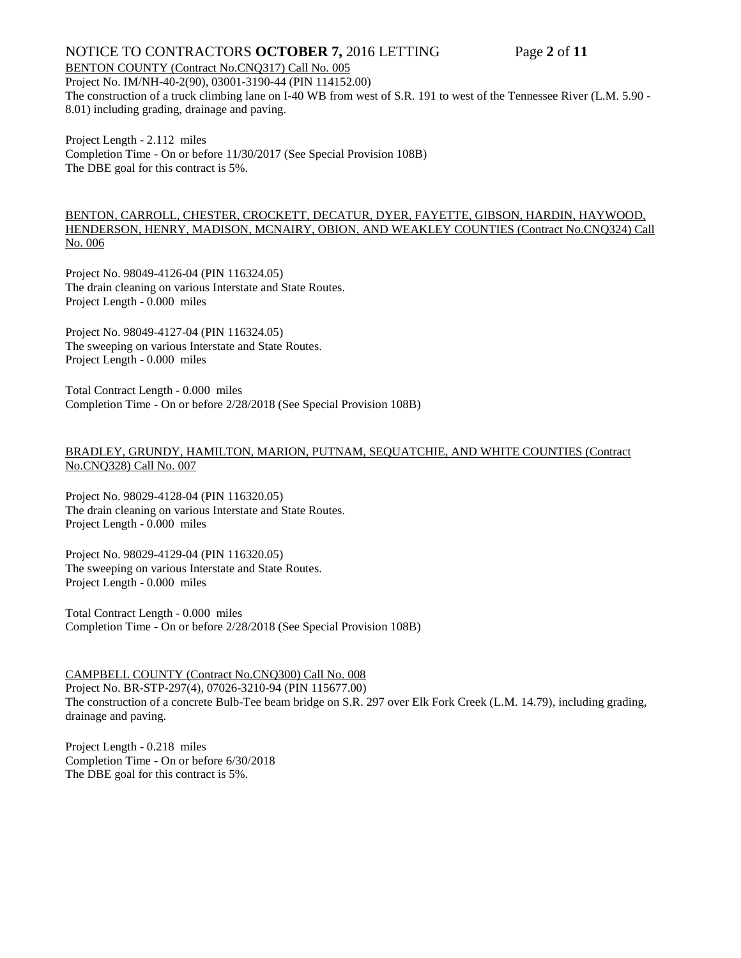## NOTICE TO CONTRACTORS **OCTOBER 7,** 2016 LETTING Page **2** of **11**

#### BENTON COUNTY (Contract No.CNQ317) Call No. 005

Project No. IM/NH-40-2(90), 03001-3190-44 (PIN 114152.00) The construction of a truck climbing lane on I-40 WB from west of S.R. 191 to west of the Tennessee River (L.M. 5.90 - 8.01) including grading, drainage and paving.

Project Length - 2.112 miles Completion Time - On or before 11/30/2017 (See Special Provision 108B) The DBE goal for this contract is 5%.

#### BENTON, CARROLL, CHESTER, CROCKETT, DECATUR, DYER, FAYETTE, GIBSON, HARDIN, HAYWOOD, HENDERSON, HENRY, MADISON, MCNAIRY, OBION, AND WEAKLEY COUNTIES (Contract No.CNQ324) Call No. 006

Project No. 98049-4126-04 (PIN 116324.05) The drain cleaning on various Interstate and State Routes. Project Length - 0.000 miles

Project No. 98049-4127-04 (PIN 116324.05) The sweeping on various Interstate and State Routes. Project Length - 0.000 miles

Total Contract Length - 0.000 miles Completion Time - On or before 2/28/2018 (See Special Provision 108B)

#### BRADLEY, GRUNDY, HAMILTON, MARION, PUTNAM, SEQUATCHIE, AND WHITE COUNTIES (Contract No.CNQ328) Call No. 007

Project No. 98029-4128-04 (PIN 116320.05) The drain cleaning on various Interstate and State Routes. Project Length - 0.000 miles

Project No. 98029-4129-04 (PIN 116320.05) The sweeping on various Interstate and State Routes. Project Length - 0.000 miles

Total Contract Length - 0.000 miles Completion Time - On or before 2/28/2018 (See Special Provision 108B)

#### CAMPBELL COUNTY (Contract No.CNQ300) Call No. 008

Project No. BR-STP-297(4), 07026-3210-94 (PIN 115677.00) The construction of a concrete Bulb-Tee beam bridge on S.R. 297 over Elk Fork Creek (L.M. 14.79), including grading, drainage and paving.

Project Length - 0.218 miles Completion Time - On or before 6/30/2018 The DBE goal for this contract is 5%.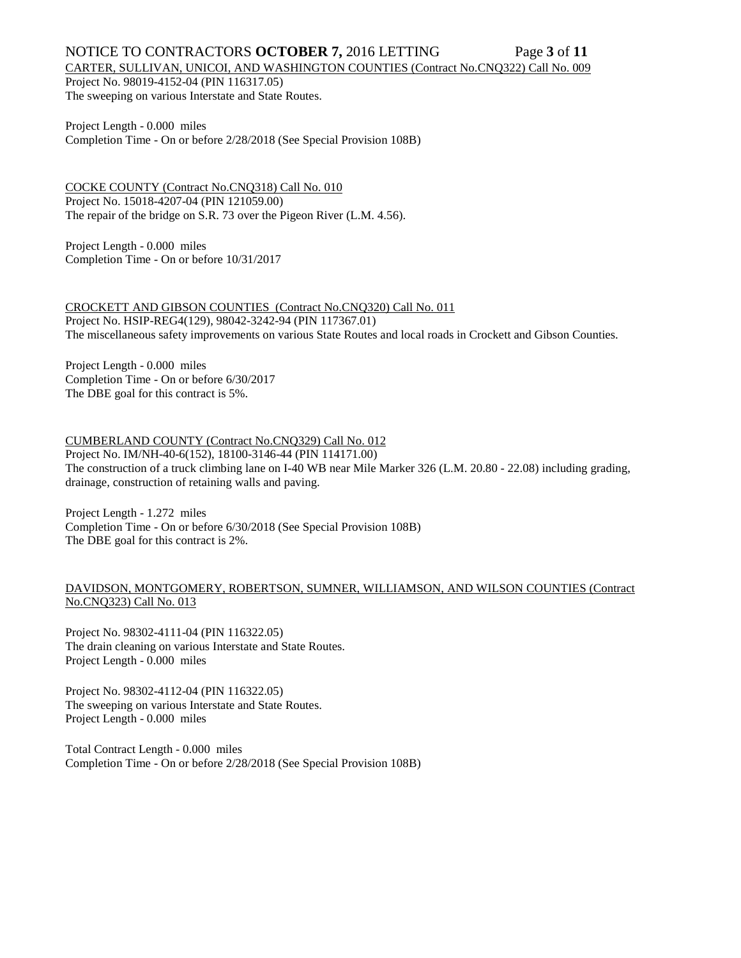# NOTICE TO CONTRACTORS **OCTOBER 7,** 2016 LETTING Page **3** of **11**

### CARTER, SULLIVAN, UNICOI, AND WASHINGTON COUNTIES (Contract No.CNQ322) Call No. 009

Project No. 98019-4152-04 (PIN 116317.05) The sweeping on various Interstate and State Routes.

Project Length - 0.000 miles Completion Time - On or before 2/28/2018 (See Special Provision 108B)

COCKE COUNTY (Contract No.CNQ318) Call No. 010 Project No. 15018-4207-04 (PIN 121059.00) The repair of the bridge on S.R. 73 over the Pigeon River (L.M. 4.56).

Project Length - 0.000 miles Completion Time - On or before 10/31/2017

CROCKETT AND GIBSON COUNTIES (Contract No.CNQ320) Call No. 011 Project No. HSIP-REG4(129), 98042-3242-94 (PIN 117367.01) The miscellaneous safety improvements on various State Routes and local roads in Crockett and Gibson Counties.

Project Length - 0.000 miles Completion Time - On or before 6/30/2017 The DBE goal for this contract is 5%.

### CUMBERLAND COUNTY (Contract No.CNQ329) Call No. 012

Project No. IM/NH-40-6(152), 18100-3146-44 (PIN 114171.00)

The construction of a truck climbing lane on I-40 WB near Mile Marker 326 (L.M. 20.80 - 22.08) including grading, drainage, construction of retaining walls and paving.

Project Length - 1.272 miles Completion Time - On or before 6/30/2018 (See Special Provision 108B) The DBE goal for this contract is 2%.

### DAVIDSON, MONTGOMERY, ROBERTSON, SUMNER, WILLIAMSON, AND WILSON COUNTIES (Contract No.CNQ323) Call No. 013

Project No. 98302-4111-04 (PIN 116322.05) The drain cleaning on various Interstate and State Routes. Project Length - 0.000 miles

Project No. 98302-4112-04 (PIN 116322.05) The sweeping on various Interstate and State Routes. Project Length - 0.000 miles

Total Contract Length - 0.000 miles Completion Time - On or before 2/28/2018 (See Special Provision 108B)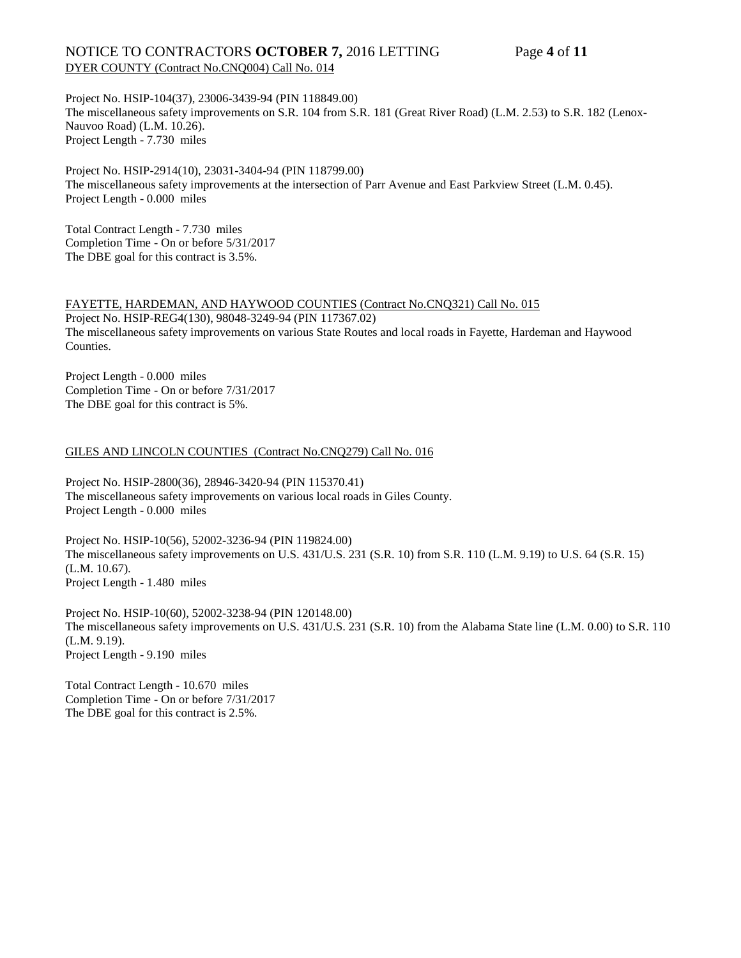### NOTICE TO CONTRACTORS **OCTOBER 7,** 2016 LETTING Page **4** of **11** DYER COUNTY (Contract No.CNQ004) Call No. 014

Project No. HSIP-104(37), 23006-3439-94 (PIN 118849.00) The miscellaneous safety improvements on S.R. 104 from S.R. 181 (Great River Road) (L.M. 2.53) to S.R. 182 (Lenox-Nauvoo Road) (L.M. 10.26). Project Length - 7.730 miles

Project No. HSIP-2914(10), 23031-3404-94 (PIN 118799.00) The miscellaneous safety improvements at the intersection of Parr Avenue and East Parkview Street (L.M. 0.45). Project Length - 0.000 miles

Total Contract Length - 7.730 miles Completion Time - On or before 5/31/2017 The DBE goal for this contract is 3.5%.

### FAYETTE, HARDEMAN, AND HAYWOOD COUNTIES (Contract No.CNQ321) Call No. 015

Project No. HSIP-REG4(130), 98048-3249-94 (PIN 117367.02) The miscellaneous safety improvements on various State Routes and local roads in Fayette, Hardeman and Haywood Counties.

Project Length - 0.000 miles Completion Time - On or before 7/31/2017 The DBE goal for this contract is 5%.

### GILES AND LINCOLN COUNTIES (Contract No.CNQ279) Call No. 016

Project No. HSIP-2800(36), 28946-3420-94 (PIN 115370.41) The miscellaneous safety improvements on various local roads in Giles County. Project Length - 0.000 miles

Project No. HSIP-10(56), 52002-3236-94 (PIN 119824.00) The miscellaneous safety improvements on U.S. 431/U.S. 231 (S.R. 10) from S.R. 110 (L.M. 9.19) to U.S. 64 (S.R. 15) (L.M. 10.67). Project Length - 1.480 miles

Project No. HSIP-10(60), 52002-3238-94 (PIN 120148.00) The miscellaneous safety improvements on U.S. 431/U.S. 231 (S.R. 10) from the Alabama State line (L.M. 0.00) to S.R. 110 (L.M. 9.19). Project Length - 9.190 miles

Total Contract Length - 10.670 miles Completion Time - On or before 7/31/2017 The DBE goal for this contract is 2.5%.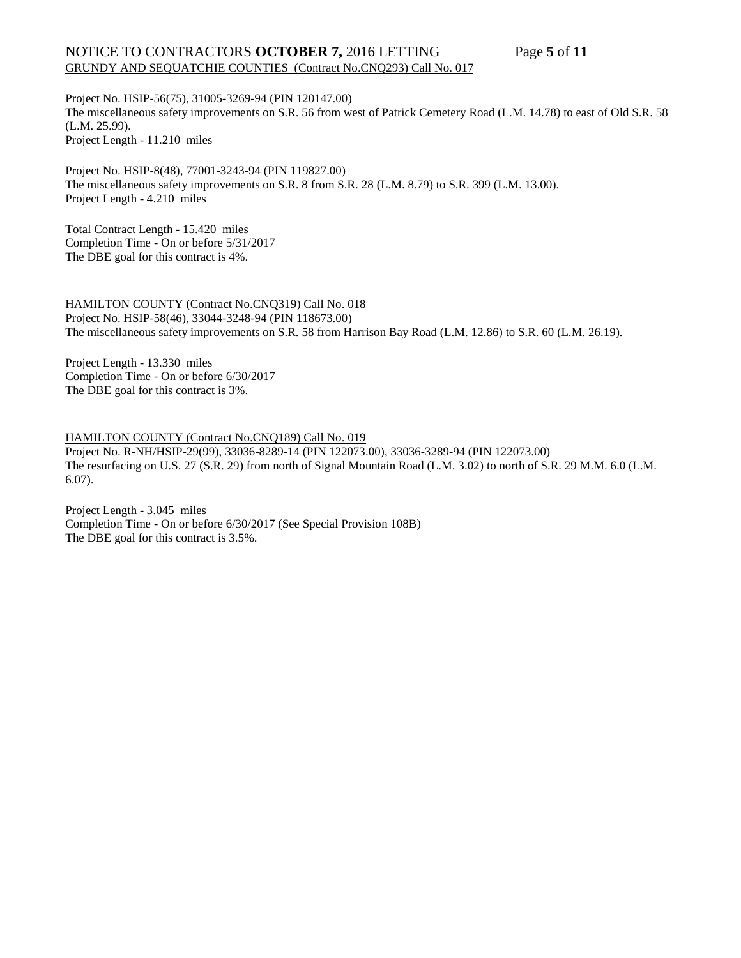# NOTICE TO CONTRACTORS **OCTOBER 7,** 2016 LETTING Page **5** of **11** GRUNDY AND SEQUATCHIE COUNTIES (Contract No.CNQ293) Call No. 017

Project No. HSIP-56(75), 31005-3269-94 (PIN 120147.00) The miscellaneous safety improvements on S.R. 56 from west of Patrick Cemetery Road (L.M. 14.78) to east of Old S.R. 58 (L.M. 25.99). Project Length - 11.210 miles

Project No. HSIP-8(48), 77001-3243-94 (PIN 119827.00) The miscellaneous safety improvements on S.R. 8 from S.R. 28 (L.M. 8.79) to S.R. 399 (L.M. 13.00). Project Length - 4.210 miles

Total Contract Length - 15.420 miles Completion Time - On or before 5/31/2017 The DBE goal for this contract is 4%.

HAMILTON COUNTY (Contract No.CNQ319) Call No. 018 Project No. HSIP-58(46), 33044-3248-94 (PIN 118673.00) The miscellaneous safety improvements on S.R. 58 from Harrison Bay Road (L.M. 12.86) to S.R. 60 (L.M. 26.19).

Project Length - 13.330 miles Completion Time - On or before 6/30/2017 The DBE goal for this contract is 3%.

HAMILTON COUNTY (Contract No.CNQ189) Call No. 019

Project No. R-NH/HSIP-29(99), 33036-8289-14 (PIN 122073.00), 33036-3289-94 (PIN 122073.00) The resurfacing on U.S. 27 (S.R. 29) from north of Signal Mountain Road (L.M. 3.02) to north of S.R. 29 M.M. 6.0 (L.M. 6.07).

Project Length - 3.045 miles Completion Time - On or before 6/30/2017 (See Special Provision 108B) The DBE goal for this contract is 3.5%.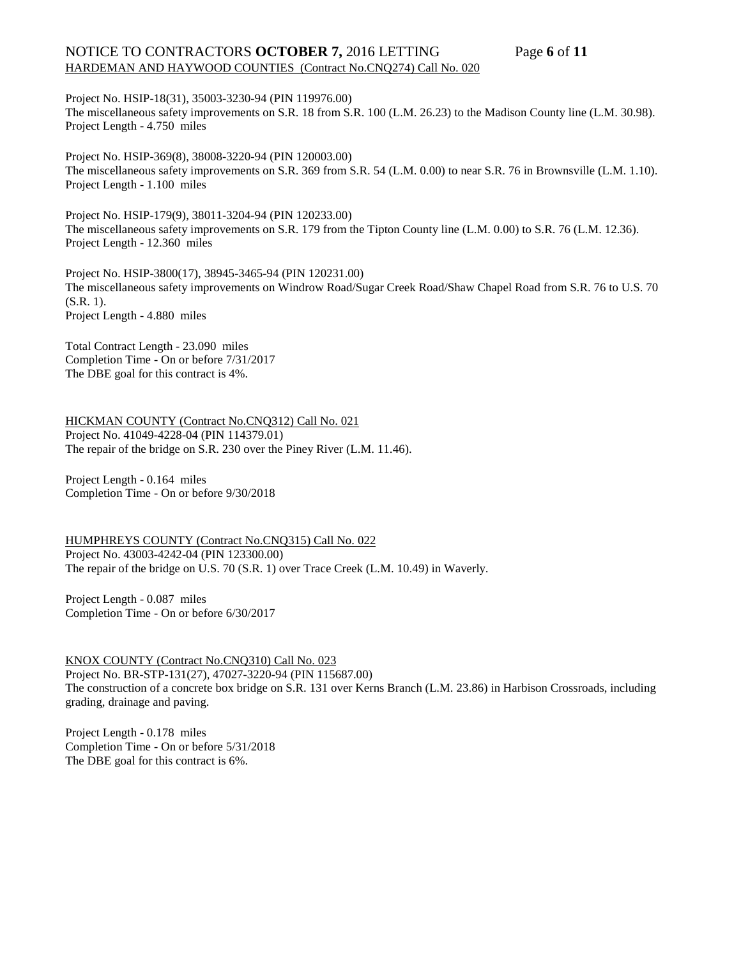# NOTICE TO CONTRACTORS **OCTOBER 7,** 2016 LETTING Page **6** of **11** HARDEMAN AND HAYWOOD COUNTIES (Contract No.CNQ274) Call No. 020

Project No. HSIP-18(31), 35003-3230-94 (PIN 119976.00) The miscellaneous safety improvements on S.R. 18 from S.R. 100 (L.M. 26.23) to the Madison County line (L.M. 30.98). Project Length - 4.750 miles

Project No. HSIP-369(8), 38008-3220-94 (PIN 120003.00) The miscellaneous safety improvements on S.R. 369 from S.R. 54 (L.M. 0.00) to near S.R. 76 in Brownsville (L.M. 1.10). Project Length - 1.100 miles

Project No. HSIP-179(9), 38011-3204-94 (PIN 120233.00) The miscellaneous safety improvements on S.R. 179 from the Tipton County line (L.M. 0.00) to S.R. 76 (L.M. 12.36). Project Length - 12.360 miles

Project No. HSIP-3800(17), 38945-3465-94 (PIN 120231.00) The miscellaneous safety improvements on Windrow Road/Sugar Creek Road/Shaw Chapel Road from S.R. 76 to U.S. 70 (S.R. 1). Project Length - 4.880 miles

Total Contract Length - 23.090 miles Completion Time - On or before 7/31/2017 The DBE goal for this contract is 4%.

HICKMAN COUNTY (Contract No.CNQ312) Call No. 021 Project No. 41049-4228-04 (PIN 114379.01) The repair of the bridge on S.R. 230 over the Piney River (L.M. 11.46).

Project Length - 0.164 miles Completion Time - On or before 9/30/2018

HUMPHREYS COUNTY (Contract No.CNQ315) Call No. 022 Project No. 43003-4242-04 (PIN 123300.00) The repair of the bridge on U.S. 70 (S.R. 1) over Trace Creek (L.M. 10.49) in Waverly.

Project Length - 0.087 miles Completion Time - On or before 6/30/2017

KNOX COUNTY (Contract No.CNQ310) Call No. 023 Project No. BR-STP-131(27), 47027-3220-94 (PIN 115687.00) The construction of a concrete box bridge on S.R. 131 over Kerns Branch (L.M. 23.86) in Harbison Crossroads, including grading, drainage and paving.

Project Length - 0.178 miles Completion Time - On or before 5/31/2018 The DBE goal for this contract is 6%.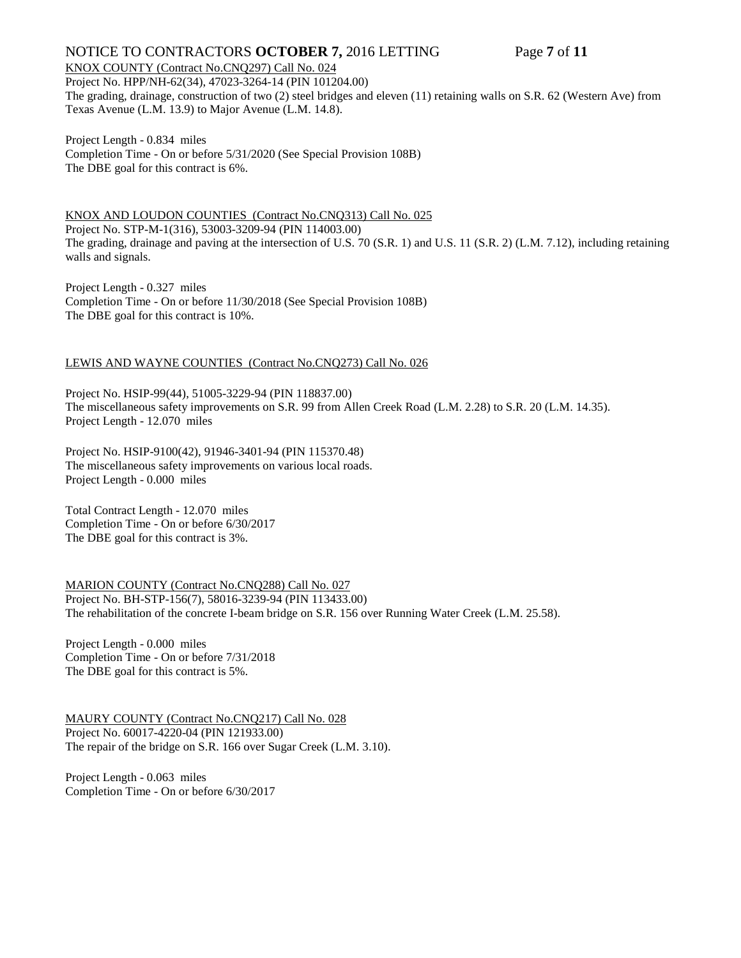# NOTICE TO CONTRACTORS OCTOBER 7, 2016 LETTING Page 7 of 11

### KNOX COUNTY (Contract No.CNQ297) Call No. 024

Project No. HPP/NH-62(34), 47023-3264-14 (PIN 101204.00) The grading, drainage, construction of two (2) steel bridges and eleven (11) retaining walls on S.R. 62 (Western Ave) from Texas Avenue (L.M. 13.9) to Major Avenue (L.M. 14.8).

Project Length - 0.834 miles Completion Time - On or before 5/31/2020 (See Special Provision 108B) The DBE goal for this contract is 6%.

KNOX AND LOUDON COUNTIES (Contract No.CNQ313) Call No. 025 Project No. STP-M-1(316), 53003-3209-94 (PIN 114003.00) The grading, drainage and paving at the intersection of U.S. 70 (S.R. 1) and U.S. 11 (S.R. 2) (L.M. 7.12), including retaining walls and signals.

Project Length - 0.327 miles Completion Time - On or before 11/30/2018 (See Special Provision 108B) The DBE goal for this contract is 10%.

### LEWIS AND WAYNE COUNTIES (Contract No.CNQ273) Call No. 026

Project No. HSIP-99(44), 51005-3229-94 (PIN 118837.00) The miscellaneous safety improvements on S.R. 99 from Allen Creek Road (L.M. 2.28) to S.R. 20 (L.M. 14.35). Project Length - 12.070 miles

Project No. HSIP-9100(42), 91946-3401-94 (PIN 115370.48) The miscellaneous safety improvements on various local roads. Project Length - 0.000 miles

Total Contract Length - 12.070 miles Completion Time - On or before 6/30/2017 The DBE goal for this contract is 3%.

MARION COUNTY (Contract No.CNQ288) Call No. 027 Project No. BH-STP-156(7), 58016-3239-94 (PIN 113433.00) The rehabilitation of the concrete I-beam bridge on S.R. 156 over Running Water Creek (L.M. 25.58).

Project Length - 0.000 miles Completion Time - On or before 7/31/2018 The DBE goal for this contract is 5%.

MAURY COUNTY (Contract No.CNQ217) Call No. 028 Project No. 60017-4220-04 (PIN 121933.00) The repair of the bridge on S.R. 166 over Sugar Creek (L.M. 3.10).

Project Length - 0.063 miles Completion Time - On or before 6/30/2017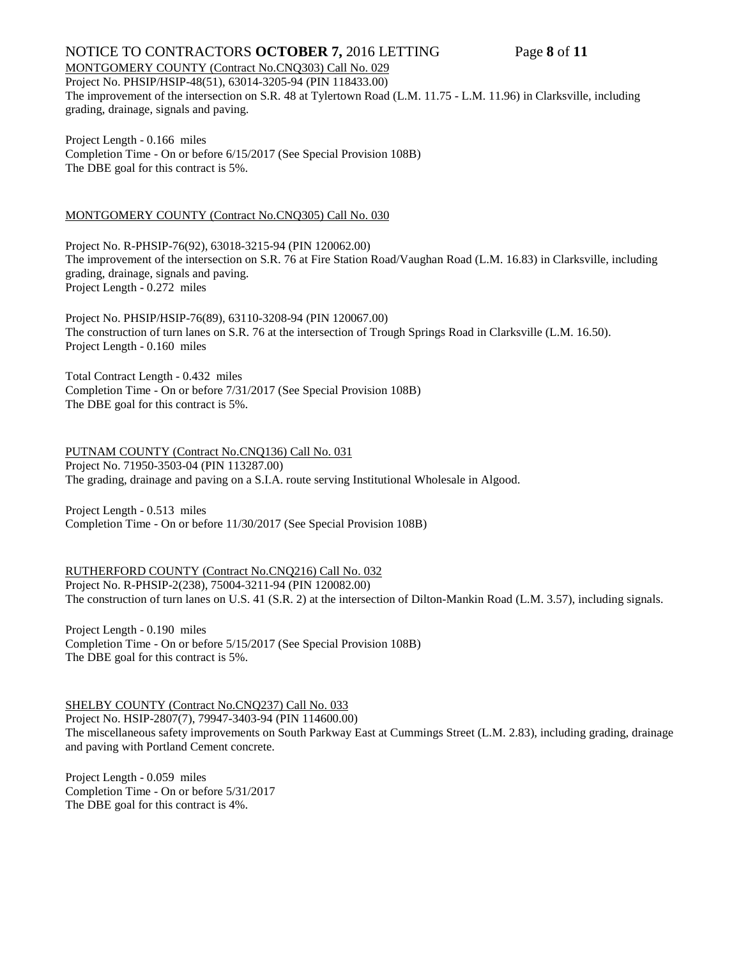# NOTICE TO CONTRACTORS **OCTOBER 7,** 2016 LETTING Page **8** of **11**

MONTGOMERY COUNTY (Contract No.CNQ303) Call No. 029 Project No. PHSIP/HSIP-48(51), 63014-3205-94 (PIN 118433.00) The improvement of the intersection on S.R. 48 at Tylertown Road (L.M. 11.75 - L.M. 11.96) in Clarksville, including grading, drainage, signals and paving.

Project Length - 0.166 miles Completion Time - On or before 6/15/2017 (See Special Provision 108B) The DBE goal for this contract is 5%.

### MONTGOMERY COUNTY (Contract No.CNQ305) Call No. 030

Project No. R-PHSIP-76(92), 63018-3215-94 (PIN 120062.00) The improvement of the intersection on S.R. 76 at Fire Station Road/Vaughan Road (L.M. 16.83) in Clarksville, including grading, drainage, signals and paving. Project Length - 0.272 miles

Project No. PHSIP/HSIP-76(89), 63110-3208-94 (PIN 120067.00) The construction of turn lanes on S.R. 76 at the intersection of Trough Springs Road in Clarksville (L.M. 16.50). Project Length - 0.160 miles

Total Contract Length - 0.432 miles Completion Time - On or before 7/31/2017 (See Special Provision 108B) The DBE goal for this contract is 5%.

PUTNAM COUNTY (Contract No.CNQ136) Call No. 031 Project No. 71950-3503-04 (PIN 113287.00) The grading, drainage and paving on a S.I.A. route serving Institutional Wholesale in Algood.

Project Length - 0.513 miles Completion Time - On or before 11/30/2017 (See Special Provision 108B)

RUTHERFORD COUNTY (Contract No.CNQ216) Call No. 032 Project No. R-PHSIP-2(238), 75004-3211-94 (PIN 120082.00) The construction of turn lanes on U.S. 41 (S.R. 2) at the intersection of Dilton-Mankin Road (L.M. 3.57), including signals.

Project Length - 0.190 miles Completion Time - On or before 5/15/2017 (See Special Provision 108B) The DBE goal for this contract is 5%.

# SHELBY COUNTY (Contract No.CNQ237) Call No. 033

Project No. HSIP-2807(7), 79947-3403-94 (PIN 114600.00) The miscellaneous safety improvements on South Parkway East at Cummings Street (L.M. 2.83), including grading, drainage and paving with Portland Cement concrete.

Project Length - 0.059 miles Completion Time - On or before 5/31/2017 The DBE goal for this contract is 4%.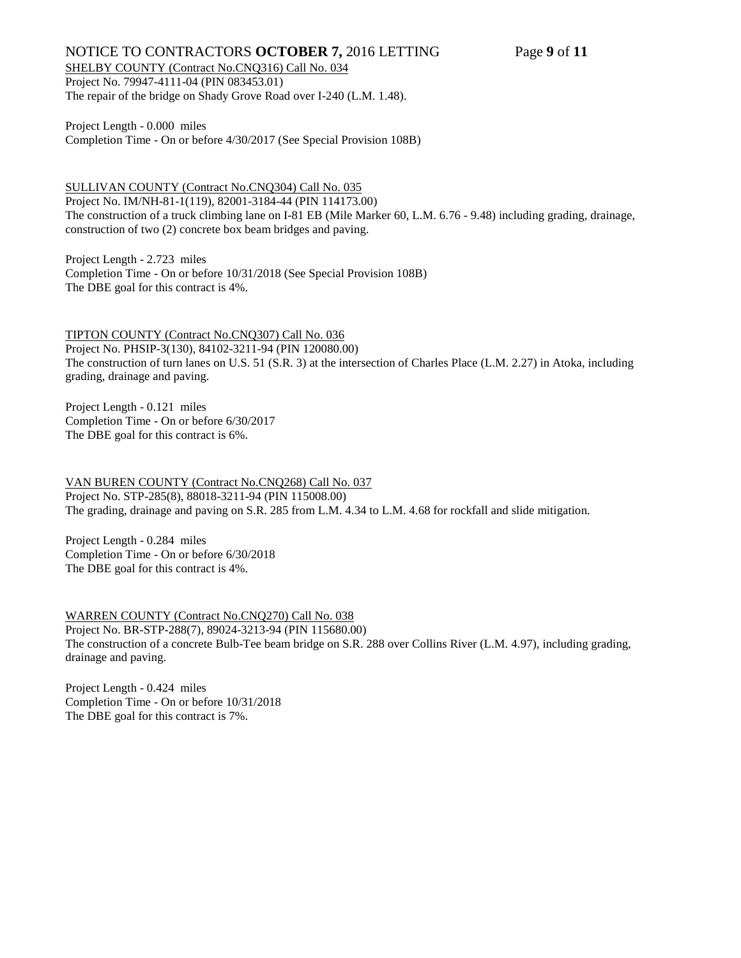# NOTICE TO CONTRACTORS OCTOBER 7, 2016 LETTING Page 9 of 11

SHELBY COUNTY (Contract No.CNQ316) Call No. 034 Project No. 79947-4111-04 (PIN 083453.01)

The repair of the bridge on Shady Grove Road over I-240 (L.M. 1.48).

Project Length - 0.000 miles Completion Time - On or before 4/30/2017 (See Special Provision 108B)

SULLIVAN COUNTY (Contract No.CNQ304) Call No. 035 Project No. IM/NH-81-1(119), 82001-3184-44 (PIN 114173.00) The construction of a truck climbing lane on I-81 EB (Mile Marker 60, L.M. 6.76 - 9.48) including grading, drainage, construction of two (2) concrete box beam bridges and paving.

Project Length - 2.723 miles Completion Time - On or before 10/31/2018 (See Special Provision 108B) The DBE goal for this contract is 4%.

TIPTON COUNTY (Contract No.CNQ307) Call No. 036 Project No. PHSIP-3(130), 84102-3211-94 (PIN 120080.00) The construction of turn lanes on U.S. 51 (S.R. 3) at the intersection of Charles Place (L.M. 2.27) in Atoka, including grading, drainage and paving.

Project Length - 0.121 miles Completion Time - On or before 6/30/2017 The DBE goal for this contract is 6%.

VAN BUREN COUNTY (Contract No.CNQ268) Call No. 037 Project No. STP-285(8), 88018-3211-94 (PIN 115008.00) The grading, drainage and paving on S.R. 285 from L.M. 4.34 to L.M. 4.68 for rockfall and slide mitigation.

Project Length - 0.284 miles Completion Time - On or before 6/30/2018 The DBE goal for this contract is 4%.

WARREN COUNTY (Contract No.CNQ270) Call No. 038 Project No. BR-STP-288(7), 89024-3213-94 (PIN 115680.00) The construction of a concrete Bulb-Tee beam bridge on S.R. 288 over Collins River (L.M. 4.97), including grading, drainage and paving.

Project Length - 0.424 miles Completion Time - On or before 10/31/2018 The DBE goal for this contract is 7%.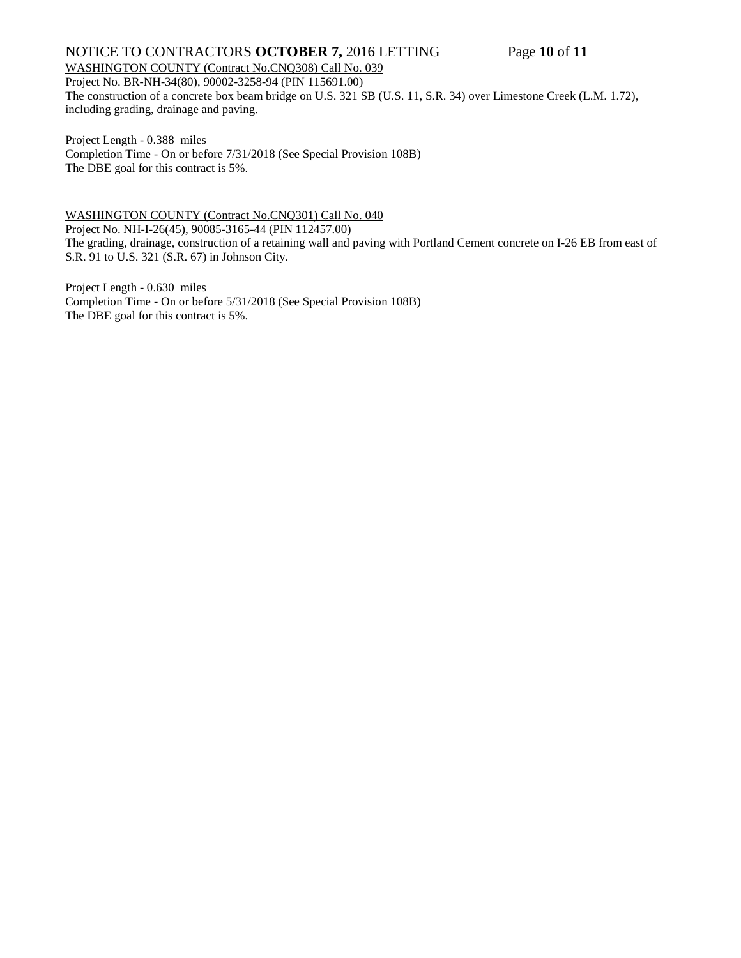# NOTICE TO CONTRACTORS **OCTOBER 7,** 2016 LETTING Page **10** of **11**

### WASHINGTON COUNTY (Contract No.CNQ308) Call No. 039 Project No. BR-NH-34(80), 90002-3258-94 (PIN 115691.00) The construction of a concrete box beam bridge on U.S. 321 SB (U.S. 11, S.R. 34) over Limestone Creek (L.M. 1.72), including grading, drainage and paving.

Project Length - 0.388 miles Completion Time - On or before 7/31/2018 (See Special Provision 108B) The DBE goal for this contract is 5%.

WASHINGTON COUNTY (Contract No.CNQ301) Call No. 040 Project No. NH-I-26(45), 90085-3165-44 (PIN 112457.00) The grading, drainage, construction of a retaining wall and paving with Portland Cement concrete on I-26 EB from east of S.R. 91 to U.S. 321 (S.R. 67) in Johnson City.

Project Length - 0.630 miles Completion Time - On or before 5/31/2018 (See Special Provision 108B) The DBE goal for this contract is 5%.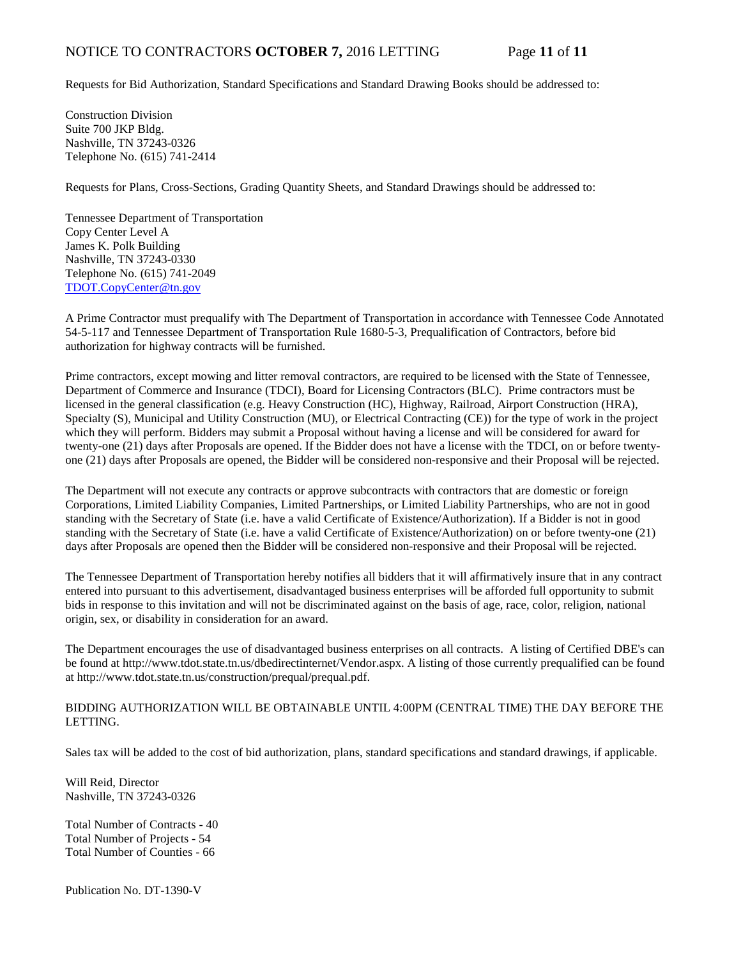# NOTICE TO CONTRACTORS **OCTOBER 7,** 2016 LETTING Page **11** of **11**

Requests for Bid Authorization, Standard Specifications and Standard Drawing Books should be addressed to:

Construction Division Suite 700 JKP Bldg. Nashville, TN 37243-0326 Telephone No. (615) 741-2414

Requests for Plans, Cross-Sections, Grading Quantity Sheets, and Standard Drawings should be addressed to:

Tennessee Department of Transportation Copy Center Level A James K. Polk Building Nashville, TN 37243-0330 Telephone No. (615) 741-2049 [TDOT.CopyCenter@tn.gov](mailto:TDOT.CopyCenter@tn.gov)

A Prime Contractor must prequalify with The Department of Transportation in accordance with Tennessee Code Annotated 54-5-117 and Tennessee Department of Transportation Rule 1680-5-3, Prequalification of Contractors, before bid authorization for highway contracts will be furnished.

Prime contractors, except mowing and litter removal contractors, are required to be licensed with the State of Tennessee, Department of Commerce and Insurance (TDCI), Board for Licensing Contractors (BLC). Prime contractors must be licensed in the general classification (e.g. Heavy Construction (HC), Highway, Railroad, Airport Construction (HRA), Specialty (S), Municipal and Utility Construction (MU), or Electrical Contracting (CE)) for the type of work in the project which they will perform. Bidders may submit a Proposal without having a license and will be considered for award for twenty-one (21) days after Proposals are opened. If the Bidder does not have a license with the TDCI, on or before twentyone (21) days after Proposals are opened, the Bidder will be considered non-responsive and their Proposal will be rejected.

The Department will not execute any contracts or approve subcontracts with contractors that are domestic or foreign Corporations, Limited Liability Companies, Limited Partnerships, or Limited Liability Partnerships, who are not in good standing with the Secretary of State (i.e. have a valid Certificate of Existence/Authorization). If a Bidder is not in good standing with the Secretary of State (i.e. have a valid Certificate of Existence/Authorization) on or before twenty-one (21) days after Proposals are opened then the Bidder will be considered non-responsive and their Proposal will be rejected.

The Tennessee Department of Transportation hereby notifies all bidders that it will affirmatively insure that in any contract entered into pursuant to this advertisement, disadvantaged business enterprises will be afforded full opportunity to submit bids in response to this invitation and will not be discriminated against on the basis of age, race, color, religion, national origin, sex, or disability in consideration for an award.

The Department encourages the use of disadvantaged business enterprises on all contracts. A listing of Certified DBE's can be found at [http://www.tdot.state.tn.us/dbedirectinternet/Vendor.aspx.](http://www.tdot.state.tn.us/dbedirectinternet/Vendor.aspx) A listing of those currently prequalified can be found a[t http://www.tdot.state.tn.us/construction/prequal/prequal.pdf.](http://www.tdot.state.tn.us/construction/prequal/prequal.pdf) 

BIDDING AUTHORIZATION WILL BE OBTAINABLE UNTIL 4:00PM (CENTRAL TIME) THE DAY BEFORE THE LETTING.

Sales tax will be added to the cost of bid authorization, plans, standard specifications and standard drawings, if applicable.

Will Reid, Director Nashville, TN 37243-0326

Total Number of Contracts - 40 Total Number of Projects - 54 Total Number of Counties - 66

Publication No. DT-1390-V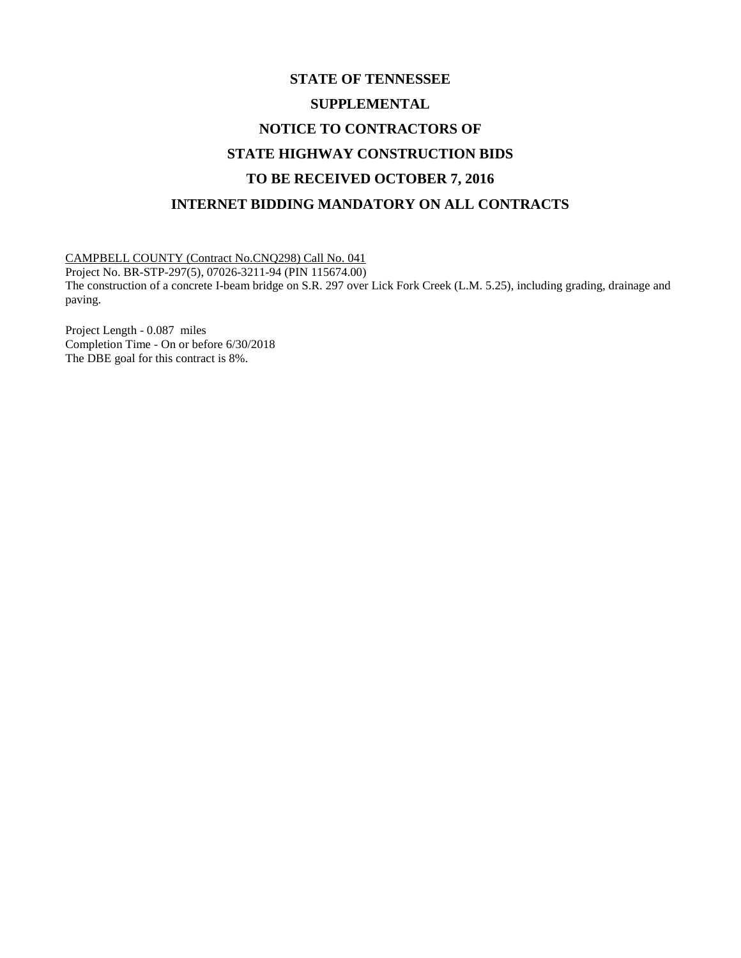# **STATE OF TENNESSEE SUPPLEMENTAL NOTICE TO CONTRACTORS OF STATE HIGHWAY CONSTRUCTION BIDS TO BE RECEIVED OCTOBER 7, 2016 INTERNET BIDDING MANDATORY ON ALL CONTRACTS**

CAMPBELL COUNTY (Contract No.CNQ298) Call No. 041

Project No. BR-STP-297(5), 07026-3211-94 (PIN 115674.00) The construction of a concrete I-beam bridge on S.R. 297 over Lick Fork Creek (L.M. 5.25), including grading, drainage and paving.

Project Length - 0.087 miles Completion Time - On or before 6/30/2018 The DBE goal for this contract is 8%.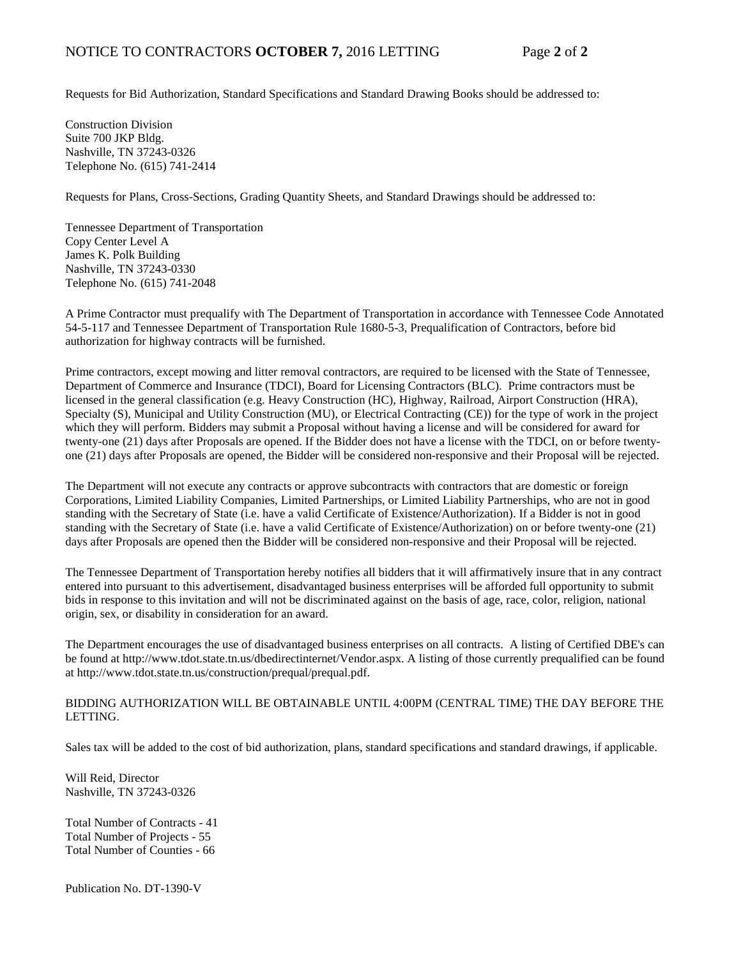Requests for Bid Authorization, Standard Specifications and Standard Drawing Books should be addressed to:

Construction Division Suite 700 JKP Bldg. Nashville, TN 37243-0326 Telephone No. (615) 741-2414

Requests for Plans, Cross-Sections, Grading Quantity Sheets, and Standard Drawings should be addressed to:

Tennessee Department of Transportation Copy Center Level A James K. Polk Building Nashville, TN 37243-0330 Telephone No. (615) 741-2048

A Prime Contractor must prequalify with The Department of Transportation in accordance with Tennessee Code Annotated 54-5-117 and Tennessee Department of Transportation Rule 1680-5-3, Prequalification of Contractors, before bid authorization for highway contracts will be furnished.

Prime contractors, except mowing and litter removal contractors, are required to be licensed with the State of Tennessee, Department of Commerce and Insurance (TDCI), Board for Licensing Contractors (BLC). Prime contractors must be licensed in the general classification (e.g. Heavy Construction (HC), Highway, Railroad, Airport Construction (HRA), Specialty (S), Municipal and Utility Construction (MU), or Electrical Contracting (CE)) for the type of work in the project which they will perform. Bidders may submit a Proposal without having a license and will be considered for award for twenty-one (21) days after Proposals are opened. If the Bidder does not have a license with the TDCI, on or before twentyone (21) days after Proposals are opened, the Bidder will be considered non-responsive and their Proposal will be rejected.

The Department will not execute any contracts or approve subcontracts with contractors that are domestic or foreign Corporations, Limited Liability Companies, Limited Partnerships, or Limited Liability Partnerships, who are not in good standing with the Secretary of State (i.e. have a valid Certificate of Existence/Authorization). If a Bidder is not in good standing with the Secretary of State (i.e. have a valid Certificate of Existence/Authorization) on or before twenty-one (21) days after Proposals are opened then the Bidder will be considered non-responsive and their Proposal will be rejected.

The Tennessee Department of Transportation hereby notifies all bidders that it will affirmatively insure that in any contract entered into pursuant to this advertisement, disadvantaged business enterprises will be afforded full opportunity to submit bids in response to this invitation and will not be discriminated against on the basis of age, race, color, religion, national origin, sex, or disability in consideration for an award.

The Department encourages the use of disadvantaged business enterprises on all contracts. A listing of Certified DBE's can be found at [http://www.tdot.state.tn.us/dbedirectinternet/Vendor.aspx.](http://www.tdot.state.tn.us/dbedirectinternet/Vendor.aspx) A listing of those currently prequalified can be found a[t http://www.tdot.state.tn.us/construction/prequal/prequal.pdf.](http://www.tdot.state.tn.us/construction/prequal/prequal.pdf) 

### BIDDING AUTHORIZATION WILL BE OBTAINABLE UNTIL 4:00PM (CENTRAL TIME) THE DAY BEFORE THE LETTING.

Sales tax will be added to the cost of bid authorization, plans, standard specifications and standard drawings, if applicable.

Will Reid, Director Nashville, TN 37243-0326

Total Number of Contracts - 41 Total Number of Projects - 55 Total Number of Counties - 66

Publication No. DT-1390-V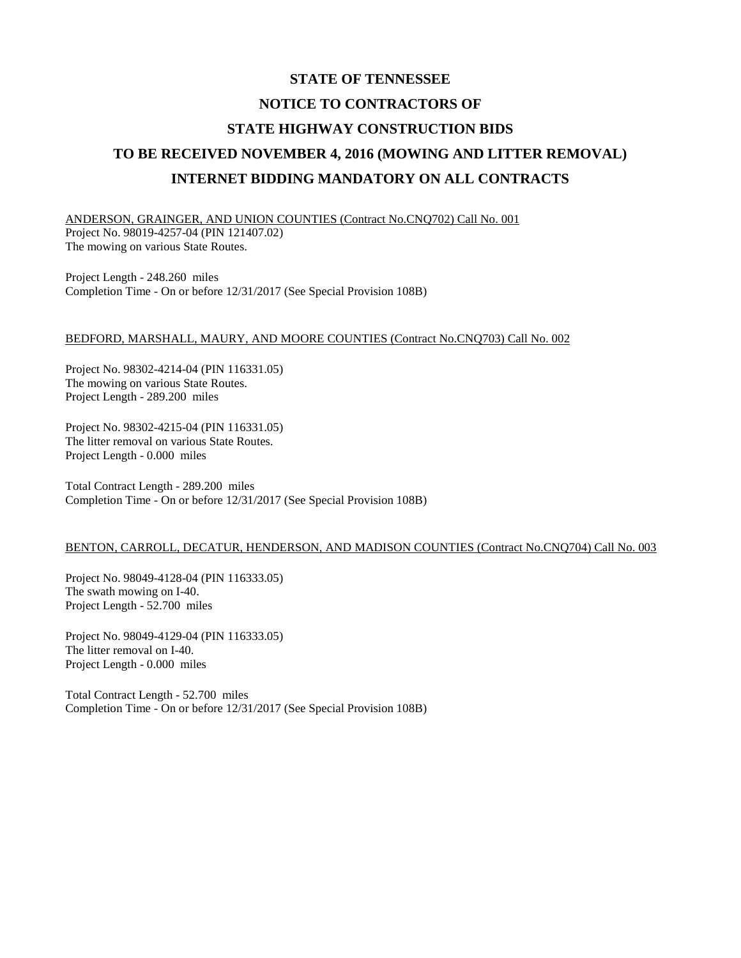# **STATE OF TENNESSEE NOTICE TO CONTRACTORS OF STATE HIGHWAY CONSTRUCTION BIDS TO BE RECEIVED NOVEMBER 4, 2016 (MOWING AND LITTER REMOVAL) INTERNET BIDDING MANDATORY ON ALL CONTRACTS**

ANDERSON, GRAINGER, AND UNION COUNTIES (Contract No.CNQ702) Call No. 001 Project No. 98019-4257-04 (PIN 121407.02) The mowing on various State Routes.

Project Length - 248.260 miles Completion Time - On or before 12/31/2017 (See Special Provision 108B)

### BEDFORD, MARSHALL, MAURY, AND MOORE COUNTIES (Contract No.CNQ703) Call No. 002

Project No. 98302-4214-04 (PIN 116331.05) The mowing on various State Routes. Project Length - 289.200 miles

Project No. 98302-4215-04 (PIN 116331.05) The litter removal on various State Routes. Project Length - 0.000 miles

Total Contract Length - 289.200 miles Completion Time - On or before 12/31/2017 (See Special Provision 108B)

### BENTON, CARROLL, DECATUR, HENDERSON, AND MADISON COUNTIES (Contract No.CNQ704) Call No. 003

Project No. 98049-4128-04 (PIN 116333.05) The swath mowing on I-40. Project Length - 52.700 miles

Project No. 98049-4129-04 (PIN 116333.05) The litter removal on I-40. Project Length - 0.000 miles

Total Contract Length - 52.700 miles Completion Time - On or before 12/31/2017 (See Special Provision 108B)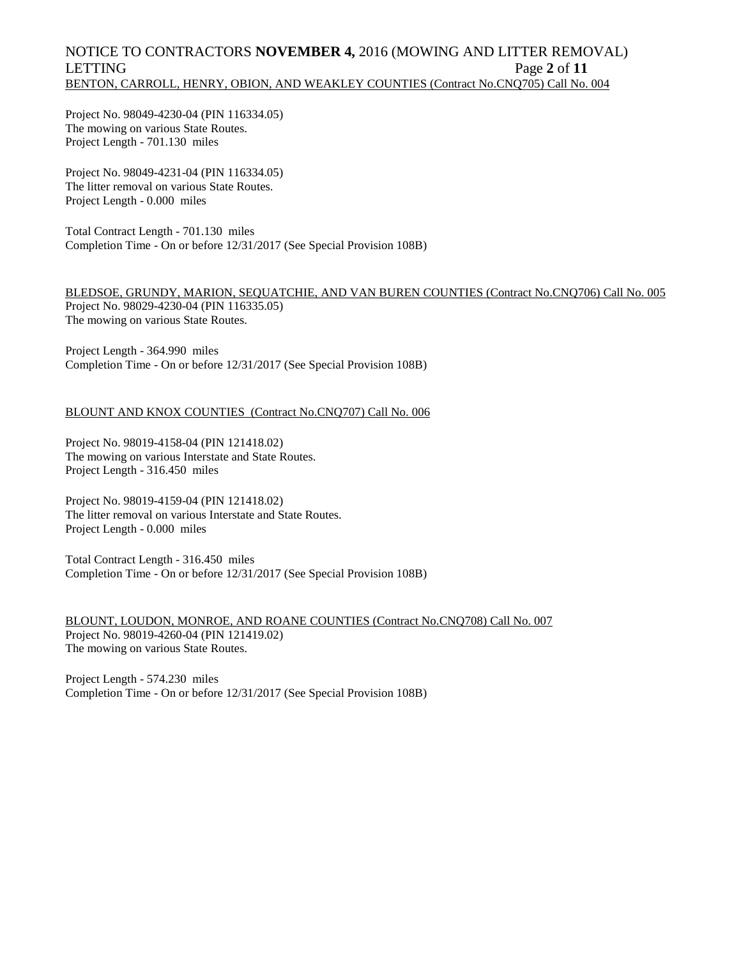# NOTICE TO CONTRACTORS **NOVEMBER 4,** 2016 (MOWING AND LITTER REMOVAL) LETTING Page 2 of 11 BENTON, CARROLL, HENRY, OBION, AND WEAKLEY COUNTIES (Contract No.CNQ705) Call No. 004

Project No. 98049-4230-04 (PIN 116334.05) The mowing on various State Routes. Project Length - 701.130 miles

Project No. 98049-4231-04 (PIN 116334.05) The litter removal on various State Routes. Project Length - 0.000 miles

Total Contract Length - 701.130 miles Completion Time - On or before 12/31/2017 (See Special Provision 108B)

BLEDSOE, GRUNDY, MARION, SEQUATCHIE, AND VAN BUREN COUNTIES (Contract No.CNQ706) Call No. 005 Project No. 98029-4230-04 (PIN 116335.05) The mowing on various State Routes.

Project Length - 364.990 miles Completion Time - On or before 12/31/2017 (See Special Provision 108B)

### BLOUNT AND KNOX COUNTIES (Contract No.CNQ707) Call No. 006

Project No. 98019-4158-04 (PIN 121418.02) The mowing on various Interstate and State Routes. Project Length - 316.450 miles

Project No. 98019-4159-04 (PIN 121418.02) The litter removal on various Interstate and State Routes. Project Length - 0.000 miles

Total Contract Length - 316.450 miles Completion Time - On or before 12/31/2017 (See Special Provision 108B)

BLOUNT, LOUDON, MONROE, AND ROANE COUNTIES (Contract No.CNQ708) Call No. 007 Project No. 98019-4260-04 (PIN 121419.02) The mowing on various State Routes.

Project Length - 574.230 miles Completion Time - On or before 12/31/2017 (See Special Provision 108B)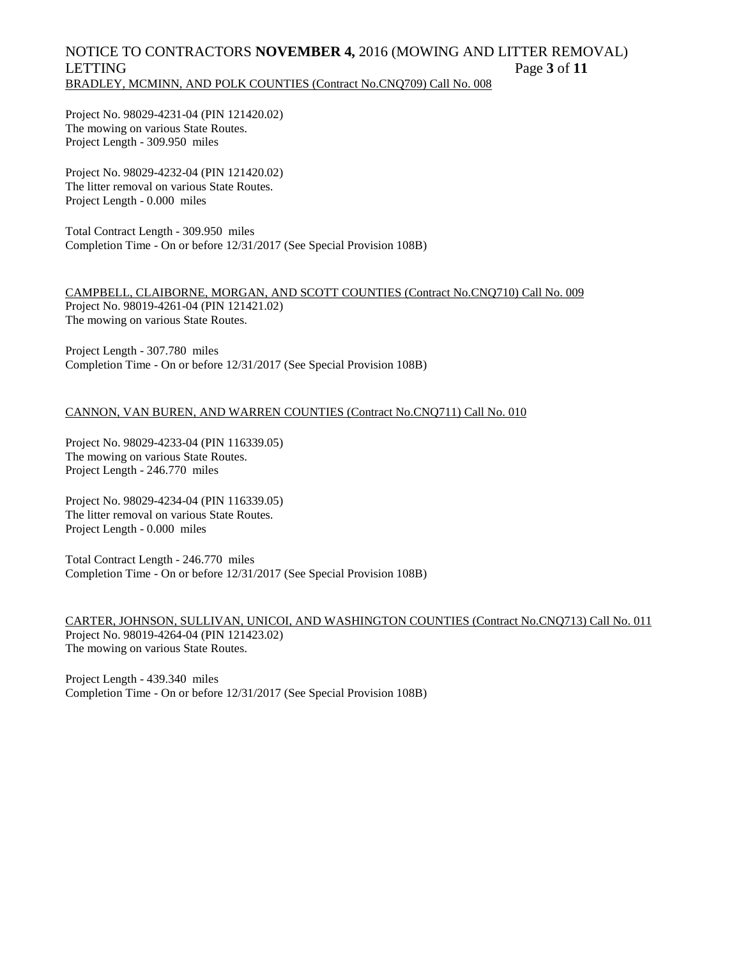# NOTICE TO CONTRACTORS **NOVEMBER 4,** 2016 (MOWING AND LITTER REMOVAL) LETTING Page **3** of **11** BRADLEY, MCMINN, AND POLK COUNTIES (Contract No.CNQ709) Call No. 008

Project No. 98029-4231-04 (PIN 121420.02) The mowing on various State Routes. Project Length - 309.950 miles

Project No. 98029-4232-04 (PIN 121420.02) The litter removal on various State Routes. Project Length - 0.000 miles

Total Contract Length - 309.950 miles Completion Time - On or before 12/31/2017 (See Special Provision 108B)

CAMPBELL, CLAIBORNE, MORGAN, AND SCOTT COUNTIES (Contract No.CNQ710) Call No. 009 Project No. 98019-4261-04 (PIN 121421.02) The mowing on various State Routes.

Project Length - 307.780 miles Completion Time - On or before 12/31/2017 (See Special Provision 108B)

### CANNON, VAN BUREN, AND WARREN COUNTIES (Contract No.CNQ711) Call No. 010

Project No. 98029-4233-04 (PIN 116339.05) The mowing on various State Routes. Project Length - 246.770 miles

Project No. 98029-4234-04 (PIN 116339.05) The litter removal on various State Routes. Project Length - 0.000 miles

Total Contract Length - 246.770 miles Completion Time - On or before 12/31/2017 (See Special Provision 108B)

CARTER, JOHNSON, SULLIVAN, UNICOI, AND WASHINGTON COUNTIES (Contract No.CNQ713) Call No. 011 Project No. 98019-4264-04 (PIN 121423.02) The mowing on various State Routes.

Project Length - 439.340 miles Completion Time - On or before 12/31/2017 (See Special Provision 108B)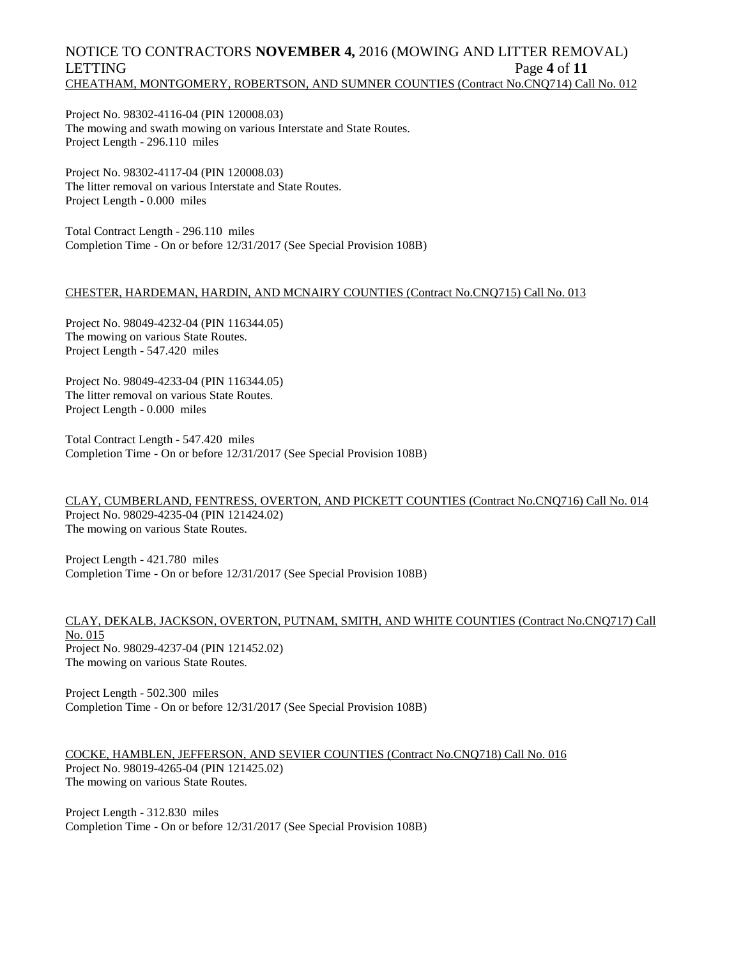# NOTICE TO CONTRACTORS **NOVEMBER 4,** 2016 (MOWING AND LITTER REMOVAL) LETTING Page 4 of 11 CHEATHAM, MONTGOMERY, ROBERTSON, AND SUMNER COUNTIES (Contract No.CNQ714) Call No. 012

Project No. 98302-4116-04 (PIN 120008.03) The mowing and swath mowing on various Interstate and State Routes. Project Length - 296.110 miles

Project No. 98302-4117-04 (PIN 120008.03) The litter removal on various Interstate and State Routes. Project Length - 0.000 miles

Total Contract Length - 296.110 miles Completion Time - On or before 12/31/2017 (See Special Provision 108B)

### CHESTER, HARDEMAN, HARDIN, AND MCNAIRY COUNTIES (Contract No.CNQ715) Call No. 013

Project No. 98049-4232-04 (PIN 116344.05) The mowing on various State Routes. Project Length - 547.420 miles

Project No. 98049-4233-04 (PIN 116344.05) The litter removal on various State Routes. Project Length - 0.000 miles

Total Contract Length - 547.420 miles Completion Time - On or before 12/31/2017 (See Special Provision 108B)

CLAY, CUMBERLAND, FENTRESS, OVERTON, AND PICKETT COUNTIES (Contract No.CNQ716) Call No. 014 Project No. 98029-4235-04 (PIN 121424.02) The mowing on various State Routes.

Project Length - 421.780 miles Completion Time - On or before 12/31/2017 (See Special Provision 108B)

### CLAY, DEKALB, JACKSON, OVERTON, PUTNAM, SMITH, AND WHITE COUNTIES (Contract No.CNQ717) Call No. 015 Project No. 98029-4237-04 (PIN 121452.02) The mowing on various State Routes.

Project Length - 502.300 miles Completion Time - On or before 12/31/2017 (See Special Provision 108B)

COCKE, HAMBLEN, JEFFERSON, AND SEVIER COUNTIES (Contract No.CNQ718) Call No. 016 Project No. 98019-4265-04 (PIN 121425.02) The mowing on various State Routes.

Project Length - 312.830 miles Completion Time - On or before 12/31/2017 (See Special Provision 108B)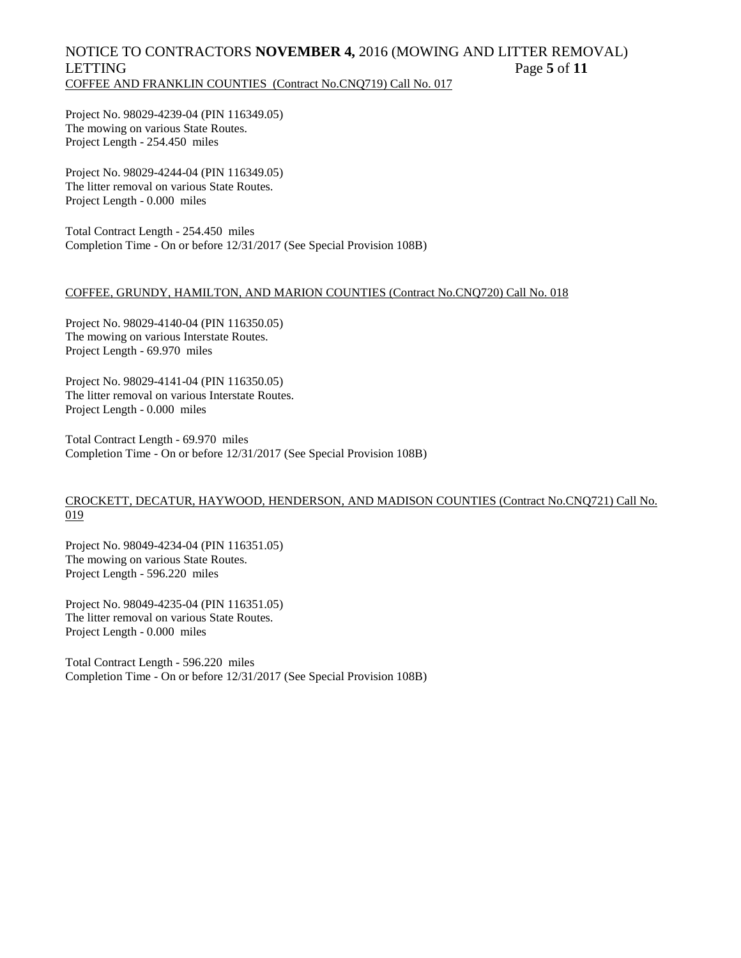# NOTICE TO CONTRACTORS **NOVEMBER 4,** 2016 (MOWING AND LITTER REMOVAL) LETTING Page 5 of 11 COFFEE AND FRANKLIN COUNTIES (Contract No.CNQ719) Call No. 017

Project No. 98029-4239-04 (PIN 116349.05) The mowing on various State Routes. Project Length - 254.450 miles

Project No. 98029-4244-04 (PIN 116349.05) The litter removal on various State Routes. Project Length - 0.000 miles

Total Contract Length - 254.450 miles Completion Time - On or before 12/31/2017 (See Special Provision 108B)

### COFFEE, GRUNDY, HAMILTON, AND MARION COUNTIES (Contract No.CNQ720) Call No. 018

Project No. 98029-4140-04 (PIN 116350.05) The mowing on various Interstate Routes. Project Length - 69.970 miles

Project No. 98029-4141-04 (PIN 116350.05) The litter removal on various Interstate Routes. Project Length - 0.000 miles

Total Contract Length - 69.970 miles Completion Time - On or before 12/31/2017 (See Special Provision 108B)

### CROCKETT, DECATUR, HAYWOOD, HENDERSON, AND MADISON COUNTIES (Contract No.CNQ721) Call No. 019

Project No. 98049-4234-04 (PIN 116351.05) The mowing on various State Routes. Project Length - 596.220 miles

Project No. 98049-4235-04 (PIN 116351.05) The litter removal on various State Routes. Project Length - 0.000 miles

Total Contract Length - 596.220 miles Completion Time - On or before 12/31/2017 (See Special Provision 108B)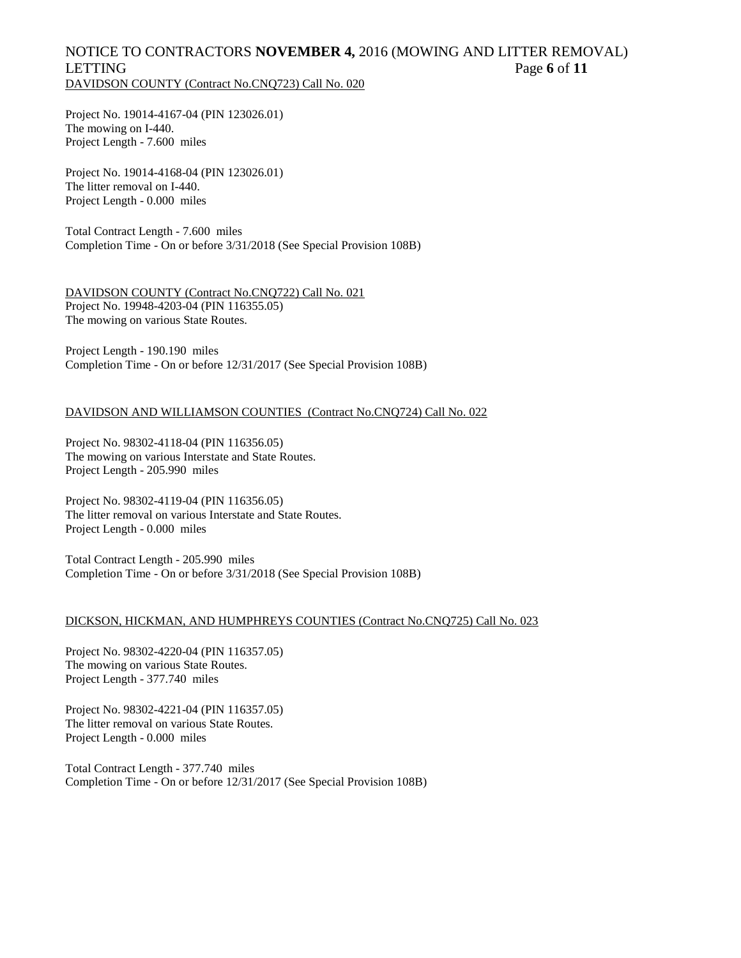# NOTICE TO CONTRACTORS **NOVEMBER 4,** 2016 (MOWING AND LITTER REMOVAL) LETTING Page **6** of **11** DAVIDSON COUNTY (Contract No.CNQ723) Call No. 020

Project No. 19014-4167-04 (PIN 123026.01) The mowing on I-440. Project Length - 7.600 miles

Project No. 19014-4168-04 (PIN 123026.01) The litter removal on I-440. Project Length - 0.000 miles

Total Contract Length - 7.600 miles Completion Time - On or before 3/31/2018 (See Special Provision 108B)

DAVIDSON COUNTY (Contract No.CNQ722) Call No. 021 Project No. 19948-4203-04 (PIN 116355.05) The mowing on various State Routes.

Project Length - 190.190 miles Completion Time - On or before 12/31/2017 (See Special Provision 108B)

### DAVIDSON AND WILLIAMSON COUNTIES (Contract No.CNQ724) Call No. 022

Project No. 98302-4118-04 (PIN 116356.05) The mowing on various Interstate and State Routes. Project Length - 205.990 miles

Project No. 98302-4119-04 (PIN 116356.05) The litter removal on various Interstate and State Routes. Project Length - 0.000 miles

Total Contract Length - 205.990 miles Completion Time - On or before 3/31/2018 (See Special Provision 108B)

### DICKSON, HICKMAN, AND HUMPHREYS COUNTIES (Contract No.CNQ725) Call No. 023

Project No. 98302-4220-04 (PIN 116357.05) The mowing on various State Routes. Project Length - 377.740 miles

Project No. 98302-4221-04 (PIN 116357.05) The litter removal on various State Routes. Project Length - 0.000 miles

Total Contract Length - 377.740 miles Completion Time - On or before 12/31/2017 (See Special Provision 108B)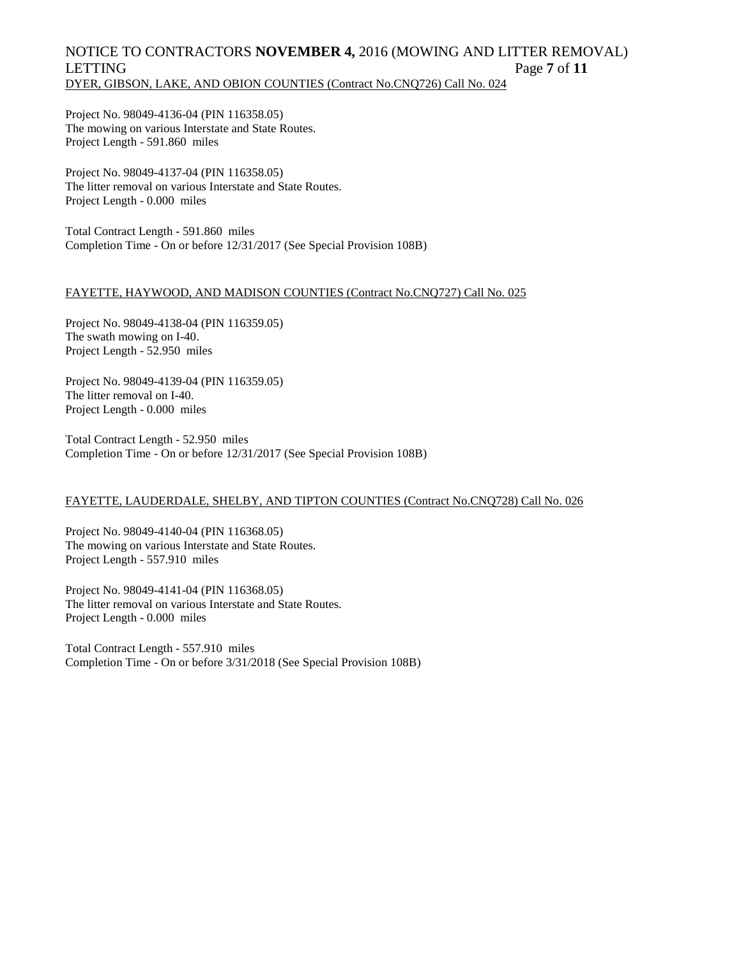# NOTICE TO CONTRACTORS **NOVEMBER 4,** 2016 (MOWING AND LITTER REMOVAL) LETTING Page 7 of 11 DYER, GIBSON, LAKE, AND OBION COUNTIES (Contract No.CNQ726) Call No. 024

Project No. 98049-4136-04 (PIN 116358.05) The mowing on various Interstate and State Routes. Project Length - 591.860 miles

Project No. 98049-4137-04 (PIN 116358.05) The litter removal on various Interstate and State Routes. Project Length - 0.000 miles

Total Contract Length - 591.860 miles Completion Time - On or before 12/31/2017 (See Special Provision 108B)

### FAYETTE, HAYWOOD, AND MADISON COUNTIES (Contract No.CNQ727) Call No. 025

Project No. 98049-4138-04 (PIN 116359.05) The swath mowing on I-40. Project Length - 52.950 miles

Project No. 98049-4139-04 (PIN 116359.05) The litter removal on I-40. Project Length - 0.000 miles

Total Contract Length - 52.950 miles Completion Time - On or before 12/31/2017 (See Special Provision 108B)

# FAYETTE, LAUDERDALE, SHELBY, AND TIPTON COUNTIES (Contract No.CNQ728) Call No. 026

Project No. 98049-4140-04 (PIN 116368.05) The mowing on various Interstate and State Routes. Project Length - 557.910 miles

Project No. 98049-4141-04 (PIN 116368.05) The litter removal on various Interstate and State Routes. Project Length - 0.000 miles

Total Contract Length - 557.910 miles Completion Time - On or before 3/31/2018 (See Special Provision 108B)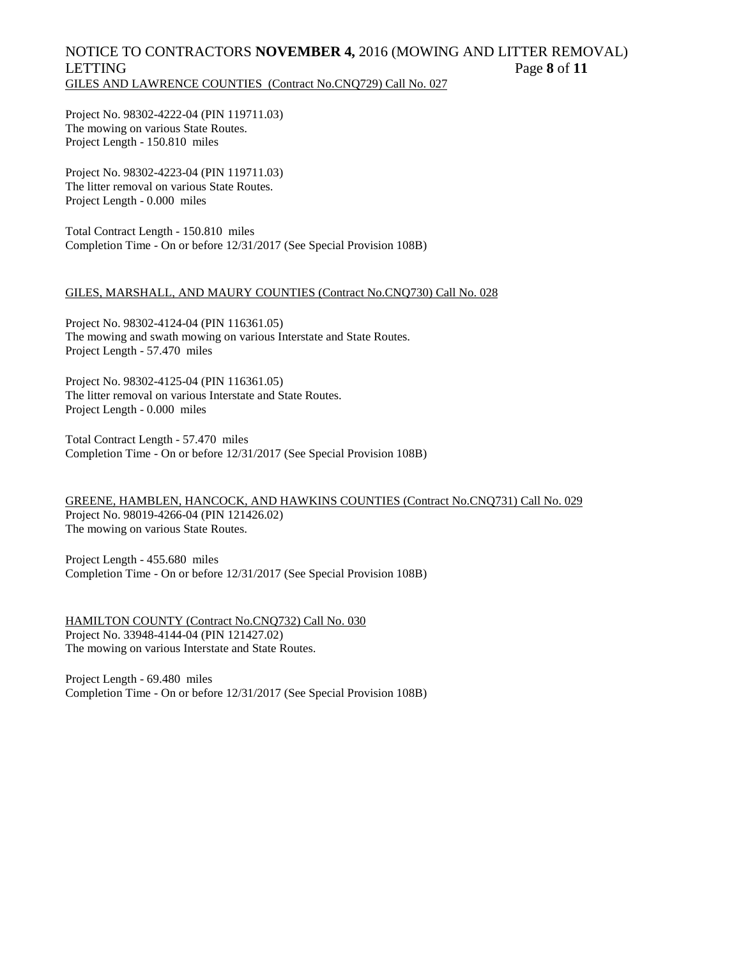# NOTICE TO CONTRACTORS **NOVEMBER 4,** 2016 (MOWING AND LITTER REMOVAL) LETTING Page **8** of **11** GILES AND LAWRENCE COUNTIES (Contract No.CNQ729) Call No. 027

Project No. 98302-4222-04 (PIN 119711.03) The mowing on various State Routes. Project Length - 150.810 miles

Project No. 98302-4223-04 (PIN 119711.03) The litter removal on various State Routes. Project Length - 0.000 miles

Total Contract Length - 150.810 miles Completion Time - On or before 12/31/2017 (See Special Provision 108B)

### GILES, MARSHALL, AND MAURY COUNTIES (Contract No.CNQ730) Call No. 028

Project No. 98302-4124-04 (PIN 116361.05) The mowing and swath mowing on various Interstate and State Routes. Project Length - 57.470 miles

Project No. 98302-4125-04 (PIN 116361.05) The litter removal on various Interstate and State Routes. Project Length - 0.000 miles

Total Contract Length - 57.470 miles Completion Time - On or before 12/31/2017 (See Special Provision 108B)

GREENE, HAMBLEN, HANCOCK, AND HAWKINS COUNTIES (Contract No.CNQ731) Call No. 029 Project No. 98019-4266-04 (PIN 121426.02) The mowing on various State Routes.

Project Length - 455.680 miles Completion Time - On or before 12/31/2017 (See Special Provision 108B)

HAMILTON COUNTY (Contract No.CNQ732) Call No. 030 Project No. 33948-4144-04 (PIN 121427.02) The mowing on various Interstate and State Routes.

Project Length - 69.480 miles Completion Time - On or before 12/31/2017 (See Special Provision 108B)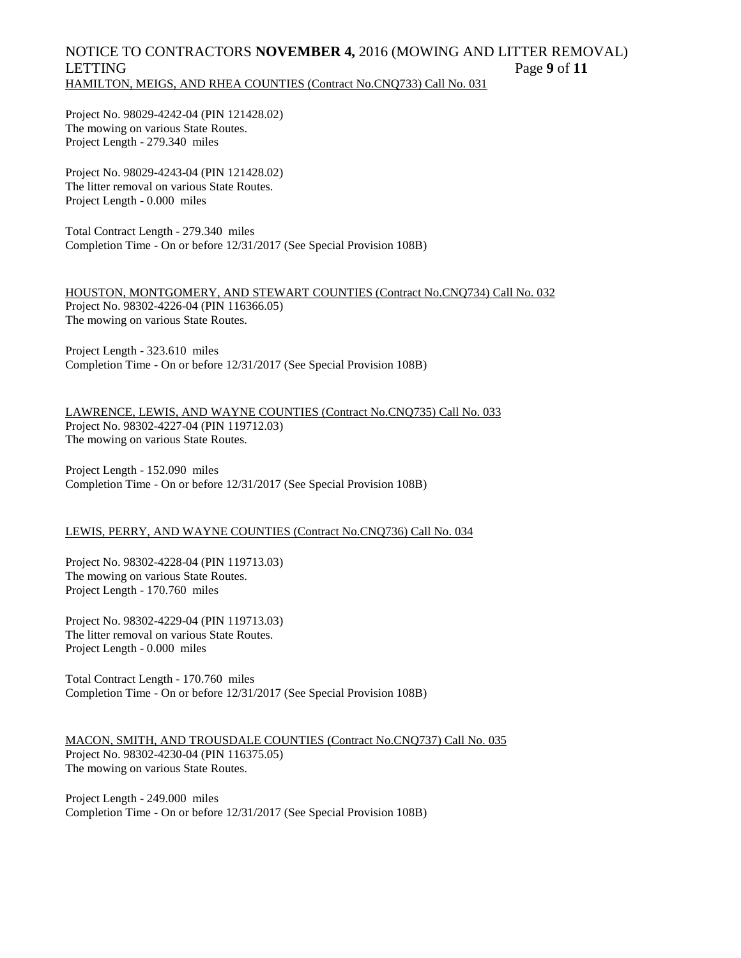# NOTICE TO CONTRACTORS **NOVEMBER 4,** 2016 (MOWING AND LITTER REMOVAL) LETTING Page **9** of **11** HAMILTON, MEIGS, AND RHEA COUNTIES (Contract No.CNQ733) Call No. 031

Project No. 98029-4242-04 (PIN 121428.02) The mowing on various State Routes. Project Length - 279.340 miles

Project No. 98029-4243-04 (PIN 121428.02) The litter removal on various State Routes. Project Length - 0.000 miles

Total Contract Length - 279.340 miles Completion Time - On or before 12/31/2017 (See Special Provision 108B)

HOUSTON, MONTGOMERY, AND STEWART COUNTIES (Contract No.CNQ734) Call No. 032 Project No. 98302-4226-04 (PIN 116366.05) The mowing on various State Routes.

Project Length - 323.610 miles Completion Time - On or before 12/31/2017 (See Special Provision 108B)

LAWRENCE, LEWIS, AND WAYNE COUNTIES (Contract No.CNQ735) Call No. 033 Project No. 98302-4227-04 (PIN 119712.03) The mowing on various State Routes.

Project Length - 152.090 miles Completion Time - On or before 12/31/2017 (See Special Provision 108B)

### LEWIS, PERRY, AND WAYNE COUNTIES (Contract No.CNQ736) Call No. 034

Project No. 98302-4228-04 (PIN 119713.03) The mowing on various State Routes. Project Length - 170.760 miles

Project No. 98302-4229-04 (PIN 119713.03) The litter removal on various State Routes. Project Length - 0.000 miles

Total Contract Length - 170.760 miles Completion Time - On or before 12/31/2017 (See Special Provision 108B)

MACON, SMITH, AND TROUSDALE COUNTIES (Contract No.CNQ737) Call No. 035 Project No. 98302-4230-04 (PIN 116375.05) The mowing on various State Routes.

Project Length - 249.000 miles Completion Time - On or before 12/31/2017 (See Special Provision 108B)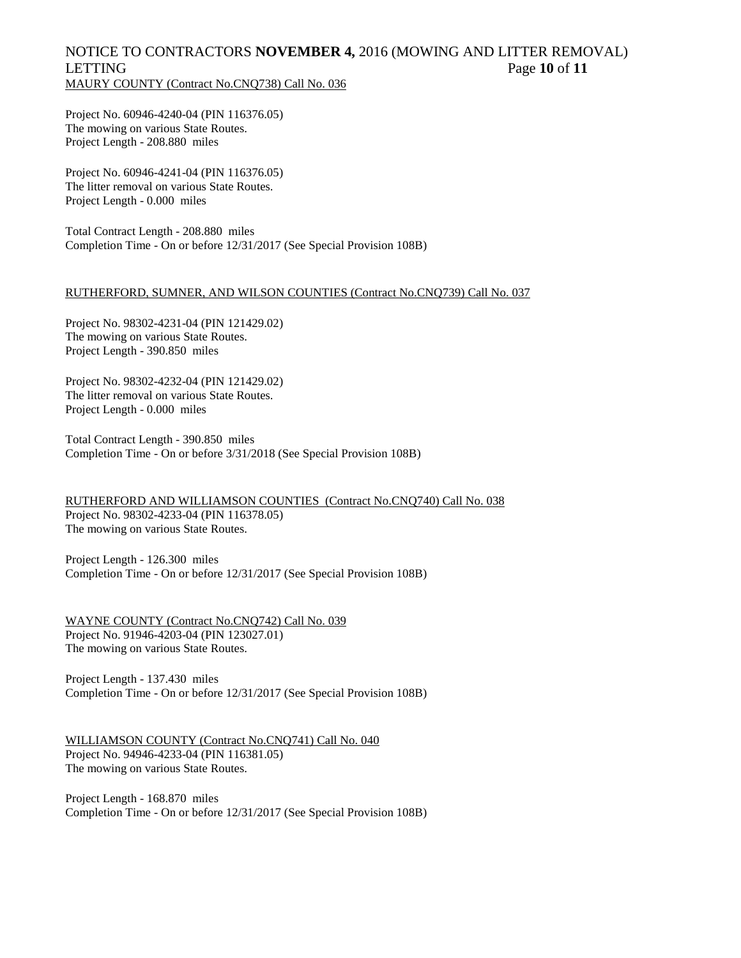# NOTICE TO CONTRACTORS **NOVEMBER 4,** 2016 (MOWING AND LITTER REMOVAL) **LETTING** Page 10 of 11 MAURY COUNTY (Contract No.CNQ738) Call No. 036

Project No. 60946-4240-04 (PIN 116376.05) The mowing on various State Routes. Project Length - 208.880 miles

Project No. 60946-4241-04 (PIN 116376.05) The litter removal on various State Routes. Project Length - 0.000 miles

Total Contract Length - 208.880 miles Completion Time - On or before 12/31/2017 (See Special Provision 108B)

### RUTHERFORD, SUMNER, AND WILSON COUNTIES (Contract No.CNQ739) Call No. 037

Project No. 98302-4231-04 (PIN 121429.02) The mowing on various State Routes. Project Length - 390.850 miles

Project No. 98302-4232-04 (PIN 121429.02) The litter removal on various State Routes. Project Length - 0.000 miles

Total Contract Length - 390.850 miles Completion Time - On or before 3/31/2018 (See Special Provision 108B)

RUTHERFORD AND WILLIAMSON COUNTIES (Contract No.CNQ740) Call No. 038 Project No. 98302-4233-04 (PIN 116378.05) The mowing on various State Routes.

Project Length - 126.300 miles Completion Time - On or before 12/31/2017 (See Special Provision 108B)

WAYNE COUNTY (Contract No.CNQ742) Call No. 039 Project No. 91946-4203-04 (PIN 123027.01) The mowing on various State Routes.

Project Length - 137.430 miles Completion Time - On or before 12/31/2017 (See Special Provision 108B)

WILLIAMSON COUNTY (Contract No.CNQ741) Call No. 040 Project No. 94946-4233-04 (PIN 116381.05) The mowing on various State Routes.

Project Length - 168.870 miles Completion Time - On or before 12/31/2017 (See Special Provision 108B)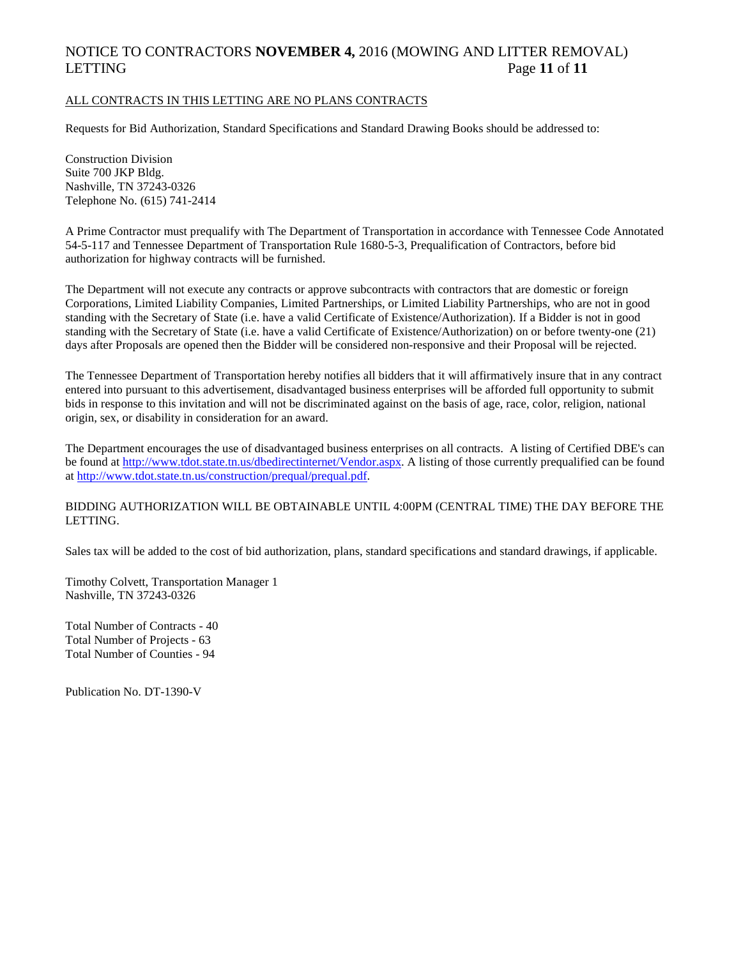# NOTICE TO CONTRACTORS **NOVEMBER 4,** 2016 (MOWING AND LITTER REMOVAL) LETTING Page 11 of 11

### ALL CONTRACTS IN THIS LETTING ARE NO PLANS CONTRACTS

Requests for Bid Authorization, Standard Specifications and Standard Drawing Books should be addressed to:

Construction Division Suite 700 JKP Bldg. Nashville, TN 37243-0326 Telephone No. (615) 741-2414

A Prime Contractor must prequalify with The Department of Transportation in accordance with Tennessee Code Annotated 54-5-117 and Tennessee Department of Transportation Rule 1680-5-3, Prequalification of Contractors, before bid authorization for highway contracts will be furnished.

The Department will not execute any contracts or approve subcontracts with contractors that are domestic or foreign Corporations, Limited Liability Companies, Limited Partnerships, or Limited Liability Partnerships, who are not in good standing with the Secretary of State (i.e. have a valid Certificate of Existence/Authorization). If a Bidder is not in good standing with the Secretary of State (i.e. have a valid Certificate of Existence/Authorization) on or before twenty-one (21) days after Proposals are opened then the Bidder will be considered non-responsive and their Proposal will be rejected.

The Tennessee Department of Transportation hereby notifies all bidders that it will affirmatively insure that in any contract entered into pursuant to this advertisement, disadvantaged business enterprises will be afforded full opportunity to submit bids in response to this invitation and will not be discriminated against on the basis of age, race, color, religion, national origin, sex, or disability in consideration for an award.

The Department encourages the use of disadvantaged business enterprises on all contracts. A listing of Certified DBE's can be found at [http://www.tdot.state.tn.us/dbedirectinternet/Vendor.aspx.](http://www.tdot.state.tn.us/dbedirectinternet/Vendor.aspx) A listing of those currently prequalified can be found a[t http://www.tdot.state.tn.us/construction/prequal/prequal.pdf.](http://www.tdot.state.tn.us/construction/prequal/prequal.pdf) 

### BIDDING AUTHORIZATION WILL BE OBTAINABLE UNTIL 4:00PM (CENTRAL TIME) THE DAY BEFORE THE LETTING.

Sales tax will be added to the cost of bid authorization, plans, standard specifications and standard drawings, if applicable.

Timothy Colvett, Transportation Manager 1 Nashville, TN 37243-0326

Total Number of Contracts - 40 Total Number of Projects - 63 Total Number of Counties - 94

Publication No. DT-1390-V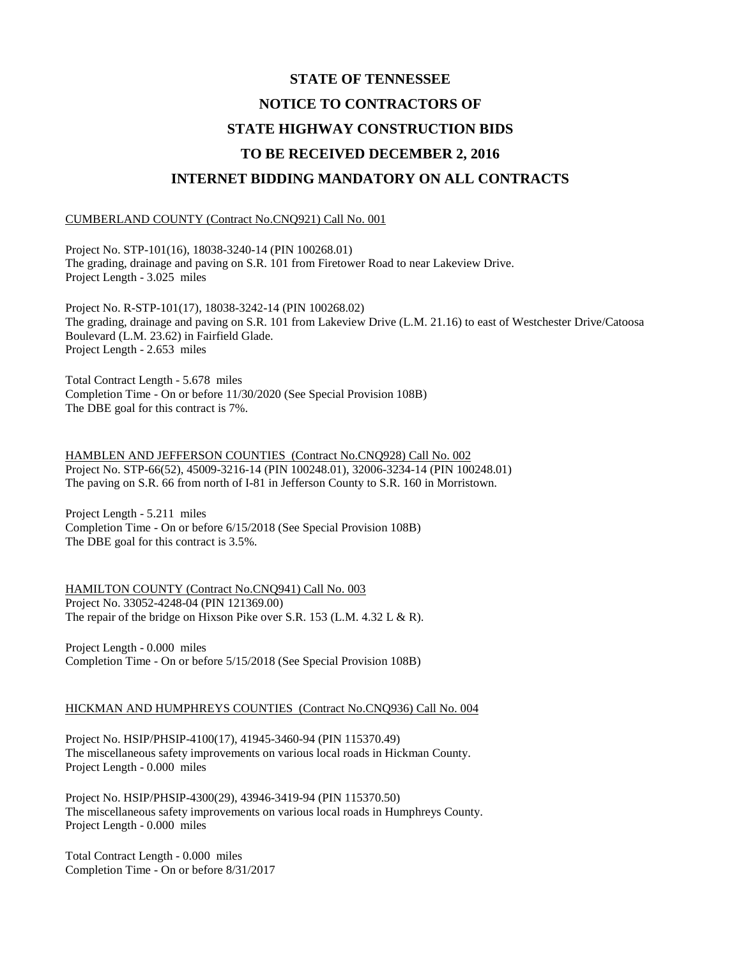# **STATE OF TENNESSEE NOTICE TO CONTRACTORS OF STATE HIGHWAY CONSTRUCTION BIDS TO BE RECEIVED DECEMBER 2, 2016 INTERNET BIDDING MANDATORY ON ALL CONTRACTS**

#### CUMBERLAND COUNTY (Contract No.CNQ921) Call No. 001

Project No. STP-101(16), 18038-3240-14 (PIN 100268.01) The grading, drainage and paving on S.R. 101 from Firetower Road to near Lakeview Drive. Project Length - 3.025 miles

Project No. R-STP-101(17), 18038-3242-14 (PIN 100268.02) The grading, drainage and paving on S.R. 101 from Lakeview Drive (L.M. 21.16) to east of Westchester Drive/Catoosa Boulevard (L.M. 23.62) in Fairfield Glade. Project Length - 2.653 miles

Total Contract Length - 5.678 miles Completion Time - On or before 11/30/2020 (See Special Provision 108B) The DBE goal for this contract is 7%.

HAMBLEN AND JEFFERSON COUNTIES (Contract No.CNQ928) Call No. 002 Project No. STP-66(52), 45009-3216-14 (PIN 100248.01), 32006-3234-14 (PIN 100248.01) The paving on S.R. 66 from north of I-81 in Jefferson County to S.R. 160 in Morristown.

Project Length - 5.211 miles Completion Time - On or before 6/15/2018 (See Special Provision 108B) The DBE goal for this contract is 3.5%.

HAMILTON COUNTY (Contract No.CNQ941) Call No. 003 Project No. 33052-4248-04 (PIN 121369.00) The repair of the bridge on Hixson Pike over S.R. 153 (L.M. 4.32 L & R).

Project Length - 0.000 miles Completion Time - On or before 5/15/2018 (See Special Provision 108B)

### HICKMAN AND HUMPHREYS COUNTIES (Contract No.CNQ936) Call No. 004

Project No. HSIP/PHSIP-4100(17), 41945-3460-94 (PIN 115370.49) The miscellaneous safety improvements on various local roads in Hickman County. Project Length - 0.000 miles

Project No. HSIP/PHSIP-4300(29), 43946-3419-94 (PIN 115370.50) The miscellaneous safety improvements on various local roads in Humphreys County. Project Length - 0.000 miles

Total Contract Length - 0.000 miles Completion Time - On or before 8/31/2017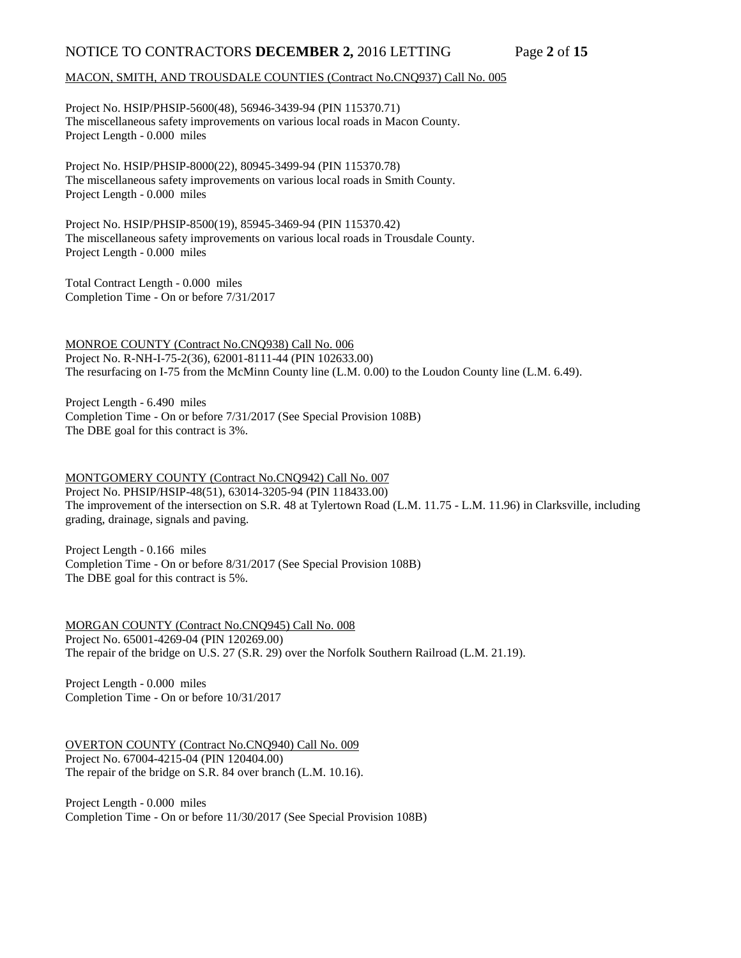# NOTICE TO CONTRACTORS **DECEMBER 2,** 2016 LETTING Page 2 of 15

### MACON, SMITH, AND TROUSDALE COUNTIES (Contract No.CNQ937) Call No. 005

Project No. HSIP/PHSIP-5600(48), 56946-3439-94 (PIN 115370.71) The miscellaneous safety improvements on various local roads in Macon County. Project Length - 0.000 miles

Project No. HSIP/PHSIP-8000(22), 80945-3499-94 (PIN 115370.78) The miscellaneous safety improvements on various local roads in Smith County. Project Length - 0.000 miles

Project No. HSIP/PHSIP-8500(19), 85945-3469-94 (PIN 115370.42) The miscellaneous safety improvements on various local roads in Trousdale County. Project Length - 0.000 miles

Total Contract Length - 0.000 miles Completion Time - On or before 7/31/2017

MONROE COUNTY (Contract No.CNQ938) Call No. 006 Project No. R-NH-I-75-2(36), 62001-8111-44 (PIN 102633.00) The resurfacing on I-75 from the McMinn County line (L.M. 0.00) to the Loudon County line (L.M. 6.49).

Project Length - 6.490 miles Completion Time - On or before 7/31/2017 (See Special Provision 108B) The DBE goal for this contract is 3%.

### MONTGOMERY COUNTY (Contract No.CNQ942) Call No. 007

Project No. PHSIP/HSIP-48(51), 63014-3205-94 (PIN 118433.00) The improvement of the intersection on S.R. 48 at Tylertown Road (L.M. 11.75 - L.M. 11.96) in Clarksville, including grading, drainage, signals and paving.

Project Length - 0.166 miles Completion Time - On or before 8/31/2017 (See Special Provision 108B) The DBE goal for this contract is 5%.

MORGAN COUNTY (Contract No.CNQ945) Call No. 008 Project No. 65001-4269-04 (PIN 120269.00) The repair of the bridge on U.S. 27 (S.R. 29) over the Norfolk Southern Railroad (L.M. 21.19).

Project Length - 0.000 miles Completion Time - On or before 10/31/2017

OVERTON COUNTY (Contract No.CNQ940) Call No. 009 Project No. 67004-4215-04 (PIN 120404.00) The repair of the bridge on S.R. 84 over branch (L.M. 10.16).

Project Length - 0.000 miles Completion Time - On or before 11/30/2017 (See Special Provision 108B)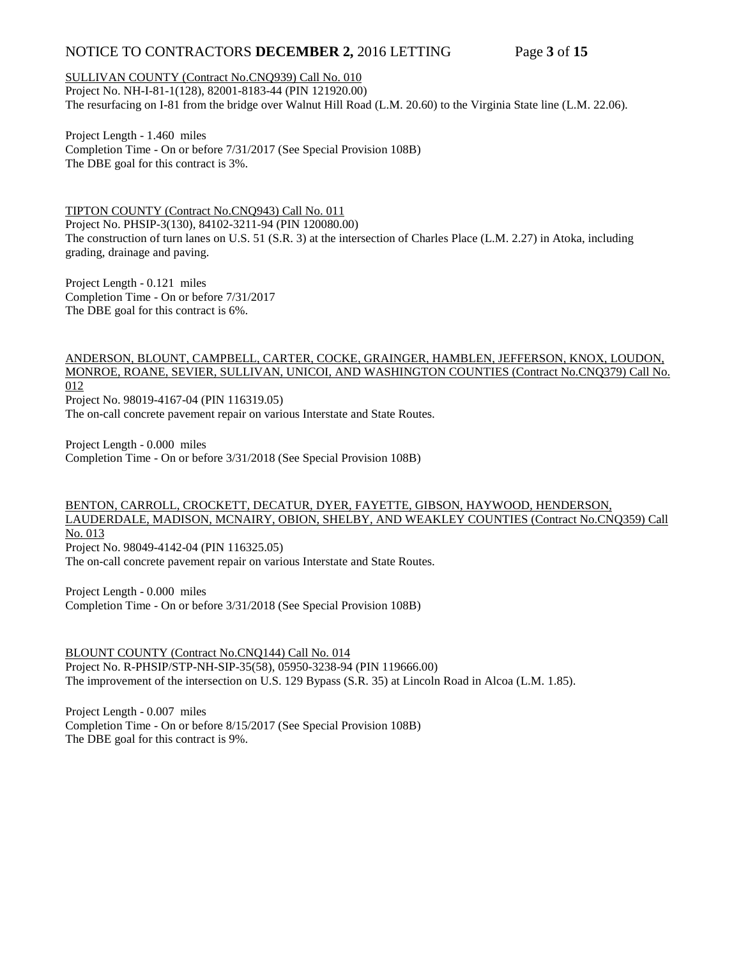# NOTICE TO CONTRACTORS **DECEMBER 2,** 2016 LETTING Page 3 of 15

### SULLIVAN COUNTY (Contract No.CNQ939) Call No. 010

Project No. NH-I-81-1(128), 82001-8183-44 (PIN 121920.00) The resurfacing on I-81 from the bridge over Walnut Hill Road (L.M. 20.60) to the Virginia State line (L.M. 22.06).

Project Length - 1.460 miles Completion Time - On or before 7/31/2017 (See Special Provision 108B) The DBE goal for this contract is 3%.

TIPTON COUNTY (Contract No.CNQ943) Call No. 011 Project No. PHSIP-3(130), 84102-3211-94 (PIN 120080.00) The construction of turn lanes on U.S. 51 (S.R. 3) at the intersection of Charles Place (L.M. 2.27) in Atoka, including grading, drainage and paving.

Project Length - 0.121 miles Completion Time - On or before 7/31/2017 The DBE goal for this contract is 6%.

# ANDERSON, BLOUNT, CAMPBELL, CARTER, COCKE, GRAINGER, HAMBLEN, JEFFERSON, KNOX, LOUDON, MONROE, ROANE, SEVIER, SULLIVAN, UNICOI, AND WASHINGTON COUNTIES (Contract No.CNQ379) Call No. 012 Project No. 98019-4167-04 (PIN 116319.05)

The on-call concrete pavement repair on various Interstate and State Routes.

Project Length - 0.000 miles Completion Time - On or before 3/31/2018 (See Special Provision 108B)

# BENTON, CARROLL, CROCKETT, DECATUR, DYER, FAYETTE, GIBSON, HAYWOOD, HENDERSON, LAUDERDALE, MADISON, MCNAIRY, OBION, SHELBY, AND WEAKLEY COUNTIES (Contract No.CNQ359) Call No. 013

Project No. 98049-4142-04 (PIN 116325.05) The on-call concrete pavement repair on various Interstate and State Routes.

Project Length - 0.000 miles Completion Time - On or before 3/31/2018 (See Special Provision 108B)

BLOUNT COUNTY (Contract No.CNQ144) Call No. 014 Project No. R-PHSIP/STP-NH-SIP-35(58), 05950-3238-94 (PIN 119666.00) The improvement of the intersection on U.S. 129 Bypass (S.R. 35) at Lincoln Road in Alcoa (L.M. 1.85).

Project Length - 0.007 miles Completion Time - On or before 8/15/2017 (See Special Provision 108B) The DBE goal for this contract is 9%.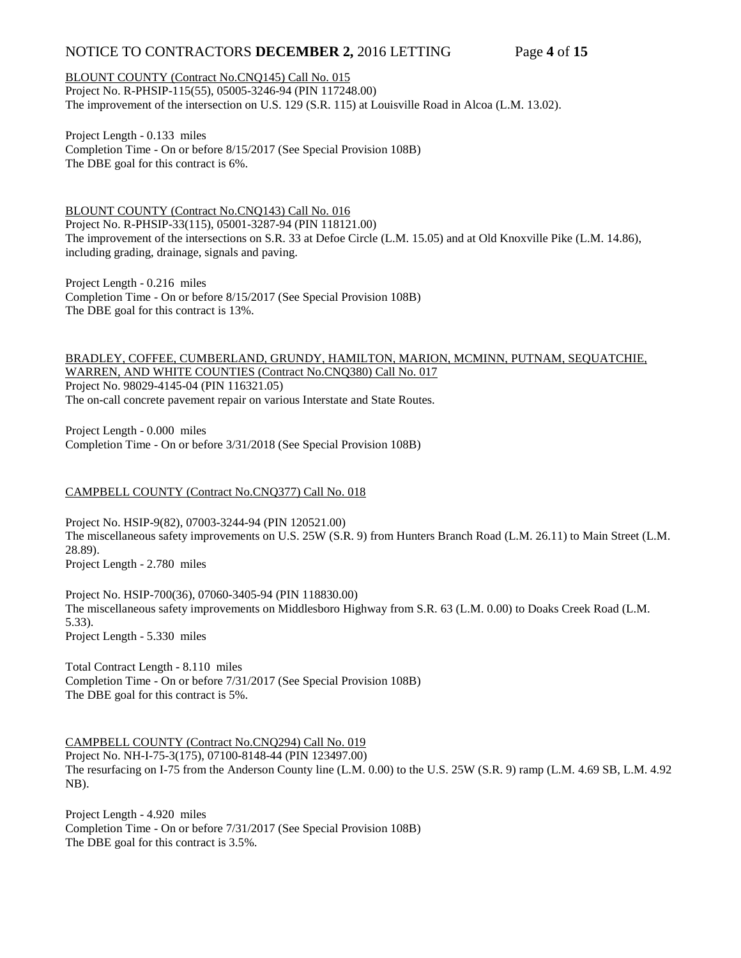# NOTICE TO CONTRACTORS **DECEMBER 2,** 2016 LETTING Page 4 of 15

### BLOUNT COUNTY (Contract No.CNQ145) Call No. 015

Project No. R-PHSIP-115(55), 05005-3246-94 (PIN 117248.00) The improvement of the intersection on U.S. 129 (S.R. 115) at Louisville Road in Alcoa (L.M. 13.02).

Project Length - 0.133 miles Completion Time - On or before 8/15/2017 (See Special Provision 108B) The DBE goal for this contract is 6%.

BLOUNT COUNTY (Contract No.CNQ143) Call No. 016 Project No. R-PHSIP-33(115), 05001-3287-94 (PIN 118121.00) The improvement of the intersections on S.R. 33 at Defoe Circle (L.M. 15.05) and at Old Knoxville Pike (L.M. 14.86), including grading, drainage, signals and paving.

Project Length - 0.216 miles Completion Time - On or before 8/15/2017 (See Special Provision 108B) The DBE goal for this contract is 13%.

BRADLEY, COFFEE, CUMBERLAND, GRUNDY, HAMILTON, MARION, MCMINN, PUTNAM, SEQUATCHIE, WARREN, AND WHITE COUNTIES (Contract No.CNQ380) Call No. 017 Project No. 98029-4145-04 (PIN 116321.05) The on-call concrete pavement repair on various Interstate and State Routes.

Project Length - 0.000 miles Completion Time - On or before 3/31/2018 (See Special Provision 108B)

### CAMPBELL COUNTY (Contract No.CNQ377) Call No. 018

Project No. HSIP-9(82), 07003-3244-94 (PIN 120521.00) The miscellaneous safety improvements on U.S. 25W (S.R. 9) from Hunters Branch Road (L.M. 26.11) to Main Street (L.M. 28.89). Project Length - 2.780 miles

Project No. HSIP-700(36), 07060-3405-94 (PIN 118830.00) The miscellaneous safety improvements on Middlesboro Highway from S.R. 63 (L.M. 0.00) to Doaks Creek Road (L.M. 5.33). Project Length - 5.330 miles

Total Contract Length - 8.110 miles Completion Time - On or before 7/31/2017 (See Special Provision 108B) The DBE goal for this contract is 5%.

### CAMPBELL COUNTY (Contract No.CNQ294) Call No. 019

Project No. NH-I-75-3(175), 07100-8148-44 (PIN 123497.00) The resurfacing on I-75 from the Anderson County line (L.M. 0.00) to the U.S. 25W (S.R. 9) ramp (L.M. 4.69 SB, L.M. 4.92 NB).

Project Length - 4.920 miles Completion Time - On or before 7/31/2017 (See Special Provision 108B) The DBE goal for this contract is 3.5%.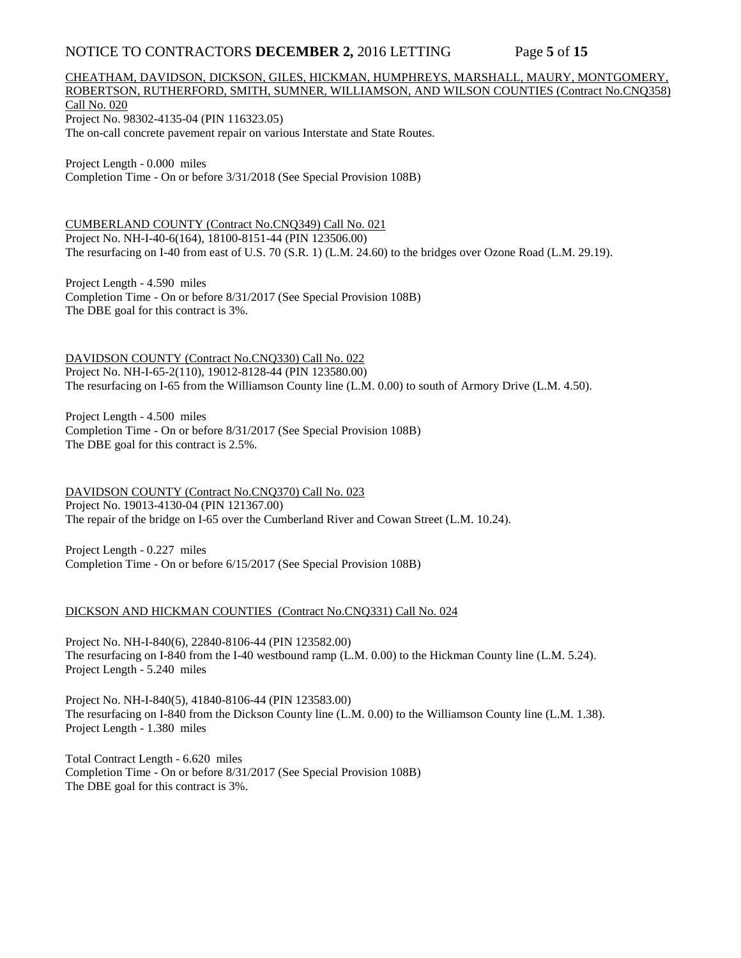# NOTICE TO CONTRACTORS **DECEMBER 2,** 2016 LETTING Page 5 of 15

# CHEATHAM, DAVIDSON, DICKSON, GILES, HICKMAN, HUMPHREYS, MARSHALL, MAURY, MONTGOMERY, ROBERTSON, RUTHERFORD, SMITH, SUMNER, WILLIAMSON, AND WILSON COUNTIES (Contract No.CNQ358) Call No. 020 Project No. 98302-4135-04 (PIN 116323.05)

The on-call concrete pavement repair on various Interstate and State Routes.

Project Length - 0.000 miles Completion Time - On or before 3/31/2018 (See Special Provision 108B)

CUMBERLAND COUNTY (Contract No.CNQ349) Call No. 021 Project No. NH-I-40-6(164), 18100-8151-44 (PIN 123506.00) The resurfacing on I-40 from east of U.S. 70 (S.R. 1) (L.M. 24.60) to the bridges over Ozone Road (L.M. 29.19).

Project Length - 4.590 miles Completion Time - On or before 8/31/2017 (See Special Provision 108B) The DBE goal for this contract is 3%.

DAVIDSON COUNTY (Contract No.CNQ330) Call No. 022 Project No. NH-I-65-2(110), 19012-8128-44 (PIN 123580.00) The resurfacing on I-65 from the Williamson County line (L.M. 0.00) to south of Armory Drive (L.M. 4.50).

Project Length - 4.500 miles Completion Time - On or before 8/31/2017 (See Special Provision 108B) The DBE goal for this contract is 2.5%.

DAVIDSON COUNTY (Contract No.CNQ370) Call No. 023 Project No. 19013-4130-04 (PIN 121367.00) The repair of the bridge on I-65 over the Cumberland River and Cowan Street (L.M. 10.24).

Project Length - 0.227 miles Completion Time - On or before 6/15/2017 (See Special Provision 108B)

### DICKSON AND HICKMAN COUNTIES (Contract No.CNQ331) Call No. 024

Project No. NH-I-840(6), 22840-8106-44 (PIN 123582.00) The resurfacing on I-840 from the I-40 westbound ramp (L.M. 0.00) to the Hickman County line (L.M. 5.24). Project Length - 5.240 miles

Project No. NH-I-840(5), 41840-8106-44 (PIN 123583.00) The resurfacing on I-840 from the Dickson County line (L.M. 0.00) to the Williamson County line (L.M. 1.38). Project Length - 1.380 miles

Total Contract Length - 6.620 miles Completion Time - On or before 8/31/2017 (See Special Provision 108B) The DBE goal for this contract is 3%.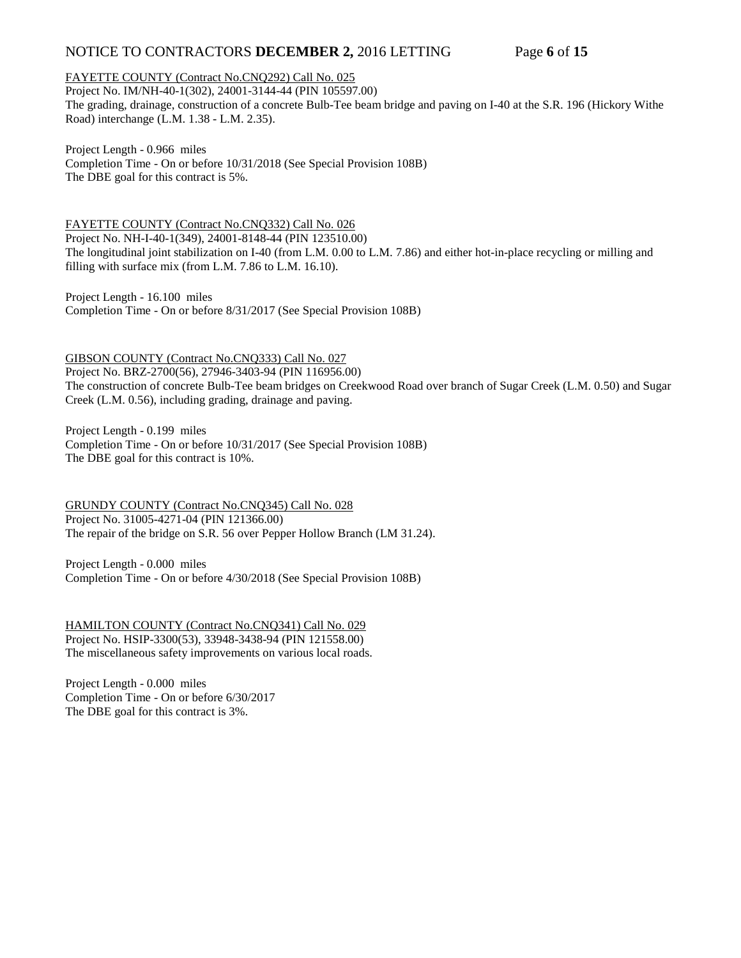# NOTICE TO CONTRACTORS **DECEMBER 2,** 2016 LETTING Page 6 of 15

### FAYETTE COUNTY (Contract No.CNQ292) Call No. 025

Project No. IM/NH-40-1(302), 24001-3144-44 (PIN 105597.00) The grading, drainage, construction of a concrete Bulb-Tee beam bridge and paving on I-40 at the S.R. 196 (Hickory Withe Road) interchange (L.M. 1.38 - L.M. 2.35).

Project Length - 0.966 miles

Completion Time - On or before 10/31/2018 (See Special Provision 108B) The DBE goal for this contract is 5%.

### FAYETTE COUNTY (Contract No.CNQ332) Call No. 026

Project No. NH-I-40-1(349), 24001-8148-44 (PIN 123510.00) The longitudinal joint stabilization on I-40 (from L.M. 0.00 to L.M. 7.86) and either hot-in-place recycling or milling and filling with surface mix (from L.M. 7.86 to L.M. 16.10).

Project Length - 16.100 miles Completion Time - On or before 8/31/2017 (See Special Provision 108B)

### GIBSON COUNTY (Contract No.CNQ333) Call No. 027

Project No. BRZ-2700(56), 27946-3403-94 (PIN 116956.00) The construction of concrete Bulb-Tee beam bridges on Creekwood Road over branch of Sugar Creek (L.M. 0.50) and Sugar Creek (L.M. 0.56), including grading, drainage and paving.

Project Length - 0.199 miles Completion Time - On or before 10/31/2017 (See Special Provision 108B) The DBE goal for this contract is 10%.

GRUNDY COUNTY (Contract No.CNQ345) Call No. 028 Project No. 31005-4271-04 (PIN 121366.00) The repair of the bridge on S.R. 56 over Pepper Hollow Branch (LM 31.24).

Project Length - 0.000 miles Completion Time - On or before 4/30/2018 (See Special Provision 108B)

HAMILTON COUNTY (Contract No.CNQ341) Call No. 029 Project No. HSIP-3300(53), 33948-3438-94 (PIN 121558.00) The miscellaneous safety improvements on various local roads.

Project Length - 0.000 miles Completion Time - On or before 6/30/2017 The DBE goal for this contract is 3%.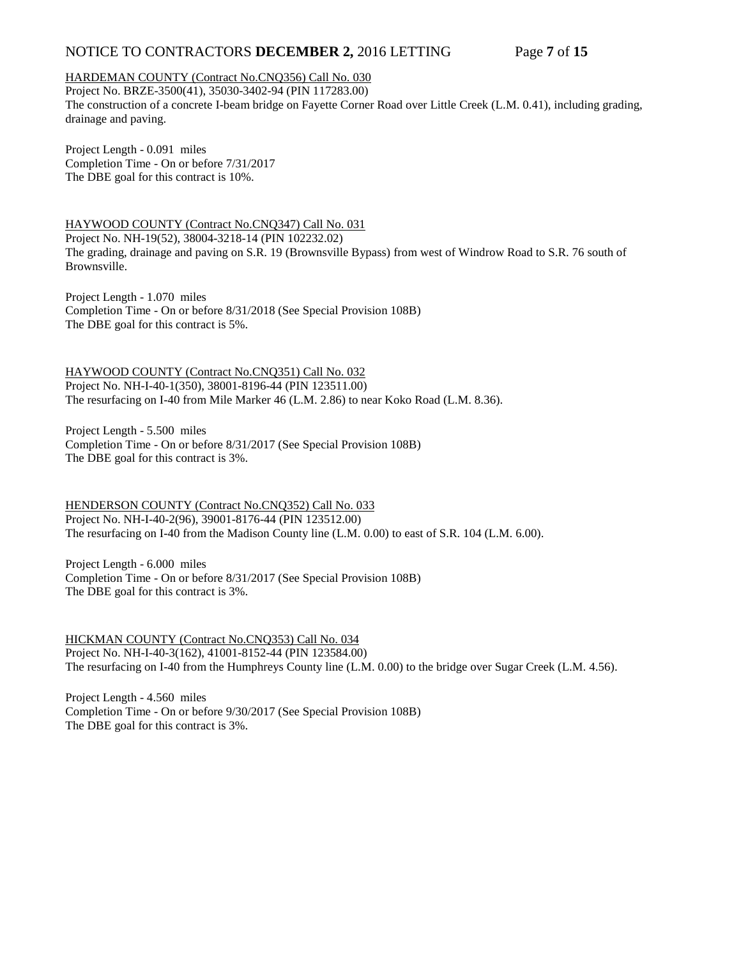# NOTICE TO CONTRACTORS **DECEMBER 2,** 2016 LETTING Page 7 of 15

### HARDEMAN COUNTY (Contract No.CNQ356) Call No. 030

Project No. BRZE-3500(41), 35030-3402-94 (PIN 117283.00) The construction of a concrete I-beam bridge on Fayette Corner Road over Little Creek (L.M. 0.41), including grading, drainage and paving.

Project Length - 0.091 miles Completion Time - On or before 7/31/2017 The DBE goal for this contract is 10%.

HAYWOOD COUNTY (Contract No.CNQ347) Call No. 031 Project No. NH-19(52), 38004-3218-14 (PIN 102232.02) The grading, drainage and paving on S.R. 19 (Brownsville Bypass) from west of Windrow Road to S.R. 76 south of Brownsville.

Project Length - 1.070 miles Completion Time - On or before 8/31/2018 (See Special Provision 108B) The DBE goal for this contract is 5%.

HAYWOOD COUNTY (Contract No.CNQ351) Call No. 032 Project No. NH-I-40-1(350), 38001-8196-44 (PIN 123511.00) The resurfacing on I-40 from Mile Marker 46 (L.M. 2.86) to near Koko Road (L.M. 8.36).

Project Length - 5.500 miles Completion Time - On or before 8/31/2017 (See Special Provision 108B) The DBE goal for this contract is 3%.

HENDERSON COUNTY (Contract No.CNQ352) Call No. 033 Project No. NH-I-40-2(96), 39001-8176-44 (PIN 123512.00) The resurfacing on I-40 from the Madison County line (L.M. 0.00) to east of S.R. 104 (L.M. 6.00).

Project Length - 6.000 miles Completion Time - On or before 8/31/2017 (See Special Provision 108B) The DBE goal for this contract is 3%.

HICKMAN COUNTY (Contract No.CNQ353) Call No. 034 Project No. NH-I-40-3(162), 41001-8152-44 (PIN 123584.00) The resurfacing on I-40 from the Humphreys County line (L.M. 0.00) to the bridge over Sugar Creek (L.M. 4.56).

Project Length - 4.560 miles Completion Time - On or before 9/30/2017 (See Special Provision 108B) The DBE goal for this contract is 3%.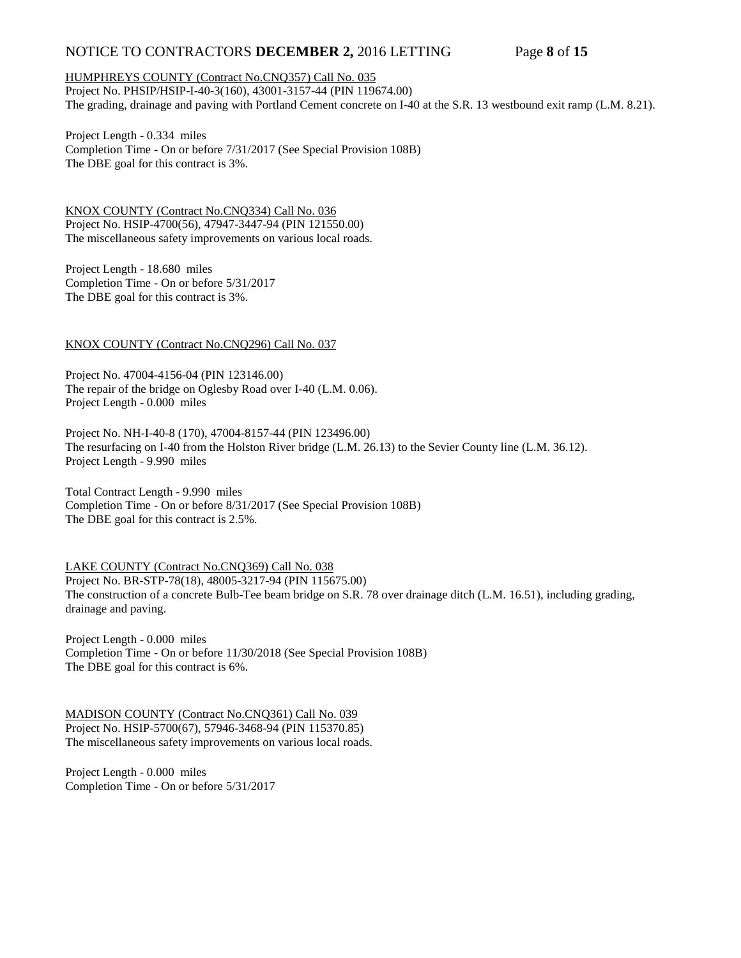# NOTICE TO CONTRACTORS **DECEMBER 2,** 2016 LETTING Page 8 of 15

### HUMPHREYS COUNTY (Contract No.CNQ357) Call No. 035

Project No. PHSIP/HSIP-I-40-3(160), 43001-3157-44 (PIN 119674.00) The grading, drainage and paving with Portland Cement concrete on I-40 at the S.R. 13 westbound exit ramp (L.M. 8.21).

Project Length - 0.334 miles Completion Time - On or before 7/31/2017 (See Special Provision 108B) The DBE goal for this contract is 3%.

KNOX COUNTY (Contract No.CNQ334) Call No. 036 Project No. HSIP-4700(56), 47947-3447-94 (PIN 121550.00) The miscellaneous safety improvements on various local roads.

Project Length - 18.680 miles Completion Time - On or before 5/31/2017 The DBE goal for this contract is 3%.

### KNOX COUNTY (Contract No.CNQ296) Call No. 037

Project No. 47004-4156-04 (PIN 123146.00) The repair of the bridge on Oglesby Road over I-40 (L.M. 0.06). Project Length - 0.000 miles

Project No. NH-I-40-8 (170), 47004-8157-44 (PIN 123496.00) The resurfacing on I-40 from the Holston River bridge (L.M. 26.13) to the Sevier County line (L.M. 36.12). Project Length - 9.990 miles

Total Contract Length - 9.990 miles Completion Time - On or before 8/31/2017 (See Special Provision 108B) The DBE goal for this contract is 2.5%.

LAKE COUNTY (Contract No.CNQ369) Call No. 038 Project No. BR-STP-78(18), 48005-3217-94 (PIN 115675.00) The construction of a concrete Bulb-Tee beam bridge on S.R. 78 over drainage ditch (L.M. 16.51), including grading, drainage and paving.

Project Length - 0.000 miles Completion Time - On or before 11/30/2018 (See Special Provision 108B) The DBE goal for this contract is 6%.

MADISON COUNTY (Contract No.CNQ361) Call No. 039 Project No. HSIP-5700(67), 57946-3468-94 (PIN 115370.85) The miscellaneous safety improvements on various local roads.

Project Length - 0.000 miles Completion Time - On or before 5/31/2017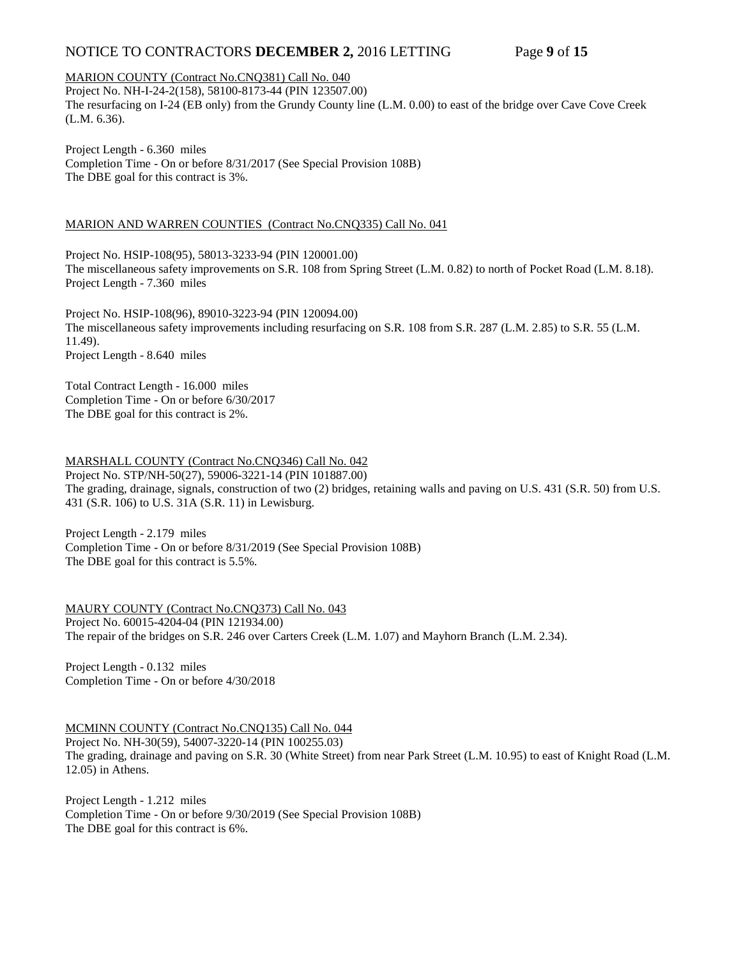# NOTICE TO CONTRACTORS **DECEMBER 2,** 2016 LETTING Page 9 of 15

### MARION COUNTY (Contract No.CNQ381) Call No. 040

Project No. NH-I-24-2(158), 58100-8173-44 (PIN 123507.00) The resurfacing on I-24 (EB only) from the Grundy County line (L.M. 0.00) to east of the bridge over Cave Cove Creek (L.M. 6.36).

Project Length - 6.360 miles Completion Time - On or before 8/31/2017 (See Special Provision 108B) The DBE goal for this contract is 3%.

### MARION AND WARREN COUNTIES (Contract No.CNQ335) Call No. 041

Project No. HSIP-108(95), 58013-3233-94 (PIN 120001.00) The miscellaneous safety improvements on S.R. 108 from Spring Street (L.M. 0.82) to north of Pocket Road (L.M. 8.18). Project Length - 7.360 miles

Project No. HSIP-108(96), 89010-3223-94 (PIN 120094.00) The miscellaneous safety improvements including resurfacing on S.R. 108 from S.R. 287 (L.M. 2.85) to S.R. 55 (L.M. 11.49). Project Length - 8.640 miles

Total Contract Length - 16.000 miles Completion Time - On or before 6/30/2017 The DBE goal for this contract is 2%.

# MARSHALL COUNTY (Contract No.CNQ346) Call No. 042

Project No. STP/NH-50(27), 59006-3221-14 (PIN 101887.00) The grading, drainage, signals, construction of two (2) bridges, retaining walls and paving on U.S. 431 (S.R. 50) from U.S. 431 (S.R. 106) to U.S. 31A (S.R. 11) in Lewisburg.

Project Length - 2.179 miles Completion Time - On or before 8/31/2019 (See Special Provision 108B) The DBE goal for this contract is 5.5%.

MAURY COUNTY (Contract No.CNQ373) Call No. 043 Project No. 60015-4204-04 (PIN 121934.00) The repair of the bridges on S.R. 246 over Carters Creek (L.M. 1.07) and Mayhorn Branch (L.M. 2.34).

Project Length - 0.132 miles Completion Time - On or before 4/30/2018

MCMINN COUNTY (Contract No.CNQ135) Call No. 044 Project No. NH-30(59), 54007-3220-14 (PIN 100255.03) The grading, drainage and paving on S.R. 30 (White Street) from near Park Street (L.M. 10.95) to east of Knight Road (L.M. 12.05) in Athens.

Project Length - 1.212 miles Completion Time - On or before 9/30/2019 (See Special Provision 108B) The DBE goal for this contract is 6%.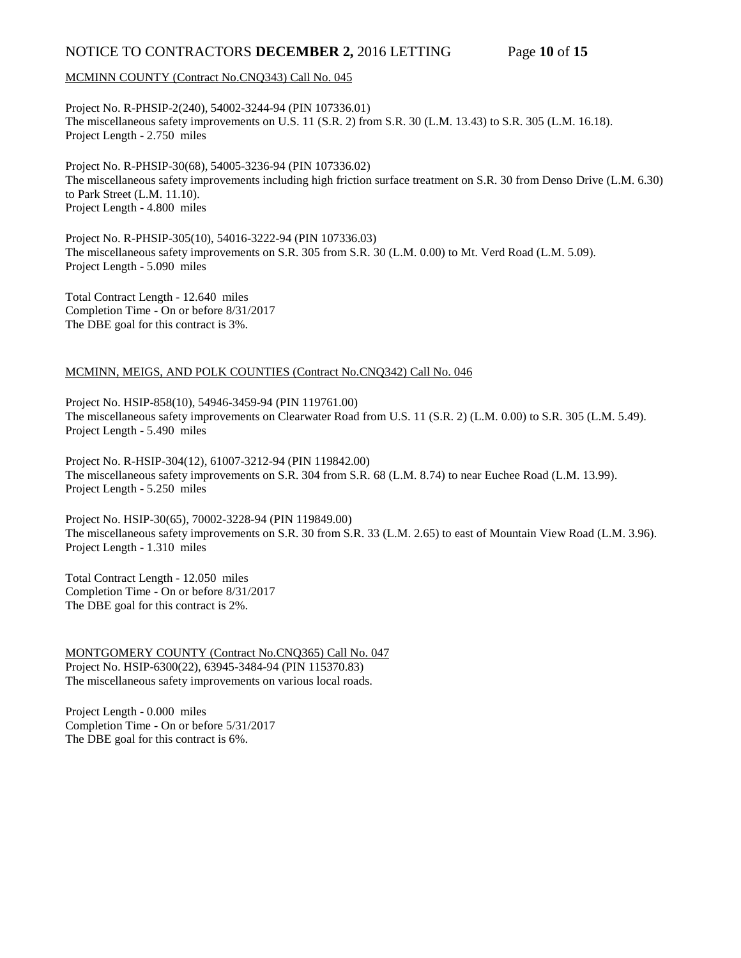# NOTICE TO CONTRACTORS **DECEMBER 2,** 2016 LETTING Page **10** of **15**

### MCMINN COUNTY (Contract No.CNQ343) Call No. 045

Project No. R-PHSIP-2(240), 54002-3244-94 (PIN 107336.01) The miscellaneous safety improvements on U.S. 11 (S.R. 2) from S.R. 30 (L.M. 13.43) to S.R. 305 (L.M. 16.18). Project Length - 2.750 miles

Project No. R-PHSIP-30(68), 54005-3236-94 (PIN 107336.02) The miscellaneous safety improvements including high friction surface treatment on S.R. 30 from Denso Drive (L.M. 6.30) to Park Street (L.M. 11.10). Project Length - 4.800 miles

Project No. R-PHSIP-305(10), 54016-3222-94 (PIN 107336.03) The miscellaneous safety improvements on S.R. 305 from S.R. 30 (L.M. 0.00) to Mt. Verd Road (L.M. 5.09). Project Length - 5.090 miles

Total Contract Length - 12.640 miles Completion Time - On or before 8/31/2017 The DBE goal for this contract is 3%.

### MCMINN, MEIGS, AND POLK COUNTIES (Contract No.CNQ342) Call No. 046

Project No. HSIP-858(10), 54946-3459-94 (PIN 119761.00) The miscellaneous safety improvements on Clearwater Road from U.S. 11 (S.R. 2) (L.M. 0.00) to S.R. 305 (L.M. 5.49). Project Length - 5.490 miles

Project No. R-HSIP-304(12), 61007-3212-94 (PIN 119842.00) The miscellaneous safety improvements on S.R. 304 from S.R. 68 (L.M. 8.74) to near Euchee Road (L.M. 13.99). Project Length - 5.250 miles

Project No. HSIP-30(65), 70002-3228-94 (PIN 119849.00) The miscellaneous safety improvements on S.R. 30 from S.R. 33 (L.M. 2.65) to east of Mountain View Road (L.M. 3.96). Project Length - 1.310 miles

Total Contract Length - 12.050 miles Completion Time - On or before 8/31/2017 The DBE goal for this contract is 2%.

MONTGOMERY COUNTY (Contract No.CNQ365) Call No. 047 Project No. HSIP-6300(22), 63945-3484-94 (PIN 115370.83) The miscellaneous safety improvements on various local roads.

Project Length - 0.000 miles Completion Time - On or before 5/31/2017 The DBE goal for this contract is 6%.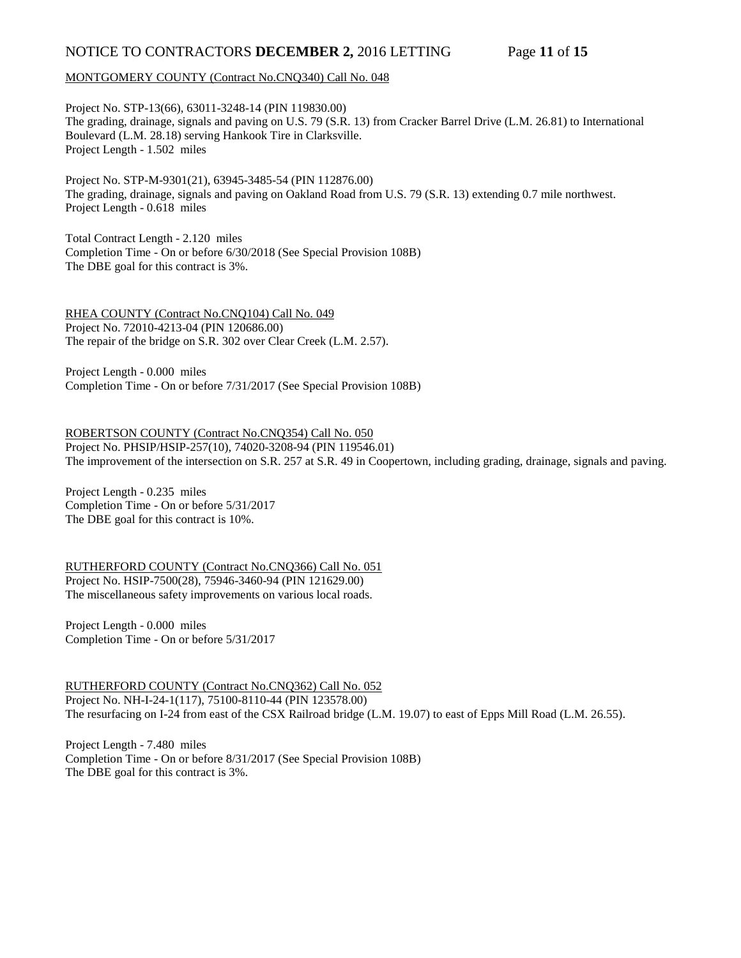# NOTICE TO CONTRACTORS **DECEMBER 2,** 2016 LETTING Page **11** of **15**

### MONTGOMERY COUNTY (Contract No.CNQ340) Call No. 048

Project No. STP-13(66), 63011-3248-14 (PIN 119830.00) The grading, drainage, signals and paving on U.S. 79 (S.R. 13) from Cracker Barrel Drive (L.M. 26.81) to International Boulevard (L.M. 28.18) serving Hankook Tire in Clarksville. Project Length - 1.502 miles

Project No. STP-M-9301(21), 63945-3485-54 (PIN 112876.00) The grading, drainage, signals and paving on Oakland Road from U.S. 79 (S.R. 13) extending 0.7 mile northwest. Project Length - 0.618 miles

Total Contract Length - 2.120 miles Completion Time - On or before 6/30/2018 (See Special Provision 108B) The DBE goal for this contract is 3%.

RHEA COUNTY (Contract No.CNQ104) Call No. 049 Project No. 72010-4213-04 (PIN 120686.00) The repair of the bridge on S.R. 302 over Clear Creek (L.M. 2.57).

Project Length - 0.000 miles Completion Time - On or before 7/31/2017 (See Special Provision 108B)

ROBERTSON COUNTY (Contract No.CNQ354) Call No. 050 Project No. PHSIP/HSIP-257(10), 74020-3208-94 (PIN 119546.01) The improvement of the intersection on S.R. 257 at S.R. 49 in Coopertown, including grading, drainage, signals and paving.

Project Length - 0.235 miles Completion Time - On or before 5/31/2017 The DBE goal for this contract is 10%.

RUTHERFORD COUNTY (Contract No.CNQ366) Call No. 051 Project No. HSIP-7500(28), 75946-3460-94 (PIN 121629.00) The miscellaneous safety improvements on various local roads.

Project Length - 0.000 miles Completion Time - On or before 5/31/2017

RUTHERFORD COUNTY (Contract No.CNQ362) Call No. 052 Project No. NH-I-24-1(117), 75100-8110-44 (PIN 123578.00) The resurfacing on I-24 from east of the CSX Railroad bridge (L.M. 19.07) to east of Epps Mill Road (L.M. 26.55).

Project Length - 7.480 miles Completion Time - On or before 8/31/2017 (See Special Provision 108B) The DBE goal for this contract is 3%.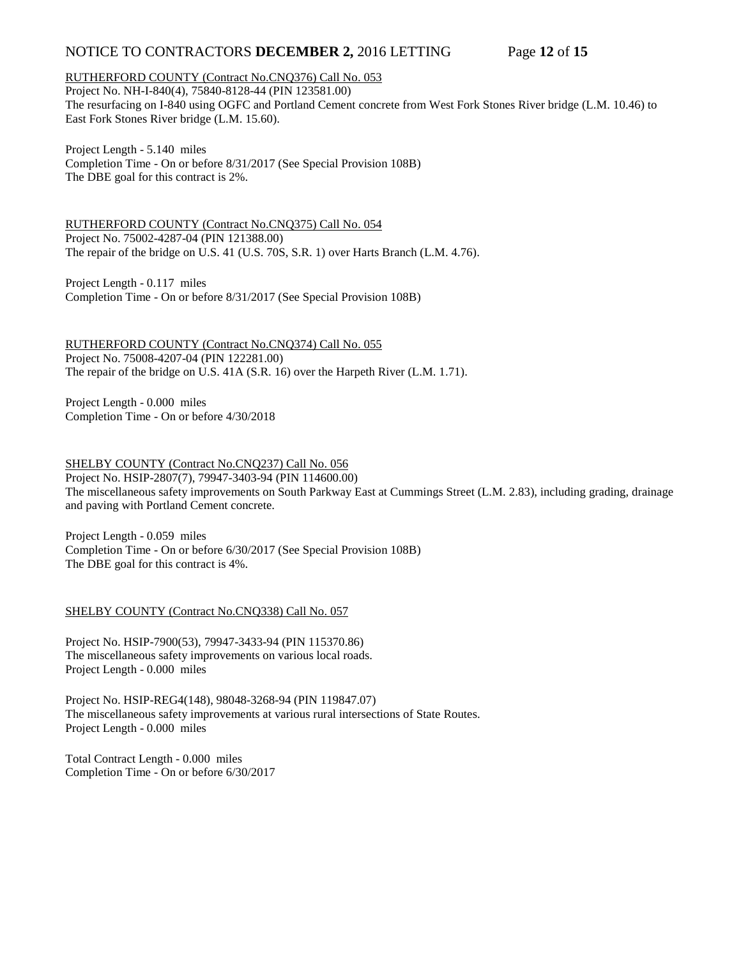# NOTICE TO CONTRACTORS **DECEMBER 2,** 2016 LETTING Page **12** of **15**

### RUTHERFORD COUNTY (Contract No.CNQ376) Call No. 053

Project No. NH-I-840(4), 75840-8128-44 (PIN 123581.00) The resurfacing on I-840 using OGFC and Portland Cement concrete from West Fork Stones River bridge (L.M. 10.46) to East Fork Stones River bridge (L.M. 15.60).

Project Length - 5.140 miles Completion Time - On or before 8/31/2017 (See Special Provision 108B) The DBE goal for this contract is 2%.

RUTHERFORD COUNTY (Contract No.CNQ375) Call No. 054 Project No. 75002-4287-04 (PIN 121388.00) The repair of the bridge on U.S. 41 (U.S. 70S, S.R. 1) over Harts Branch (L.M. 4.76).

Project Length - 0.117 miles Completion Time - On or before 8/31/2017 (See Special Provision 108B)

RUTHERFORD COUNTY (Contract No.CNQ374) Call No. 055 Project No. 75008-4207-04 (PIN 122281.00) The repair of the bridge on U.S. 41A (S.R. 16) over the Harpeth River (L.M. 1.71).

Project Length - 0.000 miles Completion Time - On or before 4/30/2018

SHELBY COUNTY (Contract No.CNQ237) Call No. 056 Project No. HSIP-2807(7), 79947-3403-94 (PIN 114600.00) The miscellaneous safety improvements on South Parkway East at Cummings Street (L.M. 2.83), including grading, drainage and paving with Portland Cement concrete.

Project Length - 0.059 miles Completion Time - On or before 6/30/2017 (See Special Provision 108B) The DBE goal for this contract is 4%.

### SHELBY COUNTY (Contract No.CNQ338) Call No. 057

Project No. HSIP-7900(53), 79947-3433-94 (PIN 115370.86) The miscellaneous safety improvements on various local roads. Project Length - 0.000 miles

Project No. HSIP-REG4(148), 98048-3268-94 (PIN 119847.07) The miscellaneous safety improvements at various rural intersections of State Routes. Project Length - 0.000 miles

Total Contract Length - 0.000 miles Completion Time - On or before 6/30/2017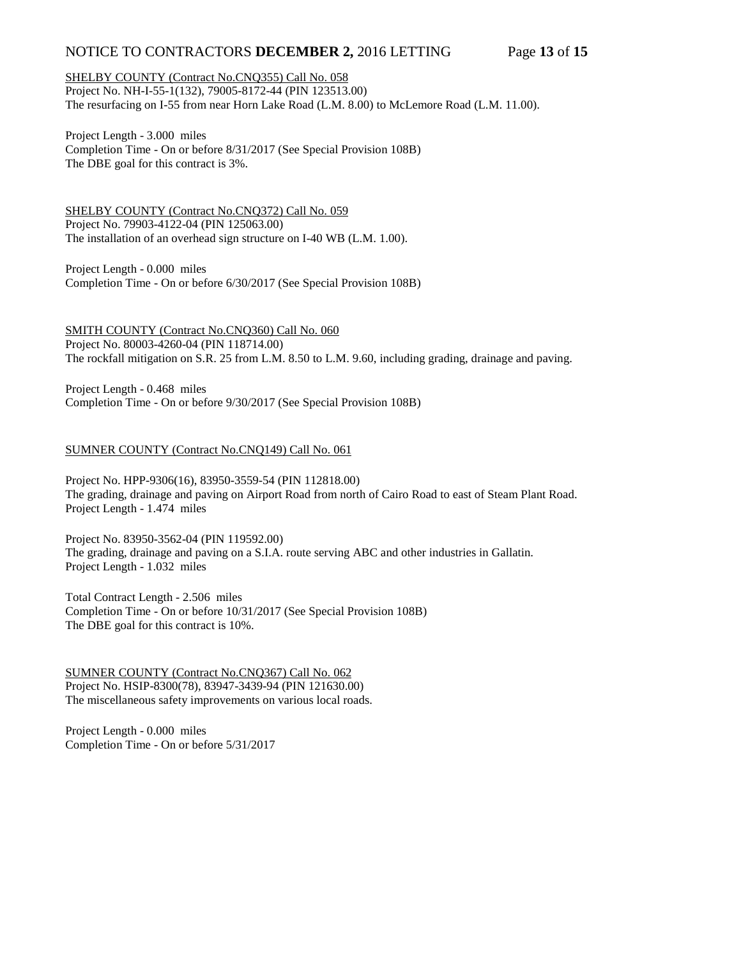# NOTICE TO CONTRACTORS **DECEMBER 2,** 2016 LETTING Page **13** of **15**

### SHELBY COUNTY (Contract No.CNQ355) Call No. 058

Project No. NH-I-55-1(132), 79005-8172-44 (PIN 123513.00) The resurfacing on I-55 from near Horn Lake Road (L.M. 8.00) to McLemore Road (L.M. 11.00).

Project Length - 3.000 miles Completion Time - On or before 8/31/2017 (See Special Provision 108B) The DBE goal for this contract is 3%.

SHELBY COUNTY (Contract No.CNQ372) Call No. 059 Project No. 79903-4122-04 (PIN 125063.00) The installation of an overhead sign structure on I-40 WB (L.M. 1.00).

Project Length - 0.000 miles Completion Time - On or before 6/30/2017 (See Special Provision 108B)

SMITH COUNTY (Contract No.CNQ360) Call No. 060 Project No. 80003-4260-04 (PIN 118714.00) The rockfall mitigation on S.R. 25 from L.M. 8.50 to L.M. 9.60, including grading, drainage and paving.

Project Length - 0.468 miles Completion Time - On or before 9/30/2017 (See Special Provision 108B)

### SUMNER COUNTY (Contract No.CNQ149) Call No. 061

Project No. HPP-9306(16), 83950-3559-54 (PIN 112818.00) The grading, drainage and paving on Airport Road from north of Cairo Road to east of Steam Plant Road. Project Length - 1.474 miles

Project No. 83950-3562-04 (PIN 119592.00) The grading, drainage and paving on a S.I.A. route serving ABC and other industries in Gallatin. Project Length - 1.032 miles

Total Contract Length - 2.506 miles Completion Time - On or before 10/31/2017 (See Special Provision 108B) The DBE goal for this contract is 10%.

SUMNER COUNTY (Contract No.CNQ367) Call No. 062 Project No. HSIP-8300(78), 83947-3439-94 (PIN 121630.00) The miscellaneous safety improvements on various local roads.

Project Length - 0.000 miles Completion Time - On or before 5/31/2017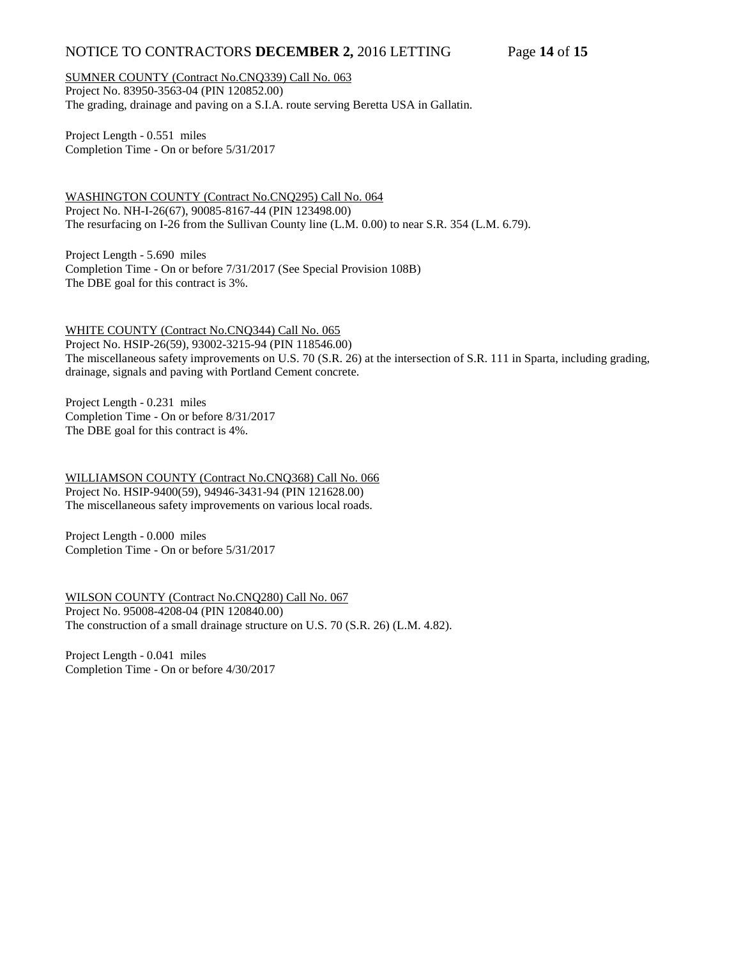# NOTICE TO CONTRACTORS **DECEMBER 2,** 2016 LETTING Page **14** of **15**

SUMNER COUNTY (Contract No.CNQ339) Call No. 063 Project No. 83950-3563-04 (PIN 120852.00) The grading, drainage and paving on a S.I.A. route serving Beretta USA in Gallatin.

Project Length - 0.551 miles Completion Time - On or before 5/31/2017

WASHINGTON COUNTY (Contract No.CNQ295) Call No. 064 Project No. NH-I-26(67), 90085-8167-44 (PIN 123498.00) The resurfacing on I-26 from the Sullivan County line (L.M. 0.00) to near S.R. 354 (L.M. 6.79).

Project Length - 5.690 miles Completion Time - On or before 7/31/2017 (See Special Provision 108B) The DBE goal for this contract is 3%.

WHITE COUNTY (Contract No.CNQ344) Call No. 065

Project No. HSIP-26(59), 93002-3215-94 (PIN 118546.00) The miscellaneous safety improvements on U.S. 70 (S.R. 26) at the intersection of S.R. 111 in Sparta, including grading, drainage, signals and paving with Portland Cement concrete.

Project Length - 0.231 miles Completion Time - On or before 8/31/2017 The DBE goal for this contract is 4%.

WILLIAMSON COUNTY (Contract No.CNQ368) Call No. 066 Project No. HSIP-9400(59), 94946-3431-94 (PIN 121628.00) The miscellaneous safety improvements on various local roads.

Project Length - 0.000 miles Completion Time - On or before 5/31/2017

WILSON COUNTY (Contract No.CNQ280) Call No. 067 Project No. 95008-4208-04 (PIN 120840.00) The construction of a small drainage structure on U.S. 70 (S.R. 26) (L.M. 4.82).

Project Length - 0.041 miles Completion Time - On or before 4/30/2017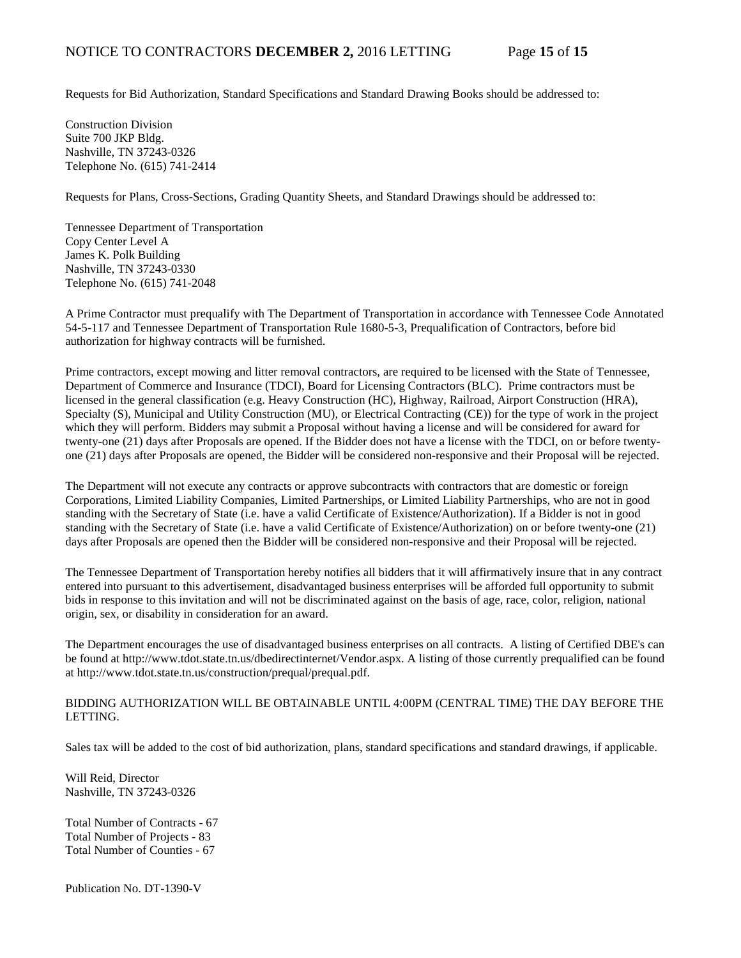Requests for Bid Authorization, Standard Specifications and Standard Drawing Books should be addressed to:

Construction Division Suite 700 JKP Bldg. Nashville, TN 37243-0326 Telephone No. (615) 741-2414

Requests for Plans, Cross-Sections, Grading Quantity Sheets, and Standard Drawings should be addressed to:

Tennessee Department of Transportation Copy Center Level A James K. Polk Building Nashville, TN 37243-0330 Telephone No. (615) 741-2048

A Prime Contractor must prequalify with The Department of Transportation in accordance with Tennessee Code Annotated 54-5-117 and Tennessee Department of Transportation Rule 1680-5-3, Prequalification of Contractors, before bid authorization for highway contracts will be furnished.

Prime contractors, except mowing and litter removal contractors, are required to be licensed with the State of Tennessee, Department of Commerce and Insurance (TDCI), Board for Licensing Contractors (BLC). Prime contractors must be licensed in the general classification (e.g. Heavy Construction (HC), Highway, Railroad, Airport Construction (HRA), Specialty (S), Municipal and Utility Construction (MU), or Electrical Contracting (CE)) for the type of work in the project which they will perform. Bidders may submit a Proposal without having a license and will be considered for award for twenty-one (21) days after Proposals are opened. If the Bidder does not have a license with the TDCI, on or before twentyone (21) days after Proposals are opened, the Bidder will be considered non-responsive and their Proposal will be rejected.

The Department will not execute any contracts or approve subcontracts with contractors that are domestic or foreign Corporations, Limited Liability Companies, Limited Partnerships, or Limited Liability Partnerships, who are not in good standing with the Secretary of State (i.e. have a valid Certificate of Existence/Authorization). If a Bidder is not in good standing with the Secretary of State (i.e. have a valid Certificate of Existence/Authorization) on or before twenty-one (21) days after Proposals are opened then the Bidder will be considered non-responsive and their Proposal will be rejected.

The Tennessee Department of Transportation hereby notifies all bidders that it will affirmatively insure that in any contract entered into pursuant to this advertisement, disadvantaged business enterprises will be afforded full opportunity to submit bids in response to this invitation and will not be discriminated against on the basis of age, race, color, religion, national origin, sex, or disability in consideration for an award.

The Department encourages the use of disadvantaged business enterprises on all contracts. A listing of Certified DBE's can be found at [http://www.tdot.state.tn.us/dbedirectinternet/Vendor.aspx.](http://www.tdot.state.tn.us/dbedirectinternet/Vendor.aspx) A listing of those currently prequalified can be found a[t http://www.tdot.state.tn.us/construction/prequal/prequal.pdf.](http://www.tdot.state.tn.us/construction/prequal/prequal.pdf) 

## BIDDING AUTHORIZATION WILL BE OBTAINABLE UNTIL 4:00PM (CENTRAL TIME) THE DAY BEFORE THE LETTING.

Sales tax will be added to the cost of bid authorization, plans, standard specifications and standard drawings, if applicable.

Will Reid, Director Nashville, TN 37243-0326

Total Number of Contracts - 67 Total Number of Projects - 83 Total Number of Counties - 67

Publication No. DT-1390-V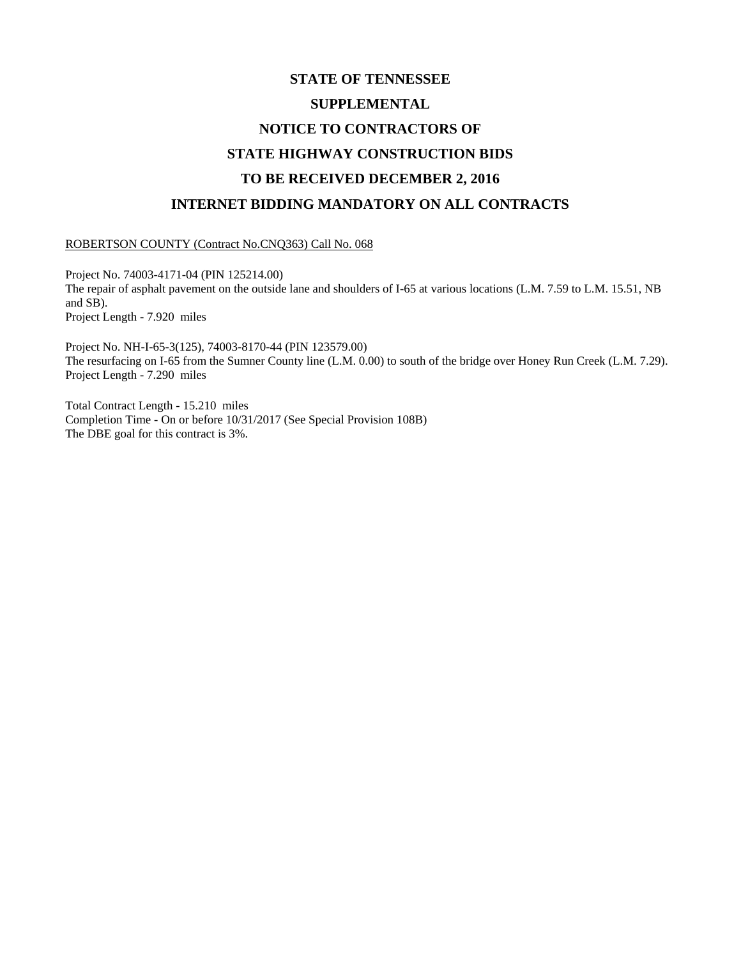## **STATE OF TENNESSEE SUPPLEMENTAL NOTICE TO CONTRACTORS OF STATE HIGHWAY CONSTRUCTION BIDS TO BE RECEIVED DECEMBER 2, 2016 INTERNET BIDDING MANDATORY ON ALL CONTRACTS**

ROBERTSON COUNTY (Contract No.CNQ363) Call No. 068

Project No. 74003-4171-04 (PIN 125214.00) The repair of asphalt pavement on the outside lane and shoulders of I-65 at various locations (L.M. 7.59 to L.M. 15.51, NB and SB). Project Length - 7.920 miles

Project No. NH-I-65-3(125), 74003-8170-44 (PIN 123579.00) The resurfacing on I-65 from the Sumner County line (L.M. 0.00) to south of the bridge over Honey Run Creek (L.M. 7.29). Project Length - 7.290 miles

Total Contract Length - 15.210 miles Completion Time - On or before 10/31/2017 (See Special Provision 108B) The DBE goal for this contract is 3%.